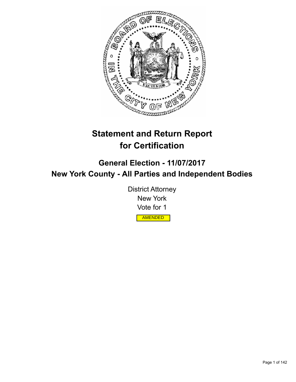

# **Statement and Return Report for Certification**

**General Election - 11/07/2017 New York County - All Parties and Independent Bodies**

> District Attorney New York Vote for 1 AMENDED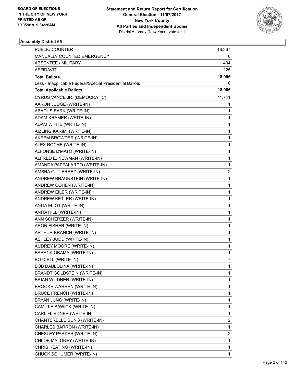

| PUBLIC COUNTER                                           | 18,367                  |
|----------------------------------------------------------|-------------------------|
| MANUALLY COUNTED EMERGENCY                               | 0                       |
| ABSENTEE / MILITARY                                      | 404                     |
| <b>AFFIDAVIT</b>                                         | 225                     |
| <b>Total Ballots</b>                                     | 18,996                  |
| Less - Inapplicable Federal/Special Presidential Ballots | 0                       |
| <b>Total Applicable Ballots</b>                          | 18,996                  |
| CYRUS VANCE JR. (DEMOCRATIC)                             | 11,741                  |
| AARON JUDGE (WRITE-IN)                                   | 1                       |
| ABACUS BARK (WRITE-IN)                                   | 1                       |
| ADAM KRAMER (WRITE-IN)                                   | 1                       |
| ADAM WHITE (WRITE-IN)                                    | 1                       |
| AIZLING KARIMI (WRITE-IN)                                | 1                       |
| AKEEM BROWDER (WRITE-IN)                                 | 1                       |
| ALEX ROCHE (WRITE-IN)                                    | $\mathbf{1}$            |
| ALFONSE D'MATO (WRITE-IN)                                | 1                       |
| ALFRED E. NEWMAN (WRITE-IN)                              | 1                       |
| AMANDA PAPPALARDO (WRITE-IN)                             | 1                       |
| AMBRA GUTIERREZ (WRITE-IN)                               | $\overline{\mathbf{c}}$ |
| ANDREW BRAUNSTEIN (WRITE-IN)                             | 1                       |
| ANDREW COHEN (WRITE-IN)                                  | $\mathbf{1}$            |
| ANDREW EILER (WRITE-IN)                                  | 1                       |
| ANDREW KETLER (WRITE-IN)                                 | 1                       |
| ANITA ELIOT (WRITE-IN)                                   | 1                       |
| ANITA HILL (WRITE-IN)                                    | 1                       |
| ANN SCHERZER (WRITE-IN)                                  | 1                       |
| ARON FISHER (WRITE-IN)                                   | $\mathbf{1}$            |
| ARTHUR BRANCH (WRITE-IN)                                 | 1                       |
| ASHLEY JUDD (WRITE-IN)                                   | 1                       |
| AUDREY MOORE (WRITE-IN)                                  | 1                       |
| BARACK OBAMA (WRITE-IN)                                  | 1                       |
| <b>BO DIETL (WRITE-IN)</b>                               | 7                       |
| BOB DABLOLINA (WRITE-IN)                                 | 1                       |
| <b>BRANDT GOLDSTEIN (WRITE-IN)</b>                       | 1                       |
| BRIAN WILDNER (WRITE-IN)                                 | 1                       |
| <b>BROOKE WARREN (WRITE-IN)</b>                          | 1                       |
| <b>BRUCE FRENCH (WRITE-IN)</b>                           | 1                       |
| BRYAN JUNG (WRITE-IN)                                    | 1                       |
| CAMILLE SAWICK (WRITE-IN)                                | 1                       |
| CARL FLIEDNER (WRITE-IN)                                 | 1                       |
| CHANTERELLE SUNG (WRITE-IN)                              | 2                       |
| CHARLES BARRON (WRITE-IN)                                | $\mathbf{1}$            |
| CHESLEY PARKER (WRITE-IN)                                | $\overline{\mathbf{c}}$ |
| CHLOE MALONEY (WRITE-IN)                                 | 1                       |
| CHRIS KEATING (WRITE-IN)                                 | 1                       |
| CHUCK SCHUMER (WRITE-IN)                                 | 1                       |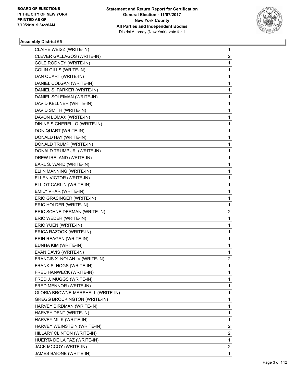

| CLAIRE WEISZ (WRITE-IN)             | $\mathbf 1$    |
|-------------------------------------|----------------|
| CLEVER GALLAGOS (WRITE-IN)          | 2              |
| COLE RODNEY (WRITE-IN)              | 1              |
| COLIN GILLS (WRITE-IN)              | 1              |
| DAN QUART (WRITE-IN)                | 1              |
| DANIEL COLGAN (WRITE-IN)            | 1              |
| DANIEL S. PARKER (WRITE-IN)         | 1              |
| DANIEL SOLEIMAN (WRITE-IN)          | 1              |
| DAVID KELLNER (WRITE-IN)            | 1              |
| DAVID SMITH (WRITE-IN)              | 1              |
| DAVON LOMAX (WRITE-IN)              | 1              |
| DININE SIGNERELLO (WRITE-IN)        | 1              |
| DON QUART (WRITE-IN)                | 1              |
| DONALD HAY (WRITE-IN)               | 1              |
| DONALD TRUMP (WRITE-IN)             | 1              |
| DONALD TRUMP JR. (WRITE-IN)         | 1              |
| DREW IRELAND (WRITE-IN)             | 1              |
| EARL S. WARD (WRITE-IN)             | 1              |
| ELI N MANNING (WRITE-IN)            | 1              |
| ELLEN VICTOR (WRITE-IN)             | 1              |
| ELLIOT CARLIN (WRITE-IN)            | 1              |
| EMILY VHAR (WRITE-IN)               | 1              |
| ERIC GRASINGER (WRITE-IN)           | 1              |
| ERIC HOLDER (WRITE-IN)              | 1              |
| ERIC SCHNEIDERMAN (WRITE-IN)        | 2              |
| ERIC WEDER (WRITE-IN)               | 1              |
| ERIC YUEN (WRITE-IN)                | 1              |
| ERICA RAZOOK (WRITE-IN)             | 1              |
| ERIN REAGAN (WRITE-IN)              | 1              |
| EUNHA KIM (WRITE-IN)                | 1              |
| EVAN DAVIS (WRITE-IN)               | 1              |
| FRANCIS X. NOLAN IV (WRITE-IN)      | $\overline{c}$ |
| FRANK S. HOGS (WRITE-IN)            | 1              |
| FRED HANWECK (WRITE-IN)             | 1              |
| FRED J. MUGGS (WRITE-IN)            | 1              |
| FRED MENNOR (WRITE-IN)              | 1              |
| GLORIA BROWNE-MARSHALL (WRITE-IN)   | 1              |
| <b>GREGG BROCKINGTON (WRITE-IN)</b> | 1              |
| HARVEY BIRDMAN (WRITE-IN)           | 1              |
| HARVEY DENT (WRITE-IN)              | 1              |
| HARVEY MILK (WRITE-IN)              | 1              |
| HARVEY WEINSTEIN (WRITE-IN)         | 2              |
| HILLARY CLINTON (WRITE-IN)          | 2              |
| HUERTA DE LA PAZ (WRITE-IN)         | 1              |
| JACK MCCOY (WRITE-IN)               | $\overline{2}$ |
| JAMES BAIONE (WRITE-IN)             | 1              |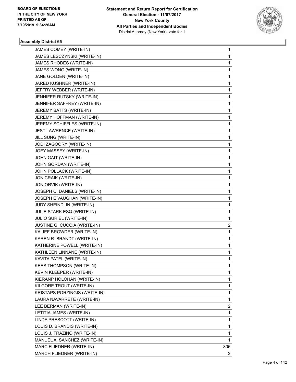

| JAMES COMEY (WRITE-IN)          | 1                       |
|---------------------------------|-------------------------|
| JAMES LESCZYNSKI (WRITE-IN)     | 1                       |
| JAMES RHODES (WRITE-IN)         | 1                       |
| JAMES WONG (WRITE-IN)           | 1                       |
| JANE GOLDEN (WRITE-IN)          | 1                       |
| JARED KUSHNER (WRITE-IN)        | 1                       |
| JEFFRY WEBBER (WRITE-IN)        | 1                       |
| JENNIFER RUTSKY (WRITE-IN)      | 1                       |
| JENNIFER SAFFREY (WRITE-IN)     | 1                       |
| JEREMY BATTS (WRITE-IN)         | 1                       |
| JEREMY HOFFMAN (WRITE-IN)       | 1                       |
| JEREMY SCHIFFLES (WRITE-IN)     | 1                       |
| JEST LAWRENCE (WRITE-IN)        | 1                       |
| JILL SUNG (WRITE-IN)            | 1                       |
| JODI ZAGOORY (WRITE-IN)         | 1                       |
| JOEY MASSEY (WRITE-IN)          | 1                       |
| JOHN GAIT (WRITE-IN)            | 1                       |
| JOHN GORDAN (WRITE-IN)          | 1                       |
| JOHN POLLACK (WRITE-IN)         | 1                       |
| JON CRAIK (WRITE-IN)            | 1                       |
| JON ORVIK (WRITE-IN)            | 1                       |
| JOSEPH C. DANIELS (WRITE-IN)    | 1                       |
| JOSEPH E VAUGHAN (WRITE-IN)     | 1                       |
| JUDY SHEINDLIN (WRITE-IN)       | 1                       |
| JULIE STARK ESQ (WRITE-IN)      | 1                       |
| JULIO SURIEL (WRITE-IN)         | 1                       |
| JUSTINE G. CUCCIA (WRITE-IN)    | $\overline{\mathbf{c}}$ |
| KALIEF BROWDER (WRITE-IN)       | 1                       |
| KAREN R. BRANDT (WRITE-IN)      | 1                       |
| KATHERINE POWELL (WRITE-IN)     | 1                       |
| KATHLEEN LINNANE (WRITE-IN)     | 1                       |
| KAVITA PATEL (WRITE-IN)         | 1                       |
| <b>KEES THOMPSON (WRITE-IN)</b> | 1                       |
| KEVIN KLEEPER (WRITE-IN)        | 1                       |
| KIERANP HOLOHAN (WRITE-IN)      | 1                       |
| KILGORE TROUT (WRITE-IN)        | 1                       |
| KRISTAPS PORZINGIS (WRITE-IN)   | 1                       |
| LAURA NAVARRETE (WRITE-IN)      | 1                       |
| LEE BERMAN (WRITE-IN)           | 2                       |
| LETITIA JAMES (WRITE-IN)        | 1                       |
| LINDA PRESCOTT (WRITE-IN)       | 1                       |
| LOUIS D. BRANDIS (WRITE-IN)     | 1                       |
| LOUIS J. TRAZINO (WRITE-IN)     | 1                       |
| MANUEL A. SANCHEZ (WRITE-IN)    | 1                       |
| MARC FLIEDNER (WRITE-IN)        | 806                     |
| MARCH FLIEDNER (WRITE-IN)       | $\overline{2}$          |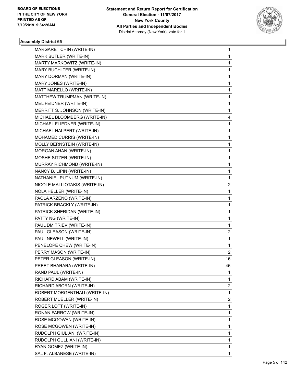

| MARGARET CHIN (WRITE-IN)      | 1                       |
|-------------------------------|-------------------------|
| MARK BUTLER (WRITE-IN)        | 1                       |
| MARTY MARKOWITZ (WRITE-IN)    | 1                       |
| MARY BUCHLTER (WRITE-IN)      | 1                       |
| MARY DORMAN (WRITE-IN)        | 1                       |
| MARY JONES (WRITE-IN)         | 1                       |
| MATT MARELLO (WRITE-IN)       | 1                       |
| MATTHEW TRUMPMAN (WRITE-IN)   | 1                       |
| MEL FEIDNER (WRITE-IN)        | 1                       |
| MERRITT S. JOHNSON (WRITE-IN) | 1                       |
| MICHAEL BLOOMBERG (WRITE-IN)  | 4                       |
| MICHAEL FLIEDNER (WRITE-IN)   | 1                       |
| MICHAEL HALPERT (WRITE-IN)    | 1                       |
| MOHAMED CURRIS (WRITE-IN)     | 1                       |
| MOLLY BERNSTEIN (WRITE-IN)    | 1                       |
| MORGAN AHAN (WRITE-IN)        | 1                       |
| MOSHE SITZER (WRITE-IN)       | 1                       |
| MURRAY RICHMOND (WRITE-IN)    | 1                       |
| NANCY B. LIPIN (WRITE-IN)     | 1                       |
| NATHANIEL PUTNUM (WRITE-IN)   | 1                       |
| NICOLE MALLIOTAKIS (WRITE-IN) | $\overline{\mathbf{c}}$ |
| NOLA HELLER (WRITE-IN)        | 1                       |
| PAOLA ARZENO (WRITE-IN)       | 1                       |
| PATRICK BRACKLY (WRITE-IN)    | 1                       |
| PATRICK SHERIDAN (WRITE-IN)   | 1                       |
| PATTY NG (WRITE-IN)           | 1                       |
| PAUL DMITRIEV (WRITE-IN)      | 1                       |
| PAUL GLEASON (WRITE-IN)       | 2                       |
| PAUL NEWELL (WRITE-IN)        | 1                       |
| PENELOPE CHEW (WRITE-IN)      | 1                       |
| PERRY MASON (WRITE-IN)        | 2                       |
| PETER GLEASON (WRITE-IN)      | 16                      |
| PREET BHARARA (WRITE-IN)      | 46                      |
| RAND PAUL (WRITE-IN)          | 1                       |
| RICHARD ABAM (WRITE-IN)       | 1                       |
| RICHARD ABORN (WRITE-IN)      | 2                       |
| ROBERT MORGENTHAU (WRITE-IN)  | 1                       |
| ROBERT MUELLER (WRITE-IN)     | 2                       |
| ROGER LOTT (WRITE-IN)         | 1                       |
| RONAN FARROW (WRITE-IN)       | 1                       |
| ROSE MCGOWAN (WRITE-IN)       | 1                       |
| ROSE MCGOWEN (WRITE-IN)       | 1                       |
| RUDOLPH GIULIANI (WRITE-IN)   | 1                       |
| RUDOLPH GULLIANI (WRITE-IN)   | 1                       |
| RYAN GOMEZ (WRITE-IN)         | 1                       |
| SAL F. ALBANESE (WRITE-IN)    | 1                       |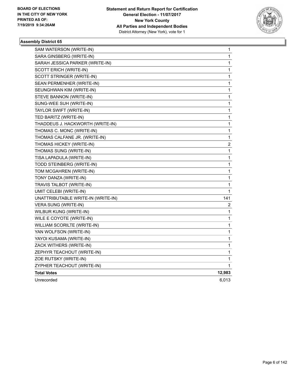

| SAM WATERSON (WRITE-IN)            | 1                       |
|------------------------------------|-------------------------|
| SARA GINSBERG (WRITE-IN)           | 1                       |
| SARAH JESSICA PARKER (WRITE-IN)    | 1                       |
| SCOTT ERICH (WRITE-IN)             | 1                       |
| SCOTT STRINGER (WRITE-IN)          | 1                       |
| SEAN PERMENHER (WRITE-IN)          | 1                       |
| SEUNGHWAN KIM (WRITE-IN)           | 1                       |
| STEVE BANNON (WRITE-IN)            | $\mathbf{1}$            |
| SUNG-WEE SUH (WRITE-IN)            | 1                       |
| TAYLOR SWIFT (WRITE-IN)            | 1                       |
| TED BARITZ (WRITE-IN)              | 1                       |
| THADDEUS J. HACKWORTH (WRITE-IN)   | 1                       |
| THOMAS C. MONC (WRITE-IN)          | 1                       |
| THOMAS CALFANE JR. (WRITE-IN)      | 1                       |
| THOMAS HICKEY (WRITE-IN)           | $\overline{\mathbf{c}}$ |
| THOMAS SUNG (WRITE-IN)             | $\mathbf{1}$            |
| TISA LAPADULA (WRITE-IN)           | 1                       |
| TODD STEINBERG (WRITE-IN)          | 1                       |
| TOM MCGAHREN (WRITE-IN)            | 1                       |
| TONY DANZA (WRITE-IN)              | 1                       |
| TRAVIS TALBOT (WRITE-IN)           | 1                       |
| UMIT CELEBI (WRITE-IN)             | 1                       |
| UNATTRIBUTABLE WRITE-IN (WRITE-IN) | 141                     |
| VERA SUNG (WRITE-IN)               | $\overline{\mathbf{c}}$ |
| WILBUR KUNG (WRITE-IN)             | 1                       |
| WILE E COYOTE (WRITE-IN)           | 1                       |
| WILLIAM SCORILTE (WRITE-IN)        | 1                       |
| YAN WOLFSON (WRITE-IN)             | 1                       |
| YAYOI KUSAMA (WRITE-IN)            | 1                       |
| ZACK WITHERS (WRITE-IN)            | 1                       |
| ZEPHYR TEACHOUT (WRITE-IN)         | 1                       |
| ZOE RUTSKY (WRITE-IN)              | 1                       |
| ZYPHER TEACHOUT (WRITE-IN)         | 1                       |
| <b>Total Votes</b>                 | 12,983                  |
| Unrecorded                         | 6,013                   |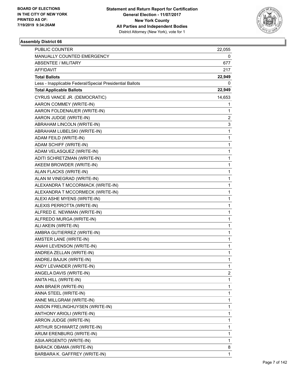

| <b>PUBLIC COUNTER</b>                                    | 22,055       |
|----------------------------------------------------------|--------------|
| MANUALLY COUNTED EMERGENCY                               | 0            |
| <b>ABSENTEE / MILITARY</b>                               | 677          |
| AFFIDAVIT                                                | 217          |
| <b>Total Ballots</b>                                     | 22,949       |
| Less - Inapplicable Federal/Special Presidential Ballots | 0            |
| <b>Total Applicable Ballots</b>                          | 22,949       |
| CYRUS VANCE JR. (DEMOCRATIC)                             | 14,653       |
| AARON COMMEY (WRITE-IN)                                  | 1            |
| AARON FOLDENAUER (WRITE-IN)                              | 1            |
| AARON JUDGE (WRITE-IN)                                   | 2            |
| ABRAHAM LINCOLN (WRITE-IN)                               | 3            |
| ABRAHAM LUBELSKI (WRITE-IN)                              | 1            |
| ADAM FEILD (WRITE-IN)                                    | 1            |
| ADAM SCHIFF (WRITE-IN)                                   | 1            |
| ADAM VELASQUEZ (WRITE-IN)                                | 1            |
| ADITI SCHRETZMAN (WRITE-IN)                              | 1            |
| AKEEM BROWDER (WRITE-IN)                                 | 1            |
| ALAN FLACKS (WRITE-IN)                                   | 1            |
| ALAN M VINEGRAD (WRITE-IN)                               | 1            |
| ALEXANDRA T MCCORMACK (WRITE-IN)                         | 1            |
| ALEXANDRA T MCCORMECK (WRITE-IN)                         | 1            |
| ALEXI ASHE MYENS (WRITE-IN)                              | 1            |
| ALEXIS PERROTTA (WRITE-IN)                               | 1            |
| ALFRED E. NEWMAN (WRITE-IN)                              | 1            |
| ALFREDO MURGA (WRITE-IN)                                 | 1            |
| ALI AKEIN (WRITE-IN)                                     | 1            |
| AMBRA GUTIERREZ (WRITE-IN)                               | 1            |
| AMSTER LANE (WRITE-IN)                                   | 1            |
| ANAHI LEVENSON (WRITE-IN)                                | $\mathbf{1}$ |
| ANDREA ZELLAN (WRITE-IN)                                 | 1            |
| ANDREJ BAJUK (WRITE-IN)                                  | 1            |
| ANDY LEVANDER (WRITE-IN)                                 | 1            |
| ANGELA DAVIS (WRITE-IN)                                  | 2            |
| ANITA HILL (WRITE-IN)                                    | 1            |
| ANN BRAER (WRITE-IN)                                     | 1            |
| ANNA STEEL (WRITE-IN)                                    | 1            |
| ANNE MILLGRAM (WRITE-IN)                                 | 1            |
| ANSON FRELINGHUYSEN (WRITE-IN)                           | 1            |
| ANTHONY ARIOLI (WRITE-IN)                                | 1            |
| ARRON JUDGE (WRITE-IN)                                   | 1            |
| ARTHUR SCHWARTZ (WRITE-IN)                               | 1            |
| ARUM ERENBURG (WRITE-IN)                                 | 1            |
| ASIA ARGENTO (WRITE-IN)                                  | 1            |
| <b>BARACK OBAMA (WRITE-IN)</b>                           | 8            |
| BARBARA K. GAFFREY (WRITE-IN)                            | 1            |
|                                                          |              |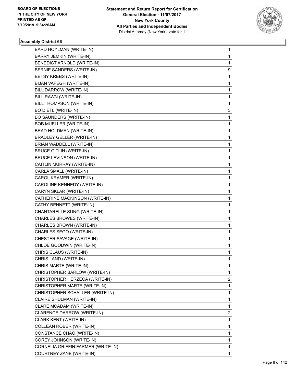

| BARD HOYLMAN (WRITE-IN)            | 1 |
|------------------------------------|---|
| BARRY JEMKIN (WRITE-IN)            | 1 |
| BENEDICT ARNOLD (WRITE-IN)         | 1 |
| BERNIE SANDERS (WRITE-IN)          | 9 |
| BETSY KREBS (WRITE-IN)             | 1 |
| BIJAN VAFEGH (WRITE-IN)            | 1 |
| BILL DARROW (WRITE-IN)             | 1 |
| BILL RAWN (WRITE-IN)               | 1 |
| BILL THOMPSON (WRITE-IN)           | 1 |
| BO DIETL (WRITE-IN)                | 3 |
| BO SAUNDERS (WRITE-IN)             | 1 |
| <b>BOB MUELLER (WRITE-IN)</b>      | 1 |
| BRAD HOLDMAN (WRITE-IN)            | 1 |
| <b>BRADLEY GELLER (WRITE-IN)</b>   | 1 |
| BRIAN WADDELL (WRITE-IN)           | 1 |
| <b>BRUCE GITLIN (WRITE-IN)</b>     | 1 |
| <b>BRUCE LEVINSON (WRITE-IN)</b>   | 1 |
| CAITLIN MURRAY (WRITE-IN)          | 1 |
| CARLA SMALL (WRITE-IN)             | 1 |
| CAROL KRAMER (WRITE-IN)            | 1 |
| CAROLINE KENNEDY (WRITE-IN)        | 1 |
| CARYN SKLAR (WRITE-IN)             | 1 |
| CATHERINE MACKINSON (WRITE-IN)     | 1 |
| CATHY BENNETT (WRITE-IN)           | 1 |
| CHANTARELLE SUNG (WRITE-IN)        | 1 |
| CHARLES BROWES (WRITE-IN)          | 1 |
| CHARLES BROWN (WRITE-IN)           | 1 |
| CHARLES SEGO (WRITE-IN)            | 1 |
| CHESTER SAVAGE (WRITE-IN)          | 1 |
| CHLOE GOODWIN (WRITE-IN)           | 1 |
| CHRIS CLAUS (WRITE-IN)             | 1 |
| CHRIS LAND (WRITE-IN)              | 1 |
| CHRIS MARTE (WRITE-IN)             | 1 |
| CHRISTOPHER BARLOW (WRITE-IN)      | 1 |
| CHRISTOPHER HERZECA (WRITE-IN)     | 2 |
| CHRISTOPHER MARTE (WRITE-IN)       | 1 |
| CHRISTOPHER SCHALLER (WRITE-IN)    | 1 |
| CLAIRE SHULMAN (WRITE-IN)          | 1 |
| CLARE MCADAM (WRITE-IN)            | 1 |
| CLARENCE DARROW (WRITE-IN)         | 2 |
| CLARK KENT (WRITE-IN)              | 1 |
| COLLEAN ROBER (WRITE-IN)           | 1 |
| CONSTANCE CHAO (WRITE-IN)          | 1 |
| COREY JOHNSON (WRITE-IN)           | 1 |
| CORNELIA GRIFFIN FARMER (WRITE-IN) | 1 |
| COURTNEY ZANE (WRITE-IN)           | 1 |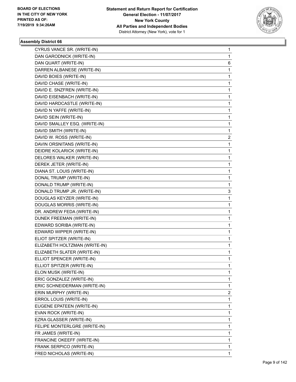

| CYRUS VANCE SR. (WRITE-IN)    | $\mathbf{1}$ |
|-------------------------------|--------------|
| DAN GARODNICK (WRITE-IN)      | $\mathbf{1}$ |
| DAN QUART (WRITE-IN)          | 6            |
| DARREN ALBANESE (WRITE-IN)    | $\mathbf 1$  |
| DAVID BOIES (WRITE-IN)        | 1            |
| DAVID CHASE (WRITE-IN)        | 1            |
| DAVID E. SNZFREN (WRITE-IN)   | $\mathbf 1$  |
| DAVID EISENBACH (WRITE-IN)    | 1            |
| DAVID HARDCASTLE (WRITE-IN)   | 1            |
| DAVID N YAFFE (WRITE-IN)      | $\mathbf 1$  |
| DAVID SEIN (WRITE-IN)         | $\mathbf 1$  |
| DAVID SMALLEY ESQ. (WRITE-IN) | 1            |
| DAVID SMITH (WRITE-IN)        | 1            |
| DAVID W. ROSS (WRITE-IN)      | 2            |
| DAVIN ORSNITANS (WRITE-IN)    | 1            |
| DEIDRE KOLARICK (WRITE-IN)    | $\mathbf{1}$ |
| DELORES WALKER (WRITE-IN)     | $\mathbf{1}$ |
| DEREK JETER (WRITE-IN)        | 1            |
| DIANA ST. LOUIS (WRITE-IN)    | $\mathbf{1}$ |
| DONAL TRUMP (WRITE-IN)        | $\mathbf{1}$ |
| DONALD TRUMP (WRITE-IN)       | 1            |
| DONALD TRUMP JR. (WRITE-IN)   | 3            |
| DOUGLAS KEYZER (WRITE-IN)     | 1            |
| DOUGLAS MORRIS (WRITE-IN)     | 1            |
| DR. ANDREW FEDA (WRITE-IN)    | $\mathbf{1}$ |
| DUNEK FREEMAN (WRITE-IN)      | 1            |
| EDWARD SORIBA (WRITE-IN)      | 1            |
| EDWARD WIPPER (WRITE-IN)      | $\mathbf{1}$ |
| ELIOT SPITZER (WRITE-IN)      | $\mathbf{1}$ |
| ELIZABETH HOLTZMAN (WRITE-IN) | 1            |
| ELIZABETH SLATER (WRITE-IN)   | 1            |
| ELLIOT SPENCER (WRITE-IN)     | $\mathbf 1$  |
| ELLIOT SPITZER (WRITE-IN)     | 1            |
| ELON MUSK (WRITE-IN)          | 1            |
| ERIC GONZALEZ (WRITE-IN)      | 1            |
| ERIC SCHNEIDERMAN (WRITE-IN)  | 1            |
| ERIN MURPHY (WRITE-IN)        | 2            |
| ERROL LOUIS (WRITE-IN)        | 1            |
| EUGENE EPATEEN (WRITE-IN)     | 1            |
| EVAN ROCK (WRITE-IN)          | 1            |
| EZRA GLASSER (WRITE-IN)       | 1            |
| FELIPE MONTERLGRE (WRITE-IN)  | 1            |
| FR JAMES (WRITE-IN)           | 1            |
| FRANCINE OKEEFF (WRITE-IN)    | 1            |
| FRANK SERPICO (WRITE-IN)      | 1            |
| FRED NICHOLAS (WRITE-IN)      | 1            |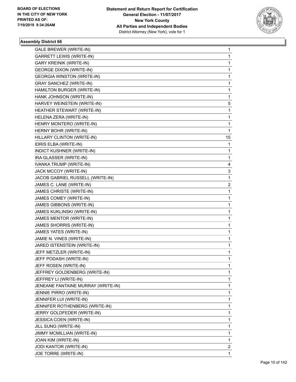

| GALE BREWER (WRITE-IN)             | 1                       |
|------------------------------------|-------------------------|
| <b>GARRETT LEWIS (WRITE-IN)</b>    | 1                       |
| <b>GARY KREINIK (WRITE-IN)</b>     | 1                       |
| <b>GEORGE DIXON (WRITE-IN)</b>     | 1                       |
| <b>GEORGIA WINSTON (WRITE-IN)</b>  | 1                       |
| <b>GRAY SANCHEZ (WRITE-IN)</b>     | 1                       |
| HAMILTON BURGER (WRITE-IN)         | 1                       |
| HANK JOHNSON (WRITE-IN)            | 1                       |
| HARVEY WEINSTEIN (WRITE-IN)        | 5                       |
| HEATHER STEWART (WRITE-IN)         | 1                       |
| HELENA ZERA (WRITE-IN)             | 1                       |
| HENRY MONTERO (WRITE-IN)           | 1                       |
| HERNY BOHR (WRITE-IN)              | 1                       |
| HILLARY CLINTON (WRITE-IN)         | 15                      |
| IDRIS ELBA (WRITE-IN)              | 1                       |
| INDICT KUSHNER (WRITE-IN)          | 1                       |
| IRA GLASSER (WRITE-IN)             | 1                       |
| IVANKA TRUMP (WRITE-IN)            | 4                       |
| JACK MCCOY (WRITE-IN)              | 3                       |
| JACOB GABRIEL RUSSELL (WRITE-IN)   | 1                       |
| JAMES C. LANE (WRITE-IN)           | $\overline{\mathbf{c}}$ |
| JAMES CHRISTE (WRITE-IN)           | 1                       |
| JAMES COMEY (WRITE-IN)             | 1                       |
| JAMES GIBBONS (WRITE-IN)           | 1                       |
| JAMES KUKLINSKI (WRITE-IN)         | 1                       |
| JAMES MENTOR (WRITE-IN)            | 1                       |
| JAMES SHORRIS (WRITE-IN)           | 1                       |
| JAMES YATES (WRITE-IN)             | 1                       |
| JAMIE N. VINES (WRITE-IN)          | 1                       |
| JARED ISTENSTEIN (WRITE-IN)        | 1                       |
| JEFF METZLER (WRITE-IN)            | 1                       |
| JEFF PODASH (WRITE-IN)             | 1                       |
| JEFF ROSEN (WRITE-IN)              | 1                       |
| JEFFREY GOLDENBERG (WRITE-IN)      | 1                       |
| JEFFREY LI (WRITE-IN)              | 1                       |
| JENEANE FANTAINE MURRAY (WRITE-IN) | 1                       |
| JENNIE PIRRO (WRITE-IN)            | 1                       |
| JENNIFER LUI (WRITE-IN)            | 1                       |
| JENNIFER ROTHENBERG (WRITE-IN)     | 1                       |
| JERRY GOLDFEDER (WRITE-IN)         | 1                       |
| JESSICA COEN (WRITE-IN)            | 1                       |
| JILL SUNG (WRITE-IN)               | 1                       |
| JIMMY MCMILLIAN (WRITE-IN)         | 1                       |
| JOAN KIM (WRITE-IN)                | 1                       |
| JODI KANTOR (WRITE-IN)             | 2                       |
| JOE TORRE (WRITE-IN)               | 1                       |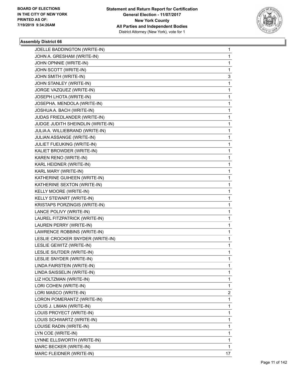

| JOELLE BADDINGTON (WRITE-IN)      | $\mathbf{1}$ |
|-----------------------------------|--------------|
| JOHN A. GRESHAM (WRITE-IN)        | $\mathbf{1}$ |
| JOHN OPNNIE (WRITE-IN)            | $\mathbf{1}$ |
| JOHN SCOTT (WRITE-IN)             | 1            |
| JOHN SMITH (WRITE-IN)             | 3            |
| JOHN STANLEY (WRITE-IN)           | 1            |
| JORGE VAZQUEZ (WRITE-IN)          | 1            |
| JOSEPH LHOTA (WRITE-IN)           | $\mathbf 1$  |
| JOSEPHA. MENDOLA (WRITE-IN)       | 1            |
| JOSHUA A. BACH (WRITE-IN)         | 1            |
| JUDAS FRIEDLANDER (WRITE-IN)      | 1            |
| JUDGE JUDITH SHEINDLIN (WRITE-IN) | $\mathbf{1}$ |
| JULIA A. WILLIEBRAND (WRITE-IN)   | 1            |
| JULIAN ASSANGE (WRITE-IN)         | $\mathbf 1$  |
| JULIET FUEUKING (WRITE-IN)        | 1            |
| KALIET BROWDER (WRITE-IN)         | 1            |
| KAREN RENO (WRITE-IN)             | 1            |
| KARL HEIDNER (WRITE-IN)           | $\mathbf{1}$ |
| KARL MARY (WRITE-IN)              | 1            |
| KATHERINE GUIHEEN (WRITE-IN)      | $\mathbf{1}$ |
| KATHERINE SEXTON (WRITE-IN)       | 1            |
| KELLY MOORE (WRITE-IN)            | 1            |
| KELLY STEWART (WRITE-IN)          | 1            |
| KRISTAPS PORZINGIS (WRITE-IN)     | $\mathbf{1}$ |
| LANCE POLIVY (WRITE-IN)           | 1            |
| LAUREL FITZPATRICK (WRITE-IN)     | $\mathbf{1}$ |
| LAUREN PERRY (WRITE-IN)           | 1            |
| LAWRENCE ROBBINS (WRITE-IN)       | 1            |
| LESLIE CROCKER SNYDER (WRITE-IN)  | 1            |
| LESLIE GEWITZ (WRITE-IN)          | $\mathbf{1}$ |
| LESLIE SIUTDER (WRITE-IN)         | 1            |
| LESLIE SNYDER (WRITE-IN)          | $\mathbf{1}$ |
| LINDA FAIRSTEIN (WRITE-IN)        | 1            |
| LINDA SAISSELIN (WRITE-IN)        | 1            |
| LIZ HOLTZMAN (WRITE-IN)           | $\mathbf{1}$ |
| LORI COHEN (WRITE-IN)             | 1            |
| LORI MASCO (WRITE-IN)             | 2            |
| LORON POMERANTZ (WRITE-IN)        | 1            |
| LOUIS J. LIMAN (WRITE-IN)         | 1            |
| LOUIS PROYECT (WRITE-IN)          | 1            |
| LOUIS SCHWARTZ (WRITE-IN)         | $\mathbf{1}$ |
| LOUISE RADIN (WRITE-IN)           | 1            |
| LYN COE (WRITE-IN)                | 1            |
| LYNNE ELLSWORTH (WRITE-IN)        | $\mathbf{1}$ |
| MARC BECKER (WRITE-IN)            | $\mathbf{1}$ |
| MARC FLEIDNER (WRITE-IN)          | 17           |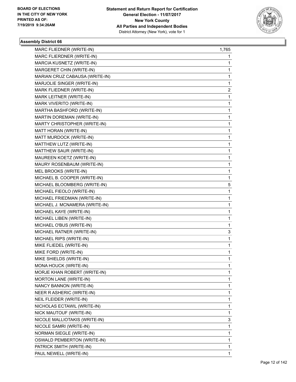

| MARC FLIEDNER (WRITE-IN)       | 1,765        |
|--------------------------------|--------------|
| MARC FLIERDNER (WRITE-IN)      | 1            |
| MARCIA KUSNETZ (WRITE-IN)      | $\mathbf{1}$ |
| MARGERET CHIN (WRITE-IN)       | 1            |
| MARIAN CRUZ CABAUSA (WRITE-IN) | 1            |
| MARJOLIE SINGER (WRITE-IN)     | 1            |
| MARK FLIEDNER (WRITE-IN)       | 2            |
| MARK LEITNER (WRITE-IN)        | 1            |
| MARK VIVERITO (WRITE-IN)       | $\mathbf{1}$ |
| MARTHA BASHFORD (WRITE-IN)     | 1            |
| MARTIN DOREMAN (WRITE-IN)      | 1            |
| MARTY CHRISTOPHER (WRITE-IN)   | 1            |
| MATT HORAN (WRITE-IN)          | 1            |
| MATT MURDOCK (WRITE-IN)        | 1            |
| MATTHEW LUTZ (WRITE-IN)        | $\mathbf{1}$ |
| MATTHEW SAUR (WRITE-IN)        | 1            |
| MAUREEN KOETZ (WRITE-IN)       | 1            |
| MAURY ROSENBAUM (WRITE-IN)     | 1            |
| MEL BROOKS (WRITE-IN)          | 1            |
| MICHAEL B. COOPER (WRITE-IN)   | 1            |
| MICHAEL BLOOMBERG (WRITE-IN)   | 5            |
| MICHAEL FIEOLO (WRITE-IN)      | 1            |
| MICHAEL FRIEDMAN (WRITE-IN)    | 1            |
| MICHAEL J. MCNAMERA (WRITE-IN) | 1            |
| MICHAEL KAYE (WRITE-IN)        | 1            |
| MICHAEL LIBEN (WRITE-IN)       | 1            |
| MICHAEL O'BUS (WRITE-IN)       | 1            |
| MICHAEL RATNER (WRITE-IN)      | 3            |
| MICHAEL RIPS (WRITE-IN)        | 1            |
| MIKE FLIEDEL (WRITE-IN)        | 1            |
| MIKE FORD (WRITE-IN)           | 1            |
| MIKE SHIELDS (WRITE-IN)        | 1            |
| MONA HOUCK (WRITE-IN)          | 1            |
| MORJE KHAN ROBERT (WRITE-IN)   | 1            |
| MORTON LANE (WRITE-IN)         | 1            |
| NANCY BANNON (WRITE-IN)        | $\mathbf{1}$ |
| NEER R ASHERIC (WRITE-IN)      | 1            |
| NEIL FLEIDER (WRITE-IN)        | 1            |
| NICHOLAS ECTAWIL (WRITE-IN)    | 1            |
| NICK MAUTOUF (WRITE-IN)        | 1            |
| NICOLE MALLIOTAKIS (WRITE-IN)  | 3            |
| NICOLE SAMRI (WRITE-IN)        | $\mathbf{1}$ |
| NORMAN SIEGLE (WRITE-IN)       | 1            |
| OSWALD PEMBERTON (WRITE-IN)    | 1            |
| PATRICK SMITH (WRITE-IN)       | 1            |
| PAUL NEWELL (WRITE-IN)         | 1            |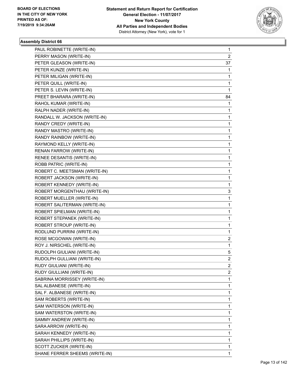

| PAUL ROBINETTE (WRITE-IN)      | 1              |
|--------------------------------|----------------|
| PERRY MASON (WRITE-IN)         | $\overline{2}$ |
| PETER GLEASON (WRITE-IN)       | 37             |
| PETER KUNZE (WRITE-IN)         | 1              |
| PETER MILIGAN (WRITE-IN)       | 1              |
| PETER QUILL (WRITE-IN)         | 1              |
| PETER S. LEVIN (WRITE-IN)      | $\mathbf{1}$   |
| PREET BHARARA (WRITE-IN)       | 84             |
| RAHOL KUMAR (WRITE-IN)         | 1              |
| RALPH NADER (WRITE-IN)         | 1              |
| RANDALL W. JACKSON (WRITE-IN)  | 1              |
| RANDY CREDY (WRITE-IN)         | 1              |
| RANDY MASTRO (WRITE-IN)        | 1              |
| RANDY RAINBOW (WRITE-IN)       | 1              |
| RAYMOND KELLY (WRITE-IN)       | $\mathbf{1}$   |
| RENAN FARROW (WRITE-IN)        | 1              |
| RENEE DESANTIS (WRITE-IN)      | 1              |
| ROBB PATRIC (WRITE-IN)         | 1              |
| ROBERT C. MEETSMAN (WRITE-IN)  | 1              |
| ROBERT JACKSON (WRITE-IN)      | 1              |
| ROBERT KENNEDY (WRITE-IN)      | 1              |
| ROBERT MORGENTHAU (WRITE-IN)   | 3              |
| ROBERT MUELLER (WRITE-IN)      | 1              |
| ROBERT SALITERMAN (WRITE-IN)   | 1              |
| ROBERT SPIELMAN (WRITE-IN)     | 1              |
| ROBERT STEPANEK (WRITE-IN)     | 1              |
| ROBERT STROUP (WRITE-IN)       | $\mathbf{1}$   |
| RODLUND PURRINI (WRITE-IN)     | 1              |
| ROSE MCGOWAN (WRITE-IN)        | 2              |
| ROY J. NIRSCHEL (WRITE-IN)     | $\mathbf{1}$   |
| RUDOLPH GIULIANI (WRITE-IN)    | 5              |
| RUDOLPH GULLIANI (WRITE-IN)    | 2              |
| RUDY GIULIANI (WRITE-IN)       | 2              |
| RUDY GIULLIANI (WRITE-IN)      | 2              |
| SABRINA MORRISSEY (WRITE-IN)   | 1              |
| SAL ALBANESE (WRITE-IN)        | 1              |
| SAL F. ALBANESE (WRITE-IN)     | 1              |
| SAM ROBERTS (WRITE-IN)         | 1              |
| SAM WATERSON (WRITE-IN)        | 1              |
| SAM WATERSTON (WRITE-IN)       | 1              |
| SAMMY ANDREW (WRITE-IN)        | 1              |
| SARA ARROW (WRITE-IN)          | 1              |
| SARAH KENNEDY (WRITE-IN)       | 1              |
| SARAH PHILLIPS (WRITE-IN)      | 1              |
| SCOTT ZUCKER (WRITE-IN)        | 1              |
| SHANE FERRER SHEEMS (WRITE-IN) | 1              |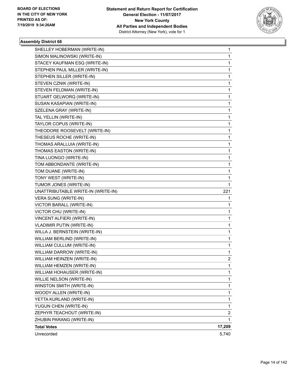

| SHELLEY HOBERMAN (WRITE-IN)        | 1              |
|------------------------------------|----------------|
| SIMON MALINOWSKI (WRITE-IN)        | 1              |
| STACEY KAUFMAN ESQ (WRITE-IN)      | 1              |
| STEPHEN PAUL MILLER (WRITE-IN)     | 1              |
| STEPHEN SILLER (WRITE-IN)          | 1              |
| STEVEN CZNIK (WRITE-IN)            | 1              |
| STEVEN FELDMAN (WRITE-IN)          | 1              |
| STUART GELWORQ (WRITE-IN)          | 1              |
| SUSAN KASAPIAN (WRITE-IN)          | 1              |
| SZELENA GRAY (WRITE-IN)            | 1              |
| TAL YELLIN (WRITE-IN)              | 1              |
| TAYLOR COPUS (WRITE-IN)            | 1              |
| THEODORE ROOSEVELT (WRITE-IN)      | 1              |
| THESEUS ROCHE (WRITE-IN)           | 1              |
| THOMAS ARALLUIA (WRITE-IN)         | 1              |
| THOMAS EASTON (WRITE-IN)           | 1              |
| TINA LUONGO (WRITE-IN)             | 1              |
| TOM ABBONDANTE (WRITE-IN)          | 1              |
| TOM DUANE (WRITE-IN)               | 1              |
| TONY WEST (WRITE-IN)               | 1              |
| TUMOR JONES (WRITE-IN)             | 1              |
| UNATTRIBUTABLE WRITE-IN (WRITE-IN) | 221            |
| VERA SUNG (WRITE-IN)               | 1              |
| VICTOR BARALL (WRITE-IN)           | 1              |
| VICTOR CHU (WRITE-IN)              | 1              |
| VINCENT ALFIERI (WRITE-IN)         | 1              |
| <b>VLADIMIR PUTIN (WRITE-IN)</b>   | 1              |
| WILLA J. BERNSTEIN (WRITE-IN)      | 1              |
| WILLIAM BERLIND (WRITE-IN)         | 1              |
| WILLIAM CULLUM (WRITE-IN)          | 1              |
| WILLIAM DARROW (WRITE-IN)          | 1              |
| WILLIAM HEINZEN (WRITE-IN)         | $\overline{2}$ |
| WILLIAM HEMZEN (WRITE-IN)          | 1              |
| WILLIAM HOHAUSER (WRITE-IN)        | 1              |
| WILLIE NELSON (WRITE-IN)           | 1              |
| WINSTON SMITH (WRITE-IN)           | 1              |
| WOODY ALLEN (WRITE-IN)             | 1              |
| YETTA KURLAND (WRITE-IN)           | 1              |
| YUGUN CHEN (WRITE-IN)              | 1              |
| ZEPHYR TEACHOUT (WRITE-IN)         | 2              |
| ZHUBIN PARANG (WRITE-IN)           | 1              |
| <b>Total Votes</b>                 | 17,209         |
| Unrecorded                         | 5,740          |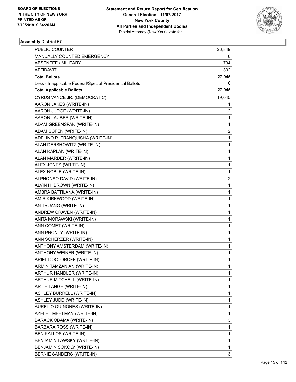

| <b>PUBLIC COUNTER</b>                                    | 26,849                  |
|----------------------------------------------------------|-------------------------|
| MANUALLY COUNTED EMERGENCY                               | 0                       |
| ABSENTEE / MILITARY                                      | 794                     |
| AFFIDAVIT                                                | 302                     |
| <b>Total Ballots</b>                                     | 27,945                  |
| Less - Inapplicable Federal/Special Presidential Ballots | 0                       |
| <b>Total Applicable Ballots</b>                          | 27,945                  |
| CYRUS VANCE JR. (DEMOCRATIC)                             | 19,045                  |
| AARON JAKES (WRITE-IN)                                   | 1                       |
| AARON JUDGE (WRITE-IN)                                   | 2                       |
| AARON LAUBER (WRITE-IN)                                  | 1                       |
| ADAM GREENSPAN (WRITE-IN)                                | $\mathbf{1}$            |
| ADAM SOFEN (WRITE-IN)                                    | $\overline{\mathbf{c}}$ |
| ADELINO R. FRANQUISHA (WRITE-IN)                         | 1                       |
| ALAN DERSHOWITZ (WRITE-IN)                               | $\mathbf{1}$            |
| ALAN KAPLAN (WRITE-IN)                                   | 1                       |
| ALAN MARDER (WRITE-IN)                                   | 1                       |
| ALEX JONES (WRITE-IN)                                    | $\mathbf{1}$            |
| ALEX NOBLE (WRITE-IN)                                    | 1                       |
| ALPHONSO DAVID (WRITE-IN)                                | 2                       |
| ALVIN H. BROWN (WRITE-IN)                                | $\mathbf{1}$            |
| AMBRA BATTILANA (WRITE-IN)                               | 1                       |
| AMIR KIRKWOOD (WRITE-IN)                                 | 1                       |
| AN TRUANG (WRITE-IN)                                     | $\mathbf{1}$            |
| ANDREW CRAVEN (WRITE-IN)                                 | $\mathbf{1}$            |
| ANITA MORAWSKI (WRITE-IN)                                | 1                       |
| ANN COMET (WRITE-IN)                                     | $\mathbf{1}$            |
| ANN PRONTY (WRITE-IN)                                    | 1                       |
| ANN SCHERZER (WRITE-IN)                                  | 1                       |
| ANTHONY AMSTERDAM (WRITE-IN)                             | $\mathbf 1$             |
| ANTHONY WEINER (WRITE-IN)                                | 1                       |
| ARIEL DOCTOROFF (WRITE-IN)                               | 1                       |
| ARMIN TAMZANIAN (WRITE-IN)                               | 1                       |
| ARTHUR HANDLER (WRITE-IN)                                | 1                       |
| ARTHUR MITCHELL (WRITE-IN)                               | 1                       |
| ARTIE LANGE (WRITE-IN)                                   | $\mathbf{1}$            |
| ASHLEY BURRELL (WRITE-IN)                                | 1                       |
| ASHLEY JUDD (WRITE-IN)                                   | 1                       |
| AURELIO QUINONES (WRITE-IN)                              | $\mathbf{1}$            |
| AYELET MEHLMAN (WRITE-IN)                                | 1                       |
| BARACK OBAMA (WRITE-IN)                                  | 3                       |
| BARBARA ROSS (WRITE-IN)                                  | $\mathbf{1}$            |
| BEN KALLOS (WRITE-IN)                                    | 1                       |
| BENJAMIN LAWSKY (WRITE-IN)                               | 1                       |
| BENJAMIN SOKOLY (WRITE-IN)                               | $\mathbf{1}$            |
| BERNIE SANDERS (WRITE-IN)                                | 3                       |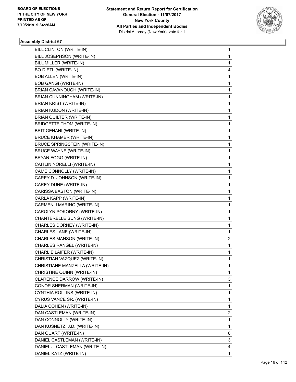

| BILL CLINTON (WRITE-IN)             | 1 |
|-------------------------------------|---|
| BILL JOSEPHSON (WRITE-IN)           | 1 |
| BILL MILLER (WRITE-IN)              | 1 |
| <b>BO DIETL (WRITE-IN)</b>          | 4 |
| <b>BOB ALLEN (WRITE-IN)</b>         | 1 |
| <b>BOB GANGI (WRITE-IN)</b>         | 1 |
| BRIAN CAVANOUGH (WRITE-IN)          | 1 |
| BRIAN CUNNINGHAM (WRITE-IN)         | 1 |
| BRIAN KRIST (WRITE-IN)              | 1 |
| BRIAN KUDON (WRITE-IN)              | 1 |
| <b>BRIAN QUILTER (WRITE-IN)</b>     | 1 |
| BRIDGETTE THOM (WRITE-IN)           | 1 |
| BRIT GEHANI (WRITE-IN)              | 1 |
| <b>BRUCE KHAMER (WRITE-IN)</b>      | 1 |
| <b>BRUCE SPRINGSTEIN (WRITE-IN)</b> | 1 |
| <b>BRUCE WAYNE (WRITE-IN)</b>       | 1 |
| BRYAN FOGG (WRITE-IN)               | 1 |
| CAITLIN NORELLI (WRITE-IN)          | 1 |
| CAME CONNOLLY (WRITE-IN)            | 1 |
| CAREY D. JOHNSON (WRITE-IN)         | 1 |
| CAREY DUNE (WRITE-IN)               | 1 |
| CARISSA EASTON (WRITE-IN)           | 1 |
| CARLA KAPP (WRITE-IN)               | 1 |
| CARMEN J MARINO (WRITE-IN)          | 1 |
| CAROLYN POKORNY (WRITE-IN)          | 1 |
| CHANTERELLE SUNG (WRITE-IN)         | 1 |
| CHARLES DORNEY (WRITE-IN)           | 1 |
| CHARLES LANE (WRITE-IN)             | 1 |
| CHARLES MANSON (WRITE-IN)           | 2 |
| CHARLES RANGEL (WRITE-IN)           | 1 |
| CHARLIE LAIFER (WRITE-IN)           | 1 |
| CHRISTIAN VAZQUEZ (WRITE-IN)        | 1 |
| CHRISTIANE MANZELLA (WRITE-IN)      | 1 |
| CHRISTINE QUINN (WRITE-IN)          | 1 |
| CLARENCE DARROW (WRITE-IN)          | 3 |
| CONOR SHERMAN (WRITE-IN)            | 1 |
| CYNTHIA ROLLINS (WRITE-IN)          | 1 |
| CYRUS VANCE SR. (WRITE-IN)          | 1 |
| DALIA COHEN (WRITE-IN)              | 1 |
| DAN CASTLEMAN (WRITE-IN)            | 2 |
| DAN CONNOLLY (WRITE-IN)             | 1 |
| DAN KUSNETZ, J.D. (WRITE-IN)        | 1 |
| DAN QUART (WRITE-IN)                | 8 |
| DANIEL CASTLEMAN (WRITE-IN)         | 3 |
| DANIEL J. CASTLEMAN (WRITE-IN)      | 4 |
| DANIEL KATZ (WRITE-IN)              | 1 |
|                                     |   |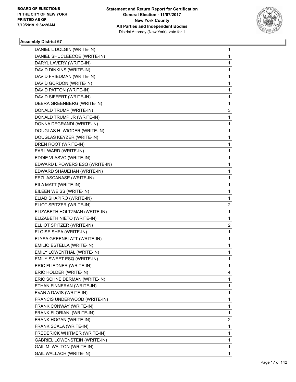

| DANIEL L DOLGIN (WRITE-IN)           | 1                       |
|--------------------------------------|-------------------------|
| DANIEL SHUCLEECOE (WRITE-IN)         | 1                       |
| DARYL LAVERY (WRITE-IN)              | 1                       |
| DAVID DINKINS (WRITE-IN)             | 1                       |
| DAVID FRIEDMAN (WRITE-IN)            | 1                       |
| DAVID GORDON (WRITE-IN)              | 1                       |
| DAVID PATTON (WRITE-IN)              | 1                       |
| DAVID SIFFERT (WRITE-IN)             | 1                       |
| DEBRA GREENBERG (WRITE-IN)           | 1                       |
| DONALD TRUMP (WRITE-IN)              | 3                       |
| DONALD TRUMP JR (WRITE-IN)           | 1                       |
| DONNA DEGRANDI (WRITE-IN)            | $\mathbf{1}$            |
| DOUGLAS H. WIGDER (WRITE-IN)         | 1                       |
| DOUGLAS KEYZER (WRITE-IN)            | 1                       |
| DREN ROOT (WRITE-IN)                 | 1                       |
| EARL WARD (WRITE-IN)                 | 1                       |
| EDDIE VLASVO (WRITE-IN)              | 1                       |
| EDWARD L POWERS ESQ (WRITE-IN)       | 1                       |
| EDWARD SHAUEHAN (WRITE-IN)           | 1                       |
| EEZL ASCANASE (WRITE-IN)             | 1                       |
| EILA MATT (WRITE-IN)                 | 1                       |
| EILEEN WEISS (WRITE-IN)              | 1                       |
| ELIAD SHAPIRO (WRITE-IN)             | 1                       |
| ELIOT SPITZER (WRITE-IN)             | $\overline{c}$          |
| ELIZABETH HOLTZMAN (WRITE-IN)        | 1                       |
| ELIZABETH NIETO (WRITE-IN)           | 1                       |
| ELLIOT SPITZER (WRITE-IN)            | $\overline{c}$          |
| ELOISE SHEA (WRITE-IN)               | 1                       |
| ELYSA GREENBLATT (WRITE-IN)          | 1                       |
| EMILIO ESTELLA (WRITE-IN)            | 1                       |
| EMILY LOWENTHAL (WRITE-IN)           | 1                       |
| EMILY SWEET ESQ (WRITE-IN)           | 1                       |
| ERIC FLIEDNER (WRITE-IN)             | 1                       |
| ERIC HOLDER (WRITE-IN)               | 4                       |
| ERIC SCHNEIDERMAN (WRITE-IN)         | 1                       |
| ETHAN FINNERAN (WRITE-IN)            | 1                       |
| EVAN A DAVIS (WRITE-IN)              | 1                       |
| FRANCIS UNDERWOOD (WRITE-IN)         | 1                       |
| FRANK CONWAY (WRITE-IN)              | 1                       |
| FRANK FLORIANI (WRITE-IN)            | 1                       |
| FRANK HOGAN (WRITE-IN)               | $\overline{\mathbf{c}}$ |
| FRANK SCALA (WRITE-IN)               | $\mathbf{1}$            |
| FREDERICK WHITMER (WRITE-IN)         | 1                       |
| <b>GABRIEL LOWENSTEIN (WRITE-IN)</b> | 1                       |
| GAIL M. WALTON (WRITE-IN)            | 1                       |
| GAIL WALLACH (WRITE-IN)              | 1                       |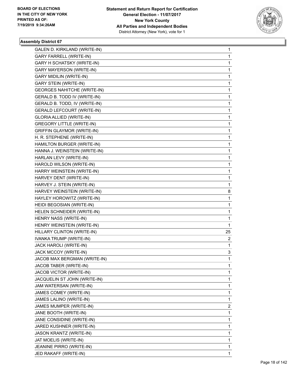

| GALEN D. KIRKLAND (WRITE-IN)       | 1            |
|------------------------------------|--------------|
| <b>GARY FARRELL (WRITE-IN)</b>     | 1            |
| <b>GARY H SCHATSKY (WRITE-IN)</b>  | 1            |
| <b>GARY MAYERSON (WRITE-IN)</b>    | 1            |
| <b>GARY MIDILIN (WRITE-IN)</b>     | 1            |
| <b>GARY STEIN (WRITE-IN)</b>       | 1            |
| <b>GEORGES NAHITCHE (WRITE-IN)</b> | 1            |
| GERALD B. TODD IV (WRITE-IN)       | 1            |
| GERALD B. TODD, IV (WRITE-IN)      | 1            |
| <b>GERALD LEFCOURT (WRITE-IN)</b>  | 1            |
| GLORIA ALLIED (WRITE-IN)           | 1            |
| <b>GREGORY LITTLE (WRITE-IN)</b>   | 1            |
| <b>GRIFFIN GLAYMOR (WRITE-IN)</b>  | 1            |
| H. R. STEPHENE (WRITE-IN)          | 1            |
| HAMILTON BURGER (WRITE-IN)         | 1            |
| HANNA J. WEINSTEIN (WRITE-IN)      | 1            |
| HARLAN LEVY (WRITE-IN)             | 1            |
| HAROLD WILSON (WRITE-IN)           | 1            |
| HARRY WEINSTEIN (WRITE-IN)         | 1            |
| HARVEY DENT (WRITE-IN)             | 1            |
| HARVEY J. STEIN (WRITE-IN)         | 1            |
| HARVEY WEINSTEIN (WRITE-IN)        | 8            |
| HAYLEY HOROWITZ (WRITE-IN)         | 1            |
| HEIDI BEGOSIAN (WRITE-IN)          | 1            |
| HELEN SCHNEIDER (WRITE-IN)         | 1            |
| HENRY NASS (WRITE-IN)              | 1            |
| HENRY WEINSTEIN (WRITE-IN)         | $\mathbf{1}$ |
| HILLARY CLINTON (WRITE-IN)         | 25           |
| IVANKA TRUMP (WRITE-IN)            | 2            |
| JACK HAROLI (WRITE-IN)             | 1            |
| JACK MCCOY (WRITE-IN)              | 3            |
| JACOB MAX BERGMAN (WRITE-IN)       | 1            |
| JACOB TABER (WRITE-IN)             | 1            |
| JACOB VICTOR (WRITE-IN)            | 1            |
| JACQUELIN ST JOHN (WRITE-IN)       | 1            |
| JAM WATERSAN (WRITE-IN)            | 1            |
| JAMES COMEY (WRITE-IN)             | 1            |
| JAMES LALINO (WRITE-IN)            | 1            |
| JAMES MUMPER (WRITE-IN)            | 2            |
| JANE BOOTH (WRITE-IN)              | 1            |
| JANE CONSIDINE (WRITE-IN)          | 1            |
| JARED KUSHNER (WRITE-IN)           | 1            |
| <b>JASON KRANTZ (WRITE-IN)</b>     | 1            |
| JAT MOELIS (WRITE-IN)              | 1            |
| JEANINE PIRRO (WRITE-IN)           | 1            |
| JED RAKAFF (WRITE-IN)              | 1            |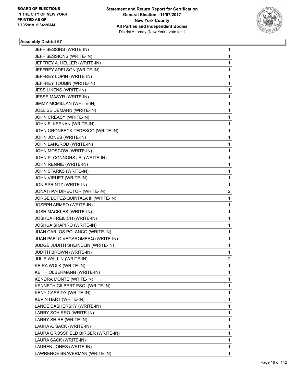

| JEFF SESSINS (WRITE-IN)             | 1 |
|-------------------------------------|---|
| JEFF SESSIONS (WRITE-IN)            | 1 |
| JEFFREY A. HELLER (WRITE-IN)        | 1 |
| JEFFREY ADELSON (WRITE-IN)          | 1 |
| JEFFREY LOPIN (WRITE-IN)            | 1 |
| JEFFREY TOUBIN (WRITE-IN)           | 1 |
| JESS LIKENS (WRITE-IN)              | 1 |
| JESSE MASYR (WRITE-IN)              | 1 |
| JIMMY MCMILLAN (WRITE-IN)           | 1 |
| JOEL SEIDEMANN (WRITE-IN)           | 1 |
| JOHN CREASY (WRITE-IN)              | 1 |
| JOHN F. KEENAN (WRITE-IN)           | 1 |
| JOHN GRONBECK TEDESCO (WRITE-IN)    | 1 |
| JOHN JONES (WRITE-IN)               | 1 |
| JOHN LANGROD (WRITE-IN)             | 1 |
| JOHN MOSCOW (WRITE-IN)              | 1 |
| JOHN P. CONNORS JR. (WRITE-IN)      | 1 |
| JOHN RENNIE (WRITE-IN)              | 1 |
| JOHN STARKS (WRITE-IN)              | 1 |
| JOHN VIRUET (WRITE-IN)              | 1 |
| JON SPRINTZ (WRITE-IN)              | 1 |
| JONATHAN DIRECTOR (WRITE-IN)        | 2 |
| JORGE LOPEZ-QUINTALA III (WRITE-IN) | 1 |
| JOSEPH ARMEO (WRITE-IN)             | 1 |
| JOSH MACKLES (WRITE-IN)             | 1 |
| JOSHUA FREILICH (WRITE-IN)          | 1 |
| JOSHUA SHAPIRO (WRITE-IN)           | 1 |
| JUAN CARLOS POLANCO (WRITE-IN)      | 1 |
| JUAN PABLO VEGAROMERQ (WRITE-IN)    | 1 |
| JUDGE JUDITH SHEINDLIN (WRITE-IN)   | 1 |
| JUDITH BROWN (WRITE-IN)             | 1 |
| JULIE WALLIN (WRITE-IN)             | 2 |
| KEIRA WOLK (WRITE-IN)               | 1 |
| KEITH OLBERMANN (WRITE-IN)          | 1 |
| KENDRA MONTE (WRITE-IN)             | 1 |
| KENNETH GILBERT ESQ. (WRITE-IN)     | 1 |
| KENY CASSIDY (WRITE-IN)             | 1 |
| KEVIN HART (WRITE-IN)               | 1 |
| LANCE DASHERSKY (WRITE-IN)          | 1 |
| LARRY SCHIRRO (WRITE-IN)            | 1 |
| LARRY SHIRE (WRITE-IN)              | 1 |
| LAURA A. SACK (WRITE-IN)            | 1 |
| LAURA GROSSFIELD BIRGER (WRITE-IN)  | 1 |
| LAURA SACK (WRITE-IN)               | 1 |
| LAUREN JONES (WRITE-IN)             | 1 |
| LAWRENCE BRAVERMAN (WRITE-IN)       | 1 |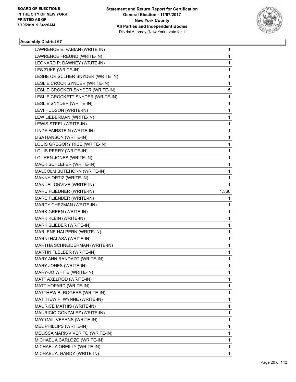

| LAWRENCE E. FABIAN (WRITE-IN)     | 1     |
|-----------------------------------|-------|
| LAWRENCE FREUND (WRITE-IN)        | 1     |
| LEONARD P. DAWNEY (WRITE-IN)      | 1     |
| LES ZUKE (WRITE-IN)               | 1     |
| LESHE CRISCLHER SNYDER (WRITE-IN) | 1     |
| LESLIE CROCK SYNDER (WRITE-IN)    | 1     |
| LESLIE CROCKER SNYDER (WRITE-IN)  | 5     |
| LESLIE CROCKETT SNYDER (WRITE-IN) | 1     |
| LESLIE SNYDER (WRITE-IN)          | 1     |
| LEVI HUDSON (WRITE-IN)            | 1     |
| LEW LIEBERMAN (WRITE-IN)          | 1     |
| LEWIS STEEL (WRITE-IN)            | 1     |
| LINDA FAIRSTEIN (WRITE-IN)        | 1     |
| LISA HANSON (WRITE-IN)            | 1     |
| LOUIS GREGORY RICE (WRITE-IN)     | 1     |
| LOUIS PERRY (WRITE-IN)            | 1     |
| LOUREN JONES (WRITE-IN)           | 1     |
| MACK SCHLEFER (WRITE-IN)          | 1     |
| MALCOLM BUTEHORN (WRITE-IN)       | 1     |
| MANNY ORTIZ (WRITE-IN)            | 1     |
| MANUEL ONVIVE (WRITE-IN)          | 1     |
| MARC FLIEDNER (WRITE-IN)          | 1,366 |
| MARC FLIENDER (WRITE-IN)          | 1     |
|                                   |       |
| MARCY CHEZMAN (WRITE-IN)          | 1     |
| MARK GREEN (WRITE-IN)             | 1     |
| MARK KLEIN (WRITE-IN)             | 1     |
| MARK SLIEBER (WRITE-IN)           | 1     |
| MARLENE HALPERN (WRITE-IN)        | 1     |
| MARNI HALASA (WRITE-IN)           | 1     |
| MARTHA SCHNEIDERMAN (WRITE-IN)    | 1     |
| MARTIN FLELBER (WRITE-IN)         | 1     |
| MARY ANN RANDAZO (WRITE-IN)       | 1     |
| MARY JONES (WRITE-IN)             | 1     |
| MARY-JO WHITE (WRITE-IN)          | 1     |
| MATT AXELROD (WRITE-IN)           | 1     |
| MATT HOPARD (WRITE-IN)            | 1     |
| MATTHEW B. ROGERS (WRITE-IN)      | 1     |
| MATTHEW P. WYNNE (WRITE-IN)       | 1     |
| MAURICE MATHIS (WRITE-IN)         | 1     |
| MAURICIO GONZALEZ (WRITE-IN)      | 1     |
| MAY GAIL VEARNS (WRITE-IN)        | 1     |
| MEL PHILLIPS (WRITE-IN)           | 1     |
| MELISSA MARK-VIVERITO (WRITE-IN)  | 1     |
| MICHAEL A CARLOZO (WRITE-IN)      | 1     |
| MICHAEL A OREILLY (WRITE-IN)      | 1     |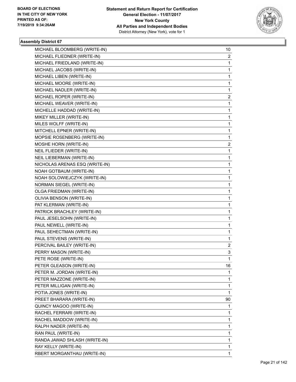

| MICHAEL BLOOMBERG (WRITE-IN)   | 10                      |
|--------------------------------|-------------------------|
| MICHAEL FLIEDNER (WRITE-IN)    | 2                       |
| MICHAEL FRIEDLAND (WRITE-IN)   | 1                       |
| MICHAEL JACOBS (WRITE-IN)      | $\mathbf{1}$            |
| MICHAEL LIBEN (WRITE-IN)       | 1                       |
| MICHAEL MOORE (WRITE-IN)       | 1                       |
| MICHAEL NADLER (WRITE-IN)      | $\mathbf{1}$            |
| MICHAEL ROPER (WRITE-IN)       | $\overline{\mathbf{c}}$ |
| MICHAEL WEAVER (WRITE-IN)      | 1                       |
| MICHELLE HADDAD (WRITE-IN)     | $\mathbf{1}$            |
| MIKEY MILLER (WRITE-IN)        | 1                       |
| MILES WOLFF (WRITE-IN)         | 1                       |
| MITCHELL EPNER (WRITE-IN)      | $\mathbf{1}$            |
| MOPSIE ROSENBERG (WRITE-IN)    | $\mathbf{1}$            |
| MOSHE HORN (WRITE-IN)          | 2                       |
| NEIL FLIEDER (WRITE-IN)        | $\mathbf{1}$            |
| NEIL LIEBERMAN (WRITE-IN)      | 1                       |
| NICHOLAS ARENAS ESQ (WRITE-IN) | 1                       |
| NOAH GOTBAUM (WRITE-IN)        | $\mathbf{1}$            |
| NOAH SOLOWIEJCZYK (WRITE-IN)   | $\mathbf{1}$            |
| NORMAN SIEGEL (WRITE-IN)       | 1                       |
| OLGA FRIEDMAN (WRITE-IN)       | $\mathbf{1}$            |
| OLIVIA BENSON (WRITE-IN)       | 1                       |
| PAT KLERMAN (WRITE-IN)         | 1                       |
| PATRICK BRACHLEY (WRITE-IN)    | $\mathbf{1}$            |
| PAUL JESELSOHN (WRITE-IN)      | $\mathbf{1}$            |
| PAUL NEWELL (WRITE-IN)         | 1                       |
| PAUL SEHECTMAN (WRITE-IN)      | $\mathbf{1}$            |
| PAUL STEVENS (WRITE-IN)        | 1                       |
| PERCIVAL BAILEY (WRITE-IN)     | 2                       |
| PERRY MASON (WRITE-IN)         | 3                       |
| PETE ROSE (WRITE-IN)           | 1                       |
| PETER GLEASON (WRITE-IN)       | 16                      |
| PETER M. JORDAN (WRITE-IN)     | 1.                      |
| PETER MAZZONE (WRITE-IN)       | $\mathbf{1}$            |
| PETER MILLIGAN (WRITE-IN)      | 1                       |
| POTIA JONES (WRITE-IN)         | $\mathbf{1}$            |
| PREET BHARARA (WRITE-IN)       | 90                      |
| QUINCY MAGOO (WRITE-IN)        | 1                       |
| RACHEL FERRARI (WRITE-IN)      | $\mathbf{1}$            |
| RACHEL MADDOW (WRITE-IN)       | $\mathbf{1}$            |
| RALPH NADER (WRITE-IN)         | 1                       |
| RAN PAUL (WRITE-IN)            | $\mathbf{1}$            |
| RANDA JAWAD SHLASH (WRITE-IN)  | 1                       |
| RAY KELLY (WRITE-IN)           | 1                       |
| RBERT MORGANTHAU (WRITE-IN)    | $\mathbf{1}$            |
|                                |                         |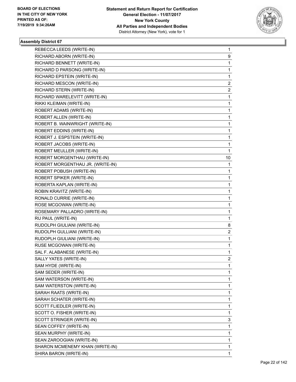

| REBECCA LEEDS (WRITE-IN)         | 1              |
|----------------------------------|----------------|
| RICHARD ABORN (WRITE-IN)         | 9              |
| RICHARD BENNETT (WRITE-IN)       | $\mathbf{1}$   |
| RICHARD D PARSONG (WRITE-IN)     | 1              |
| RICHARD EPSTEIN (WRITE-IN)       | 1              |
| RICHARD MESCON (WRITE-IN)        | $\overline{c}$ |
| RICHARD STERN (WRITE-IN)         | $\overline{2}$ |
| RICHARD WARELEVITT (WRITE-IN)    | 1              |
| RIKKI KLEIMAN (WRITE-IN)         | 1              |
| ROBERT ADAMS (WRITE-IN)          | 1              |
| ROBERT ALLEN (WRITE-IN)          | 1              |
| ROBERT B. WAINWRIGHT (WRITE-IN)  | 1              |
| ROBERT EDDINS (WRITE-IN)         | 1              |
| ROBERT J. ESPSTEIN (WRITE-IN)    | 1              |
| ROBERT JACOBS (WRITE-IN)         | 1              |
| ROBERT MEULLER (WRITE-IN)        | 1              |
| ROBERT MORGENTHAU (WRITE-IN)     | 10             |
| ROBERT MORGENTHAU JR. (WRITE-IN) | $\mathbf{1}$   |
| ROBERT POBUSH (WRITE-IN)         | 1              |
| ROBERT SPIKER (WRITE-IN)         | 1              |
| ROBERTA KAPLAN (WRITE-IN)        | 1              |
| ROBIN KRAVITZ (WRITE-IN)         | 1              |
| RONALD CURRIE (WRITE-IN)         | 1              |
| ROSE MCGOWAN (WRITE-IN)          | $\mathbf{1}$   |
| ROSEMARY PALLADRO (WRITE-IN)     | 1              |
| RU PAUL (WRITE-IN)               | 1              |
| RUDOLPH GIULIANI (WRITE-IN)      | 8              |
| RUDOLPH GULLIANI (WRITE-IN)      | $\overline{2}$ |
| RUDOPLH GIULIANI (WRITE-IN)      | 1              |
| RUSE MCGOWAN (WRITE-IN)          | 1              |
| SAL F. ALABANESE (WRITE-IN)      | 1              |
| SALLY YATES (WRITE-IN)           | $\overline{c}$ |
| SAM HYDE (WRITE-IN)              | 1              |
| SAM SEDER (WRITE-IN)             | 1              |
| SAM WATERSON (WRITE-IN)          | 1              |
| SAM WATERSTON (WRITE-IN)         | 1              |
| SARAH RAATS (WRITE-IN)           | 1              |
| SARAH SCHATER (WRITE-IN)         | 1              |
| SCOTT FLIEDLER (WRITE-IN)        | 1              |
| SCOTT O. FISHER (WRITE-IN)       | 1              |
| SCOTT STRINGER (WRITE-IN)        | 3              |
| SEAN COFFEY (WRITE-IN)           | $\mathbf{1}$   |
| SEAN MURPHY (WRITE-IN)           | 1              |
| SEAN ZAROOGIAN (WRITE-IN)        | 1              |
| SHARON MCMENEMY KHAN (WRITE-IN)  | 1              |
| SHIRA BARON (WRITE-IN)           | 1              |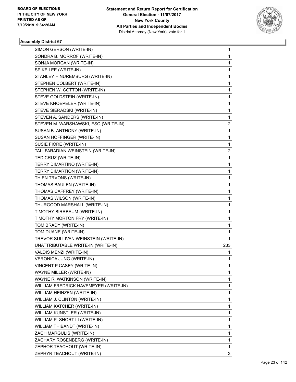

| SIMON GERSON (WRITE-IN)               | 1              |
|---------------------------------------|----------------|
| SONDRA B. MORROF (WRITE-IN)           | $\mathbf{1}$   |
| SONJA MORGAN (WRITE-IN)               | 1              |
| SPIKE LEE (WRITE-IN)                  | $\mathbf{1}$   |
| STANLEY H NUREMBURG (WRITE-IN)        | 1              |
| STEPHEN COLBERT (WRITE-IN)            | 1              |
| STEPHEN W. COTTON (WRITE-IN)          | $\mathbf{1}$   |
| STEVE GOLDSTEIN (WRITE-IN)            | 1              |
| STEVE KNOEPELER (WRITE-IN)            | 1              |
| STEVE SIERADSKI (WRITE-IN)            | $\mathbf{1}$   |
| STEVEN A. SANDERS (WRITE-IN)          | 1              |
| STEVEN M. WARSHAWSKI, ESQ (WRITE-IN)  | 2              |
| SUSAN B. ANTHONY (WRITE-IN)           | $\mathbf{1}$   |
| SUSAN HOFFINGER (WRITE-IN)            | $\mathbf{1}$   |
| SUSIE FIORE (WRITE-IN)                | 1              |
| TALI FARADIAN WEINSTEIN (WRITE-IN)    | $\overline{2}$ |
| TED CRUZ (WRITE-IN)                   | 1              |
| TERRY DIMARTINO (WRITE-IN)            | 1              |
| TERRY DIMARTION (WRITE-IN)            | $\mathbf{1}$   |
| THIEN TRVONS (WRITE-IN)               | 1              |
| THOMAS BAULEN (WRITE-IN)              | 1              |
| THOMAS CAFFREY (WRITE-IN)             | $\mathbf{1}$   |
| THOMAS WILSON (WRITE-IN)              | 1              |
| THURGOOD MARSHALL (WRITE-IN)          | 1              |
| TIMOTHY BIRRBAUM (WRITE-IN)           | $\mathbf{1}$   |
| TIMOTHY MORTON FRY (WRITE-IN)         | 1              |
| TOM BRADY (WRITE-IN)                  | 1              |
| TOM DUANE (WRITE-IN)                  | $\mathbf{1}$   |
| TREVOR SULLIVAN WEINSTEIN (WRITE-IN)  | 1              |
| UNATTRIBUTABLE WRITE-IN (WRITE-IN)    | 233            |
| VALDIS MENZI (WRITE-IN)               | 1.             |
| VERONICA JUNG (WRITE-IN)              | 1              |
| VINCENT P CASEY (WRITE-IN)            | 1              |
| WAYNE MILLER (WRITE-IN)               | $\mathbf{1}$   |
| WAYNE R. WATKINSON (WRITE-IN)         | $\mathbf{1}$   |
| WILLIAM FREDRICK HAVEMEYER (WRITE-IN) | 1              |
| WILLIAM HEINZEN (WRITE-IN)            | $\mathbf{1}$   |
| WILLIAM J. CLINTON (WRITE-IN)         | 1              |
| WILLIAM KATCHER (WRITE-IN)            | 1              |
| WILLIAM KUNSTLER (WRITE-IN)           | $\mathbf{1}$   |
| WILLIAM P. SHORT III (WRITE-IN)       | $\mathbf{1}$   |
| WILLIAM THIBANDT (WRITE-IN)           | 1              |
| ZACH MARGULIS (WRITE-IN)              | $\mathbf{1}$   |
| ZACHARY ROSENBERG (WRITE-IN)          | 1              |
| ZEPHOR TEACHOUT (WRITE-IN)            | 1              |
| ZEPHYR TEACHOUT (WRITE-IN)            | 3              |
|                                       |                |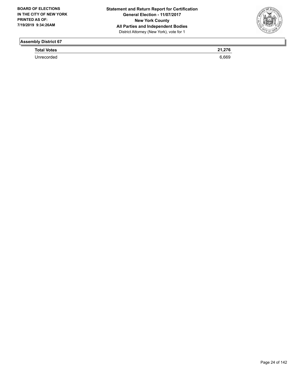

**Total Votes 21,276** 

Unrecorded 6,669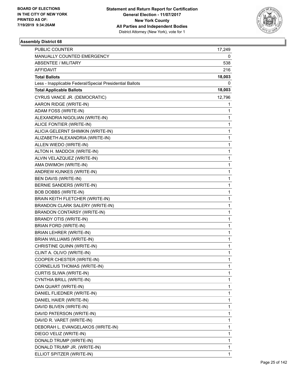

| <b>PUBLIC COUNTER</b>                                    | 17,249       |
|----------------------------------------------------------|--------------|
| MANUALLY COUNTED EMERGENCY                               | 0            |
| <b>ABSENTEE / MILITARY</b>                               | 538          |
| AFFIDAVIT                                                | 216          |
| <b>Total Ballots</b>                                     | 18,003       |
| Less - Inapplicable Federal/Special Presidential Ballots | 0            |
| <b>Total Applicable Ballots</b>                          | 18,003       |
| CYRUS VANCE JR. (DEMOCRATIC)                             | 12,796       |
| AARON RIDGE (WRITE-IN)                                   | 1            |
| ADAM FOSS (WRITE-IN)                                     | 1            |
| ALEXANDRIA NIGOLIAN (WRITE-IN)                           | 1            |
| ALICE FONTIER (WRITE-IN)                                 | 1            |
| ALICIA GELERNT SHIMKIN (WRITE-IN)                        | 1            |
| ALIZABETH ALEXANDRIA (WRITE-IN)                          | $\mathbf{1}$ |
| ALLEN WIEDO (WRITE-IN)                                   | 1            |
| ALTON H. MADDOX (WRITE-IN)                               | 1            |
| ALVIN VELAZQUEZ (WRITE-IN)                               | 1            |
| AMA DWIMOH (WRITE-IN)                                    | 1            |
| ANDREW KUNKES (WRITE-IN)                                 | $\mathbf{1}$ |
| BEN DAVIS (WRITE-IN)                                     | $\mathbf{1}$ |
| BERNIE SANDERS (WRITE-IN)                                | 1            |
| BOB DOBBS (WRITE-IN)                                     | $\mathbf{1}$ |
| BRAIN KEITH FLETCHER (WRITE-IN)                          | 1            |
| BRANDON CLARK SALERY (WRITE-IN)                          | 1            |
| <b>BRANDON CONTARSY (WRITE-IN)</b>                       | $\mathbf{1}$ |
| BRANDY OTIS (WRITE-IN)                                   | 1            |
| BRIAN FORD (WRITE-IN)                                    | 1            |
| BRIAN LEHRER (WRITE-IN)                                  | 1            |
| <b>BRIAN WILLIAMS (WRITE-IN)</b>                         | 1            |
| CHRISTINE QUINN (WRITE-IN)                               | 1            |
| CLINT A. OLIVO (WRITE-IN)                                | 1            |
| COOPER CHESTER (WRITE-IN)                                | 1            |
| CORNELIUS THOMAS (WRITE-IN)                              | 1            |
| CURTIS SLIWA (WRITE-IN)                                  | 1            |
| CYNTHIA BRILL (WRITE-IN)                                 | 1            |
| DAN QUART (WRITE-IN)                                     | 1            |
| DANIEL FLIEDNER (WRITE-IN)                               | 1            |
| DANIEL HAIER (WRITE-IN)                                  | 1            |
| DAVID BLIVEN (WRITE-IN)                                  | 1            |
| DAVID PATERSON (WRITE-IN)                                | 1            |
| DAVID R. VARET (WRITE-IN)                                | 1            |
| DEBORAH L. EVANGELAKOS (WRITE-IN)                        | 1            |
| DIEGO VELIZ (WRITE-IN)                                   | 1            |
| DONALD TRUMP (WRITE-IN)                                  | 1            |
| DONALD TRUMP JR. (WRITE-IN)                              | 1            |
| ELLIOT SPITZER (WRITE-IN)                                | $\mathbf{1}$ |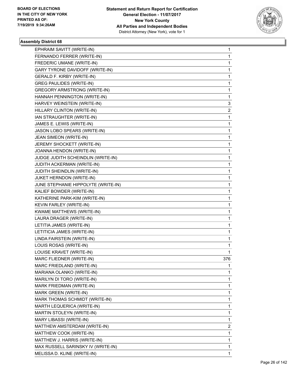

| EPHRAIM SAVITT (WRITE-IN)           | 1                       |
|-------------------------------------|-------------------------|
| FERNANDO FERRER (WRITE-IN)          | $\mathbf{1}$            |
| FREDERIC UMANE (WRITE-IN)           | 1                       |
| GARY TYRONE DAVIDOFF (WRITE-IN)     | $\mathbf{1}$            |
| <b>GERALD F. KIRBY (WRITE-IN)</b>   | 1                       |
| <b>GREG PAULIDES (WRITE-IN)</b>     | 1                       |
| GREGORY ARMSTRONG (WRITE-IN)        | $\mathbf{1}$            |
| HANNAH PENNINGTON (WRITE-IN)        | 1                       |
| HARVEY WEINSTEIN (WRITE-IN)         | 3                       |
| HILLARY CLINTON (WRITE-IN)          | $\overline{2}$          |
| IAN STRAUGHTER (WRITE-IN)           | 1                       |
| JAMES E. LEWIS (WRITE-IN)           | 1                       |
| JASON LOBO SPEARS (WRITE-IN)        | $\mathbf{1}$            |
| JEAN SIMEON (WRITE-IN)              | 1                       |
| JEREMY SHOCKETT (WRITE-IN)          | 1                       |
| JOANNA HENDON (WRITE-IN)            | $\mathbf{1}$            |
| JUDGE JUDITH SCHEINDLIN (WRITE-IN)  | 1                       |
| JUDITH ACKERMAN (WRITE-IN)          | 1                       |
| JUDITH SHEINDLIN (WRITE-IN)         | $\mathbf{1}$            |
| JUKET HERNDON (WRITE-IN)            | 1                       |
| JUNE STEPHANIE HIPPOLYTE (WRITE-IN) | 1                       |
| KALIEF BOWDER (WRITE-IN)            | $\mathbf{1}$            |
| KATHERINE PARK-KIM (WRITE-IN)       | 1                       |
| KEVIN FARLEY (WRITE-IN)             | 1                       |
| KWAME MATTHEWS (WRITE-IN)           | $\mathbf{1}$            |
| LAURA DRAGER (WRITE-IN)             | 1                       |
| LETITIA JAMES (WRITE-IN)            | 1                       |
| LETITICIA JAMES (WRITE-IN)          | $\mathbf{1}$            |
| LINDA FAIRSTEIN (WRITE-IN)          | 1                       |
| LOUIS ROSAS (WRITE-IN)              | 1                       |
| LOUISE KRAVET (WRITE-IN)            | 1                       |
| MARC FLIEDNER (WRITE-IN)            | 376                     |
| MARC FRIEDLAND (WRITE-IN)           | 1                       |
| MARIANA OLANKO (WRITE-IN)           | $\mathbf{1}$            |
| MARILYN DI TORO (WRITE-IN)          | $\mathbf{1}$            |
| MARK FRIEDMAN (WRITE-IN)            | 1                       |
| MARK GREEN (WRITE-IN)               | $\mathbf{1}$            |
| MARK THOMAS SCHMIDT (WRITE-IN)      | 1                       |
| MARTH LEQUERICA (WRITE-IN)          | 1                       |
| MARTIN STOLEYN (WRITE-IN)           | $\mathbf{1}$            |
| MARY LIBASSI (WRITE-IN)             | $\mathbf{1}$            |
| MATTHEW AMSTERDAM (WRITE-IN)        | $\overline{\mathbf{c}}$ |
| MATTHEW COOK (WRITE-IN)             | $\mathbf{1}$            |
| MATTHEW J. HARRIS (WRITE-IN)        | 1                       |
| MAX RUSSELL SARINSKY IV (WRITE-IN)  | 1                       |
| MELISSA D. KLINE (WRITE-IN)         | 1                       |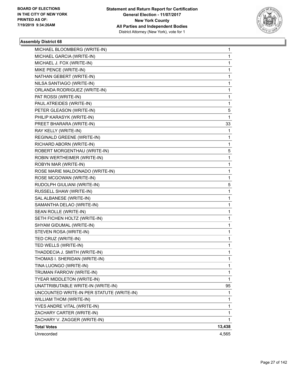

| Unrecorded                                                | 4,565  |
|-----------------------------------------------------------|--------|
| <b>Total Votes</b>                                        | 13,438 |
| ZACHARY CARTER (WRITE-IN)<br>ZACHARY V. ZAGGER (WRITE-IN) | 1      |
| YVES ANDRE VITAL (WRITE-IN)                               | 1<br>1 |
| WILLIAM THOM (WRITE-IN)                                   | 1      |
| UNCOUNTED WRITE-IN PER STATUTE (WRITE-IN)                 | 1      |
| UNATTRIBUTABLE WRITE-IN (WRITE-IN)                        | 95     |
| TYEAR MIDDLETON (WRITE-IN)                                | 1      |
| TRUMAN FARROW (WRITE-IN)                                  | 1      |
| TINA LUONGO (WRITE-IN)                                    | 1      |
| THOMAS I. SHERIDAN (WRITE-IN)                             | 1      |
| THADDECIA J. SMITH (WRITE-IN)                             | 1      |
| TED WELLS (WRITE-IN)                                      | 1      |
| TED CRUZ (WRITE-IN)                                       | 1      |
| STEVEN ROSA (WRITE-IN)                                    | 1      |
| SHYAM GIDUMAL (WRITE-IN)                                  | 1      |
| SETH FICHEN HOLTZ (WRITE-IN)                              | 1      |
| SEAN ROLLE (WRITE-IN)                                     | 1      |
| SAMANTHA DELAO (WRITE-IN)                                 | 1      |
| SAL ALBANESE (WRITE-IN)                                   | 1      |
| RUSSELL SHAW (WRITE-IN)                                   | 1      |
| RUDOLPH GIULIANI (WRITE-IN)                               | 5      |
| ROSE MCGOWAN (WRITE-IN)                                   | 1      |
| ROSE MARIE MALDONADO (WRITE-IN)                           | 1      |
| ROBYN MAR (WRITE-IN)                                      | 1      |
| ROBIN WERTHEIMER (WRITE-IN)                               | 1      |
| ROBERT MORGENTHAU (WRITE-IN)                              | 5      |
| RICHARD ABORN (WRITE-IN)                                  | 1      |
| REGINALD GREENE (WRITE-IN)                                | 1      |
| RAY KELLY (WRITE-IN)                                      | 1      |
| PREET BHARARA (WRITE-IN)                                  | 33     |
| PHILIP KARASYK (WRITE-IN)                                 | 1      |
| PETER GLEASON (WRITE-IN)                                  | 5      |
| PAUL ATREIDES (WRITE-IN)                                  | 1      |
| PAT ROSSI (WRITE-IN)                                      | 1      |
| ORLANDA RODRIGUEZ (WRITE-IN)                              | 1      |
| NILSA SANTIAGO (WRITE-IN)                                 | 1      |
| NATHAN GEBERT (WRITE-IN)                                  | 1      |
| MIKE PENCE (WRITE-IN)                                     | 1      |
| MICHAEL J. FOX (WRITE-IN)                                 | 1      |
| MICHAEL GARCIA (WRITE-IN)                                 | 1      |
| MICHAEL BLOOMBERG (WRITE-IN)                              | 1      |
|                                                           |        |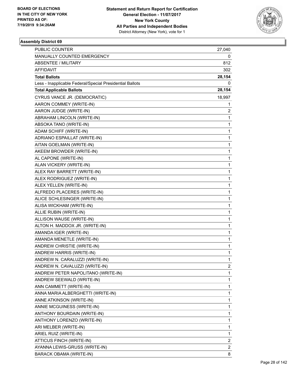

| <b>PUBLIC COUNTER</b>                                    | 27,040 |
|----------------------------------------------------------|--------|
| MANUALLY COUNTED EMERGENCY                               | 0      |
| <b>ABSENTEE / MILITARY</b>                               | 812    |
| <b>AFFIDAVIT</b>                                         | 302    |
| <b>Total Ballots</b>                                     | 28,154 |
| Less - Inapplicable Federal/Special Presidential Ballots | 0      |
| <b>Total Applicable Ballots</b>                          | 28,154 |
| CYRUS VANCE JR. (DEMOCRATIC)                             | 18,997 |
| AARON COMMEY (WRITE-IN)                                  | 1      |
| AARON JUDGE (WRITE-IN)                                   | 2      |
| ABRAHAM LINCOLN (WRITE-IN)                               | 1      |
| ABSOKA TANO (WRITE-IN)                                   | 1      |
| ADAM SCHIFF (WRITE-IN)                                   | 1      |
| ADRIANO ESPAILLAT (WRITE-IN)                             | 1      |
| AITAN GOELMAN (WRITE-IN)                                 | 1      |
| AKEEM BROWDER (WRITE-IN)                                 | 1      |
| AL CAPONE (WRITE-IN)                                     | 1      |
| ALAN VICKERY (WRITE-IN)                                  | 1      |
| ALEX RAY BARRETT (WRITE-IN)                              | 1      |
| ALEX RODRIGUEZ (WRITE-IN)                                | 1      |
| ALEX YELLEN (WRITE-IN)                                   | 1      |
| ALFREDO PLACERES (WRITE-IN)                              | 1      |
| ALICE SCHLESINGER (WRITE-IN)                             | 1      |
| ALISA WICKHAM (WRITE-IN)                                 | 1      |
| ALLIE RUBIN (WRITE-IN)                                   | 1      |
| ALLISON WAUSE (WRITE-IN)                                 | 1      |
| ALTON H. MADDOX JR. (WRITE-IN)                           | 1      |
| AMANDA IGER (WRITE-IN)                                   | 1      |
| AMANDA MENETLE (WRITE-IN)                                | 1      |
| ANDREW CHRISTIE (WRITE-IN)                               | 1      |
| ANDREW HARRIS (WRITE-IN)                                 | 1      |
| ANDREW N. CARALUZZI (WRITE-IN)                           | 1      |
| ANDREW N. CAVALUZZI (WRITE-IN)                           | 2      |
| ANDREW PETER NAPOLITANO (WRITE-IN)                       | 1      |
| ANDREW SEEWALD (WRITE-IN)                                | 1      |
| ANN CAMMETT (WRITE-IN)                                   | 1      |
| ANNA MARIA ALBERGHETTI (WRITE-IN)                        | 1      |
| ANNE ATKINSON (WRITE-IN)                                 | 1      |
| ANNIE MCGUINESS (WRITE-IN)                               | 1      |
| ANTHONY BOURDAIN (WRITE-IN)                              | 1      |
| ANTHONY LORENZO (WRITE-IN)                               | 1      |
| ARI MELBER (WRITE-IN)                                    | 1      |
| ARIEL RUIZ (WRITE-IN)                                    | 1      |
| ATTICUS FINCH (WRITE-IN)                                 | 2      |
| AYANNA LEWIS-GRUSS (WRITE-IN)                            | 2      |
| BARACK OBAMA (WRITE-IN)                                  | 8      |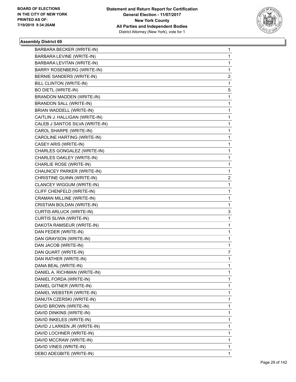

| BARBARA BECKER (WRITE-IN)       | 1            |
|---------------------------------|--------------|
| BARBARA LEVINE (WRITE-IN)       | 1            |
| BARBARA LEVITAN (WRITE-IN)      | 1            |
| BARRY ROSENBERG (WRITE-IN)      | 1            |
| BERNIE SANDERS (WRITE-IN)       | 2            |
| BILL CLINTON (WRITE-IN)         | 1            |
| <b>BO DIETL (WRITE-IN)</b>      | 5            |
| BRANDON MADDEN (WRITE-IN)       | 1            |
| <b>BRANDON SALL (WRITE-IN)</b>  | 1            |
| BRIAN WADDELL (WRITE-IN)        | 1            |
| CAITLIN J. HALLIGAN (WRITE-IN)  | 1            |
| CALEB J SANTOS SILVA (WRITE-IN) | 1            |
| CAROL SHARPE (WRITE-IN)         | 1            |
| CAROLINE HARTING (WRITE-IN)     | 1            |
| CASEY ARIS (WRITE-IN)           | 1            |
| CHARLES GONGALEZ (WRITE-IN)     | 1            |
| CHARLES OAKLEY (WRITE-IN)       | 1            |
| CHARLIE ROSE (WRITE-IN)         | 1            |
| CHAUNCEY PARKER (WRITE-IN)      | 1            |
| CHRISTINE QUINN (WRITE-IN)      | 2            |
| CLANCEY WIGGUM (WRITE-IN)       | $\mathbf{1}$ |
| CLIFF CHENFELD (WRITE-IN)       | 1            |
| CRAMAN MILLINE (WRITE-IN)       | 1            |
| CRISTIAN BOLDAN (WRITE-IN)      | 1            |
| <b>CURTIS ARLUCK (WRITE-IN)</b> | 3            |
| CURTIS SLIWA (WRITE-IN)         | 1            |
| DAKOTA RAMSEUR (WRITE-IN)       | 1            |
| DAN FEDER (WRITE-IN)            | 1            |
| DAN GRAYSON (WRITE-IN)          | 1            |
| DAN JACOB (WRITE-IN)            | 1            |
| DAN QUART (WRITE-IN)            | 7            |
| DAN RATHER (WRITE-IN)           | 1            |
| DANA BEAL (WRITE-IN)            | 1            |
| DANIEL A. RICHMAN (WRITE-IN)    | 1            |
| DANIEL FORDA (WRITE-IN)         | 1            |
| DANIEL GITNER (WRITE-IN)        | 1            |
| DANIEL WEBSTER (WRITE-IN)       | 1            |
| DANUTA CZERSKI (WRITE-IN)       | 1            |
| DAVID BROWN (WRITE-IN)          | 1            |
| DAVID DINKINS (WRITE-IN)        | 1            |
| DAVID INKELES (WRITE-IN)        | 1            |
| DAVID J LARKEN JR (WRITE-IN)    | 1            |
| DAVID LOCHNER (WRITE-IN)        | 1            |
| DAVID MCCRAW (WRITE-IN)         | 1            |
| DAVID VINES (WRITE-IN)          | 1            |
| DEBO ADEGBITE (WRITE-IN)        | 1            |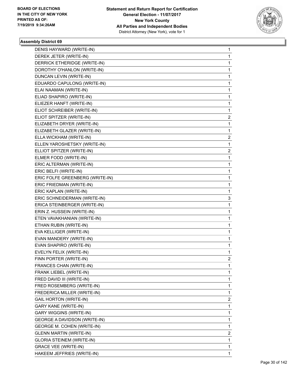

| DENIS HAYWARD (WRITE-IN)            | 1                       |
|-------------------------------------|-------------------------|
| DEREK JETER (WRITE-IN)              | $\mathbf{1}$            |
| DERRICK ETHERIDGE (WRITE-IN)        | 1                       |
| DOROTHY O'HANLON (WRITE-IN)         | $\mathbf{1}$            |
| DUNCAN LEVIN (WRITE-IN)             | 1                       |
| EDUARDO CAPULONG (WRITE-IN)         | 1                       |
| ELAI NAAMAN (WRITE-IN)              | $\mathbf{1}$            |
| ELIAD SHAPIRO (WRITE-IN)            | 1                       |
| ELIEZER HANFT (WRITE-IN)            | 1                       |
| ELIOT SCHREIBER (WRITE-IN)          | $\mathbf{1}$            |
| ELIOT SPITZER (WRITE-IN)            | 2                       |
| ELIZABETH DRYER (WRITE-IN)          | 1                       |
| ELIZABETH GLAZER (WRITE-IN)         | $\mathbf{1}$            |
| ELLA WICKHAM (WRITE-IN)             | $\overline{\mathbf{c}}$ |
| ELLEN YAROSHETSKY (WRITE-IN)        | 1                       |
| ELLIOT SPITZER (WRITE-IN)           | $\overline{2}$          |
| ELMER FODD (WRITE-IN)               | 1                       |
| ERIC ALTERMAN (WRITE-IN)            | 1                       |
| ERIC BELFI (WRITE-IN)               | $\mathbf{1}$            |
| ERIC FOLFE GREENBERG (WRITE-IN)     | 1                       |
| ERIC FRIEDMAN (WRITE-IN)            | 1                       |
| ERIC KAPLAN (WRITE-IN)              | $\mathbf{1}$            |
| ERIC SCHNEIDERMAN (WRITE-IN)        | 3                       |
| ERICA STEINBERGER (WRITE-IN)        | 1                       |
| ERIN Z. HUSSEIN (WRITE-IN)          | $\mathbf{1}$            |
| ETEN VAVAKHANIAN (WRITE-IN)         | 1                       |
| ETHAN RUBIN (WRITE-IN)              | 1                       |
| EVA KELLIGER (WRITE-IN)             | $\mathbf{1}$            |
| EVAN MANDERY (WRITE-IN)             | 1                       |
| EVAN SHAPIRO (WRITE-IN)             | 1                       |
| EVELYN FELIX (WRITE-IN)             | $\mathbf{1}$            |
| FINN PORTER (WRITE-IN)              | 2                       |
| FRANCES CHAN (WRITE-IN)             | 1                       |
| FRANK LIEBEL (WRITE-IN)             | $\mathbf{1}$            |
| FRED DAVID III (WRITE-IN)           | $\mathbf{1}$            |
| FRED ROSEMBERG (WRITE-IN)           | 1                       |
| FREDERICA MILLER (WRITE-IN)         | $\mathbf{1}$            |
| GAIL HORTON (WRITE-IN)              | 2                       |
| <b>GARY KANE (WRITE-IN)</b>         | 1                       |
| <b>GARY WIGGINS (WRITE-IN)</b>      | $\mathbf{1}$            |
| <b>GEORGE A DAVIDSON (WRITE-IN)</b> | $\mathbf{1}$            |
| GEORGE M. COHEN (WRITE-IN)          | 1                       |
| <b>GLENN MARTIN (WRITE-IN)</b>      | $\overline{2}$          |
| <b>GLORIA STEINEM (WRITE-IN)</b>    | $\mathbf{1}$            |
| <b>GRACE VEE (WRITE-IN)</b>         | 1                       |
| HAKEEM JEFFRIES (WRITE-IN)          | 1                       |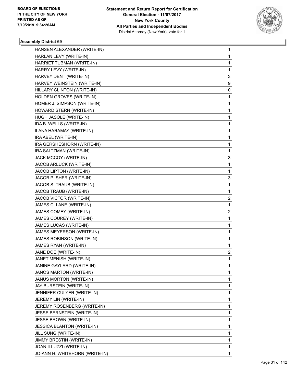

| HANSEN ALEXANDER (WRITE-IN)       | 1  |
|-----------------------------------|----|
| HARLAN LEVY (WRITE-IN)            | 1  |
| HARRIET TUBMAN (WRITE-IN)         | 1  |
| HARRY LEVY (WRITE-IN)             | 1  |
| HARVEY DENT (WRITE-IN)            | 3  |
| HARVEY WEINSTEIN (WRITE-IN)       | 9  |
| HILLARY CLINTON (WRITE-IN)        | 10 |
| HOLDEN GROVES (WRITE-IN)          | 1  |
| HOMER J. SIMPSON (WRITE-IN)       | 1  |
| HOWARD STERN (WRITE-IN)           | 1  |
| HUGH JASOLE (WRITE-IN)            | 1  |
| IDA B. WELLS (WRITE-IN)           | 1  |
| ILANA HARAMAY (WRITE-IN)          | 1  |
| IRA ABEL (WRITE-IN)               | 1  |
| IRA GERSHESHORN (WRITE-IN)        | 1  |
| IRA SALTZMAN (WRITE-IN)           | 1  |
| JACK MCCOY (WRITE-IN)             | 3  |
| JACOB ARLUCK (WRITE-IN)           | 1  |
| JACOB LIPTON (WRITE-IN)           | 1  |
| JACOB P. SHER (WRITE-IN)          | 3  |
| JACOB S. TRAUB (WRITE-IN)         | 1  |
| JACOB TRAUB (WRITE-IN)            | 1  |
| JACOB VICTOR (WRITE-IN)           | 2  |
| JAMES C. LANE (WRITE-IN)          | 1  |
| JAMES COMEY (WRITE-IN)            | 2  |
| JAMES COUREY (WRITE-IN)           | 1  |
| JAMES LUCAS (WRITE-IN)            | 1  |
| JAMES MEYERSON (WRITE-IN)         | 1  |
| JAMES ROBINSON (WRITE-IN)         | 1  |
| JAMES RYAN (WRITE-IN)             | 1  |
| JANE DOE (WRITE-IN)               | 2  |
| JANET MENISH (WRITE-IN)           | 1  |
| JANINE GAYLARD (WRITE-IN)         | 1  |
| JANOS MARTON (WRITE-IN)           | 1  |
| JANUS MORTON (WRITE-IN)           | 1  |
| JAY BURSTEIN (WRITE-IN)           | 1  |
| JENNIFER CULYER (WRITE-IN)        | 1  |
| JEREMY LIN (WRITE-IN)             | 1  |
| JEREMY ROSENBERG (WRITE-IN)       | 1  |
| JESSE BERNSTEIN (WRITE-IN)        | 1  |
| JESSE BROWN (WRITE-IN)            | 1  |
| <b>JESSICA BLANTON (WRITE-IN)</b> | 1  |
| JILL SUNG (WRITE-IN)              | 1  |
| JIMMY BRESTIN (WRITE-IN)          | 1  |
| JOAN ILLUZZI (WRITE-IN)           | 1  |
| JO-ANN H. WHITEHORN (WRITE-IN)    | 1  |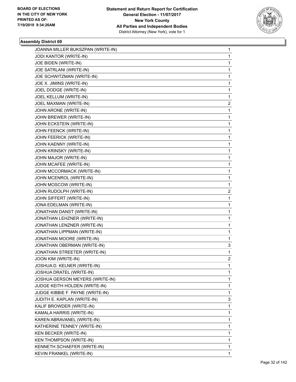

| JOANNA MILLER BUKSZPAN (WRITE-IN)    | 1           |
|--------------------------------------|-------------|
| JODI KANTOR (WRITE-IN)               | $\mathbf 1$ |
| JOE BIDEN (WRITE-IN)                 | 1           |
| JOE SATRLANI (WRITE-IN)              | 1           |
| JOE SCHWITZMAN (WRITE-IN)            | 1           |
| JOE X. JIMINS (WRITE-IN)             | 1           |
| JOEL DODGE (WRITE-IN)                | 1           |
| JOEL KELLUM (WRITE-IN)               | 1           |
| JOEL MAXMAN (WRITE-IN)               | 2           |
| JOHN ARONE (WRITE-IN)                | 1           |
| JOHN BREWER (WRITE-IN)               | 1           |
| JOHN ECKSTEIN (WRITE-IN)             | 1           |
| JOHN FEENCK (WRITE-IN)               | 1           |
| JOHN FEERICK (WRITE-IN)              | 1           |
| JOHN KAENNY (WRITE-IN)               | 1           |
| JOHN KRINSKY (WRITE-IN)              | 1           |
| JOHN MAJOR (WRITE-IN)                | 1           |
| JOHN MCAFEE (WRITE-IN)               | 1           |
| JOHN MCCORMACK (WRITE-IN)            | 1           |
| JOHN MCENROL (WRITE-IN)              | 1           |
| JOHN MOSCOW (WRITE-IN)               | 1           |
| JOHN RUDOLPH (WRITE-IN)              | 2           |
| JOHN SIFFERT (WRITE-IN)              | 1           |
| JONA EDELMAN (WRITE-IN)              | 1           |
| JONATHAN DANST (WRITE-IN)            | 1           |
| JONATHAN LEHZNER (WRITE-IN)          | 1           |
| JONATHAN LENZNER (WRITE-IN)          | 1           |
| JONATHAN LIPPMAN (WRITE-IN)          | 1           |
| JONATHAN MOORE (WRITE-IN)            | 1           |
| JONATHAN OBERMAN (WRITE-IN)          | 3           |
| JONATHAN STREETER (WRITE-IN)         | 1           |
| JOON KIM (WRITE-IN)                  | 2           |
| JOSHUA D. KELNER (WRITE-IN)          | 1           |
| JOSHUA DRATEL (WRITE-IN)             | 1           |
| JOSHUA GERSON MEYERS (WRITE-IN)      | 1           |
| <b>JUDGE KEITH HOLDEN (WRITE-IN)</b> | 1           |
| JUDGE KIBBIE F. PAYNE (WRITE-IN)     | 1           |
| JUDITH E. KAPLAN (WRITE-IN)          | 3           |
| KALIF BROWDER (WRITE-IN)             | 1           |
| KAMALA HARRIS (WRITE-IN)             | 1           |
| KAREN ABRAVANEL (WRITE-IN)           | 1           |
| KATHERINE TENNEY (WRITE-IN)          | 1           |
| KEN BECKER (WRITE-IN)                | 1           |
| KEN THOMPSON (WRITE-IN)              | 1           |
| KENNETH SCHAEFER (WRITE-IN)          | 1           |
| KEVIN FRANKEL (WRITE-IN)             | 1           |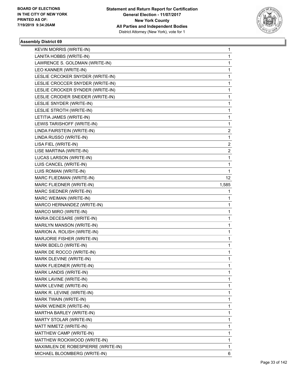

| KEVIN MORRIS (WRITE-IN)             | 1               |
|-------------------------------------|-----------------|
| LANITA HOBBS (WRITE-IN)             | $\mathbf{1}$    |
| LAWRENCE S. GOLDMAN (WRITE-IN)      | 1               |
| LEO KANNER (WRITE-IN)               | $\mathbf{1}$    |
| LESLIE CRCOKER SNYDER (WRITE-IN)    | 1               |
| LESLIE CROCCER SNYDER (WRITE-IN)    | 1               |
| LESLIE CROCKER SYNDER (WRITE-IN)    | $\mathbf{1}$    |
| LESLIE CRODIER SNEIDER (WRITE-IN)   | $\mathbf{1}$    |
| LESLIE SNYDER (WRITE-IN)            | 1               |
| LESLIE STROTH (WRITE-IN)            | $\mathbf{1}$    |
| LETITIA JAMES (WRITE-IN)            | 1               |
| LEWIS TARISHOFF (WRITE-IN)          | 1               |
| LINDA FAIRSTEIN (WRITE-IN)          | $\overline{2}$  |
| LINDA RUSSO (WRITE-IN)              | $\mathbf{1}$    |
| LISA FIEL (WRITE-IN)                | 2               |
| LISE MARTINA (WRITE-IN)             | $\overline{c}$  |
| LUCAS LARSON (WRITE-IN)             | 1               |
| LUIS CANCEL (WRITE-IN)              | 1               |
| LUIS ROMAN (WRITE-IN)               | $\mathbf{1}$    |
| MARC FLIEDMAN (WRITE-IN)            | 12 <sup>2</sup> |
| MARC FLIEDNER (WRITE-IN)            | 1,585           |
| MARC SIEDNER (WRITE-IN)             | 1               |
| MARC WEIMAN (WRITE-IN)              | 1               |
| MARCO HERNANDEZ (WRITE-IN)          | 1               |
| MARCO MIRO (WRITE-IN)               | $\mathbf{1}$    |
| MARIA DECESARE (WRITE-IN)           | 1               |
| MARILYN MANSON (WRITE-IN)           | 1               |
| MARION A. ROLISH (WRITE-IN)         | $\mathbf{1}$    |
| MARJORIE FISHER (WRITE-IN)          | 1               |
| MARK BDELO (WRITE-IN)               | 1               |
| MARK DE ROCCO (WRITE-IN)            | $\mathbf{1}$    |
| MARK DLEVINE (WRITE-IN)             | 1               |
| MARK FLIEDNER (WRITE-IN)            | 1               |
| MARK LANDIS (WRITE-IN)              | $\mathbf{1}$    |
| MARK LAVINE (WRITE-IN)              | $\mathbf{1}$    |
| MARK LEVINE (WRITE-IN)              | 1               |
| MARK R. LEVINE (WRITE-IN)           | $\mathbf{1}$    |
| MARK TWAIN (WRITE-IN)               | 1               |
| MARK WEINER (WRITE-IN)              | 1               |
| MARTHA BARLEY (WRITE-IN)            | $\mathbf{1}$    |
| MARTY STOLAR (WRITE-IN)             | $\mathbf{1}$    |
| MATT NIMETZ (WRITE-IN)              | 1               |
| MATTHEW CAMP (WRITE-IN)             | $\mathbf{1}$    |
| MATTHEW ROCKWOOD (WRITE-IN)         | 1               |
| MAXIMILEN DE ROBESPIERRE (WRITE-IN) | 1               |
| MICHAEL BLOOMBERG (WRITE-IN)        | 6               |
|                                     |                 |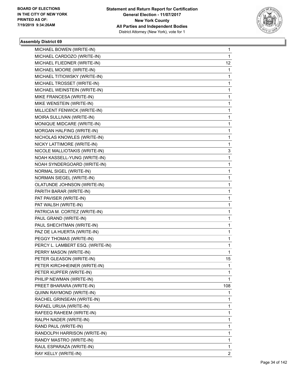

| MICHAEL BOWEN (WRITE-IN)         | 1              |
|----------------------------------|----------------|
| MICHAEL CARDOZO (WRITE-IN)       | 1              |
| MICHAEL FLIEDNER (WRITE-IN)      | 12             |
| MICHAEL MOORE (WRITE-IN)         | 1              |
| MICHAEL TITIOWSKY (WRITE-IN)     | 1              |
| MICHAEL TROSSET (WRITE-IN)       | 1              |
| MICHAEL WEINSTEIN (WRITE-IN)     | 1              |
| MIKE FRANCESA (WRITE-IN)         | 1              |
| MIKE WENSTEIN (WRITE-IN)         | 1              |
| MILLICENT FENWICK (WRITE-IN)     | 1              |
| MOIRA SULLIVAN (WRITE-IN)        | 1              |
| MONIQUE MIDCARE (WRITE-IN)       | 1              |
| MORGAN HALFING (WRITE-IN)        | 1              |
| NICHOLAS KNOWLES (WRITE-IN)      | 1              |
| NICKY LATTIMORE (WRITE-IN)       | 1              |
| NICOLE MALLIOTAKIS (WRITE-IN)    | 3              |
| NOAH KASSELL-YUNG (WRITE-IN)     | 1              |
| NOAH SYNDERGOARD (WRITE-IN)      | 1              |
| NORMAL SIGEL (WRITE-IN)          | 1              |
| NORMAN SIEGEL (WRITE-IN)         | 1              |
| OLATUNDE JOHNSON (WRITE-IN)      | 1              |
| PARITH BARAR (WRITE-IN)          | 1              |
| PAT PAVISER (WRITE-IN)           | 1              |
| PAT WALSH (WRITE-IN)             | 1              |
| PATRICIA M. CORTEZ (WRITE-IN)    | 1              |
| PAUL GRAND (WRITE-IN)            | 1              |
| PAUL SHECHTMAN (WRITE-IN)        | 1              |
| PAZ DE LA HUERTA (WRITE-IN)      | 1              |
| PEGGY THOMAS (WRITE-IN)          | 1              |
| PERCY L. LAMBERT ESQ. (WRITE-IN) | 1              |
| PERRY MASON (WRITE-IN)           | 1              |
| PETER GLEASON (WRITE-IN)         | 15             |
| PETER KIRCHHEINER (WRITE-IN)     | 1              |
| PETER KUPFER (WRITE-IN)          | 1              |
| PHILIP NEWMAN (WRITE-IN)         | 1              |
| PREET BHARARA (WRITE-IN)         | 108            |
| QUINN RAYMOND (WRITE-IN)         | 1              |
| RACHEL GRINSEAN (WRITE-IN)       | 1              |
| RAFAEL URUIA (WRITE-IN)          | 1              |
| RAFEEQ RAHEEM (WRITE-IN)         | 1              |
| RALPH NADER (WRITE-IN)           | 1              |
| RAND PAUL (WRITE-IN)             | 1              |
| RANDOLPH HARRISON (WRITE-IN)     | 1              |
| RANDY MASTRO (WRITE-IN)          | 1              |
| RAUL ESPARAZA (WRITE-IN)         | 1              |
| RAY KELLY (WRITE-IN)             | $\overline{c}$ |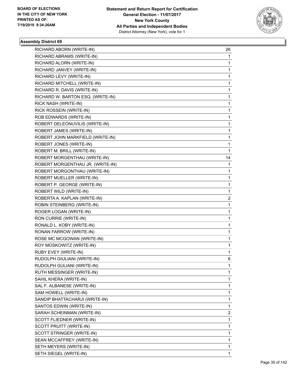

| RICHARD ABORN (WRITE-IN)          | 26             |
|-----------------------------------|----------------|
| RICHARD ABRAMS (WRITE-IN)         | 1              |
| RICHARD ALORN (WRITE-IN)          | 1              |
| RICHARD JANVEY (WRITE-IN)         | $\mathbf{1}$   |
| RICHARD LEVY (WRITE-IN)           | 1              |
| RICHARD MITCHELL (WRITE-IN)       | 1              |
| RICHARD R. DAVIS (WRITE-IN)       | $\mathbf{1}$   |
| RICHARD W. BARTON ESQ. (WRITE-IN) | 1              |
| RICK NASH (WRITE-IN)              | 1              |
| RICK ROSSEIN (WRITE-IN)           | $\mathbf{1}$   |
| ROB EDWARDS (WRITE-IN)            | 1              |
| ROBERT DELEONUVILIS (WRITE-IN)    | 1              |
| ROBERT JAMES (WRITE-IN)           | $\mathbf{1}$   |
| ROBERT JOHN MARKFIELD (WRITE-IN)  | 1              |
| ROBERT JONES (WRITE-IN)           | 1              |
| ROBERT M. BRILL (WRITE-IN)        | $\mathbf{1}$   |
| ROBERT MORGENTHAU (WRITE-IN)      | 14             |
| ROBERT MORGENTHAU JR. (WRITE-IN)  | 1              |
| ROBERT MORGONTHAU (WRITE-IN)      | $\mathbf{1}$   |
| ROBERT MUELLER (WRITE-IN)         | 1              |
| ROBERT P. GEORGE (WRITE-IN)       | 1              |
| ROBERT WILD (WRITE-IN)            | $\mathbf{1}$   |
| ROBERTA A. KAPLAN (WRITE-IN)      | 2              |
| ROBIN STEINBERG (WRITE-IN)        | 1              |
| ROGER LOGAN (WRITE-IN)            | $\mathbf{1}$   |
| RON CURRIE (WRITE-IN)             | 1              |
| RONALD L. KOBY (WRITE-IN)         | 1              |
| RONAN FARROW (WRITE-IN)           | $\mathbf{1}$   |
| ROSE MC MCGOWAN (WRITE-IN)        | 1              |
| ROY MOSKOWITZ (WRITE-IN)          | 1              |
| RUBY EVEY (WRITE-IN)              | $\mathbf{1}$   |
| RUDOLPH GIULIANI (WRITE-IN)       | 6              |
| RUDOLPH GULIANI (WRITE-IN)        | 1              |
| RUTH MESSINGER (WRITE-IN)         | $\mathbf{1}$   |
| SAHIL KHERA (WRITE-IN)            | $\mathbf{1}$   |
| SAL F. ALBANESE (WRITE-IN)        | 1              |
| SAM HOWELL (WRITE-IN)             | $\mathbf{1}$   |
| SANDIP BHATTACHARJI (WRITE-IN)    | 1              |
| SANTOS EDWIN (WRITE-IN)           | 1              |
| SARAH SCHEINMAN (WRITE-IN)        | $\overline{2}$ |
| SCOTT FLIEDNER (WRITE-IN)         | $\mathbf{1}$   |
| SCOTT PRUITT (WRITE-IN)           | 1              |
| SCOTT STRINGER (WRITE-IN)         | $\mathbf{1}$   |
| SEAN MCCAFFREY (WRITE-IN)         | 1              |
| SETH MEYERS (WRITE-IN)            | 1              |
| SETH SIEGEL (WRITE-IN)            | 1              |
|                                   |                |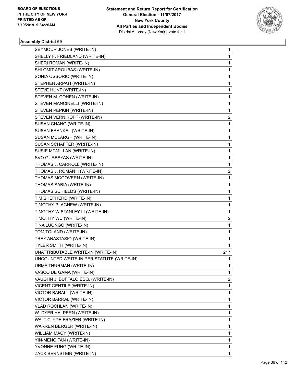

| SEYMOUR JONES (WRITE-IN)                  | 1   |
|-------------------------------------------|-----|
| SHELLY F. FRIEDLAND (WRITE-IN)            | 1   |
| SHERI ROMAN (WRITE-IN)                    | 1   |
| SHLOMIT AROUBAS (WRITE-IN)                | 1   |
| SONIA OSSORIO (WRITE-IN)                  | 1   |
| STEPHEN ARPATI (WRITE-IN)                 | 1   |
| STEVE HUNT (WRITE-IN)                     | 1   |
| STEVEN M. COHEN (WRITE-IN)                | 1   |
| STEVEN MANCINELLI (WRITE-IN)              | 1   |
| STEVEN PEPKIN (WRITE-IN)                  | 1   |
| STEVEN VERNIKOFF (WRITE-IN)               | 2   |
| SUSAN CHANG (WRITE-IN)                    | 1   |
| SUSAN FRANKEL (WRITE-IN)                  | 1   |
| SUSAN MCLARGH (WRITE-IN)                  | 1   |
| SUSAN SCHAFFER (WRITE-IN)                 | 1   |
| SUSIE MCMILLAN (WRITE-IN)                 | 1   |
| SVO GURBSYAS (WRITE-IN)                   | 1   |
| THOMAS J. CARROLL (WRITE-IN)              | 1   |
| THOMAS J. ROMAN II (WRITE-IN)             | 2   |
| THOMAS MCGOVERN (WRITE-IN)                | 1   |
| THOMAS SABIA (WRITE-IN)                   | 1   |
| THOMAS SCHIELDS (WRITE-IN)                | 1   |
| TIM SHEPHERD (WRITE-IN)                   | 1   |
| TIMOTHY P. AGNEW (WRITE-IN)               | 1   |
| TIMOTHY W STANLEY III (WRITE-IN)          | 1   |
| TIMOTHY WU (WRITE-IN)                     | 2   |
| TINA LUONGO (WRITE-IN)                    | 1   |
| TOM TOLAND (WRITE-IN)                     | 1   |
| TREY ANASTASIO (WRITE-IN)                 | 1   |
| TYLER SMITH (WRITE-IN)                    | 1   |
| UNATTRIBUTABLE WRITE-IN (WRITE-IN)        | 217 |
| UNCOUNTED WRITE-IN PER STATUTE (WRITE-IN) | 1   |
| URMA THURMAN (WRITE-IN)                   | 1   |
| VASCO DE GAMA (WRITE-IN)                  | 1   |
| VAUGHN J. BUFFALO ESQ. (WRITE-IN)         | 2   |
| VICENT GENTILE (WRITE-IN)                 | 1   |
| VICTOR BARALL (WRITE-IN)                  | 1   |
| VICTOR BARRAL (WRITE-IN)                  | 1   |
| VLAD ROCHLAN (WRITE-IN)                   | 1   |
| W. DYER HALPERN (WRITE-IN)                | 1   |
| WALT CLYDE FRAZIER (WRITE-IN)             | 1   |
| WARREN BERGER (WRITE-IN)                  | 1   |
| WILLIAM MACY (WRITE-IN)                   | 1   |
| YIN-MENG TAN (WRITE-IN)                   | 1   |
| YVONNE FUNG (WRITE-IN)                    | 1   |
| ZACK BERNSTEIN (WRITE-IN)                 | 1   |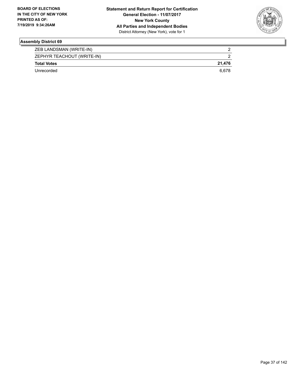

| ZEB LANDSMAN (WRITE-IN)    |        |
|----------------------------|--------|
| ZEPHYR TEACHOUT (WRITE-IN) |        |
| <b>Total Votes</b>         | 21.476 |
| Unrecorded                 | 6.678  |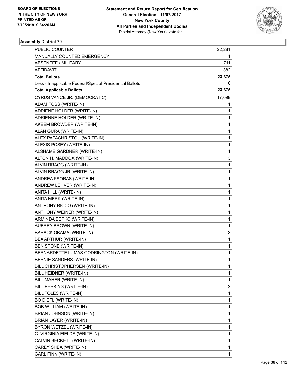

| PUBLIC COUNTER                                           | 22,281       |
|----------------------------------------------------------|--------------|
| MANUALLY COUNTED EMERGENCY                               | 1            |
| <b>ABSENTEE / MILITARY</b>                               | 711          |
| AFFIDAVIT                                                | 382          |
| <b>Total Ballots</b>                                     | 23,375       |
| Less - Inapplicable Federal/Special Presidential Ballots | 0            |
| <b>Total Applicable Ballots</b>                          | 23,375       |
| CYRUS VANCE JR. (DEMOCRATIC)                             | 17,098       |
| ADAM FOSS (WRITE-IN)                                     | 1            |
| ADRIENE HOLDER (WRITE-IN)                                | 1            |
| ADRIENNE HOLDER (WRITE-IN)                               | 1            |
| AKEEM BROWDER (WRITE-IN)                                 | 1            |
| ALAN GURA (WRITE-IN)                                     | 1            |
| ALEX PAPACHRISTOU (WRITE-IN)                             | 1            |
| ALEXIS POSEY (WRITE-IN)                                  | $\mathbf{1}$ |
| ALSHAME GARDNER (WRITE-IN)                               | 1            |
| ALTON H. MADDOX (WRITE-IN)                               | 3            |
| ALVIN BRAGG (WRITE-IN)                                   | $\mathbf{1}$ |
| ALVIN BRAGG JR (WRITE-IN)                                | 1            |
| ANDREA PSORAS (WRITE-IN)                                 | 1            |
| ANDREW LEHVER (WRITE-IN)                                 | $\mathbf{1}$ |
| ANITA HILL (WRITE-IN)                                    | 1            |
| ANITA MERK (WRITE-IN)                                    | 1            |
| ANTHONY RICCO (WRITE-IN)                                 | 1            |
| ANTHONY WEINER (WRITE-IN)                                | 1            |
| ARMINDA BEPKO (WRITE-IN)                                 | 1            |
| AUBREY BROWN (WRITE-IN)                                  | $\mathbf 1$  |
| BARACK OBAMA (WRITE-IN)                                  | 3            |
| BEA ARTHUR (WRITE-IN)                                    | 1            |
| BEN STONE (WRITE-IN)                                     | 1            |
| BERNARDETTE LUMAS CODRINGTON (WRITE-IN)                  | 1            |
| BERNIE SANDERS (WRITE-IN)                                | 1            |
| BILL CHRISTOPHERSEN (WRITE-IN)                           | 1            |
| BILL HEIDNER (WRITE-IN)                                  | 1            |
| BILL MAHER (WRITE-IN)                                    | 1            |
| BILL PERKINS (WRITE-IN)                                  | 2            |
| BILL TOLES (WRITE-IN)                                    | 1            |
| <b>BO DIETL (WRITE-IN)</b>                               | 1            |
| BOB WILLIAM (WRITE-IN)                                   | 1            |
| BRIAN JOHNSON (WRITE-IN)                                 | 1            |
| BRIAN LAYER (WRITE-IN)                                   | 1            |
| BYRON WETZEL (WRITE-IN)                                  | 1            |
| C. VIRGINIA FIELDS (WRITE-IN)                            | 1            |
| CALVIN BECKETT (WRITE-IN)                                | 1            |
| CAREY SHEA (WRITE-IN)                                    | 1            |
| CARL FINN (WRITE-IN)                                     | 1            |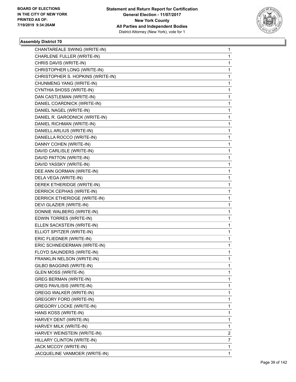

| CHANTAREALE SWING (WRITE-IN)      | $\mathbf{1}$ |
|-----------------------------------|--------------|
| CHARLENE FULLER (WRITE-IN)        | $\mathbf{1}$ |
| CHRIS DAVIS (WRITE-IN)            | 1            |
| CHRISTOPHER LONG (WRITE-IN)       | 1            |
| CHRISTOPHER S. HOPKINS (WRITE-IN) | 1            |
| CHUNMENG YANG (WRITE-IN)          | 1            |
| CYNTHIA SHOSS (WRITE-IN)          | 1            |
| DAN CASTLEMAN (WRITE-IN)          | 1            |
| DANIEL COARDNICK (WRITE-IN)       | 1            |
| DANIEL NAGEL (WRITE-IN)           | 1            |
| DANIEL R. GARODNICK (WRITE-IN)    | 1            |
| DANIEL RICHMAN (WRITE-IN)         | 1            |
| DANIELL ARLIUS (WRITE-IN)         | 1            |
| DANIELLA ROCCO (WRITE-IN)         | 1            |
| DANNY COHEN (WRITE-IN)            | 1            |
| DAVID CARLISLE (WRITE-IN)         | 1            |
| DAVID PATTON (WRITE-IN)           | 1            |
| DAVID YASSKY (WRITE-IN)           | 1            |
| DEE ANN GORMAN (WRITE-IN)         | 1            |
| DELA VEGA (WRITE-IN)              | 1            |
| DEREK ETHERIDGE (WRITE-IN)        | 1            |
| DERRICK CEPHAS (WRITE-IN)         | 1            |
| DERRICK ETHERIDGE (WRITE-IN)      | 1            |
| DEVI GLAZIER (WRITE-IN)           | 1            |
| DONNIE WALBERG (WRITE-IN)         | 1            |
| EDWIN TORRES (WRITE-IN)           | $\mathbf 1$  |
| ELLEN SACKSTEIN (WRITE-IN)        | 1            |
| ELLIOT SPITZER (WRITE-IN)         | 1            |
| ERIC FLIEDNER (WRITE-IN)          | 1            |
| ERIC SCHNEIDERMAN (WRITE-IN)      | 1            |
| FLOYD SAUNDERS (WRITE-IN)         | $\mathbf 1$  |
| FRANKLIN NELSON (WRITE-IN)        | $\mathbf{1}$ |
| GILBO BAGGINS (WRITE-IN)          | 1            |
| <b>GLEN MOSS (WRITE-IN)</b>       | 1            |
| <b>GREG BERMAN (WRITE-IN)</b>     | 1            |
| <b>GREG PAVILISIS (WRITE-IN)</b>  | 1            |
| <b>GREGG WALKER (WRITE-IN)</b>    | 1            |
| <b>GREGORY FORD (WRITE-IN)</b>    | 1            |
| <b>GREGORY LOCKE (WRITE-IN)</b>   | 1            |
| HANS KOSS (WRITE-IN)              | 1            |
| HARVEY DENT (WRITE-IN)            | 1            |
| HARVEY MILK (WRITE-IN)            | 1            |
| HARVEY WEINSTEIN (WRITE-IN)       | 2            |
| HILLARY CLINTON (WRITE-IN)        | 7            |
| JACK MCCOY (WRITE-IN)             | $\mathbf{1}$ |
| JACQUELINE VANMOER (WRITE-IN)     | 1            |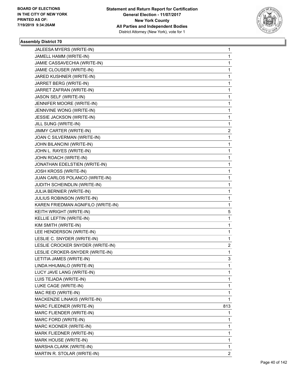

| JALEESA MYERS (WRITE-IN)           | 1              |
|------------------------------------|----------------|
| JAMELL HAMM (WRITE-IN)             | 1              |
| JAMIE CASSAVECHIA (WRITE-IN)       | 1              |
| JAMIE CLOUSER (WRITE-IN)           | 1              |
| JARED KUSHNER (WRITE-IN)           | 1              |
| JARRET BERG (WRITE-IN)             | 1              |
| JARRET ZAFRAN (WRITE-IN)           | 1              |
| JASON SELF (WRITE-IN)              | 1              |
| JENNIFER MOORE (WRITE-IN)          | 1              |
| JENNVINE WONG (WRITE-IN)           | 1              |
| JESSIE JACKSON (WRITE-IN)          | 1              |
| JILL SUNG (WRITE-IN)               | 1              |
| JIMMY CARTER (WRITE-IN)            | 2              |
| JOAN C SILVERMAN (WRITE-IN)        | 1              |
| JOHN BILANCINI (WRITE-IN)          | 1              |
| JOHN L. RAYES (WRITE-IN)           | 1              |
| JOHN ROACH (WRITE-IN)              | 1              |
| JONATHAN EDELSTIEN (WRITE-IN)      | 1              |
| JOSH KROSS (WRITE-IN)              | 1              |
| JUAN CARLOS POLANCO (WRITE-IN)     | 1              |
| JUDITH SCHEINDLIN (WRITE-IN)       | 1              |
| JULIA BERNIER (WRITE-IN)           | 1              |
| JULIUS ROBINSON (WRITE-IN)         | 1              |
| KAREN FRIEDMAN AGNIFILO (WRITE-IN) | 1              |
| KEITH WRIGHT (WRITE-IN)            | 5              |
| KELLIE LEFTIN (WRITE-IN)           | 1              |
| KIM SMITH (WRITE-IN)               | 1              |
| LEE HENDERSON (WRITE-IN)           | 1              |
| LESLIE C. SNYDER (WRITE-IN)        | 1              |
| LESLIE CROCKER SNYDER (WRITE-IN)   | 2              |
| LESLIE CROKER-SNYDER (WRITE-IN)    | 1              |
| LETITIA JAMES (WRITE-IN)           | 3              |
| LINDA HHUMALO (WRITE-IN)           | 1              |
| LUCY JAVE LANG (WRITE-IN)          | 1              |
| LUIS TEJADA (WRITE-IN)             | 1              |
| LUKE CAGE (WRITE-IN)               | 1              |
| MAC REID (WRITE-IN)                | 1              |
| MACKENZIE LINAKIS (WRITE-IN)       | 1              |
| MARC FLIEDNER (WRITE-IN)           | 813            |
| MARC FLIENDER (WRITE-IN)           | 1              |
| MARC FORD (WRITE-IN)               | 1              |
| MARC KOONER (WRITE-IN)             | 1              |
| MARK FLIEDNER (WRITE-IN)           | 1              |
| MARK HOUSE (WRITE-IN)              | 1              |
| MARSHA CLARK (WRITE-IN)            | 1              |
| MARTIN R. STOLAR (WRITE-IN)        | $\overline{2}$ |
|                                    |                |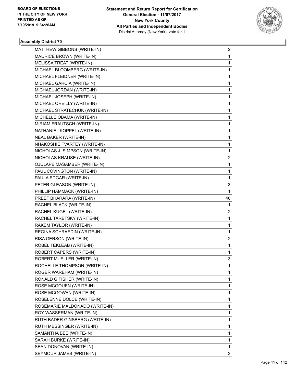

| MATTHEW GIBBONS (WRITE-IN)     | $\overline{2}$ |
|--------------------------------|----------------|
| MAURICE BROWN (WRITE-IN)       | 1              |
| MELISSA TREAT (WRITE-IN)       | $\mathbf{1}$   |
| MICHAEL BLOOMBERG (WRITE-IN)   | 1              |
| MICHAEL FLEIDNER (WRITE-IN)    | 1              |
| MICHAEL GARCIA (WRITE-IN)      | 1              |
| MICHAEL JORDAN (WRITE-IN)      | 1              |
| MICHAEL JOSEPH (WRITE-IN)      | 1              |
| MICHAEL OREILLY (WRITE-IN)     | $\mathbf{1}$   |
| MICHAEL STRATECHUK (WRITE-IN)  | 1              |
| MICHELLE OBAMA (WRITE-IN)      | 1              |
| MIRIAM FRAUTSCH (WRITE-IN)     | 1              |
| NATHANIEL KOPPEL (WRITE-IN)    | 1              |
| <b>NEAL BAKER (WRITE-IN)</b>   | 1              |
| NHAKOSHIE FVARTEY (WRITE-IN)   | $\mathbf 1$    |
| NICHOLAS J. SIMPSON (WRITE-IN) | 1              |
| NICHOLAS KRAUSE (WRITE-IN)     | 2              |
| OJULAPE MASAMBER (WRITE-IN)    | 1              |
| PAUL COVINGTON (WRITE-IN)      | 1              |
| PAULA EDGAR (WRITE-IN)         | 1              |
| PETER GLEASON (WRITE-IN)       | 3              |
| PHILLIP HAMMACK (WRITE-IN)     | 1              |
| PREET BHARARA (WRITE-IN)       | 40             |
| RACHEL BLACK (WRITE-IN)        | 1              |
| RACHEL KUGEL (WRITE-IN)        | 2              |
| RACHEL TARETSKY (WRITE-IN)     | 1              |
| RAKEM TAYLOR (WRITE-IN)        | $\mathbf 1$    |
| REGINA SCHRAEDIN (WRITE-IN)    | 1              |
| RISA GERSON (WRITE-IN)         | 2              |
| ROBEL TEKLEAB (WRITE-IN)       | $\mathbf{1}$   |
| ROBERT CAPERS (WRITE-IN)       | 1              |
| ROBERT MUELLER (WRITE-IN)      | 3              |
| ROCHELLE THOMPSON (WRITE-IN)   | 1              |
| ROGER WAREHAM (WRITE-IN)       | 1              |
| RONALD G FISHER (WRITE-IN)     | 1              |
| ROSE MCGOUEN (WRITE-IN)        | 1              |
| ROSE MCGOWAN (WRITE-IN)        | 1              |
| ROSELENNE DOLCE (WRITE-IN)     | 1              |
| ROSEMARIE MALDONADO (WRITE-IN) | 1              |
| ROY WASSERMAN (WRITE-IN)       | 1              |
| RUTH BADER GINSBERG (WRITE-IN) | 1              |
| RUTH MESSINGER (WRITE-IN)      | 1              |
| SAMANTHA BEE (WRITE-IN)        | 1              |
| SARAH BURKE (WRITE-IN)         | 1              |
| SEAN DONOVAN (WRITE-IN)        | 1              |
| SEYMOUR JAMES (WRITE-IN)       | $\overline{2}$ |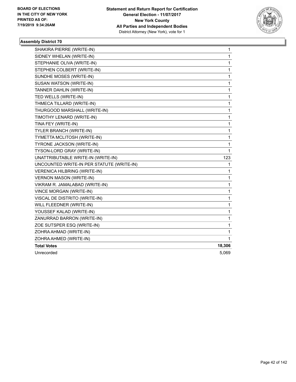

| SHAKIRA PIERRE (WRITE-IN)                 | 1            |
|-------------------------------------------|--------------|
| SIDNEY WHELAN (WRITE-IN)                  | $\mathbf{1}$ |
| STEPHANIE OLIVA (WRITE-IN)                | 1            |
| STEPHEN COLBERT (WRITE-IN)                | $\mathbf 1$  |
| SUNDHE MOSES (WRITE-IN)                   | 1            |
| SUSAN WATSON (WRITE-IN)                   | $\mathbf{1}$ |
| TANNER DAHLIN (WRITE-IN)                  | $\mathbf 1$  |
| TED WELLS (WRITE-IN)                      | 1            |
| THMECA TILLARD (WRITE-IN)                 | 1            |
| THURGOOD MARSHALL (WRITE-IN)              | 1            |
| TIMOTHY LENARD (WRITE-IN)                 | 1            |
| TINA FEY (WRITE-IN)                       | 1            |
| TYLER BRANCH (WRITE-IN)                   | $\mathbf{1}$ |
| TYMETTA MCLITOSH (WRITE-IN)               | 1            |
| TYRONE JACKSON (WRITE-IN)                 | 1            |
| TYSON-LORD GRAY (WRITE-IN)                | 1            |
| UNATTRIBUTABLE WRITE-IN (WRITE-IN)        | 123          |
| UNCOUNTED WRITE-IN PER STATUTE (WRITE-IN) | 1            |
| VERENICA HILBRING (WRITE-IN)              | 1            |
| <b>VERNON MASON (WRITE-IN)</b>            | 1            |
| VIKRAM R. JAMALABAD (WRITE-IN)            | 1            |
| VINCE MORGAN (WRITE-IN)                   | 1            |
| VISCAL DE DISTRITO (WRITE-IN)             | 1            |
| WILL FLEEDNER (WRITE-IN)                  | 1            |
| YOUSSEF KALAD (WRITE-IN)                  | $\mathbf 1$  |
| ZANURRAD BARRON (WRITE-IN)                | 1            |
| ZOE SUTSPER ESQ (WRITE-IN)                | $\mathbf 1$  |
| ZOHRA AHMAD (WRITE-IN)                    | 1            |
| ZOHRA AHMED (WRITE-IN)                    | 1            |
| <b>Total Votes</b>                        | 18,306       |
| Unrecorded                                | 5,069        |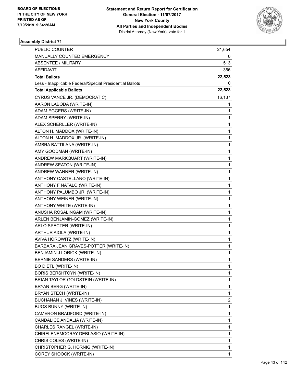

| PUBLIC COUNTER                                           | 21,654 |
|----------------------------------------------------------|--------|
| MANUALLY COUNTED EMERGENCY                               | 0      |
| <b>ABSENTEE / MILITARY</b>                               | 513    |
| AFFIDAVIT                                                | 356    |
| <b>Total Ballots</b>                                     | 22,523 |
| Less - Inapplicable Federal/Special Presidential Ballots | 0      |
| <b>Total Applicable Ballots</b>                          | 22,523 |
| CYRUS VANCE JR. (DEMOCRATIC)                             | 16,137 |
| AARON LABODA (WRITE-IN)                                  | 1      |
| ADAM EGGERS (WRITE-IN)                                   | 1      |
| ADAM SPERRY (WRITE-IN)                                   | 1      |
| ALEX SCHERLLER (WRITE-IN)                                | 1      |
| ALTON H. MADDOX (WRITE-IN)                               | 1      |
| ALTON H. MADDOX JR. (WRITE-IN)                           | 1      |
| AMBRA BATTILANA (WRITE-IN)                               | 1      |
| AMY GOODMAN (WRITE-IN)                                   | 1      |
| ANDREW MARKQUART (WRITE-IN)                              | 1      |
| ANDREW SEATON (WRITE-IN)                                 | 1      |
| ANDREW WANNER (WRITE-IN)                                 | 1      |
| ANTHONY CASTELLANO (WRITE-IN)                            | 1      |
| ANTHONY F NATALO (WRITE-IN)                              | 1      |
| ANTHONY PALUMBO JR. (WRITE-IN)                           | 1      |
| ANTHONY WEINER (WRITE-IN)                                | 1      |
| ANTHONY WHITE (WRITE-IN)                                 | 1      |
| ANUSHA ROSALINGAM (WRITE-IN)                             | 1      |
| ARLEN BENJAMIN-GOMEZ (WRITE-IN)                          | 1      |
| ARLO SPECTER (WRITE-IN)                                  | 1      |
| ARTHUR AIOLA (WRITE-IN)                                  | 1      |
| AVIVA HOROWITZ (WRITE-IN)                                | 1      |
| BARBARA JEAN GRAVES-POTTER (WRITE-IN)                    | 1      |
| BENJAMIN J LORICK (WRITE-IN)                             | 1      |
| <b>BERNIE SANDERS (WRITE-IN)</b>                         | 1      |
| <b>BO DIETL (WRITE-IN)</b>                               | 1      |
| <b>BORIS BERSHTOYN (WRITE-IN)</b>                        | 1      |
| BRIAN TAYLOR GOLDSTEIN (WRITE-IN)                        | 1      |
| BRYAN BERG (WRITE-IN)                                    | 1      |
| BRYAN STECH (WRITE-IN)                                   | 1      |
| BUCHANAN J. VINES (WRITE-IN)                             | 2      |
| <b>BUGS BUNNY (WRITE-IN)</b>                             | 1      |
| CAMERON BRADFORD (WRITE-IN)                              | 1      |
| CANDALICE ANDALIA (WRITE-IN)                             | 1      |
| CHARLES RANGEL (WRITE-IN)                                | 1      |
| CHIRELENEMCCRAY DEBLASIO (WRITE-IN)                      | 1      |
| CHRIS COLES (WRITE-IN)                                   | 1      |
| CHRISTOPHER G. HORNIG (WRITE-IN)                         | 1      |
| COREY SHOOCK (WRITE-IN)                                  | 1      |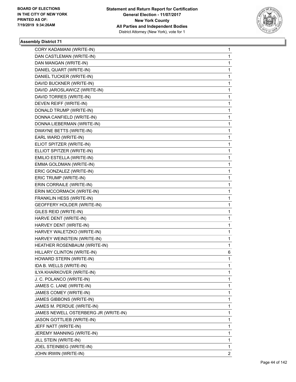

| CORY KADAMANI (WRITE-IN)                                | $\mathbf{1}$ |
|---------------------------------------------------------|--------------|
| DAN CASTLEMAN (WRITE-IN)                                | 1            |
| DAN MANGAN (WRITE-IN)                                   | 1            |
| DANIEL QUART (WRITE-IN)<br>DANIEL TUCKER (WRITE-IN)     | 1            |
|                                                         | 1            |
| DAVID BUCKNER (WRITE-IN)                                | 1            |
| DAVID JAROSLAWICZ (WRITE-IN)                            | 1            |
| DAVID TORRES (WRITE-IN)                                 | 1            |
| DEVEN REIFF (WRITE-IN)                                  | 1            |
| DONALD TRUMP (WRITE-IN)                                 | 1            |
| DONNA CANFIELD (WRITE-IN)<br>DONNA LIEBERMAN (WRITE-IN) | 1<br>1       |
| DWAYNE BETTS (WRITE-IN)                                 |              |
| EARL WARD (WRITE-IN)                                    | 1<br>1       |
| ELIOT SPITZER (WRITE-IN)                                | 1            |
| ELLIOT SPITZER (WRITE-IN)                               | 1            |
| EMILIO ESTELLA (WRITE-IN)                               | 1            |
| EMMA GOLDMAN (WRITE-IN)                                 | 1            |
|                                                         |              |
| ERIC GONZALEZ (WRITE-IN)<br>ERIC TRUMP (WRITE-IN)       | 1<br>1       |
| ERIN CORRAILE (WRITE-IN)                                |              |
|                                                         | 1            |
| ERIN MCCORMACK (WRITE-IN)                               | 1            |
| FRANKLIN HESS (WRITE-IN)                                | 1            |
| GEOFFERY HOLDER (WRITE-IN)                              | 1            |
| GILES REID (WRITE-IN)                                   | 1            |
| HARVE DENT (WRITE-IN)                                   | 1            |
| HARVEY DENT (WRITE-IN)                                  | 1            |
| HARVEY WALETZKO (WRITE-IN)                              | 1            |
| HARVEY WEINSTEIN (WRITE-IN)                             | 1            |
| HEATHER ROSENBAUM (WRITE-IN)                            | 1            |
| HILLARY CLINTON (WRITE-IN)                              | 6            |
| HOWARD STERN (WRITE-IN)                                 | 1            |
| IDA B. WELLS (WRITE-IN)                                 | 1            |
| ILYA KHARKOVER (WRITE-IN)                               | 1            |
| J. C. POLANCO (WRITE-IN)                                | 1            |
| JAMES C. LANE (WRITE-IN)                                | 1            |
| JAMES COMEY (WRITE-IN)                                  | 1            |
| JAMES GIBBONS (WRITE-IN)                                | 1            |
| JAMES M. PERDUE (WRITE-IN)                              | 1            |
| JAMES NEWELL OSTERBERG JR (WRITE-IN)                    | 1            |
| <b>JASON GOTTLIEB (WRITE-IN)</b>                        | 1            |
| JEFF NATT (WRITE-IN)                                    | 1            |
| JEREMY MANNING (WRITE-IN)                               | 1            |
| JILL STEIN (WRITE-IN)                                   | 1            |
| JOEL STEINBEG (WRITE-IN)                                | 1            |
| JOHN IRWIN (WRITE-IN)                                   | 2            |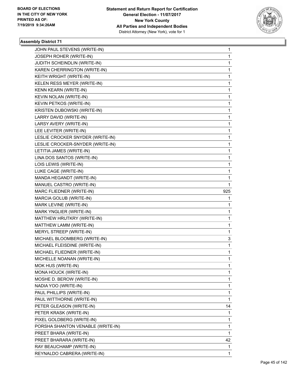

|                                   | 1            |
|-----------------------------------|--------------|
| JOSEPH ROHER (WRITE-IN)           | $\mathbf{1}$ |
| JUDITH SCHEINDLIN (WRITE-IN)      | 1            |
| KAREN CHERRINGTON (WRITE-IN)      | 1            |
| KEITH WRIGHT (WRITE-IN)           | 1            |
| KELEN RESS MEYER (WRITE-IN)       | 1            |
| KENN KEARN (WRITE-IN)             | 1            |
| KEVIN NOLAN (WRITE-IN)            | $\mathbf{1}$ |
| KEVIN PETKOS (WRITE-IN)           | 1            |
| KRISTEN DUBOWSKI (WRITE-IN)       | 1            |
| LARRY DAVID (WRITE-IN)            | 1            |
| LARSY AVERY (WRITE-IN)            | 1            |
| LEE LEVITER (WRITE-IN)            | 1            |
| LESLIE CROCKER SNYDER (WRITE-IN)  | $\mathbf{1}$ |
| LESLIE CROCKER-SNYDER (WRITE-IN)  | 1            |
| LETITIA JAMES (WRITE-IN)          | 1            |
| LINA DOS SANTOS (WRITE-IN)        | 1            |
| LOIS LEWIS (WRITE-IN)             | 1            |
| LUKE CAGE (WRITE-IN)              | 1            |
| MANDA HEGANDT (WRITE-IN)          | 1            |
| MANUEL CASTRO (WRITE-IN)          | 1            |
| MARC FLIEDNER (WRITE-IN)          | 925          |
| MARCIA GOLUB (WRITE-IN)           | 1            |
| MARK LEVINE (WRITE-IN)            | 1            |
| MARK YNGLIER (WRITE-IN)           | 1            |
| MATTHEW HRUTKRY (WRITE-IN)        |              |
|                                   | 1            |
| MATTHEW LAMM (WRITE-IN)           | 1            |
| MERYL STREEP (WRITE-IN)           | 1            |
| MICHAEL BLOOMBERG (WRITE-IN)      | 3            |
| MICHAEL FLEISDINE (WRITE-IN)      | 1            |
| MICHAEL FLIEDNER (WRITE-IN)       | 1            |
| MICHELLE NOANAN (WRITE-IN)        | $\mathbf{1}$ |
| MOK HUS (WRITE-IN)                | 1            |
| MONA HOUCK (WRITE-IN)             | 1            |
| MOSHE D. BEROW (WRITE-IN)         | 1            |
| NADIA YOO (WRITE-IN)              | 1            |
| PAUL PHILLIPS (WRITE-IN)          | 1            |
| PAUL WITTHORNE (WRITE-IN)         | $\mathbf{1}$ |
| PETER GLEASON (WRITE-IN)          | 14           |
| PETER KRASK (WRITE-IN)            | 1            |
| PIXEL GOLDBERG (WRITE-IN)         | 1            |
| PORSHA SHANTON VENABLE (WRITE-IN) | 1            |
| PREET BHARA (WRITE-IN)            | 1            |
| PREET BHARARA (WRITE-IN)          | 42           |
| RAY BEAUCHAMP (WRITE-IN)          | 1            |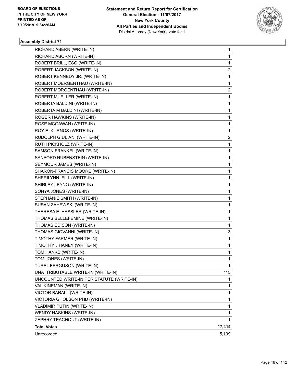

| RICHARD ABERN (WRITE-IN)                  | 1            |
|-------------------------------------------|--------------|
| RICHARD ABORN (WRITE-IN)                  | 1            |
| ROBERT BRILL, ESQ (WRITE-IN)              | 1            |
| ROBERT JACKSON (WRITE-IN)                 | 2            |
| ROBERT KENNEDY JR. (WRITE-IN)             | 1            |
| ROBERT MOERGENTHAU (WRITE-IN)             | 1            |
| ROBERT MORGENTHAU (WRITE-IN)              | 2            |
| ROBERT MUELLER (WRITE-IN)                 | 1            |
| ROBERTA BALDINI (WRITE-IN)                | 1            |
| ROBERTA M BALDINI (WRITE-IN)              | 1            |
| ROGER HAWKINS (WRITE-IN)                  | 1            |
| ROSE MCGAWAN (WRITE-IN)                   | 1            |
| ROY E. KURNOS (WRITE-IN)                  | 1            |
| RUDOLPH GIULIANI (WRITE-IN)               | 2            |
| RUTH PICKHOLZ (WRITE-IN)                  | 1            |
| SAMSON FRANKEL (WRITE-IN)                 | 1            |
| SANFORD RUBENSTEIN (WRITE-IN)             | 1            |
| SEYMOUR JAMES (WRITE-IN)                  | 1            |
| SHARON-FRANCIS MOORE (WRITE-IN)           | 1            |
| SHERILYNN IFILL (WRITE-IN)                | 1            |
| SHIRLEY LEYNO (WRITE-IN)                  | 1            |
| SONYA JONES (WRITE-IN)                    | 1            |
| STEPHANIE SMITH (WRITE-IN)                | 1            |
| SUSAN ZAHEWSKI (WRITE-IN)                 | 1            |
| THERESA E. HASSLER (WRITE-IN)             | 1            |
| THOMAS BELLEFEMINE (WRITE-IN)             | 1            |
| THOMAS EDISON (WRITE-IN)                  | 1            |
| THOMAS GIOVANNI (WRITE-IN)                | 3            |
| TIMOTHY FARMER (WRITE-IN)                 | 1            |
| TIMOTHY J HANEY (WRITE-IN)                | 1            |
| TOM HANKS (WRITE-IN)                      | $\mathbf{1}$ |
| TOM JONES (WRITE-IN)                      | $\mathbf{1}$ |
| TUREL FERGUSON (WRITE-IN)                 | 1            |
| UNATTRIBUTABLE WRITE-IN (WRITE-IN)        | 115          |
| UNCOUNTED WRITE-IN PER STATUTE (WRITE-IN) | 1            |
| VAL KINEMAN (WRITE-IN)                    | 1            |
| VICTOR BARALL (WRITE-IN)                  | 1            |
| VICTORIA GHOLSON PHD (WRITE-IN)           | 1            |
| VLADIMIR PUTIN (WRITE-IN)                 | 1            |
| WENDY HASKINS (WRITE-IN)                  | 1            |
| ZEPHRY TEACHOUT (WRITE-IN)                | 1            |
| <b>Total Votes</b>                        | 17,414       |
| Unrecorded                                | 5,109        |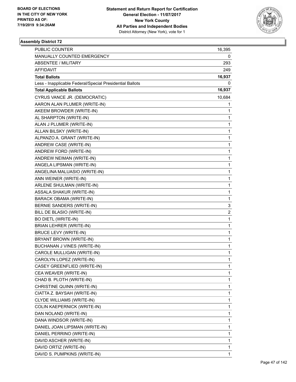

| PUBLIC COUNTER                                           | 16,395       |
|----------------------------------------------------------|--------------|
| MANUALLY COUNTED EMERGENCY                               | 0            |
| <b>ABSENTEE / MILITARY</b>                               | 293          |
| AFFIDAVIT                                                | 249          |
| <b>Total Ballots</b>                                     | 16,937       |
| Less - Inapplicable Federal/Special Presidential Ballots | 0            |
| <b>Total Applicable Ballots</b>                          | 16,937       |
| CYRUS VANCE JR. (DEMOCRATIC)                             | 10,684       |
| AARON ALAN PLUMER (WRITE-IN)                             | 1            |
| AKEEM BROWDER (WRITE-IN)                                 | 1            |
| AL SHARPTON (WRITE-IN)                                   | 1            |
| ALAN J PLUMER (WRITE-IN)                                 | 1            |
| ALLAN BILSKY (WRITE-IN)                                  | $\mathbf 1$  |
| ALPANZO A. GRANT (WRITE-IN)                              | 1            |
| ANDREW CASE (WRITE-IN)                                   | $\mathbf 1$  |
| ANDREW FORD (WRITE-IN)                                   | 1            |
| ANDREW NEIMAN (WRITE-IN)                                 | 1            |
| ANGELA LIPSMAN (WRITE-IN)                                | 1            |
| ANGELINA MALUASIO (WRITE-IN)                             | $\mathbf 1$  |
| ANN WEINER (WRITE-IN)                                    | 1            |
| ARLENE SHULMAN (WRITE-IN)                                | $\mathbf 1$  |
| ASSALA SHAKUR (WRITE-IN)                                 | 1            |
| BARACK OBAMA (WRITE-IN)                                  | 1            |
| BERNIE SANDERS (WRITE-IN)                                | 3            |
| BILL DE BLASIO (WRITE-IN)                                | 2            |
| <b>BO DIETL (WRITE-IN)</b>                               | 1            |
| BRIAN LEHRER (WRITE-IN)                                  | $\mathbf 1$  |
| BRUCE LEVY (WRITE-IN)                                    | 1            |
| BRYANT BROWN (WRITE-IN)                                  | 1            |
| <b>BUCHANAN J VINES (WRITE-IN)</b>                       | 1            |
| CAROLE MULLIGAN (WRITE-IN)                               | $\mathbf{1}$ |
| CAROLYN LOPEZ (WRITE-IN)                                 | 1            |
| CASEY GREENFLIED (WRITE-IN)                              | 1            |
| CEA WEAVER (WRITE-IN)                                    | 1            |
| CHAD B. PLOTH (WRITE-IN)                                 | 1            |
| CHRISTINE QUINN (WRITE-IN)                               | 1            |
| CIATTA Z. BAYSAH (WRITE-IN)                              | 1            |
| CLYDE WILLIAMS (WRITE-IN)                                | 1            |
| COLIN KAEPERNICK (WRITE-IN)                              | 1            |
| DAN NOLAND (WRITE-IN)                                    | 1            |
| DANA WINDSOR (WRITE-IN)                                  | 1            |
| DANIEL JOAN LIPSMAN (WRITE-IN)                           | 1            |
| DANIEL PERRINO (WRITE-IN)                                | 1            |
| DAVID ASCHER (WRITE-IN)                                  | 1            |
| DAVID ORTIZ (WRITE-IN)                                   | 1            |
| DAVID S. PUMPKINS (WRITE-IN)                             | 1            |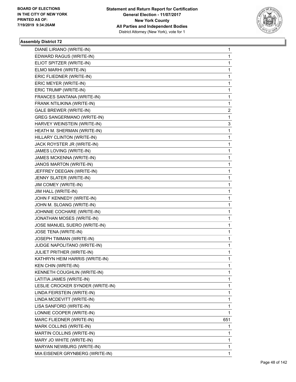

| DIANE LIRIANO (WRITE-IN)          | 1   |
|-----------------------------------|-----|
| EDWARD RAGUS (WRITE-IN)           | 1   |
| ELIOT SPITZER (WRITE-IN)          | 1   |
| ELMO MARHI (WRITE-IN)             | 1   |
| ERIC FLIEDNER (WRITE-IN)          | 1   |
| ERIC MEYER (WRITE-IN)             | 1   |
| ERIC TRUMP (WRITE-IN)             | 1   |
| FRANCES SANTANA (WRITE-IN)        | 1   |
| FRANK NTILIKINA (WRITE-IN)        | 1   |
| <b>GALE BREWER (WRITE-IN)</b>     | 2   |
| <b>GREG SANGERMANO (WRITE-IN)</b> | 1   |
| HARVEY WEINSTEIN (WRITE-IN)       | 3   |
| HEATH M. SHERMAN (WRITE-IN)       | 1   |
| HILLARY CLINTON (WRITE-IN)        | 1   |
| JACK ROYSTER JR (WRITE-IN)        | 1   |
| JAMES LOVING (WRITE-IN)           | 1   |
| JAMES MCKENNA (WRITE-IN)          | 1   |
| JANOS MARTON (WRITE-IN)           | 1   |
| JEFFREY DEEGAN (WRITE-IN)         | 1   |
| JENNY SLATER (WRITE-IN)           | 1   |
| JIM COMEY (WRITE-IN)              | 1   |
| JIM HALL (WRITE-IN)               | 1   |
| JOHN F KENNEDY (WRITE-IN)         | 1   |
| JOHN M. SLOANG (WRITE-IN)         | 1   |
| JOHNNIE COCHARE (WRITE-IN)        | 1   |
| JONATHAN MOSES (WRITE-IN)         | 1   |
| JOSE MANUEL SUERO (WRITE-IN)      | 1   |
| JOSE TENA (WRITE-IN)              | 1   |
| JOSEPH TIMMAN (WRITE-IN)          | 1   |
| JUDGE NAPOLITANO (WRITE-IN)       | 1   |
| JULIET PRITHER (WRITE-IN)         | 1   |
| KATHRYN HEIM HARRIS (WRITE-IN)    | 1   |
| KEN CHIN (WRITE-IN)               | 1   |
| KENNETH COUGHLIN (WRITE-IN)       | 1   |
| LATITIA JAMES (WRITE-IN)          | 1   |
| LESLIE CROCKER SYNDER (WRITE-IN)  | 1   |
| LINDA FEIRSTEIN (WRITE-IN)        | 1   |
| LINDA MCDEVITT (WRITE-IN)         | 1   |
| LISA SANFORD (WRITE-IN)           | 1   |
| LONNIE COOPER (WRITE-IN)          | 1   |
| MARC FLIEDNER (WRITE-IN)          | 651 |
| MARK COLLINS (WRITE-IN)           | 1   |
| MARTIN COLLINS (WRITE-IN)         | 1   |
| MARY JO WHITE (WRITE-IN)          | 1   |
| MARYAN NEWBURG (WRITE-IN)         | 1   |
| MIA EISENER GRYNBERG (WRITE-IN)   | 1   |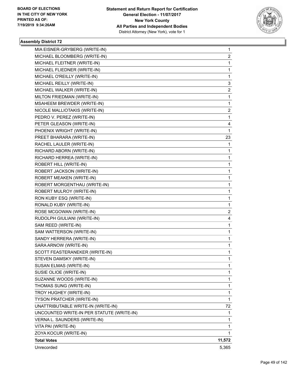

| MIA EISNER-GRYBERG (WRITE-IN)             | 1                       |
|-------------------------------------------|-------------------------|
| MICHAEL BLOOMBERG (WRITE-IN)              | 2                       |
| MICHAEL FLEITNER (WRITE-IN)               | 1                       |
| MICHAEL FLIEDNER (WRITE-IN)               | 1                       |
| MICHAEL O'REILLY (WRITE-IN)               | $\mathbf{1}$            |
| MICHAEL REILLY (WRITE-IN)                 | 3                       |
| MICHAEL WALKER (WRITE-IN)                 | $\overline{\mathbf{c}}$ |
| MILTON FRIEDMAN (WRITE-IN)                | $\mathbf{1}$            |
| MSAHEEM BREWDER (WRITE-IN)                | 1                       |
| NICOLE MALLIOTAKIS (WRITE-IN)             | $\overline{c}$          |
| PEDRO V. PEREZ (WRITE-IN)                 | $\mathbf{1}$            |
| PETER GLEASON (WRITE-IN)                  | 4                       |
| PHOENIX WRIGHT (WRITE-IN)                 | $\mathbf{1}$            |
| PREET BHARARA (WRITE-IN)                  | 23                      |
| RACHEL LAULER (WRITE-IN)                  | 1                       |
| RICHARD ABORN (WRITE-IN)                  | 1                       |
| RICHARD HERREA (WRITE-IN)                 | $\mathbf{1}$            |
| ROBERT HILL (WRITE-IN)                    | 1                       |
| ROBERT JACKSON (WRITE-IN)                 | 1                       |
| ROBERT MEAKEN (WRITE-IN)                  | $\mathbf{1}$            |
| ROBERT MORGENTHAU (WRITE-IN)              | 1                       |
| ROBERT MULROY (WRITE-IN)                  | 1                       |
| RON KUBY ESQ (WRITE-IN)                   | $\mathbf{1}$            |
| RONALD KUBY (WRITE-IN)                    | 1                       |
| ROSE MCGOWAN (WRITE-IN)                   | $\overline{\mathbf{c}}$ |
| RUDOLPH GIULIANI (WRITE-IN)               | 4                       |
| SAM REED (WRITE-IN)                       | 1                       |
| SAM WATTERSON (WRITE-IN)                  | 1                       |
| SANDY HERRERA (WRITE-IN)                  | $\mathbf{1}$            |
| SARA ARNOW (WRITE-IN)                     | 1                       |
| SCOTT FEASTERANEKER (WRITE-IN)            | 1                       |
| STEVEN DAMSKY (WRITE-IN)                  | 1                       |
| SUSAN ELMAS (WRITE-IN)                    | 1                       |
| SUSIE OLIOE (WRITE-IN)                    | 1                       |
| SUZANNE WOODS (WRITE-IN)                  | $\mathbf{1}$            |
| THOMAS SUNG (WRITE-IN)                    | 1                       |
| TROY HUGHEY (WRITE-IN)                    | 1                       |
| <b>TYSON PRATCHER (WRITE-IN)</b>          | 1                       |
| UNATTRIBUTABLE WRITE-IN (WRITE-IN)        | 72                      |
| UNCOUNTED WRITE-IN PER STATUTE (WRITE-IN) | 1                       |
| VERNA L. SAUNDERS (WRITE-IN)              | $\mathbf{1}$            |
| VITA PAI (WRITE-IN)                       | 1                       |
| ZOYA KOCUR (WRITE-IN)                     | 1                       |
| <b>Total Votes</b>                        | 11,572                  |
| Unrecorded                                | 5,365                   |
|                                           |                         |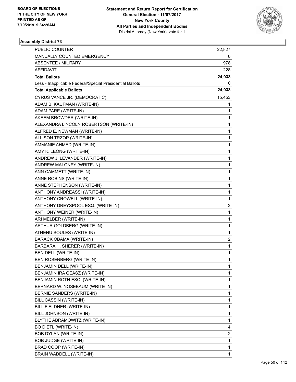

| PUBLIC COUNTER                                           | 22,827 |
|----------------------------------------------------------|--------|
| MANUALLY COUNTED EMERGENCY                               | 0      |
| ABSENTEE / MILITARY                                      | 978    |
| AFFIDAVIT                                                | 228    |
| <b>Total Ballots</b>                                     | 24,033 |
| Less - Inapplicable Federal/Special Presidential Ballots | 0      |
| <b>Total Applicable Ballots</b>                          | 24,033 |
| CYRUS VANCE JR. (DEMOCRATIC)                             | 15,453 |
| ADAM B. KAUFMAN (WRITE-IN)                               | 1      |
| ADAM PARE (WRITE-IN)                                     | 1      |
| AKEEM BROWDER (WRITE-IN)                                 | 1      |
| ALEXANDRA LINCOLN ROBERTSON (WRITE-IN)                   | 1      |
| ALFRED E. NEWMAN (WRITE-IN)                              | 1      |
| ALLISON TRZOP (WRITE-IN)                                 | 1      |
| AMMANIE AHMED (WRITE-IN)                                 | 1      |
| AMY K. LEONG (WRITE-IN)                                  | 1      |
| ANDREW J. LEVANDER (WRITE-IN)                            | 1      |
| ANDREW MALONEY (WRITE-IN)                                | 1      |
| ANN CAMMETT (WRITE-IN)                                   | 1      |
| ANNE ROBINS (WRITE-IN)                                   | 1      |
| ANNE STEPHENSON (WRITE-IN)                               | 1      |
| ANTHONY ANDREASSI (WRITE-IN)                             | 1      |
| ANTHONY CROWELL (WRITE-IN)                               | 1      |
| ANTHONY DREYSPOOL ESQ. (WRITE-IN)                        | 2      |
| ANTHONY WEINER (WRITE-IN)                                | 1      |
| ARI MELBER (WRITE-IN)                                    | 1      |
| ARTHUR GOLDBERG (WRITE-IN)                               | 1      |
| ATHENU SOULES (WRITE-IN)                                 | 1      |
| BARACK OBAMA (WRITE-IN)                                  | 2      |
| BARBARA H. SHERER (WRITE-IN)                             | 1      |
| BEN DELL (WRITE-IN)                                      | 1      |
| <b>BEN ROSENBERG (WRITE-IN)</b>                          | 1      |
| BENJAMIN DELL (WRITE-IN)                                 | 1      |
| BENJAMIN IRA GEASZ (WRITE-IN)                            | 1      |
| BENJAMIN ROTH ESQ. (WRITE-IN)                            | 1      |
| BERNARD W. NOSEBAUM (WRITE-IN)                           | 1      |
| BERNIE SANDERS (WRITE-IN)                                | 1      |
| BILL CASSIN (WRITE-IN)                                   | 1      |
| BILL FIELDNER (WRITE-IN)                                 | 1      |
| BILL JOHNSON (WRITE-IN)                                  | 1      |
| BLYTHE ABRAMOWITZ (WRITE-IN)                             | 1      |
| <b>BO DIETL (WRITE-IN)</b>                               | 4      |
| BOB DYLAN (WRITE-IN)                                     | 2      |
| <b>BOB JUDGE (WRITE-IN)</b>                              | 1      |
| BRAD COOP (WRITE-IN)                                     | 1      |
| BRAIN WADDELL (WRITE-IN)                                 | 1      |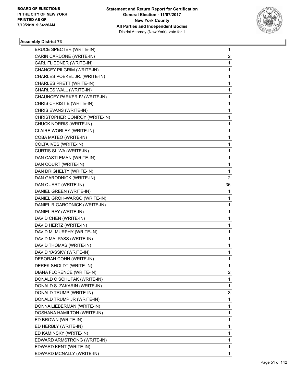

| <b>BRUCE SPECTER (WRITE-IN)</b> | 1              |
|---------------------------------|----------------|
| CARIN CARDONE (WRITE-IN)        | 2              |
| CARL FLIEDNER (WRITE-IN)        | 1              |
| CHANCEY PILGRIM (WRITE-IN)      | 1              |
| CHARLES POEKEL JR. (WRITE-IN)   | 1              |
| CHARLES PRETT (WRITE-IN)        | 1              |
| CHARLES WALL (WRITE-IN)         | 1              |
| CHAUNCEY PARKER IV (WRITE-IN)   | 1              |
| CHRIS CHRISTIE (WRITE-IN)       | 1              |
| CHRIS EVANS (WRITE-IN)          | 1              |
| CHRISTOPHER CONROY (WRITE-IN)   | 1              |
| CHUCK NORRIS (WRITE-IN)         | 1              |
| CLAIRE WORLEY (WRITE-IN)        | 1              |
| COBA MATEO (WRITE-IN)           | 1              |
| COLTA IVES (WRITE-IN)           | 1              |
| CURTIS SLIWA (WRITE-IN)         | 1              |
| DAN CASTLEMAN (WRITE-IN)        | 1              |
| DAN COURT (WRITE-IN)            | 1              |
| DAN DRIGHELTY (WRITE-IN)        | 1              |
| DAN GARODNICK (WRITE-IN)        | $\overline{c}$ |
| DAN QUART (WRITE-IN)            | 36             |
| DANIEL GREEN (WRITE-IN)         | 1              |
| DANIEL GROH-WARGO (WRITE-IN)    | 1              |
| DANIEL R GARODNICK (WRITE-IN)   | 1              |
| DANIEL RAY (WRITE-IN)           | 1              |
| DAVID CHEN (WRITE-IN)           | 1              |
| DAVID HERTZ (WRITE-IN)          | 1              |
| DAVID M. MURPHY (WRITE-IN)      | 1              |
| DAVID MALPASS (WRITE-IN)        | 1              |
| DAVID THOMAS (WRITE-IN)         | 1              |
| DAVID YASSKY (WRITE-IN)         | 1              |
| DEBORAH COHN (WRITE-IN)         | $\mathbf{1}$   |
| DEREK SHOLDT (WRITE-IN)         | 1              |
| DIANA FLORENCE (WRITE-IN)       | 2              |
| DONALD C SCHUPAK (WRITE-IN)     | 1              |
| DONALD S. ZAKARIN (WRITE-IN)    | 1              |
| DONALD TRUMP (WRITE-IN)         | 3              |
| DONALD TRUMP JR (WRITE-IN)      | 1              |
| DONNA LIEBERMAN (WRITE-IN)      | 1              |
| DOSHANA HAMILTON (WRITE-IN)     | 1              |
| ED BROWN (WRITE-IN)             | 1              |
| ED HERBLY (WRITE-IN)            | 1              |
| ED KAMINSKY (WRITE-IN)          | 1              |
| EDWARD ARMSTRONG (WRITE-IN)     | 1              |
| EDWARD KENT (WRITE-IN)          | 1              |
| EDWARD MCNALLY (WRITE-IN)       | 1              |
|                                 |                |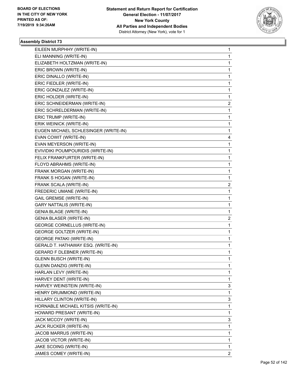

| EILEEN MURPHHY (WRITE-IN)            | 1              |
|--------------------------------------|----------------|
| ELI MANNING (WRITE-IN)               | 1              |
| ELIZABETH HOLTZMAN (WRITE-IN)        | 1              |
| ERIC BROWN (WRITE-IN)                | 1              |
| ERIC DINALLO (WRITE-IN)              | 1              |
| ERIC FIEDLER (WRITE-IN)              | 1              |
| ERIC GONZALEZ (WRITE-IN)             | 1              |
| ERIC HOLDER (WRITE-IN)               | 1              |
| ERIC SCHNEIDERMAN (WRITE-IN)         | 2              |
| ERIC SCHRELDERMAN (WRITE-IN)         | 1              |
| ERIC TRUMP (WRITE-IN)                | 1              |
| ERIK WEINICK (WRITE-IN)              | 1              |
| EUGEN MICHAEL SCHLESINGER (WRITE-IN) | 1              |
| EVAN COWIT (WRITE-IN)                | 4              |
| EVAN MEYERSON (WRITE-IN)             | 1              |
| EVIVIDIKI POUMPOURIDIS (WRITE-IN)    | 1              |
| FELIX FRANKFURTER (WRITE-IN)         | 1              |
| FLOYD ABRAHMS (WRITE-IN)             | 1              |
| FRANK MORGAN (WRITE-IN)              | 1              |
| FRANK S HOGAN (WRITE-IN)             | 1              |
| FRANK SCALA (WRITE-IN)               | 2              |
| FREDERIC UMANE (WRITE-IN)            | 1              |
| <b>GAIL GREMSE (WRITE-IN)</b>        | 1              |
| <b>GARY NATTALIS (WRITE-IN)</b>      | 1              |
| <b>GENIA BLAGE (WRITE-IN)</b>        | 1              |
| <b>GENIA BLASER (WRITE-IN)</b>       | 2              |
| <b>GEORGE CORNELLUS (WRITE-IN)</b>   | 1              |
| <b>GEORGE GOLTZER (WRITE-IN)</b>     | 1              |
| <b>GEORGE PATAKI (WRITE-IN)</b>      | 1              |
| GERALD T. HATHAWAY ESQ. (WRITE-IN)   | 1              |
| <b>GERARD F DLEBNER (WRITE-IN)</b>   | 1              |
| <b>GLENN BUSCH (WRITE-IN)</b>        | 1              |
| <b>GLENN DANZIG (WRITE-IN)</b>       | 1              |
| HARLAN LEVY (WRITE-IN)               | 1              |
| HARVEY DENT (WRITE-IN)               | 1              |
| HARVEY WEINSTEIN (WRITE-IN)          | 3              |
| HENRY DRUMMOND (WRITE-IN)            | 1              |
| HILLARY CLINTON (WRITE-IN)           | 3              |
| HORNABLE MICHAEL KITSIS (WRITE-IN)   | 1              |
| HOWARD PRESANT (WRITE-IN)            | 1              |
| JACK MCCOY (WRITE-IN)                | 3              |
| JACK RUCKER (WRITE-IN)               | 1              |
| JACOB MARRUS (WRITE-IN)              | 1              |
| JACOB VICTOR (WRITE-IN)              | 1              |
| JAKE SCOING (WRITE-IN)               | 1              |
| JAMES COMEY (WRITE-IN)               | $\overline{2}$ |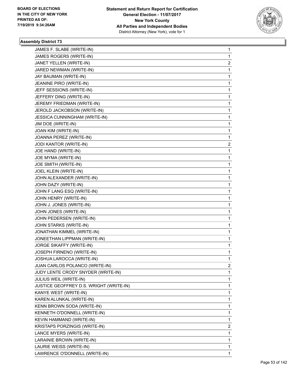

| JAMES F. SLABE (WRITE-IN)               | 1              |
|-----------------------------------------|----------------|
| JAMES ROGERS (WRITE-IN)                 | 1              |
| JANET YELLEN (WRITE-IN)                 | $\overline{2}$ |
| JARED NEWMAN (WRITE-IN)                 | 1              |
| JAY BAUMAN (WRITE-IN)                   | 1              |
| JEANINE PIRO (WRITE-IN)                 | 1              |
| JEFF SESSIONS (WRITE-IN)                | 1              |
| JEFFERY DING (WRITE-IN)                 | 1              |
| JEREMY FRIEDMAN (WRITE-IN)              | 1              |
| JEROLD JACKOBSON (WRITE-IN)             | 1              |
| JESSICA CUNNINGHAM (WRITE-IN)           | 1              |
| JIM DOE (WRITE-IN)                      | 1              |
| JOAN KIM (WRITE-IN)                     | 1              |
| JOANNA PEREZ (WRITE-IN)                 | 1              |
| JODI KANTOR (WRITE-IN)                  | 2              |
| JOE HAND (WRITE-IN)                     | 1              |
| JOE MYMA (WRITE-IN)                     | 1              |
| JOE SMITH (WRITE-IN)                    | 1              |
| JOEL KLEIN (WRITE-IN)                   | 1              |
| JOHN ALEXANDER (WRITE-IN)               | 1              |
| JOHN DAZY (WRITE-IN)                    | 1              |
| JOHN F LANG ESQ (WRITE-IN)              | 1              |
| JOHN HENRY (WRITE-IN)                   | 1              |
| JOHN J. JONES (WRITE-IN)                | 1              |
| JOHN JONES (WRITE-IN)                   | 1              |
| JOHN PEDERSEN (WRITE-IN)                | 1              |
| JOHN STARKS (WRITE-IN)                  | 1              |
| JONATHAN KIMMEL (WRITE-IN)              | 1              |
| JONEETHAN LIPPMAN (WRITE-IN)            | 1              |
| JORGE SIKAFFY (WRITE-IN)                | 1              |
| JOSEPH FIRNENO (WRITE-IN)               | 1              |
| JOSHUA LAROCCA (WRITE-IN)               | 1              |
| JUAN CARLOS POLANCO (WRITE-IN)          | 2              |
| JUDY LENTE CRODY SNYDER (WRITE-IN)      | 1              |
| JULIUS WEIL (WRITE-IN)                  | 1              |
| JUSTICE GEOFFREY D.S. WRIGHT (WRITE-IN) | 1              |
| KANYE WEST (WRITE-IN)                   | 1              |
| KAREN ALUNKAL (WRITE-IN)                | 1              |
| KENN BROWN SODA (WRITE-IN)              | 1              |
| KENNETH O'DONNELL (WRITE-IN)            | 1              |
| KEVIN HAMMAND (WRITE-IN)                | 1              |
| KRISTAPS PORZINGIS (WRITE-IN)           | 2              |
| LANCE MYERS (WRITE-IN)                  | 1              |
| LARAINIE BROWN (WRITE-IN)               | 1              |
| LAURIE WEISS (WRITE-IN)                 | 1              |
| LAWRENCE O'DONNELL (WRITE-IN)           | 1              |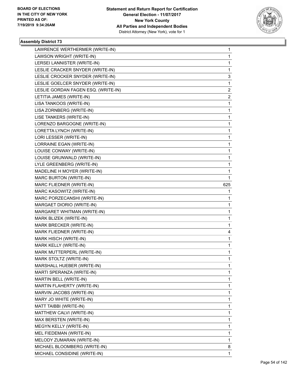

| LAWRENCE WERTHERMER (WRITE-IN)      | 1            |
|-------------------------------------|--------------|
| LAWSON WRIGHT (WRITE-IN)            | 1            |
| LERSEI LANNISTER (WRITE-IN)         | 1            |
| LESLIE CRACKER SNYDER (WRITE-IN)    | 1            |
| LESLIE CROCKER SNYDER (WRITE-IN)    | 3            |
| LESLIE GOELCER SNYDER (WRITE-IN)    | $\mathbf{1}$ |
| LESLIE GORDAN FAGEN ESQ. (WRITE-IN) | 2            |
| LETITIA JAMES (WRITE-IN)            | 2            |
| LISA TANKOOS (WRITE-IN)             | $\mathbf 1$  |
| LISA ZORNBERG (WRITE-IN)            | 1            |
| LISE TANKERS (WRITE-IN)             | 1            |
| LORENZO BARGOGNE (WRITE-IN)         | 1            |
| LORETTA LYNCH (WRITE-IN)            | 1            |
| LORI LESSER (WRITE-IN)              | 1            |
| LORRAINE EGAN (WRITE-IN)            | 1            |
| LOUISE CONWAY (WRITE-IN)            | 1            |
| LOUISE GRUNWALD (WRITE-IN)          | 1            |
| LYLE GREENBERG (WRITE-IN)           | 1            |
| MADELINE H MOYER (WRITE-IN)         | 1            |
| MARC BURTON (WRITE-IN)              | 1            |
| MARC FLIEDNER (WRITE-IN)            | 625          |
| MARC KASOWITZ (WRITE-IN)            | 1            |
| MARC PORZECANSHI (WRITE-IN)         | 1            |
| MARGAET DIORIO (WRITE-IN)           | 1            |
| MARGARET WHITMAN (WRITE-IN)         | 1            |
| MARK BLIZEK (WRITE-IN)              | 1            |
| MARK BRECKER (WRITE-IN)             | 1            |
| MARK FLIEDNER (WRITE-IN)            | 4            |
| MARK HISCH (WRITE-IN)               | 1            |
| MARK KELLY (WRITE-IN)               | 1            |
| MARK MUTTERPERL (WRITE-IN)          | 1            |
| MARK STOLTZ (WRITE-IN)              | 1            |
| MARSHALL HUEBER (WRITE-IN)          | 1            |
| MARTI SPERANZA (WRITE-IN)           | 1            |
| MARTIN BELL (WRITE-IN)              | 1            |
| MARTIN FLAHERTY (WRITE-IN)          | 1            |
| MARVIN JACOBS (WRITE-IN)            | 1            |
| MARY JO WHITE (WRITE-IN)            | 1            |
| MATT TAIBBI (WRITE-IN)              | 1            |
| MATTHEW CALVI (WRITE-IN)            | 1            |
| MAX BERSTEN (WRITE-IN)              | 1            |
| MEGYN KELLY (WRITE-IN)              | 1            |
| MEL FIEDEMAN (WRITE-IN)             | 1            |
| MELODY ZUMARAN (WRITE-IN)           | 1            |
| MICHAEL BLOOMBERG (WRITE-IN)        | 8            |
| MICHAEL CONSIDINE (WRITE-IN)        | 1            |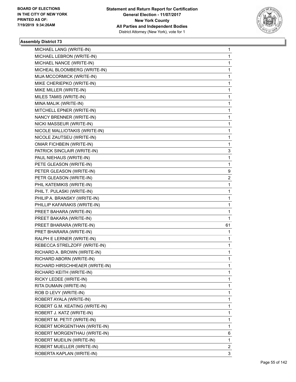

| MICHAEL LANG (WRITE-IN)        | 1  |
|--------------------------------|----|
| MICHAEL LEBRON (WRITE-IN)      | 1  |
| MICHAEL NANCE (WRITE-IN)       | 1  |
| MICHEAL BLOOMBERG (WRITE-IN)   | 1  |
| MIJA MCCORMICK (WRITE-IN)      | 1  |
| MIKE CHERIEPKO (WRITE-IN)      | 1  |
| MIKE MILLER (WRITE-IN)         | 1  |
| MILES TAMIS (WRITE-IN)         | 1  |
| MINA MALIK (WRITE-IN)          | 1  |
| MITCHELL EPNER (WRITE-IN)      | 1  |
| NANCY BRENNER (WRITE-IN)       | 1  |
| NICKI MASSEUR (WRITE-IN)       | 1  |
| NICOLE MALLIOTAKIS (WRITE-IN)  | 1  |
| NICOLE ZAUTSEU (WRITE-IN)      | 1  |
| OMAR FICHBEIN (WRITE-IN)       | 1  |
| PATRICK SINCLAIR (WRITE-IN)    | 3  |
| PAUL NIEHAUS (WRITE-IN)        | 1  |
| PETE GLEASON (WRITE-IN)        | 1  |
| PETER GLEASON (WRITE-IN)       | 9  |
| PETR GLEASON (WRITE-IN)        | 2  |
| PHIL KATEMIKIS (WRITE-IN)      | 1  |
| PHIL T. PULASKI (WRITE-IN)     | 1  |
| PHILIP A. BRANSKY (WRITE-IN)   | 1  |
| PHILLIP KAFARAKIS (WRITE-IN)   | 1  |
| PREET BAHARA (WRITE-IN)        | 1  |
| PREET BAKARA (WRITE-IN)        | 1  |
| PREET BHARARA (WRITE-IN)       | 61 |
| PRET BHARARA (WRITE-IN)        | 1  |
| RALPH E LERNER (WRITE-IN)      | 1  |
| REBECCA STRELZOFF (WRITE-IN)   | 1  |
| RICHARD A. BROWN (WRITE-IN)    | 1  |
| RICHARD ABORN (WRITE-IN)       | 1  |
| RICHARD HIRSCHHEAER (WRITE-IN) | 1  |
| RICHARD KEITH (WRITE-IN)       | 1  |
| RICKY LEDEE (WRITE-IN)         | 1  |
| RITA DUMAIN (WRITE-IN)         | 1  |
| ROB D LEVY (WRITE-IN)          | 1  |
| ROBERT AYALA (WRITE-IN)        | 1  |
| ROBERT G.M. KEATING (WRITE-IN) | 1  |
| ROBERT J. KATZ (WRITE-IN)      | 1  |
| ROBERT M. PETIT (WRITE-IN)     | 1  |
| ROBERT MORGENTHAN (WRITE-IN)   | 1  |
| ROBERT MORGENTHAU (WRITE-IN)   | 6  |
| ROBERT MUEILIN (WRITE-IN)      | 1  |
| ROBERT MUELLER (WRITE-IN)      | 2  |
| ROBERTA KAPLAN (WRITE-IN)      | 3  |
|                                |    |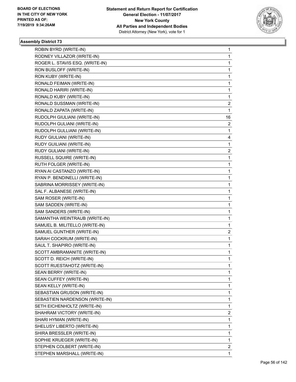

| ROBIN BYRD (WRITE-IN)           | 1              |
|---------------------------------|----------------|
| RODNEY VILLAZOR (WRITE-IN)      | $\mathbf{1}$   |
| ROGER L. STAVIS ESQ. (WRITE-IN) | 1              |
| RON BUSLOFF (WRITE-IN)          | $\mathbf{1}$   |
| RON KUBY (WRITE-IN)             | 1              |
| RONALD FEIMAN (WRITE-IN)        | 1              |
| RONALD HARIRI (WRITE-IN)        | $\mathbf{1}$   |
| RONALD KUBY (WRITE-IN)          | 1              |
| RONALD SUSSMAN (WRITE-IN)       | 2              |
| RONALD ZAPATA (WRITE-IN)        | 1              |
| RUDOLPH GIULIANI (WRITE-IN)     | 16             |
| RUDOLPH GULIANI (WRITE-IN)      | 2              |
| RUDOLPH GULLIANI (WRITE-IN)     | $\mathbf{1}$   |
| RUDY GIULIANI (WRITE-IN)        | 4              |
| RUDY GUILIANI (WRITE-IN)        | 1              |
| RUDY GULIANI (WRITE-IN)         | $\overline{2}$ |
| RUSSELL SQUIRE (WRITE-IN)       | 1              |
| RUTH FOLGER (WRITE-IN)          | 1              |
| RYAN AI CASTANZO (WRITE-IN)     | $\mathbf{1}$   |
| RYAN P. BENDINELLI (WRITE-IN)   | 1              |
| SABRINA MORRISSEY (WRITE-IN)    | 1              |
| SAL F. ALBANESE (WRITE-IN)      | $\mathbf{1}$   |
| SAM ROSER (WRITE-IN)            | 1              |
| SAM SADDEN (WRITE-IN)           | 1              |
| SAM SANDERS (WRITE-IN)          | $\mathbf{1}$   |
| SAMANTHA WEINTRAUB (WRITE-IN)   | $\mathbf{1}$   |
| SAMUEL B. MILITELLO (WRITE-IN)  | 1              |
| SAMUEL GUNTHER (WRITE-IN)       | $\overline{2}$ |
| SARAH COCKRUM (WRITE-IN)        | 1              |
| SAUL T. SHAPIRO (WRITE-IN)      | 1              |
| SCOTT AMBRAMANITE (WRITE-IN)    | $\mathbf{1}$   |
| SCOTT D. REICH (WRITE-IN)       | 1              |
| SCOTT RUESTAHOTZ (WRITE-IN)     | 1              |
| SEAN BERRY (WRITE-IN)           | $\mathbf{1}$   |
| SEAN CUFFEY (WRITE-IN)          | $\mathbf{1}$   |
| SEAN KELLY (WRITE-IN)           | 1              |
| SEBASTIAN GRUSON (WRITE-IN)     | $\mathbf{1}$   |
| SEBASTIEN NARDENSON (WRITE-IN)  | 1              |
| SETH EICHENHOLTZ (WRITE-IN)     | 1              |
| SHAHRAM VICTORY (WRITE-IN)      | $\overline{2}$ |
| SHARI HYMAN (WRITE-IN)          | $\mathbf{1}$   |
| SHELUSY LIBERTO (WRITE-IN)      | 1              |
| SHIRA BRESSLER (WRITE-IN)       | $\mathbf{1}$   |
| SOPHIE KRUEGER (WRITE-IN)       | 1              |
| STEPHEN COLBERT (WRITE-IN)      | 2              |
| STEPHEN MARSHALL (WRITE-IN)     | $\mathbf{1}$   |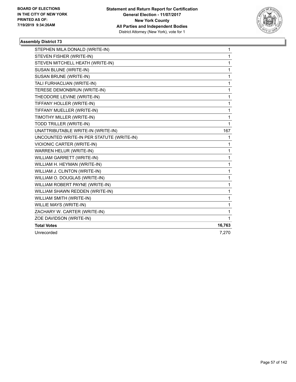

| STEPHEN MILA DONALD (WRITE-IN)            | 1      |
|-------------------------------------------|--------|
| STEVEN FISHER (WRITE-IN)                  | 1      |
| STEVEN MITCHELL HEATH (WRITE-IN)          | 1      |
| SUSAN BLUNE (WRITE-IN)                    | 1      |
| SUSAN BRUNE (WRITE-IN)                    | 1      |
| TALI FURHACLIAN (WRITE-IN)                | 1      |
| TERESE DEMONBRUN (WRITE-IN)               | 1      |
| THEODORE LEVINE (WRITE-IN)                | 1      |
| TIFFANY HOLLER (WRITE-IN)                 | 1      |
| TIFFANY MUELLER (WRITE-IN)                | 1      |
| TIMOTHY MILLER (WRITE-IN)                 | 1      |
| TODD TRILLER (WRITE-IN)                   | 1      |
| UNATTRIBUTABLE WRITE-IN (WRITE-IN)        | 167    |
| UNCOUNTED WRITE-IN PER STATUTE (WRITE-IN) | 1      |
| VIOIONIC CARTER (WRITE-IN)                | 1      |
| WARREN HELUR (WRITE-IN)                   | 1      |
| WILLIAM GARRETT (WRITE-IN)                | 1      |
| WILLIAM H. HEYMAN (WRITE-IN)              | 1      |
| WILLIAM J. CLINTON (WRITE-IN)             | 1      |
| WILLIAM O. DOUGLAS (WRITE-IN)             | 1      |
| WILLIAM ROBERT PAYNE (WRITE-IN)           | 1      |
| WILLIAM SHAWN REDDEN (WRITE-IN)           | 1      |
| WILLIAM SMITH (WRITE-IN)                  | 1      |
| WILLIE MAYS (WRITE-IN)                    | 1      |
| ZACHARY W. CARTER (WRITE-IN)              | 1      |
| ZOE DAVIDSON (WRITE-IN)                   | 1      |
| <b>Total Votes</b>                        | 16,763 |
| Unrecorded                                | 7,270  |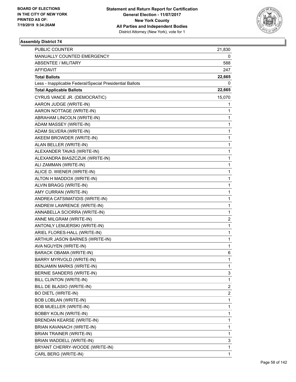

| PUBLIC COUNTER                                           | 21,830                  |
|----------------------------------------------------------|-------------------------|
| MANUALLY COUNTED EMERGENCY                               | 0                       |
| <b>ABSENTEE / MILITARY</b>                               | 588                     |
| AFFIDAVIT                                                | 247                     |
| <b>Total Ballots</b>                                     | 22,665                  |
| Less - Inapplicable Federal/Special Presidential Ballots | 0                       |
| <b>Total Applicable Ballots</b>                          | 22,665                  |
| CYRUS VANCE JR. (DEMOCRATIC)                             | 15,070                  |
| AARON JUDGE (WRITE-IN)                                   | 1                       |
| AARON NOTTAGE (WRITE-IN)                                 | 1                       |
| ABRAHAM LINCOLN (WRITE-IN)                               | 1                       |
| ADAM MASSEY (WRITE-IN)                                   | 1                       |
| ADAM SILVERA (WRITE-IN)                                  | 1                       |
| AKEEM BROWDER (WRITE-IN)                                 | 1                       |
| ALAN BELLER (WRITE-IN)                                   | 1                       |
| ALEXANDER TAVAS (WRITE-IN)                               | 1                       |
| ALEXANDRA BIASZCZUK (WRITE-IN)                           | 1                       |
| ALI ZAMMAN (WRITE-IN)                                    | 1                       |
| ALICE D. WIENER (WRITE-IN)                               | 1                       |
| ALTON H MADDOX (WRITE-IN)                                | 1                       |
| ALVIN BRAGG (WRITE-IN)                                   | 1                       |
| AMY CURRAN (WRITE-IN)                                    | 1                       |
| ANDREA CATSIMATIDIS (WRITE-IN)                           | 1                       |
| ANDREW LAWRENCE (WRITE-IN)                               | 1                       |
| ANNABELLA SCIORRA (WRITE-IN)                             | 1                       |
| ANNE MILGRAM (WRITE-IN)                                  | 2                       |
| ANTONLY LEMJERSKI (WRITE-IN)                             | 1                       |
| ARIEL FLORES-HALL (WRITE-IN)                             | 1                       |
| ARTHUR JASON BARNES (WRITE-IN)                           | 1                       |
| AVA NGUYEN (WRITE-IN)                                    | 1                       |
| <b>BARACK OBAMA (WRITE-IN)</b>                           | 6                       |
| BARRY MYRVOLD (WRITE-IN)                                 | 1                       |
| BENJAMIN MARKS (WRITE-IN)                                | 1                       |
| BERNIE SANDERS (WRITE-IN)                                | 3                       |
| BILL CLINTON (WRITE-IN)                                  | 1                       |
| BILL DE BLASIO (WRITE-IN)                                | 2                       |
| <b>BO DIETL (WRITE-IN)</b>                               | $\overline{\mathbf{c}}$ |
| BOB LOBLAN (WRITE-IN)                                    | 1                       |
| BOB MUELLER (WRITE-IN)                                   | 1                       |
| <b>BOBBY KOLIN (WRITE-IN)</b>                            | 1                       |
| BRENDAN KEARSE (WRITE-IN)                                | 1                       |
| BRIAN KAVANACH (WRITE-IN)                                | 1                       |
| BRIAN TRAINER (WRITE-IN)                                 | 1                       |
| BRIAN WADDELL (WRITE-IN)                                 | 3                       |
| BRYANT CHERRY-WOODE (WRITE-IN)                           | 1                       |
| CARL BERG (WRITE-IN)                                     | 1                       |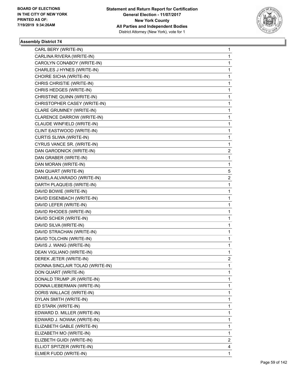

| CARL BERY (WRITE-IN)             | 1              |
|----------------------------------|----------------|
| CARLINA RIVERA (WRITE-IN)        | $\mathbf{1}$   |
| CAROLYN CONABOY (WRITE-IN)       | 1              |
| CHARLES J HYNES (WRITE-IN)       | $\mathbf{1}$   |
| CHOIRE SICHA (WRITE-IN)          | 1              |
| CHRIS CHRISTIE (WRITE-IN)        | 1              |
| CHRIS HEDGES (WRITE-IN)          | $\mathbf{1}$   |
| CHRISTINE QUINN (WRITE-IN)       | 1              |
| CHRISTOPHER CASEY (WRITE-IN)     | 1              |
| CLARE GRUMNEY (WRITE-IN)         | $\mathbf{1}$   |
| CLARENCE DARROW (WRITE-IN)       | 1              |
| CLAUDE WINFIELD (WRITE-IN)       | 1              |
| CLINT EASTWOOD (WRITE-IN)        | $\mathbf{1}$   |
| CURTIS SLIWA (WRITE-IN)          | $\mathbf{1}$   |
| CYRUS VANCE SR. (WRITE-IN)       | 1              |
| DAN GARODNICK (WRITE-IN)         | $\overline{2}$ |
| DAN GRABER (WRITE-IN)            | 1              |
| DAN MORAN (WRITE-IN)             | 1              |
| DAN QUART (WRITE-IN)             | 5              |
| DANIELA ALVARADO (WRITE-IN)      | 2              |
| DARTH PLAQUEIS (WRITE-IN)        | 1              |
| DAVID BOWIE (WRITE-IN)           | $\mathbf{1}$   |
| DAVID EISENBACH (WRITE-IN)       | 1              |
| DAVID LEFER (WRITE-IN)           | 1              |
| DAVID RHODES (WRITE-IN)          | $\mathbf{1}$   |
| DAVID SCHER (WRITE-IN)           | 1              |
| DAVID SILVA (WRITE-IN)           | 1              |
| DAVID STRACHAN (WRITE-IN)        | $\mathbf{1}$   |
| DAVID TOLCHIN (WRITE-IN)         | 1              |
| DAVIS J. WANG (WRITE-IN)         | 1              |
| DEAN VIGLIANO (WRITE-IN)         | $\mathbf{1}$   |
| DEREK JETER (WRITE-IN)           | 2              |
| DIONNA SINCLAIR TOLAD (WRITE-IN) | 1              |
| DON QUART (WRITE-IN)             | $\mathbf{1}$   |
| DONALD TRUMP JR (WRITE-IN)       | $\mathbf{1}$   |
| DONNA LIEBERMAN (WRITE-IN)       | 1              |
| DORIS WALLACE (WRITE-IN)         | $\mathbf{1}$   |
| DYLAN SMITH (WRITE-IN)           | 1              |
| ED STARK (WRITE-IN)              | 1              |
| EDWARD D. MILLER (WRITE-IN)      | $\mathbf{1}$   |
| EDWARD J. NOWAK (WRITE-IN)       | $\mathbf{1}$   |
| ELIZABETH GABLE (WRITE-IN)       | 1              |
| ELIZABETH MO (WRITE-IN)          | 1              |
| ELIZBETH GUIDI (WRITE-IN)        | 2              |
| ELLIOT SPITZER (WRITE-IN)        | 4              |
| ELMER FUDD (WRITE-IN)            | $\mathbf{1}$   |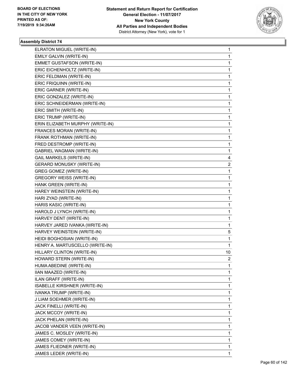

| ELRATON MIGUEL (WRITE-IN)        | $\mathbf{1}$   |
|----------------------------------|----------------|
| EMILY GALVIN (WRITE-IN)          | 1              |
| EMMET GUSTAFSON (WRITE-IN)       | 1              |
| ERIC EICHENHOLTZ (WRITE-IN)      | 1              |
| ERIC FELDMAN (WRITE-IN)          | 1              |
| ERIC FRIQUINN (WRITE-IN)         | 1              |
| ERIC GARNER (WRITE-IN)           | 1              |
| ERIC GONZALEZ (WRITE-IN)         | 1              |
| ERIC SCHNEIDERMAN (WRITE-IN)     | 1              |
| ERIC SMITH (WRITE-IN)            | 1              |
| ERIC TRUMP (WRITE-IN)            | 1              |
| ERIN ELIZABETH MURPHY (WRITE-IN) | 1              |
| FRANCES MORAN (WRITE-IN)         | 1              |
| FRANK ROTHMAN (WRITE-IN)         | 1              |
| FRED DESTROMP (WRITE-IN)         | 1              |
| <b>GABRIEL WAGMAN (WRITE-IN)</b> | 1              |
| <b>GAIL MARKELS (WRITE-IN)</b>   | 4              |
| <b>GERARD MONUSKY (WRITE-IN)</b> | 2              |
| <b>GREG GOMEZ (WRITE-IN)</b>     | 1              |
| <b>GREGORY WEISS (WRITE-IN)</b>  | 1              |
| HANK GREEN (WRITE-IN)            | 1              |
| HAREY WEINSTEIN (WRITE-IN)       | 1              |
| HARI ZYAD (WRITE-IN)             | 1              |
| HARIS KASIC (WRITE-IN)           | 1              |
| HAROLD J LYNCH (WRITE-IN)        | 1              |
| HARVEY DENT (WRITE-IN)           | 1              |
| HARVEY JARED IVANKA (WRITE-IN)   | 1              |
| HARVEY WEINSTEIN (WRITE-IN)      | 5              |
| HEIDI BOGHOSIAN (WRITE-IN)       | 1              |
| HENRY A. MARTUSCELLO (WRITE-IN)  | 1              |
| HILLARY CLINTON (WRITE-IN)       | 10             |
| HOWARD STERN (WRITE-IN)          | $\overline{c}$ |
| HUMA ABEDINE (WRITE-IN)          | 1              |
| IIAN MAAZED (WRITE-IN)           | 1              |
| ILAN GRAFF (WRITE-IN)            | 1              |
| ISABELLE KIRSHNER (WRITE-IN)     | 1              |
| IVANKA TRUMP (WRITE-IN)          | 1              |
| J LIAM SOEHMER (WRITE-IN)        | 1              |
| JACK FINELLI (WRITE-IN)          | 1              |
| JACK MCCOY (WRITE-IN)            | 1              |
| JACK PHELAN (WRITE-IN)           | 1              |
| JACOB VANDER VEEN (WRITE-IN)     | 1              |
| JAMES C. MOSLEY (WRITE-IN)       | 1              |
| JAMES COMEY (WRITE-IN)           | 1              |
| JAMES FLIEDNER (WRITE-IN)        | 1              |
| JAMES LEDER (WRITE-IN)           | 1              |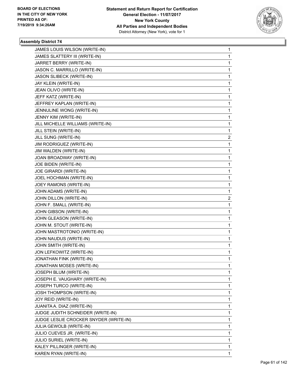

| JAMES LOUIS WILSON (WRITE-IN)          | 1            |
|----------------------------------------|--------------|
| JAMES SLATTERY III (WRITE-IN)          | 1            |
| JARRET BERRY (WRITE-IN)                | 1            |
| JASON C. MARRILLO (WRITE-IN)           | 1            |
| JASON SLIBECK (WRITE-IN)               | 1            |
| JAY KLEIN (WRITE-IN)                   | 1            |
| JEAN OLIVO (WRITE-IN)                  | 1            |
| JEFF KATZ (WRITE-IN)                   | 1            |
| JEFFREY KAPLAN (WRITE-IN)              | 1            |
| JENNULINE WONG (WRITE-IN)              | 1            |
| JENNY KIM (WRITE-IN)                   | 1            |
| JILL MICHELLE WILLIAMS (WRITE-IN)      | 1            |
| JILL STEIN (WRITE-IN)                  | 1            |
| JILL SUNG (WRITE-IN)                   | 2            |
| JIM RODRIGUEZ (WRITE-IN)               | 1            |
| JIM WALDEN (WRITE-IN)                  | 1            |
| JOAN BROADWAY (WRITE-IN)               | 1            |
| JOE BIDEN (WRITE-IN)                   | 1            |
| JOE GIRARDI (WRITE-IN)                 | 1            |
| JOEL HOCHMAN (WRITE-IN)                | $\mathbf{1}$ |
| JOEY RAMONS (WRITE-IN)                 | 1            |
| JOHN ADAMS (WRITE-IN)                  | 1            |
| JOHN DILLON (WRITE-IN)                 | 2            |
| JOHN F. SMALL (WRITE-IN)               | 1            |
| JOHN GIBSON (WRITE-IN)                 | 1            |
| JOHN GLEASON (WRITE-IN)                | 1            |
| JOHN M. STOUT (WRITE-IN)               | 1            |
| JOHN MASTROTONIO (WRITE-IN)            | 1            |
| JOHN NAUDUS (WRITE-IN)                 | 1            |
| JOHN SMITH (WRITE-IN)                  | 1            |
| JON LEFKOWITZ (WRITE-IN)               | 1            |
| JONATHAN FINK (WRITE-IN)               | 1            |
| JONATHAN MOSES (WRITE-IN)              | 1            |
| JOSEPH BLUM (WRITE-IN)                 | 1.           |
| JOSEPH E. VAUGHARY (WRITE-IN)          | 1            |
| <b>JOSEPH TURCO (WRITE-IN)</b>         | 1            |
| <b>JOSH THOMPSON (WRITE-IN)</b>        | 1            |
| JOY REID (WRITE-IN)                    | 1            |
| JUANITA A. DIAZ (WRITE-IN)             | 1            |
| JUDGE JUDITH SCHNEIDER (WRITE-IN)      | 1            |
| JUDGE LESLIE CROCKER SNYDER (WRITE-IN) | 1            |
| <b>JULIA GEWOLB (WRITE-IN)</b>         | 1            |
| JULIO CUEVES JR. (WRITE-IN)            | 1            |
| <b>JULIO SURIEL (WRITE-IN)</b>         | 1            |
| KALEY PILLINGER (WRITE-IN)             | $\mathbf{1}$ |
| KAREN RYAN (WRITE-IN)                  | 1            |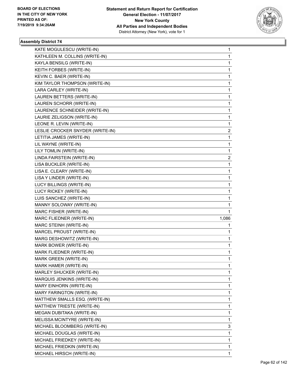

| KATE MOGULESCU (WRITE-IN)        | $\mathbf 1$  |
|----------------------------------|--------------|
| KATHLEEN M. COLLINS (WRITE-IN)   | 1            |
| KAYLA BENSILG (WRITE-IN)         | $\mathbf{1}$ |
| KEITH FORBES (WRITE-IN)          | 1            |
| KEVIN C. BAER (WRITE-IN)         | 1            |
| KIM TAYLOR THOMPSON (WRITE-IN)   | 1            |
| LARA CARLEY (WRITE-IN)           | 1            |
| LAUREN BETTERS (WRITE-IN)        | 1            |
| LAUREN SCHORR (WRITE-IN)         | $\mathbf 1$  |
| LAURENCE SCHNEIDER (WRITE-IN)    | 1            |
| LAURIE ZELIGSON (WRITE-IN)       | 1            |
| LEONE R. LEVIN (WRITE-IN)        | 1            |
| LESLIE CROCKER SNYDER (WRITE-IN) | 2            |
| LETITIA JAMES (WRITE-IN)         | 1            |
| LIL WAYNE (WRITE-IN)             | $\mathbf 1$  |
| LILY TOMLIN (WRITE-IN)           | 1            |
| LINDA FAIRSTEIN (WRITE-IN)       | 2            |
| LISA BUCKLER (WRITE-IN)          | 1            |
| LISA E. CLEARY (WRITE-IN)        | 1            |
| LISA Y LINDER (WRITE-IN)         | 1            |
| LUCY BILLINGS (WRITE-IN)         | $\mathbf 1$  |
| LUCY RICKEY (WRITE-IN)           | 1            |
| LUIS SANCHEZ (WRITE-IN)          | 1            |
| MANNY SOLOWAY (WRITE-IN)         | 1            |
| MARC FISHER (WRITE-IN)           | 1            |
| MARC FLIEDNER (WRITE-IN)         | 1,086        |
| MARC STEINH (WRITE-IN)           | $\mathbf{1}$ |
| MARCEL PROUST (WRITE-IN)         | 1            |
| MARG DESHOWITZ (WRITE-IN)        | 1            |
| MARK BOWER (WRITE-IN)            | $\mathbf{1}$ |
| MARK FLIEDNER (WRITE-IN)         | 1            |
| <b>MARK GREEN (WRITE-IN)</b>     | 1            |
| MARK HAMER (WRITE-IN)            | 1            |
| MARLEY SHUCKER (WRITE-IN)        | 1            |
| MARQUIS JENKINS (WRITE-IN)       | 1            |
| MARY EINHORN (WRITE-IN)          | 1            |
| MARY FARINGTON (WRITE-IN)        | 1            |
| MATTHEW SMALLS ESQ. (WRITE-IN)   | 1            |
| MATTHEW TRIESTE (WRITE-IN)       | 1            |
| MEGAN DUBITAKA (WRITE-IN)        | 1            |
| MELISSA MCINTYRE (WRITE-IN)      | 1            |
| MICHAEL BLOOMBERG (WRITE-IN)     | 3            |
| MICHAEL DOUGLAS (WRITE-IN)       | 1            |
| MICHAEL FRIEDKEY (WRITE-IN)      | 1            |
| MICHAEL FRIEDKIN (WRITE-IN)      | 1            |
| MICHAEL HIRSCH (WRITE-IN)        | 1            |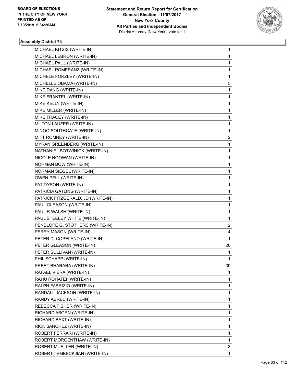

| MICHAEL KITSIS (WRITE-IN)         | 1  |
|-----------------------------------|----|
| MICHAEL LEBRON (WRITE-IN)         | 1  |
| MICHAEL PAUL (WRITE-IN)           | 1  |
| MICHAEL POMERANZ (WRITE-IN)       | 1  |
| MICHELE FORZLEY (WRITE-IN)        | 1  |
| MICHELLE OBAMA (WRITE-IN)         | 5  |
| MIKE DANG (WRITE-IN)              | 1  |
| MIKE FRANTEL (WRITE-IN)           | 1  |
| MIKE KELLY (WRITE-IN)             | 1  |
| MIKE MILLER (WRITE-IN)            | 1  |
| MIKE TRACEY (WRITE-IN)            | 1  |
| MILTON LAUFER (WRITE-IN)          | 1  |
| MINOO SOUTHGATE (WRITE-IN)        | 1  |
| MITT ROMNEY (WRITE-IN)            | 2  |
| MYRAN GREENBERG (WRITE-IN)        | 1  |
| NATHANIEL BOTWINICK (WRITE-IN)    | 1  |
| NICOLE NOOWAN (WRITE-IN)          | 1  |
| <b>NORMAN BOW (WRITE-IN)</b>      | 1  |
| <b>NORMAN SIEGEL (WRITE-IN)</b>   | 1  |
| OWEN PELL (WRITE-IN)              | 1  |
| PAT DYSON (WRITE-IN)              | 1  |
| PATRICIA GATLING (WRITE-IN)       | 1  |
| PATRICK FITZGERALD, JD (WRITE-IN) | 1  |
| PAUL GLEASON (WRITE-IN)           | 1  |
| PAUL R WALSH (WRITE-IN)           | 1  |
| PAUL STEELEY WHITE (WRITE-IN)     | 1  |
| PENELOPE G. STOTHERS (WRITE-IN)   | 2  |
| PERRY MASON (WRITE-IN)            | 4  |
| PETER D. COPELAND (WRITE-IN)      | 1  |
| PETER GLEASON (WRITE-IN)          | 20 |
| PETER SULLIVAN (WRITE-IN)         | 1  |
| PHIL SCHAPP (WRITE-IN)            | 1  |
| PREET BHARARA (WRITE-IN)          | 39 |
| RAFAEL VIERA (WRITE-IN)           | 1  |
| RAHU ROHATEI (WRITE-IN)           | 1  |
| RALPH FABRIZIO (WRITE-IN)         | 1  |
| RANDALL JACKSON (WRITE-IN)        | 1  |
| RANDY ABREU (WRITE-IN)            | 1  |
| REBECCA FISHER (WRITE-IN)         | 1  |
| RICHARD ABORN (WRITE-IN)          | 1  |
| RICHARD BAXT (WRITE-IN)           | 1  |
| RICK SANCHEZ (WRITE-IN)           | 1  |
| ROBERT FERRARI (WRITE-IN)         | 1  |
| ROBERT MORGENTHAW (WRITE-IN)      | 1  |
| ROBERT MUELLER (WRITE-IN)         | 3  |
| ROBERT TEMBECKJIAN (WRITE-IN)     | 1  |
|                                   |    |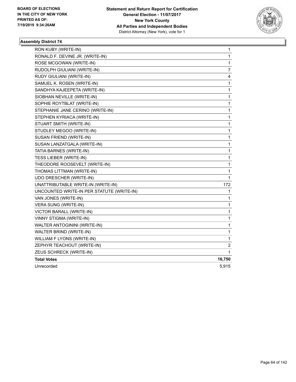

| RON KUBY (WRITE-IN)                       | 1              |
|-------------------------------------------|----------------|
| RONALD F. DEVINE JR. (WRITE-IN)           | 1              |
| ROSE MCGOWAN (WRITE-IN)                   | 1              |
| RUDOLPH GIULIANI (WRITE-IN)               | 7              |
| RUDY GIULIANI (WRITE-IN)                  | 4              |
| SAMUEL K. ROSEN (WRITE-IN)                | 1              |
| SANDHYA KAJEEPETA (WRITE-IN)              | 1              |
| SIOBHAN NEVILLE (WRITE-IN)                | 1              |
| SOPHIE ROYTBLAT (WRITE-IN)                | 1              |
| STEPHANIE JANE CERINO (WRITE-IN)          | 1              |
| STEPHEN KYRIACA (WRITE-IN)                | 1              |
| STUART SMITH (WRITE-IN)                   | $\mathbf 1$    |
| STUDLEY MEGOO (WRITE-IN)                  | 1              |
| SUSAN FRIEND (WRITE-IN)                   | 1              |
| SUSAN LANZATGALA (WRITE-IN)               | 1              |
| <b>TATIA BARNES (WRITE-IN)</b>            | 1              |
| <b>TESS LIEBER (WRITE-IN)</b>             | 1              |
| THEODORE ROOSEVELT (WRITE-IN)             | 1              |
| THOMAS LITTMAN (WRITE-IN)                 | 1              |
| UDO DRESCHER (WRITE-IN)                   | 1              |
| UNATTRIBUTABLE WRITE-IN (WRITE-IN)        | 172            |
| UNCOUNTED WRITE-IN PER STATUTE (WRITE-IN) | 1              |
| VAN JONES (WRITE-IN)                      | 1              |
| <b>VERA SUNG (WRITE-IN)</b>               | 1              |
| VICTOR BARALL (WRITE-IN)                  | 1              |
| VINNY STIGMA (WRITE-IN)                   | 1              |
| WALTER ANTOGININI (WRITE-IN)              | 1              |
| WALTER BRIND (WRITE-IN)                   | 1              |
| WILLIAM F LYONS (WRITE-IN)                | 1              |
| ZEPHYR TEACHOUT (WRITE-IN)                | $\overline{c}$ |
| ZEUS SCHRECK (WRITE-IN)                   | 1              |
| <b>Total Votes</b>                        | 16,750         |
| Unrecorded                                | 5,915          |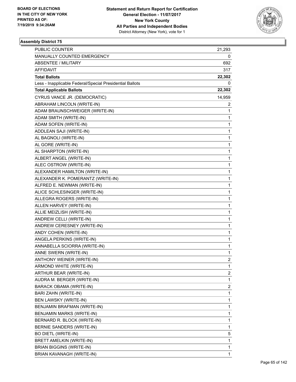

| PUBLIC COUNTER                                           | 21,293         |
|----------------------------------------------------------|----------------|
| MANUALLY COUNTED EMERGENCY                               | 0              |
| <b>ABSENTEE / MILITARY</b>                               | 692            |
| AFFIDAVIT                                                | 317            |
| <b>Total Ballots</b>                                     | 22,302         |
| Less - Inapplicable Federal/Special Presidential Ballots | 0              |
| <b>Total Applicable Ballots</b>                          | 22,302         |
| CYRUS VANCE JR. (DEMOCRATIC)                             | 14,959         |
| ABRAHAM LINCOLN (WRITE-IN)                               | 2              |
| ADAM BRAUNSCHWEIGER (WRITE-IN)                           | 1              |
| ADAM SMITH (WRITE-IN)                                    | 1              |
| ADAM SOFEN (WRITE-IN)                                    | 1              |
| ADDLEAN SAJI (WRITE-IN)                                  | 1              |
| AL BAGNOLI (WRITE-IN)                                    | 1              |
| AL GORE (WRITE-IN)                                       | 1              |
| AL SHARPTON (WRITE-IN)                                   | 1              |
| ALBERT ANGEL (WRITE-IN)                                  | 1              |
| ALEC OSTROW (WRITE-IN)                                   | 1              |
| ALEXANDER HAMILTON (WRITE-IN)                            | 1              |
| ALEXANDER K. POMERANTZ (WRITE-IN)                        | 1              |
| ALFRED E. NEWMAN (WRITE-IN)                              | 1              |
| ALICE SCHLESINGER (WRITE-IN)                             | 1              |
| ALLEGRA ROGERS (WRITE-IN)                                | 1              |
| ALLEN HARVEY (WRITE-IN)                                  | 1              |
| ALLIE MEIZLISH (WRITE-IN)                                | 1              |
| ANDREW CELLI (WRITE-IN)                                  | 1              |
| ANDREW CERESNEY (WRITE-IN)                               | 1              |
| ANDY COHEN (WRITE-IN)                                    | 1              |
| ANGELA PERKINS (WRITE-IN)                                | 1              |
| ANNABELLA SCIORRA (WRITE-IN)                             | 1              |
| ANNE SWERN (WRITE-IN)                                    | 1              |
| ANTHONY WEINER (WRITE-IN)                                | $\overline{2}$ |
| ARMOND WHITE (WRITE-IN)                                  | 1              |
| ARTHUR BEAR (WRITE-IN)                                   | 2              |
| AUDRA M. BERGER (WRITE-IN)                               | 1              |
| BARACK OBAMA (WRITE-IN)                                  | 2              |
| BARI ZAHN (WRITE-IN)                                     | 1              |
| BEN LAWSKY (WRITE-IN)                                    | 1              |
| BENJAMIN BRAFMAN (WRITE-IN)                              | 1              |
| BENJAMIN MARKS (WRITE-IN)                                | 1              |
| BERNARD R. BLOCK (WRITE-IN)                              | 1              |
| BERNIE SANDERS (WRITE-IN)                                | 1              |
| BO DIETL (WRITE-IN)                                      | 5              |
| BRETT AMELKIN (WRITE-IN)                                 | 1              |
| <b>BRIAN BIGGINS (WRITE-IN)</b>                          | 1              |
| BRIAN KAVANAGH (WRITE-IN)                                | 1              |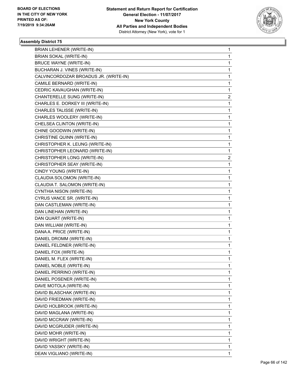

| <b>BRIAN LEHENER (WRITE-IN)</b>       | 1           |
|---------------------------------------|-------------|
| <b>BRIAN SOKAL (WRITE-IN)</b>         | 1           |
| <b>BRUCE WAYNE (WRITE-IN)</b>         | 1           |
| BUCHARAN J. VINES (WRITE-IN)          | 1           |
| CALVINCORDOZAR BROADUS JR. (WRITE-IN) | 1           |
| CAMILE BERNARD (WRITE-IN)             | 1           |
| CEDRIC KAVAUGHAN (WRITE-IN)           | 1           |
| CHANTERELLE SUNG (WRITE-IN)           | 2           |
| CHARLES E. DORKEY III (WRITE-IN)      | 1           |
| CHARLES TALISSE (WRITE-IN)            | 1           |
| CHARLES WOOLERY (WRITE-IN)            | 1           |
| CHELSEA CLINTON (WRITE-IN)            | 1           |
| CHINE GOODWIN (WRITE-IN)              | 1           |
| CHRISTINE QUINN (WRITE-IN)            | 1           |
| CHRISTOPHER K. LEUNG (WRITE-IN)       | $\mathbf 1$ |
| CHRISTOPHER LEONARD (WRITE-IN)        | 1           |
| CHRISTOPHER LONG (WRITE-IN)           | 2           |
| CHRISTOPHER SEAY (WRITE-IN)           | 1           |
| CINDY YOUNG (WRITE-IN)                | 1           |
| CLAUDIA SOLOMON (WRITE-IN)            | 1           |
| CLAUDIA T. SALOMON (WRITE-IN)         | 1           |
| CYNTHIA NISON (WRITE-IN)              | 1           |
| CYRUS VANCE SR. (WRITE-IN)            | 1           |
| DAN CASTLEMAN (WRITE-IN)              | 1           |
| DAN LINEHAN (WRITE-IN)                | 1           |
| DAN QUART (WRITE-IN)                  | 1           |
| DAN WILLIAM (WRITE-IN)                | 1           |
| DANA A. PRICE (WRITE-IN)              | 1           |
| DANIEL DROMM (WRITE-IN)               | 1           |
| DANIEL FELDNER (WRITE-IN)             | 1           |
| DANIEL FOX (WRITE-IN)                 | 1           |
| DANIEL M. FLEX (WRITE-IN)             | 1           |
| DANIEL NOBLE (WRITE-IN)               | 1           |
| DANIEL PERRINO (WRITE-IN)             | 1           |
| DANIEL POSENER (WRITE-IN)             | 1           |
| DAVE MOTOLA (WRITE-IN)                | 1           |
| DAVID BLASCHAK (WRITE-IN)             | 1           |
| DAVID FRIEDMAN (WRITE-IN)             | 1           |
| DAVID HOLBROOK (WRITE-IN)             | 1           |
| DAVID MAGLANA (WRITE-IN)              | 1           |
| DAVID MCCRAW (WRITE-IN)               | 1           |
| DAVID MCGRUDER (WRITE-IN)             | 1           |
| DAVID MOHR (WRITE-IN)                 | 1           |
| DAVID WRIGHT (WRITE-IN)               | 1           |
| DAVID YASSKY (WRITE-IN)               | 1           |
| DEAN VIGLIANO (WRITE-IN)              | 1           |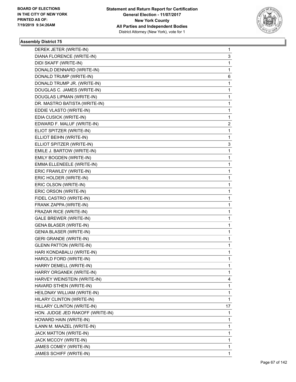

| DEREK JETER (WRITE-IN)           | $\mathbf{1}$ |
|----------------------------------|--------------|
| DIANA FLORENCE (WRITE-IN)        | 3            |
| DIDI SKAFF (WRITE-IN)            | 1            |
| DONALD DENNARD (WRITE-IN)        | 1            |
| DONALD TRUMP (WRITE-IN)          | 6            |
| DONALD TRUMP JR. (WRITE-IN)      | $\mathbf{1}$ |
| DOUGLAS C. JAMES (WRITE-IN)      | $\mathbf{1}$ |
| DOUGLAS LIPMAN (WRITE-IN)        | $\mathbf{1}$ |
| DR. MASTRO BATISTA (WRITE-IN)    | $\mathbf{1}$ |
| EDDIE VLASTO (WRITE-IN)          | 1            |
| EDIA CUSICK (WRITE-IN)           | 1            |
| EDWARD F. MALUF (WRITE-IN)       | 2            |
| ELIOT SPITZER (WRITE-IN)         | 1            |
| ELLIOT BEIHN (WRITE-IN)          | 1            |
| ELLIOT SPITZER (WRITE-IN)        | 3            |
| EMILE J. BARTOW (WRITE-IN)       | 1            |
| EMILY BOGDEN (WRITE-IN)          | 1            |
| EMMA ELLENEELE (WRITE-IN)        | 1            |
| ERIC FRAWLEY (WRITE-IN)          | 1            |
| ERIC HOLDER (WRITE-IN)           | $\mathbf{1}$ |
| ERIC OLSON (WRITE-IN)            | $\mathbf{1}$ |
| ERIC ORSON (WRITE-IN)            | 1            |
| FIDEL CASTRO (WRITE-IN)          | 1            |
| FRANK ZAPPA (WRITE-IN)           | 1            |
| FRAZAR RICE (WRITE-IN)           | 1            |
| <b>GALE BREWER (WRITE-IN)</b>    | $\mathbf 1$  |
| <b>GENA BLASER (WRITE-IN)</b>    | 1            |
| <b>GENIA BLASER (WRITE-IN)</b>   | 1            |
| <b>GERI GRANDE (WRITE-IN)</b>    | 1            |
| <b>GLENN PATTON (WRITE-IN)</b>   | $\mathbf{1}$ |
| HARI KONDABALU (WRITE-IN)        | $\mathbf 1$  |
| HAROLD FORD (WRITE-IN)           | $\mathbf{1}$ |
| HARRY DEMELL (WRITE-IN)          | 1            |
| HARRY ORGANEK (WRITE-IN)         | 1            |
| HARVEY WEINSTEIN (WRITE-IN)      | 4            |
| HAVARD STHEN (WRITE-IN)          | $\mathbf 1$  |
| HEILDNAY WILLIAM (WRITE-IN)      | 1            |
| HILARY CLINTON (WRITE-IN)        | 1            |
| HILLARY CLINTON (WRITE-IN)       | 17           |
| HON. JUDGE JED RAKOFF (WRITE-IN) | 1            |
| HOWARD HAIN (WRITE-IN)           | 1            |
| ILANN M. MAAZEL (WRITE-IN)       | 1            |
| JACK MATTON (WRITE-IN)           | 1            |
| JACK MCCOY (WRITE-IN)            | 1            |
| JAMES COMEY (WRITE-IN)           | $\mathbf{1}$ |
| JAMES SCHIFF (WRITE-IN)          | 1            |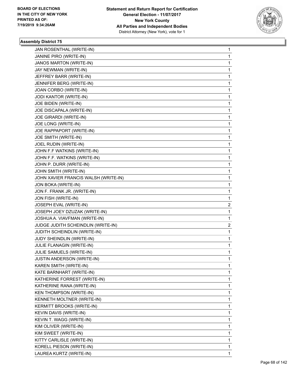

| JAN ROSENTHAL (WRITE-IN)             | 1            |
|--------------------------------------|--------------|
| JANINE PIRO (WRITE-IN)               | $\mathbf 1$  |
| JANOS MARTON (WRITE-IN)              | 1            |
| JAY NEWMAN (WRITE-IN)                | 1            |
| JEFFREY BARR (WRITE-IN)              | 1            |
| JENNIFER BERG (WRITE-IN)             | 1            |
| JOAN CORBO (WRITE-IN)                | 1            |
| JODI KANTOR (WRITE-IN)               | 1            |
| JOE BIDEN (WRITE-IN)                 | 1            |
| JOE DISCAPALA (WRITE-IN)             | 1            |
| JOE GIRARDI (WRITE-IN)               | 1            |
| JOE LONG (WRITE-IN)                  | 1            |
| JOE RAPPAPORT (WRITE-IN)             | 1            |
| JOE SMITH (WRITE-IN)                 | 1            |
| JOEL RUDIN (WRITE-IN)                | 1            |
| JOHN F.F WATKINS (WRITE-IN)          | 1            |
| JOHN F.F. WATKINS (WRITE-IN)         | 1            |
| JOHN P. DURR (WRITE-IN)              | 1            |
| JOHN SMITH (WRITE-IN)                | 1            |
| JOHN XAVIER FRANCIS WALSH (WRITE-IN) | 1            |
| JON BOKA (WRITE-IN)                  | 1            |
| JON F. FRANK JR. (WRITE-IN)          | 1            |
| JON FISH (WRITE-IN)                  | 1            |
| JOSEPH EVAL (WRITE-IN)               | 2            |
| JOSEPH JOEY DZUZAK (WRITE-IN)        | 1            |
| JOSHUA A. VIAVFMAN (WRITE-IN)        | 1            |
| JUDGE JUDITH SCHEINDLIN (WRITE-IN)   | 2            |
| JUDITH SCHEINDLIN (WRITE-IN)         | 1            |
| JUDY SHEINDLIN (WRITE-IN)            | 1            |
| JULIE FLANAGIN (WRITE-IN)            | 1            |
| JULIE SAMUELS (WRITE-IN)             | 1            |
| JUSTIN ANDERSON (WRITE-IN)           | $\mathbf{1}$ |
| KAREN SMITH (WRITE-IN)               | 1            |
| KATE BARNHART (WRITE-IN)             | 1            |
| KATHERINE FORREST (WRITE-IN)         | 1            |
| KATHERINE RANA (WRITE-IN)            | 1            |
| <b>KEN THOMPSON (WRITE-IN)</b>       | 1            |
| KENNETH MOLTNER (WRITE-IN)           | 1            |
| KERMITT BROOKS (WRITE-IN)            | 1            |
| KEVIN DAVIS (WRITE-IN)               | 1            |
| KEVIN T. WAGG (WRITE-IN)             | 1            |
| KIM OLIVER (WRITE-IN)                | 1            |
| KIM SWEET (WRITE-IN)                 | 1            |
| KITTY CARLISLE (WRITE-IN)            | 1            |
| KORELL PIESON (WRITE-IN)             | 1            |
| LAUREA KURTZ (WRITE-IN)              | 1            |
|                                      |              |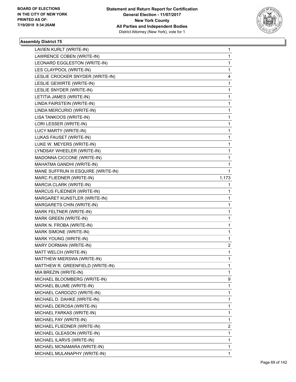

| LAVIEN KURLT (WRITE-IN)             | 1                       |
|-------------------------------------|-------------------------|
| LAWRENCE COBEN (WRITE-IN)           | $\mathbf{1}$            |
| LEONARD EGGLESTON (WRITE-IN)        | 1                       |
| LES CLAYPOOL (WRITE-IN)             | $\mathbf{1}$            |
| LESLIE CROCKER SNYDER (WRITE-IN)    | 4                       |
| LESLIE GEWIRTE (WRITE-IN)           | 1                       |
| LESLIE SNYDER (WRITE-IN)            | $\mathbf{1}$            |
| LETITIA JAMES (WRITE-IN)            | 1                       |
| LINDA FAIRSTEIN (WRITE-IN)          | 1                       |
| LINDA MERCURIO (WRITE-IN)           | $\mathbf{1}$            |
| LISA TANKOOS (WRITE-IN)             | 1                       |
| LORI LESSER (WRITE-IN)              | 1                       |
| LUCY MARTY (WRITE-IN)               | $\mathbf{1}$            |
| LUKAS FAUSET (WRITE-IN)             | 1                       |
| LUKE W. MEYERS (WRITE-IN)           | 1                       |
| LYNDSAY WHEELER (WRITE-IN)          | $\mathbf{1}$            |
| MADONNA CICCONE (WRITE-IN)          | 1                       |
| MAHATMA GANDHI (WRITE-IN)           | 1                       |
| MANE SUFFRUN III ESQUIRE (WRITE-IN) | 1                       |
| MARC FLIEDNER (WRITE-IN)            | 1,173                   |
| MARCIA CLARK (WRITE-IN)             | 1                       |
| MARCUS FLIEDNER (WRITE-IN)          | $\mathbf{1}$            |
| MARGARET KUNSTLER (WRITE-IN)        | 1                       |
| MARGARETS CHIN (WRITE-IN)           | 1                       |
| MARK FELTNER (WRITE-IN)             | $\mathbf{1}$            |
| MARK GREEN (WRITE-IN)               | 1                       |
| MARK N. FROBA (WRITE-IN)            | 1                       |
| MARK SIMONE (WRITE-IN)              | $\mathbf{1}$            |
| MARK YOUNG (WRITE-IN)               | 1                       |
| MARY DORMAN (WRITE-IN)              | 2                       |
| MATT WELCH (WRITE-IN)               | $\mathbf{1}$            |
| MATTHEW MIERSWA (WRITE-IN)          | 1                       |
| MATTHEW R. GREENFIELD (WRITE-IN)    | 1                       |
| MIA BREZIN (WRITE-IN)               | $\mathbf 1$             |
| MICHAEL BLOOMBERG (WRITE-IN)        | 9                       |
| MICHAEL BLUME (WRITE-IN)            | 1                       |
| MICHAEL CARDOZO (WRITE-IN)          | $\mathbf{1}$            |
| MICHAEL D. DAHKE (WRITE-IN)         | 1                       |
| MICHAEL DEROSA (WRITE-IN)           | 1                       |
| MICHAEL FARKAS (WRITE-IN)           | $\mathbf{1}$            |
| MICHAEL FAY (WRITE-IN)              | $\mathbf{1}$            |
| MICHAEL FLIEDNER (WRITE-IN)         | $\overline{\mathbf{c}}$ |
| MICHAEL GLEASON (WRITE-IN)          | $\mathbf{1}$            |
| MICHAEL ILARVS (WRITE-IN)           | 1                       |
| MICHAEL MCNAMARA (WRITE-IN)         | 1                       |
| MICHAEL MULANAPHY (WRITE-IN)        | 1                       |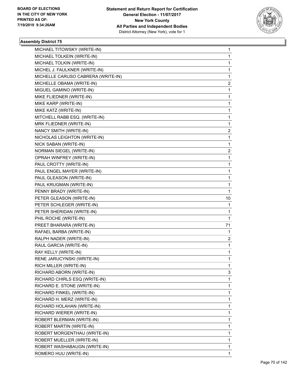

| MICHAEL TITOWSKY (WRITE-IN)        | 1              |
|------------------------------------|----------------|
| MICHAEL TOLKEIN (WRITE-IN)         | $\mathbf{1}$   |
| MICHAEL TOLKIN (WRITE-IN)          | 1              |
| MICHEL J. FAULKNER (WRITE-IN)      | $\mathbf{1}$   |
| MICHELLE CARUSO CABRERA (WRITE-IN) | 1              |
| MICHELLE OBAMA (WRITE-IN)          | 2              |
| MIGUEL GAMINO (WRITE-IN)           | $\mathbf{1}$   |
| MIKE FLIEDNER (WRITE-IN)           | 1              |
| MIKE KARP (WRITE-IN)               | 1              |
| MIKE KATZ (WRITE-IN)               | $\mathbf{1}$   |
| MITCHELL RABB ESQ. (WRITE-IN)      | 1              |
| MRK FLIEDNER (WRITE-IN)            | 1              |
| NANCY SMITH (WRITE-IN)             | $\overline{2}$ |
| NICHOLAS LEIGHTON (WRITE-IN)       | 1              |
| NICK SABAN (WRITE-IN)              | 1              |
| NORMAN SIEGEL (WRITE-IN)           | $\overline{2}$ |
| OPRAH WINFREY (WRITE-IN)           | 1              |
| PAUL CROTTY (WRITE-IN)             | 1              |
| PAUL ENGEL MAYER (WRITE-IN)        | $\mathbf{1}$   |
| PAUL GLEASON (WRITE-IN)            | 1              |
| PAUL KRUGMAN (WRITE-IN)            | 1              |
| PENNY BRADY (WRITE-IN)             | $\mathbf 1$    |
| PETER GLEASON (WRITE-IN)           | 10             |
| PETER SCHLEGER (WRITE-IN)          | 1              |
| PETER SHERIDAN (WRITE-IN)          | 1              |
| PHIL ROCHE (WRITE-IN)              | 1              |
| PREET BHARARA (WRITE-IN)           | 71             |
| RAFAEL BARBA (WRITE-IN)            | 1              |
| RALPH NADER (WRITE-IN)             | 2              |
| RAUL GARCIA (WRITE-IN)             | 1              |
| RAY KELLY (WRITE-IN)               | $\mathbf{1}$   |
| RENE JARUCYNSKI (WRITE-IN)         | 1              |
| RICH MILLER (WRITE-IN)             | 1              |
| RICHARD ABORN (WRITE-IN)           | 3              |
| RICHARD CHIRLS ESQ (WRITE-IN)      | $\mathbf{1}$   |
| RICHARD E. STONE (WRITE-IN)        | 1              |
| RICHARD FINKEL (WRITE-IN)          | $\mathbf{1}$   |
| RICHARD H. MERZ (WRITE-IN)         | 1              |
| RICHARD HOLAHAN (WRITE-IN)         | 1              |
| RICHARD WIERER (WRITE-IN)          | $\mathbf{1}$   |
| ROBERT BLERMAN (WRITE-IN)          | 1              |
| ROBERT MARTIN (WRITE-IN)           | 1              |
| ROBERT MORGENTHAU (WRITE-IN)       | $\mathbf{1}$   |
| ROBERT MUELLER (WRITE-IN)          | 1              |
| ROBERT WASHABAUGN (WRITE-IN)       | 1              |
| ROMERO HUU (WRITE-IN)              | 1              |
|                                    |                |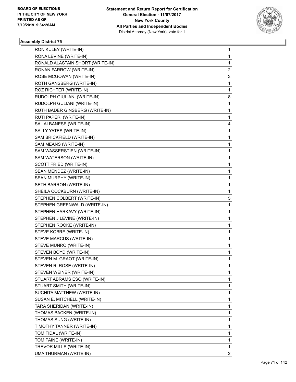

| RON KULEY (WRITE-IN)             | 1 |
|----------------------------------|---|
| RONA LEVINE (WRITE-IN)           | 1 |
| RONALD ALASTAIN SHORT (WRITE-IN) | 1 |
| RONAN FARROW (WRITE-IN)          | 2 |
| ROSE MCGOWAN (WRITE-IN)          | 3 |
| ROTH GANSBERG (WRITE-IN)         | 1 |
| ROZ RICHTER (WRITE-IN)           | 1 |
| RUDOLPH GIULIANI (WRITE-IN)      | 8 |
| RUDOLPH GULIANI (WRITE-IN)       | 1 |
| RUTH BADER GINSBERG (WRITE-IN)   | 1 |
| RUTI PAPERI (WRITE-IN)           | 1 |
| SAL ALBANESE (WRITE-IN)          | 4 |
| SALLY YATES (WRITE-IN)           | 1 |
| SAM BRICKFIELD (WRITE-IN)        | 1 |
| SAM MEANS (WRITE-IN)             | 1 |
| SAM WASSERSTIEN (WRITE-IN)       | 1 |
| SAM WATERSON (WRITE-IN)          | 1 |
| SCOTT FRIED (WRITE-IN)           | 1 |
| SEAN MENDEZ (WRITE-IN)           | 1 |
| SEAN MURPHY (WRITE-IN)           | 1 |
| SETH BARRON (WRITE-IN)           | 1 |
| SHEILA COCKBURN (WRITE-IN)       | 1 |
| STEPHEN COLBERT (WRITE-IN)       | 5 |
| STEPHEN GREENWALD (WRITE-IN)     | 1 |
| STEPHEN HARKAVY (WRITE-IN)       | 1 |
| STEPHEN J LEVINE (WRITE-IN)      | 1 |
| STEPHEN ROOKE (WRITE-IN)         | 1 |
| STEVE KOBRE (WRITE-IN)           | 1 |
| STEVE MARCUS (WRITE-IN)          | 1 |
| STEVE MUNRO (WRITE-IN)           | 1 |
| STEVEN BOYD (WRITE-IN)           | 1 |
| STEVEN M. GRAOT (WRITE-IN)       | 1 |
| STEVEN R. ROSE (WRITE-IN)        | 1 |
| STEVEN WEINER (WRITE-IN)         | 1 |
| STUART ABRAMS ESQ (WRITE-IN)     | 1 |
| STUART SMITH (WRITE-IN)          | 1 |
| SUCHITA MATTHEW (WRITE-IN)       | 1 |
| SUSAN E. MITCHELL (WRITE-IN)     | 1 |
| TARA SHERIDAN (WRITE-IN)         | 1 |
| THOMAS BACKEN (WRITE-IN)         | 1 |
| THOMAS SUNG (WRITE-IN)           | 1 |
| TIMOTHY TANNER (WRITE-IN)        | 1 |
| TOM FIDAL (WRITE-IN)             | 1 |
| TOM PAINE (WRITE-IN)             | 1 |
| TREVOR MILLS (WRITE-IN)          | 1 |
| UMA THURMAN (WRITE-IN)           | 2 |
|                                  |   |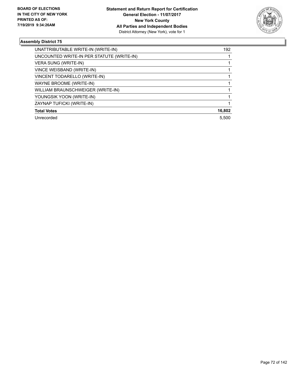

| UNATTRIBUTABLE WRITE-IN (WRITE-IN)        | 192    |
|-------------------------------------------|--------|
| UNCOUNTED WRITE-IN PER STATUTE (WRITE-IN) |        |
| VERA SUNG (WRITE-IN)                      |        |
| VINCE WEISBAND (WRITE-IN)                 |        |
| VINCENT TODARELLO (WRITE-IN)              |        |
| WAYNE BROOME (WRITE-IN)                   |        |
| WILLIAM BRAUNSCHWEIGER (WRITE-IN)         |        |
| YOUNGSIK YOON (WRITE-IN)                  |        |
| ZAYNAP TUFICKI (WRITE-IN)                 |        |
| <b>Total Votes</b>                        | 16,802 |
| Unrecorded                                | 5.500  |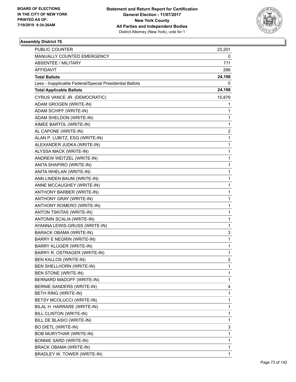

| PUBLIC COUNTER                                           | 23,201 |
|----------------------------------------------------------|--------|
| MANUALLY COUNTED EMERGENCY                               | 0      |
| ABSENTEE / MILITARY                                      | 711    |
| AFFIDAVIT                                                | 286    |
| <b>Total Ballots</b>                                     | 24,198 |
| Less - Inapplicable Federal/Special Presidential Ballots | 0      |
| <b>Total Applicable Ballots</b>                          | 24,198 |
| CYRUS VANCE JR. (DEMOCRATIC)                             | 15,879 |
| ADAM GROGEN (WRITE-IN)                                   | 1      |
| ADAM SCHIFF (WRITE-IN)                                   | 1      |
| ADAM SHELDON (WRITE-IN)                                  | 1      |
| AIMEE BARTOL (WRITE-IN)                                  | 1      |
| AL CAPONE (WRITE-IN)                                     | 2      |
| ALAN P. LUBITZ, ESQ (WRITE-IN)                           | 1      |
| ALEXANDER JUDKA (WRITE-IN)                               | 1      |
| ALYSSA MACK (WRITE-IN)                                   | 1      |
| ANDREW WEITZEL (WRITE-IN)                                | 1      |
| ANITA SHAPIRO (WRITE-IN)                                 | 1      |
| ANITA WHELAN (WRITE-IN)                                  | 1      |
| ANN LINDEN BAUM (WRITE-IN)                               | 1      |
| ANNE MCCAUGHEY (WRITE-IN)                                | 1      |
| ANTHONY BARBER (WRITE-IN)                                | 1      |
| ANTHONY GRAY (WRITE-IN)                                  | 1      |
| ANTHONY ROMERO (WRITE-IN)                                | 1      |
| ANTON TSKITAS (WRITE-IN)                                 | 1      |
| ANTONIN SCALIA (WRITE-IN)                                | 1      |
| AYANNA LEWIS-GRUSS (WRITE-IN)                            | 1      |
| BARACK OBAMA (WRITE-IN)                                  | 3      |
| BARRY E NEGRIN (WRITE-IN)                                | 1      |
| <b>BARRY KLUGER (WRITE-IN)</b>                           | 1      |
| BARRY R. OSTRAGER (WRITE-IN)                             | 1      |
| BEN KALLOS (WRITE-IN)                                    | 2      |
| BEN SHELLHORN (WRITE-IN)                                 | 1      |
| <b>BEN STONE (WRITE-IN)</b>                              | 1      |
| BERNARD MADOFF (WRITE-IN)                                | 1      |
| BERNIE SANDERS (WRITE-IN)                                | 4      |
| BETH RING (WRITE-IN)                                     | 1      |
| BETSY MCOLUCCI (WRITE-IN)                                | 1      |
| BILAL H. HARRARE (WRITE-IN)                              | 1      |
| BILL CLINTON (WRITE-IN)                                  | 1      |
| BILL DE BLASIO (WRITE-IN)                                | 1      |
| <b>BO DIETL (WRITE-IN)</b>                               | 3      |
| BOB MURYTHAR (WRITE-IN)                                  | 1      |
| BONNIE SARD (WRITE-IN)                                   | 1      |
| <b>BRACK OBAMA (WRITE-IN)</b>                            | 1      |
| BRADLEY W. TOWER (WRITE-IN)                              | 1      |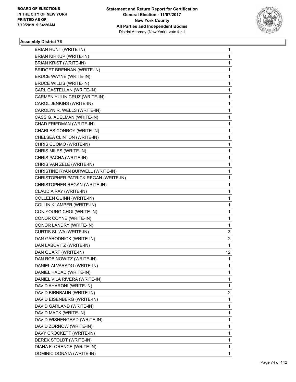

| <b>BRIAN HUNT (WRITE-IN)</b>         | 1              |
|--------------------------------------|----------------|
| <b>BRIAN KIRKUP (WRITE-IN)</b>       | 1              |
| BRIAN KRIST (WRITE-IN)               | 1              |
| <b>BRIDGET BRENNAN (WRITE-IN)</b>    | $\mathbf{1}$   |
| <b>BRUCE WAYNE (WRITE-IN)</b>        | 1              |
| <b>BRUCE WILLIS (WRITE-IN)</b>       | 1              |
| CARL CASTELLAN (WRITE-IN)            | $\mathbf{1}$   |
| CARMEN YULIN CRUZ (WRITE-IN)         | $\mathbf{1}$   |
| CAROL JENKINS (WRITE-IN)             | 1              |
| CAROLYN R. WELLS (WRITE-IN)          | $\mathbf{1}$   |
| CASS G. ADELMAN (WRITE-IN)           | 1              |
| CHAD FRIEDMAN (WRITE-IN)             | 1              |
| CHARLES CONROY (WRITE-IN)            | $\mathbf{1}$   |
| CHELSEA CLINTON (WRITE-IN)           | $\mathbf{1}$   |
| CHRIS CUOMO (WRITE-IN)               | 1              |
| CHRIS MILES (WRITE-IN)               | $\mathbf{1}$   |
| CHRIS PACHA (WRITE-IN)               | 1              |
| CHRIS VAN ZELE (WRITE-IN)            | 1              |
| CHRISTINE RYAN BURWELL (WRITE-IN)    | $\mathbf{1}$   |
| CHRISTOPHER PATRICK REGAN (WRITE-IN) | 1              |
| CHRISTOPHER REGAN (WRITE-IN)         | 1              |
| CLAUDIA RAY (WRITE-IN)               | $\mathbf{1}$   |
| COLLEEN QUINN (WRITE-IN)             | 1              |
| COLLIN KLAMPER (WRITE-IN)            | 1              |
| CON YOUNG CHOI (WRITE-IN)            | $\mathbf{1}$   |
| CONOR COYNE (WRITE-IN)               | $\mathbf{1}$   |
| CONOR LANDRY (WRITE-IN)              | 1              |
| CURTIS SLIWA (WRITE-IN)              | 3              |
| DAN GARODNICK (WRITE-IN)             | 2              |
| DAN LABOVITZ (WRITE-IN)              | 1              |
| DAN QUART (WRITE-IN)                 | 12             |
| DAN ROBINOWITZ (WRITE-IN)            | 1              |
| DANIEL ALVARADO (WRITE-IN)           | 1              |
| DANIEL HADAD (WRITE-IN)              | $\mathbf{1}$   |
| DANIEL VILA RIVERA (WRITE-IN)        | $\mathbf{1}$   |
| DAVID AHARONI (WRITE-IN)             | 1              |
| DAVID BIRNBAUN (WRITE-IN)            | $\overline{2}$ |
| DAVID EISENBERG (WRITE-IN)           | 1.             |
| DAVID GARLAND (WRITE-IN)             | 1              |
| DAVID MACK (WRITE-IN)                | $\mathbf{1}$   |
| DAVID WISHENGRAD (WRITE-IN)          | $\mathbf{1}$   |
| DAVID ZORNOW (WRITE-IN)              | 1              |
| DAVY CROCKETT (WRITE-IN)             | $\mathbf{1}$   |
| DEREK STOLDT (WRITE-IN)              | 1              |
| DIANA FLORENCE (WRITE-IN)            | 1              |
| DOMINIC DONATA (WRITE-IN)            | 1              |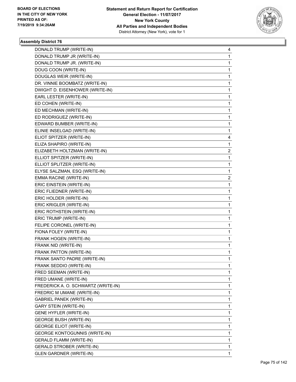

| DONALD TRUMP (WRITE-IN)              | 4            |
|--------------------------------------|--------------|
| DONALD TRUMP JR (WRITE-IN)           | 1            |
| DONALD TRUMP JR. (WRITE-IN)          | $\mathbf{1}$ |
| DOUG COON (WRITE-IN)                 | 1            |
| DOUGLAS WEIR (WRITE-IN)              | 1            |
| DR. VINNIE BOOMBATZ (WRITE-IN)       | 1            |
| DWIGHT D. EISENHOWER (WRITE-IN)      | 1            |
| EARL LESTER (WRITE-IN)               | $\mathbf{1}$ |
| ED COHEN (WRITE-IN)                  | $\mathbf{1}$ |
| ED MECHMAN (WRITE-IN)                | 1            |
| ED RODRIGUEZ (WRITE-IN)              | 1            |
| EDWARD BUMBER (WRITE-IN)             | 1            |
| ELINIE INSELGAD (WRITE-IN)           | 1            |
| ELIOT SPITZER (WRITE-IN)             | 4            |
| ELIZA SHAPIRO (WRITE-IN)             | 1            |
| ELIZABETH HOLTZMAN (WRITE-IN)        | 2            |
| ELLIOT SPITZER (WRITE-IN)            | 1            |
| ELLIOT SPLITZER (WRITE-IN)           | 1            |
| ELYSE SALZMAN, ESQ (WRITE-IN)        | 1            |
| EMMA RACINE (WRITE-IN)               | 2            |
| ERIC EINSTEIN (WRITE-IN)             | $\mathbf{1}$ |
| ERIC FLIEDNER (WRITE-IN)             | 1            |
| ERIC HOLDER (WRITE-IN)               | 1            |
| ERIC KRIGLER (WRITE-IN)              | 1            |
| ERIC ROTHSTEIN (WRITE-IN)            | 1            |
| ERIC TRUMP (WRITE-IN)                | $\mathbf{1}$ |
| FELIPE CORONEL (WRITE-IN)            | $\mathbf{1}$ |
| FIONA FOLEY (WRITE-IN)               | 1            |
| FRANK HOGEN (WRITE-IN)               | 1            |
| FRANK NID (WRITE-IN)                 | $\mathbf{1}$ |
| FRANK PATTON (WRITE-IN)              | $\mathbf{1}$ |
| FRANK SANTO PADRE (WRITE-IN)         | 1            |
| FRANK SEDDIO (WRITE-IN)              | 1            |
| FRED SEEMAN (WRITE-IN)               | 1            |
| FRED UMANE (WRITE-IN)                | 1            |
| FREDERICK A. O. SCHWARTZ (WRITE-IN)  | 1            |
| FREDRIC M UMANE (WRITE-IN)           | 1            |
| <b>GABRIEL PANEK (WRITE-IN)</b>      | 1            |
| <b>GARY STEIN (WRITE-IN)</b>         | 1            |
| <b>GENE HYFLER (WRITE-IN)</b>        | 1            |
| <b>GEORGE BUSH (WRITE-IN)</b>        | 1            |
| <b>GEORGE ELIOT (WRITE-IN)</b>       | 1            |
| <b>GEORGE KONTOGUNNIS (WRITE-IN)</b> | 1            |
| <b>GERALD FLAMM (WRITE-IN)</b>       | 1            |
| <b>GERALD STROBER (WRITE-IN)</b>     | 1            |
| <b>GLEN GARDNER (WRITE-IN)</b>       | 1            |
|                                      |              |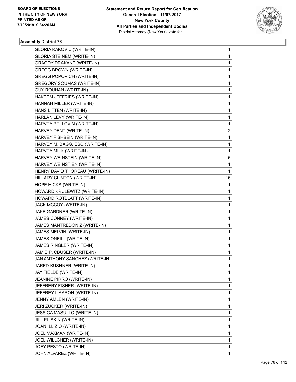

| <b>GLORIA RAKOVIC (WRITE-IN)</b> | 1              |
|----------------------------------|----------------|
| <b>GLORIA STEINEM (WRITE-IN)</b> | 1              |
| <b>GRAGDY DRAKANT (WRITE-IN)</b> | 1              |
| <b>GREGG BROWN (WRITE-IN)</b>    | 1              |
| <b>GREGG POPOVICH (WRITE-IN)</b> | 1              |
| <b>GREGORY SOUMAS (WRITE-IN)</b> | 1              |
| <b>GUY ROUHAN (WRITE-IN)</b>     | 1              |
| HAKEEM JEFFRIES (WRITE-IN)       | 1              |
| HANNAH MILLER (WRITE-IN)         | 1              |
| HANS LITTEN (WRITE-IN)           | 1              |
| HARLAN LEVY (WRITE-IN)           | 1              |
| HARVEY BELLOVIN (WRITE-IN)       | 1              |
| HARVEY DENT (WRITE-IN)           | $\overline{2}$ |
| HARVEY FISHBEIN (WRITE-IN)       | 1              |
| HARVEY M. BAGG, ESQ (WRITE-IN)   | 1              |
| HARVEY MILK (WRITE-IN)           | 1              |
| HARVEY WEINSTEIN (WRITE-IN)      | 6              |
| HARVEY WEINSTIEN (WRITE-IN)      | 1              |
| HENRY DAVID THOREAU (WRITE-IN)   | 1              |
| HILLARY CLINTON (WRITE-IN)       | 16             |
| HOPE HICKS (WRITE-IN)            | 1              |
| HOWARD KRULEWITZ (WRITE-IN)      | 1              |
| HOWARD ROTBLATT (WRITE-IN)       | 1              |
| JACK MCCOY (WRITE-IN)            | 1              |
| JAKE GARDNER (WRITE-IN)          | 1              |
| JAMES CONNEY (WRITE-IN)          | 1              |
| JAMES MANTREDONIZ (WRITE-IN)     | 1              |
| JAMES MELVIN (WRITE-IN)          | 1              |
| JAMES ONEILL (WRITE-IN)          | 1              |
| JAMES RINGLER (WRITE-IN)         | 1              |
| JAMIE P. CBUSER (WRITE-IN)       | 1              |
| JAN ANTHONY SANCHEZ (WRITE-IN)   | 1              |
| JARED KUSHNER (WRITE-IN)         | 1              |
| JAY FIELDE (WRITE-IN)            | 1              |
| JEANINE PIRRO (WRITE-IN)         | 1              |
| JEFFRERY FISHER (WRITE-IN)       | 1              |
| JEFFREY I. AARON (WRITE-IN)      | 1              |
| JENNY AMLEN (WRITE-IN)           | 1              |
| JERI ZUCKER (WRITE-IN)           | 1              |
| JESSICA MASULLO (WRITE-IN)       | 1              |
| JILL PLISKIN (WRITE-IN)          | 1              |
| JOAN ILLIZIO (WRITE-IN)          | 1              |
| JOEL MAXMAN (WRITE-IN)           | 1              |
| JOEL WILLCHER (WRITE-IN)         | 1              |
| JOEY PESTO (WRITE-IN)            | 1              |
| JOHN ALVAREZ (WRITE-IN)          | 1              |
|                                  |                |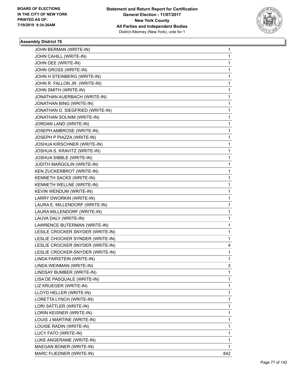

| JOHN BERMAN (WRITE-IN)           | 1   |
|----------------------------------|-----|
| JOHN CAHILL (WRITE-IN)           | 1   |
| JOHN DEE (WRITE-IN)              | 1   |
| JOHN GROSS (WRITE-IN)            | 1   |
| JOHN H STEINBERG (WRITE-IN)      | 1   |
| JOHN R. FALLON JR. (WRITE-IN)    | 1   |
| JOHN SMITH (WRITE-IN)            | 1   |
| JONATHAN AUERBACH (WRITE-IN)     | 1   |
| JONATHAN BING (WRITE-IN)         | 1   |
| JONATHAN D. SIEGFRIED (WRITE-IN) | 1   |
| JONATHAN SOLNIM (WRITE-IN)       | 1   |
| JORDAN LAND (WRITE-IN)           | 1   |
| JOSEPH AMBROSE (WRITE-IN)        | 1   |
| JOSEPH P PIAZZA (WRITE-IN)       | 1   |
| JOSHUA KIRSCHNER (WRITE-IN)      | 1   |
| JOSHUA S. KRAVITZ (WRITE-IN)     | 1   |
| JOSHUA SIBBLE (WRITE-IN)         | 1   |
| JUDITH MARGOLIN (WRITE-IN)       | 1   |
| KEN ZUCKERBROT (WRITE-IN)        | 1   |
| KENNETH SACKS (WRITE-IN)         | 1   |
| KENNETH WELLNE (WRITE-IN)        | 1   |
| KEVIN WENDUM (WRITE-IN)          | 1   |
| LARRY DWORKIN (WRITE-IN)         | 1   |
| LAURA E. MILLENDORF (WRITE-IN)   | 1   |
| LAURA MILLENDORF (WRITE-IN)      | 1   |
| LAUVA DALY (WRITE-IN)            | 1   |
| LAWRENCE BUTERMAN (WRITE-IN)     | 1   |
| LESILE CROCKER SNYDER (WRITE-IN) | 1   |
| LESLIE CHOCKER SYNDER (WRITE-IN) | 1   |
| LESLIE CROCKER SNYDER (WRITE-IN) | 4   |
| LESLIE CROCKER-SNYDER (WRITE-IN) | 1   |
| LINDA FAIRSTEIN (WRITE-IN)       | 1   |
| LINDA WEINMAN (WRITE-IN)         | 3   |
| LINDSAY BUMBER (WRITE-IN)        | 1   |
| LISA DE PASQUALE (WRITE-IN)      | 1   |
| LIZ KRUEGER (WRITE-IN)           | 1   |
| LLOYD HELLER (WRITE-IN)          | 1   |
| LORETTA LYNCH (WRITE-IN)         | 1   |
| LORI SATTLER (WRITE-IN)          | 1   |
| LORIN KEISNER (WRITE-IN)         | 1   |
| LOUIS J MARTINE (WRITE-IN)       | 1   |
| LOUISE RADIN (WRITE-IN)          | 1   |
| LUCY FATO (WRITE-IN)             | 1   |
| LUKE ANGERAME (WRITE-IN)         | 1   |
| MAEGAN BONER (WRITE-IN)          | 1   |
| MARC FLIEDNER (WRITE-IN)         | 842 |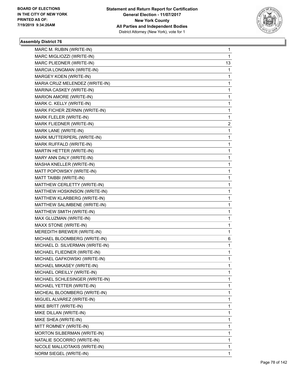

| MARC MIGLIOZZI (WRITE-IN)<br>1<br>13<br>MARC PLIEDNER (WRITE-IN)<br>MARCIA LONGMAN (WRITE-IN)<br>1<br>MARGEY KOEN (WRITE-IN)<br>1<br>MARIA CRUZ MELENDEZ (WRITE-IN)<br>1<br>MARINA CASKEY (WRITE-IN)<br>1<br>MARION AMORE (WRITE-IN)<br>1<br>MARK C. KELLY (WRITE-IN)<br>1<br>MARK FICHER ZERNIN (WRITE-IN)<br>1<br>MARK FLELER (WRITE-IN)<br>1<br>MARK FLIEDNER (WRITE-IN)<br>$\overline{2}$<br>MARK LANE (WRITE-IN)<br>1<br>MARK MUTTERPERL (WRITE-IN)<br>1<br>MARK RUFFALD (WRITE-IN)<br>1<br>MARTIN HETTER (WRITE-IN)<br>1<br>MARY ANN DALY (WRITE-IN)<br>1<br>MASHA KNELLER (WRITE-IN)<br>1<br>MATT POPOWSKY (WRITE-IN)<br>1<br>MATT TAIBBI (WRITE-IN)<br>1<br>MATTHEW CERLETTY (WRITE-IN)<br>1<br>MATTHEW HOSKINSON (WRITE-IN)<br>1<br>MATTHEW KLARBERG (WRITE-IN)<br>1<br>MATTHEW SALIMBENE (WRITE-IN)<br>1<br>MATTHEW SMITH (WRITE-IN)<br>1<br>MAX GLUZMAN (WRITE-IN)<br>1<br>MAXX STONE (WRITE-IN)<br>1<br>MEREDITH BREWER (WRITE-IN)<br>1<br>MICHAEL BLOOMBERG (WRITE-IN)<br>6<br>MICHAEL D. SILVERMAN (WRITE-IN)<br>$\mathbf{1}$<br>MICHAEL FLIEDNER (WRITE-IN)<br>1<br>MICHAEL GAFKOWSKI (WRITE-IN)<br>1<br>1<br>MICHAEL MIKASEY (WRITE-IN)<br>MICHAEL OREILLY (WRITE-IN)<br>1<br>MICHAEL SCHLESINGER (WRITE-IN)<br>1<br>1<br>MICHAEL YETTER (WRITE-IN)<br>MICHEAL BLOOMBERG (WRITE-IN)<br>1<br>1<br>MIGUEL ALVAREZ (WRITE-IN)<br>1<br>MIKE BRITT (WRITE-IN)<br>MIKE DILLAN (WRITE-IN)<br>1<br>MIKE SHEA (WRITE-IN)<br>1<br>MITT ROMNEY (WRITE-IN)<br>1<br>MORTON SILBERMAN (WRITE-IN)<br>1<br>NATALIE SOCORRO (WRITE-IN)<br>1<br>NICOLE MALLIOTAKIS (WRITE-IN)<br>1 | MARC M. RUBIN (WRITE-IN) | 1 |
|----------------------------------------------------------------------------------------------------------------------------------------------------------------------------------------------------------------------------------------------------------------------------------------------------------------------------------------------------------------------------------------------------------------------------------------------------------------------------------------------------------------------------------------------------------------------------------------------------------------------------------------------------------------------------------------------------------------------------------------------------------------------------------------------------------------------------------------------------------------------------------------------------------------------------------------------------------------------------------------------------------------------------------------------------------------------------------------------------------------------------------------------------------------------------------------------------------------------------------------------------------------------------------------------------------------------------------------------------------------------------------------------------------------------------------------------------------------------------------------------------------------------------------------------------------------------------------|--------------------------|---|
|                                                                                                                                                                                                                                                                                                                                                                                                                                                                                                                                                                                                                                                                                                                                                                                                                                                                                                                                                                                                                                                                                                                                                                                                                                                                                                                                                                                                                                                                                                                                                                                  |                          |   |
|                                                                                                                                                                                                                                                                                                                                                                                                                                                                                                                                                                                                                                                                                                                                                                                                                                                                                                                                                                                                                                                                                                                                                                                                                                                                                                                                                                                                                                                                                                                                                                                  |                          |   |
|                                                                                                                                                                                                                                                                                                                                                                                                                                                                                                                                                                                                                                                                                                                                                                                                                                                                                                                                                                                                                                                                                                                                                                                                                                                                                                                                                                                                                                                                                                                                                                                  |                          |   |
|                                                                                                                                                                                                                                                                                                                                                                                                                                                                                                                                                                                                                                                                                                                                                                                                                                                                                                                                                                                                                                                                                                                                                                                                                                                                                                                                                                                                                                                                                                                                                                                  |                          |   |
|                                                                                                                                                                                                                                                                                                                                                                                                                                                                                                                                                                                                                                                                                                                                                                                                                                                                                                                                                                                                                                                                                                                                                                                                                                                                                                                                                                                                                                                                                                                                                                                  |                          |   |
|                                                                                                                                                                                                                                                                                                                                                                                                                                                                                                                                                                                                                                                                                                                                                                                                                                                                                                                                                                                                                                                                                                                                                                                                                                                                                                                                                                                                                                                                                                                                                                                  |                          |   |
|                                                                                                                                                                                                                                                                                                                                                                                                                                                                                                                                                                                                                                                                                                                                                                                                                                                                                                                                                                                                                                                                                                                                                                                                                                                                                                                                                                                                                                                                                                                                                                                  |                          |   |
|                                                                                                                                                                                                                                                                                                                                                                                                                                                                                                                                                                                                                                                                                                                                                                                                                                                                                                                                                                                                                                                                                                                                                                                                                                                                                                                                                                                                                                                                                                                                                                                  |                          |   |
|                                                                                                                                                                                                                                                                                                                                                                                                                                                                                                                                                                                                                                                                                                                                                                                                                                                                                                                                                                                                                                                                                                                                                                                                                                                                                                                                                                                                                                                                                                                                                                                  |                          |   |
|                                                                                                                                                                                                                                                                                                                                                                                                                                                                                                                                                                                                                                                                                                                                                                                                                                                                                                                                                                                                                                                                                                                                                                                                                                                                                                                                                                                                                                                                                                                                                                                  |                          |   |
|                                                                                                                                                                                                                                                                                                                                                                                                                                                                                                                                                                                                                                                                                                                                                                                                                                                                                                                                                                                                                                                                                                                                                                                                                                                                                                                                                                                                                                                                                                                                                                                  |                          |   |
|                                                                                                                                                                                                                                                                                                                                                                                                                                                                                                                                                                                                                                                                                                                                                                                                                                                                                                                                                                                                                                                                                                                                                                                                                                                                                                                                                                                                                                                                                                                                                                                  |                          |   |
|                                                                                                                                                                                                                                                                                                                                                                                                                                                                                                                                                                                                                                                                                                                                                                                                                                                                                                                                                                                                                                                                                                                                                                                                                                                                                                                                                                                                                                                                                                                                                                                  |                          |   |
|                                                                                                                                                                                                                                                                                                                                                                                                                                                                                                                                                                                                                                                                                                                                                                                                                                                                                                                                                                                                                                                                                                                                                                                                                                                                                                                                                                                                                                                                                                                                                                                  |                          |   |
|                                                                                                                                                                                                                                                                                                                                                                                                                                                                                                                                                                                                                                                                                                                                                                                                                                                                                                                                                                                                                                                                                                                                                                                                                                                                                                                                                                                                                                                                                                                                                                                  |                          |   |
|                                                                                                                                                                                                                                                                                                                                                                                                                                                                                                                                                                                                                                                                                                                                                                                                                                                                                                                                                                                                                                                                                                                                                                                                                                                                                                                                                                                                                                                                                                                                                                                  |                          |   |
|                                                                                                                                                                                                                                                                                                                                                                                                                                                                                                                                                                                                                                                                                                                                                                                                                                                                                                                                                                                                                                                                                                                                                                                                                                                                                                                                                                                                                                                                                                                                                                                  |                          |   |
|                                                                                                                                                                                                                                                                                                                                                                                                                                                                                                                                                                                                                                                                                                                                                                                                                                                                                                                                                                                                                                                                                                                                                                                                                                                                                                                                                                                                                                                                                                                                                                                  |                          |   |
|                                                                                                                                                                                                                                                                                                                                                                                                                                                                                                                                                                                                                                                                                                                                                                                                                                                                                                                                                                                                                                                                                                                                                                                                                                                                                                                                                                                                                                                                                                                                                                                  |                          |   |
|                                                                                                                                                                                                                                                                                                                                                                                                                                                                                                                                                                                                                                                                                                                                                                                                                                                                                                                                                                                                                                                                                                                                                                                                                                                                                                                                                                                                                                                                                                                                                                                  |                          |   |
|                                                                                                                                                                                                                                                                                                                                                                                                                                                                                                                                                                                                                                                                                                                                                                                                                                                                                                                                                                                                                                                                                                                                                                                                                                                                                                                                                                                                                                                                                                                                                                                  |                          |   |
|                                                                                                                                                                                                                                                                                                                                                                                                                                                                                                                                                                                                                                                                                                                                                                                                                                                                                                                                                                                                                                                                                                                                                                                                                                                                                                                                                                                                                                                                                                                                                                                  |                          |   |
|                                                                                                                                                                                                                                                                                                                                                                                                                                                                                                                                                                                                                                                                                                                                                                                                                                                                                                                                                                                                                                                                                                                                                                                                                                                                                                                                                                                                                                                                                                                                                                                  |                          |   |
|                                                                                                                                                                                                                                                                                                                                                                                                                                                                                                                                                                                                                                                                                                                                                                                                                                                                                                                                                                                                                                                                                                                                                                                                                                                                                                                                                                                                                                                                                                                                                                                  |                          |   |
|                                                                                                                                                                                                                                                                                                                                                                                                                                                                                                                                                                                                                                                                                                                                                                                                                                                                                                                                                                                                                                                                                                                                                                                                                                                                                                                                                                                                                                                                                                                                                                                  |                          |   |
|                                                                                                                                                                                                                                                                                                                                                                                                                                                                                                                                                                                                                                                                                                                                                                                                                                                                                                                                                                                                                                                                                                                                                                                                                                                                                                                                                                                                                                                                                                                                                                                  |                          |   |
|                                                                                                                                                                                                                                                                                                                                                                                                                                                                                                                                                                                                                                                                                                                                                                                                                                                                                                                                                                                                                                                                                                                                                                                                                                                                                                                                                                                                                                                                                                                                                                                  |                          |   |
|                                                                                                                                                                                                                                                                                                                                                                                                                                                                                                                                                                                                                                                                                                                                                                                                                                                                                                                                                                                                                                                                                                                                                                                                                                                                                                                                                                                                                                                                                                                                                                                  |                          |   |
|                                                                                                                                                                                                                                                                                                                                                                                                                                                                                                                                                                                                                                                                                                                                                                                                                                                                                                                                                                                                                                                                                                                                                                                                                                                                                                                                                                                                                                                                                                                                                                                  |                          |   |
|                                                                                                                                                                                                                                                                                                                                                                                                                                                                                                                                                                                                                                                                                                                                                                                                                                                                                                                                                                                                                                                                                                                                                                                                                                                                                                                                                                                                                                                                                                                                                                                  |                          |   |
|                                                                                                                                                                                                                                                                                                                                                                                                                                                                                                                                                                                                                                                                                                                                                                                                                                                                                                                                                                                                                                                                                                                                                                                                                                                                                                                                                                                                                                                                                                                                                                                  |                          |   |
|                                                                                                                                                                                                                                                                                                                                                                                                                                                                                                                                                                                                                                                                                                                                                                                                                                                                                                                                                                                                                                                                                                                                                                                                                                                                                                                                                                                                                                                                                                                                                                                  |                          |   |
|                                                                                                                                                                                                                                                                                                                                                                                                                                                                                                                                                                                                                                                                                                                                                                                                                                                                                                                                                                                                                                                                                                                                                                                                                                                                                                                                                                                                                                                                                                                                                                                  |                          |   |
|                                                                                                                                                                                                                                                                                                                                                                                                                                                                                                                                                                                                                                                                                                                                                                                                                                                                                                                                                                                                                                                                                                                                                                                                                                                                                                                                                                                                                                                                                                                                                                                  |                          |   |
|                                                                                                                                                                                                                                                                                                                                                                                                                                                                                                                                                                                                                                                                                                                                                                                                                                                                                                                                                                                                                                                                                                                                                                                                                                                                                                                                                                                                                                                                                                                                                                                  |                          |   |
|                                                                                                                                                                                                                                                                                                                                                                                                                                                                                                                                                                                                                                                                                                                                                                                                                                                                                                                                                                                                                                                                                                                                                                                                                                                                                                                                                                                                                                                                                                                                                                                  |                          |   |
|                                                                                                                                                                                                                                                                                                                                                                                                                                                                                                                                                                                                                                                                                                                                                                                                                                                                                                                                                                                                                                                                                                                                                                                                                                                                                                                                                                                                                                                                                                                                                                                  |                          |   |
|                                                                                                                                                                                                                                                                                                                                                                                                                                                                                                                                                                                                                                                                                                                                                                                                                                                                                                                                                                                                                                                                                                                                                                                                                                                                                                                                                                                                                                                                                                                                                                                  |                          |   |
|                                                                                                                                                                                                                                                                                                                                                                                                                                                                                                                                                                                                                                                                                                                                                                                                                                                                                                                                                                                                                                                                                                                                                                                                                                                                                                                                                                                                                                                                                                                                                                                  |                          |   |
|                                                                                                                                                                                                                                                                                                                                                                                                                                                                                                                                                                                                                                                                                                                                                                                                                                                                                                                                                                                                                                                                                                                                                                                                                                                                                                                                                                                                                                                                                                                                                                                  |                          |   |
|                                                                                                                                                                                                                                                                                                                                                                                                                                                                                                                                                                                                                                                                                                                                                                                                                                                                                                                                                                                                                                                                                                                                                                                                                                                                                                                                                                                                                                                                                                                                                                                  |                          |   |
|                                                                                                                                                                                                                                                                                                                                                                                                                                                                                                                                                                                                                                                                                                                                                                                                                                                                                                                                                                                                                                                                                                                                                                                                                                                                                                                                                                                                                                                                                                                                                                                  |                          |   |
|                                                                                                                                                                                                                                                                                                                                                                                                                                                                                                                                                                                                                                                                                                                                                                                                                                                                                                                                                                                                                                                                                                                                                                                                                                                                                                                                                                                                                                                                                                                                                                                  |                          |   |
|                                                                                                                                                                                                                                                                                                                                                                                                                                                                                                                                                                                                                                                                                                                                                                                                                                                                                                                                                                                                                                                                                                                                                                                                                                                                                                                                                                                                                                                                                                                                                                                  |                          |   |
|                                                                                                                                                                                                                                                                                                                                                                                                                                                                                                                                                                                                                                                                                                                                                                                                                                                                                                                                                                                                                                                                                                                                                                                                                                                                                                                                                                                                                                                                                                                                                                                  | NORM SIEGEL (WRITE-IN)   | 1 |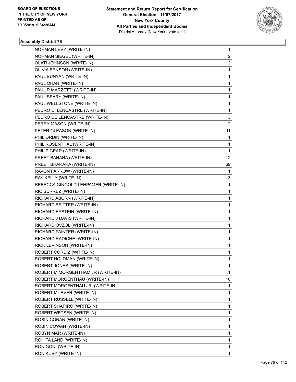

| NORMAN LEVY (WRITE-IN)              | 1                       |
|-------------------------------------|-------------------------|
| NORMAN SIEGEL (WRITE-IN)            | 2                       |
| OLATI JOHNSON (WRITE-IN)            | $\overline{\mathbf{c}}$ |
| OLIVIA BENSON (WRITE-IN)            | 1                       |
| PAUL BUNYAN (WRITE-IN)              | 1                       |
| PAUL OHAN (WRITE-IN)                | 1                       |
| PAUL R MARZETTI (WRITE-IN)          | 1                       |
| PAUL SEARY (WRITE-IN)               | 1                       |
| PAUL WELLSTONE (WRITE-IN)           | 1                       |
| PEDRO D. LENCASTRE (WRITE-IN)       | 1                       |
| PEDRO DE LENCASTRE (WRITE-IN)       | 3                       |
| PERRY MASON (WRITE-IN)              | $\overline{\mathbf{c}}$ |
| PETER GLEASON (WRITE-IN)            | 11                      |
| PHIL ORDIN (WRITE-IN)               | 1                       |
| PHIL ROSENTHAL (WRITE-IN)           | 1                       |
| PHILIP GEAR (WRITE-IN)              | 1                       |
| PREET BAHARA (WRITE-IN)             | 2                       |
| PREET BHARARA (WRITE-IN)            | 69                      |
| RAVON FARROW (WRITE-IN)             | 1                       |
| RAY KELLY (WRITE-IN)                | 3                       |
| REBECCA GINGOLD LEHPAMER (WRITE-IN) | $\mathbf 1$             |
| RIC SURREZ (WRITE-IN)               | 1                       |
| RICHARD ABORN (WRITE-IN)            | 1                       |
| RICHARD BEITTER (WRITE-IN)          | 1                       |
| RICHARD EPSTEIN (WRITE-IN)          | 1                       |
| RICHARD J DAVIS (WRITE-IN)          | 1                       |
| RICHARD OVZOL (WRITE-IN)            | 1                       |
| RICHARD PAINTER (WRITE-IN)          | 1                       |
| RICHARD RADICHE (WRITE-IN)          | 1                       |
| RICK LEVINSON (WRITE-IN)            | 1                       |
| ROBERT CORDIZ (WRITE-IN)            | 1                       |
| ROBERT HOLDMAN (WRITE-IN)           | 1                       |
| ROBERT JONES (WRITE-IN)             | 1                       |
| ROBERT M MORGENTHAM JR (WRITE-IN)   | 1                       |
| ROBERT MORGENTHAU (WRITE-IN)        | 10                      |
| ROBERT MORGENTHAU JR. (WRITE-IN)    | 1                       |
| ROBERT MUEVER (WRITE-IN)            | 1                       |
| ROBERT RUSSELL (WRITE-IN)           | 1                       |
| ROBERT SHAPIRO (WRITE-IN)           | 1                       |
| ROBERT WETSEN (WRITE-IN)            | 1                       |
| ROBIN CONAN (WRITE-IN)              | 1                       |
| ROBIN COWAN (WRITE-IN)              | 1                       |
| ROBYN MAR (WRITE-IN)                | 1                       |
| ROHITA LAND (WRITE-IN)              | 1                       |
| RON GONI (WRITE-IN)                 | 1                       |
| RON KUBY (WRITE-IN)                 | 1                       |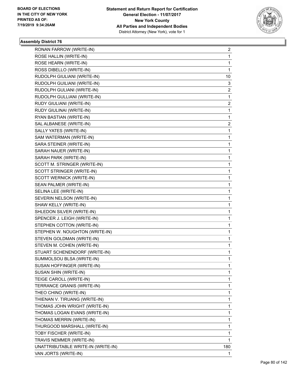

| RONAN FARROW (WRITE-IN)            | $\overline{2}$ |
|------------------------------------|----------------|
| ROSE HALLIN (WRITE-IN)             | 1              |
| ROSE HEARN (WRITE-IN)              | 1              |
| ROSS DIBELLO (WRITE-IN)            | 1              |
| RUDOLPH GIULIANI (WRITE-IN)        | 10             |
| RUDOLPH GUILIANI (WRITE-IN)        | 3              |
| RUDOLPH GULIANI (WRITE-IN)         | 2              |
| RUDOLPH GULLIANI (WRITE-IN)        | 1              |
| RUDY GIULIANI (WRITE-IN)           | 2              |
| RUDY GIULINAI (WRITE-IN)           | 1              |
| RYAN BASTIAN (WRITE-IN)            | 1              |
| SAL ALBANESE (WRITE-IN)            | $\overline{2}$ |
| SALLY YATES (WRITE-IN)             | 1              |
| SAM WATERMAN (WRITE-IN)            | 1              |
| SARA STEINER (WRITE-IN)            | 1              |
| SARAH NAUER (WRITE-IN)             | 1              |
| SARAH PARK (WRITE-IN)              | 1              |
| SCOTT M. STRINGER (WRITE-IN)       | 1              |
| SCOTT STRINGER (WRITE-IN)          | 1              |
| SCOTT WERNICK (WRITE-IN)           | 1              |
| SEAN PALMER (WRITE-IN)             | 1              |
| SELINA LEE (WRITE-IN)              | 1              |
| SEVERIN NELSON (WRITE-IN)          | 1              |
| SHAW KELLY (WRITE-IN)              | 1              |
| SHLEDON SILVER (WRITE-IN)          | 1              |
| SPENCER J. LEIGH (WRITE-IN)        | 1              |
| STEPHEN COTTON (WRITE-IN)          | 1              |
| STEPHEN W. NOUGHTON (WRITE-IN)     | 1              |
| STEVEN GOLDMAN (WRITE-IN)          | 1              |
| STEVEN M. COHEN (WRITE-IN)         | 1              |
| STUART SCHENENDORF (WRITE-IN)      | 1              |
| SUMMOLSOU BLSA (WRITE-IN)          | 1              |
| SUSAN HOFFINGER (WRITE-IN)         | 1              |
| SUSAN SHIN (WRITE-IN)              | 1              |
| TEIGE CAROLL (WRITE-IN)            | 1              |
| TERRANCE GRANIS (WRITE-IN)         | 1              |
| THEO CHINO (WRITE-IN)              | 1              |
| THIENAN V. TIRUANG (WRITE-IN)      | 1              |
| THOMAS JOHN WRIGHT (WRITE-IN)      | 1              |
| THOMAS LOGAN EVANS (WRITE-IN)      | 1              |
| THOMAS MERRIN (WRITE-IN)           | 1              |
| THURGOOD MARSHALL (WRITE-IN)       | 1              |
| TOBY FISCHER (WRITE-IN)            | 1              |
| TRAVIS NEMMER (WRITE-IN)           | 1              |
| UNATTRIBUTABLE WRITE-IN (WRITE-IN) | 180            |
| VAN JORTS (WRITE-IN)               | 1              |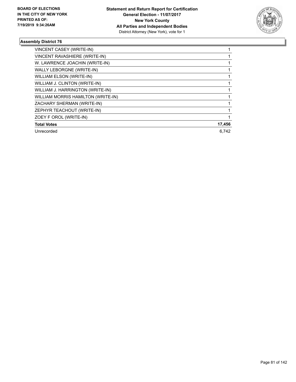

| VINCENT CASEY (WRITE-IN)           |        |
|------------------------------------|--------|
| VINCENT RAVASHIERE (WRITE-IN)      |        |
| W. LAWRENCE JOACHIN (WRITE-IN)     |        |
| WALLY LEBORGNE (WRITE-IN)          |        |
| <b>WILLIAM ELSON (WRITE-IN)</b>    |        |
| WILLIAM J. CLINTON (WRITE-IN)      |        |
| WILLIAM J. HARRINGTON (WRITE-IN)   |        |
| WILLIAM MORRIS HAMILTON (WRITE-IN) |        |
| ZACHARY SHERMAN (WRITE-IN)         |        |
| ZEPHYR TEACHOUT (WRITE-IN)         |        |
| ZOEY F OROL (WRITE-IN)             |        |
| <b>Total Votes</b>                 | 17,456 |
| Unrecorded                         | 6.742  |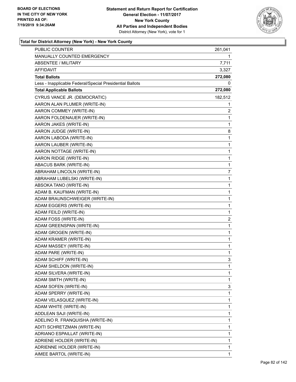

| PUBLIC COUNTER                                           | 261,041                 |
|----------------------------------------------------------|-------------------------|
| MANUALLY COUNTED EMERGENCY                               | 1.                      |
| <b>ABSENTEE / MILITARY</b>                               | 7,711                   |
| AFFIDAVIT                                                | 3,327                   |
| <b>Total Ballots</b>                                     | 272,080                 |
| Less - Inapplicable Federal/Special Presidential Ballots | 0                       |
| <b>Total Applicable Ballots</b>                          | 272,080                 |
| CYRUS VANCE JR. (DEMOCRATIC)                             | 182,512                 |
| AARON ALAN PLUMER (WRITE-IN)                             | 1                       |
| AARON COMMEY (WRITE-IN)                                  | 2                       |
| AARON FOLDENAUER (WRITE-IN)                              | 1                       |
| AARON JAKES (WRITE-IN)                                   | 1                       |
| AARON JUDGE (WRITE-IN)                                   | 8                       |
| AARON LABODA (WRITE-IN)                                  | 1                       |
| AARON LAUBER (WRITE-IN)                                  | $\mathbf{1}$            |
| AARON NOTTAGE (WRITE-IN)                                 | $\mathbf{1}$            |
| AARON RIDGE (WRITE-IN)                                   | 1                       |
| ABACUS BARK (WRITE-IN)                                   | 1                       |
| ABRAHAM LINCOLN (WRITE-IN)                               | 7                       |
| ABRAHAM LUBELSKI (WRITE-IN)                              | 1                       |
| ABSOKA TANO (WRITE-IN)                                   | $\mathbf{1}$            |
| ADAM B. KAUFMAN (WRITE-IN)                               | $\mathbf{1}$            |
| ADAM BRAUNSCHWEIGER (WRITE-IN)                           | 1                       |
| ADAM EGGERS (WRITE-IN)                                   | 1                       |
| ADAM FEILD (WRITE-IN)                                    | $\mathbf{1}$            |
| ADAM FOSS (WRITE-IN)                                     | $\overline{\mathbf{c}}$ |
| ADAM GREENSPAN (WRITE-IN)                                | 1                       |
| ADAM GROGEN (WRITE-IN)                                   | $\mathbf{1}$            |
| ADAM KRAMER (WRITE-IN)                                   | 1                       |
| ADAM MASSEY (WRITE-IN)                                   | 1                       |
| ADAM PARE (WRITE-IN)                                     | 1                       |
| ADAM SCHIFF (WRITE-IN)                                   | 3                       |
| ADAM SHELDON (WRITE-IN)                                  | 1                       |
| ADAM SILVERA (WRITE-IN)                                  | 1                       |
| ADAM SMITH (WRITE-IN)                                    | 1                       |
| ADAM SOFEN (WRITE-IN)                                    | 3                       |
| ADAM SPERRY (WRITE-IN)                                   | $\mathbf{1}$            |
| ADAM VELASQUEZ (WRITE-IN)                                | 1                       |
| ADAM WHITE (WRITE-IN)                                    | 1                       |
| ADDLEAN SAJI (WRITE-IN)                                  | 1                       |
| ADELINO R. FRANQUISHA (WRITE-IN)                         | 1                       |
| ADITI SCHRETZMAN (WRITE-IN)                              | 1                       |
| ADRIANO ESPAILLAT (WRITE-IN)                             | 1                       |
| ADRIENE HOLDER (WRITE-IN)                                | 1                       |
| ADRIENNE HOLDER (WRITE-IN)                               | 1                       |
| AIMEE BARTOL (WRITE-IN)                                  | 1                       |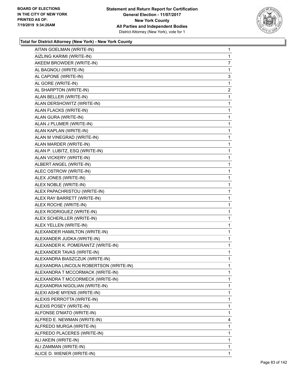

| AITAN GOELMAN (WRITE-IN)               | 1              |
|----------------------------------------|----------------|
| AIZLING KARIMI (WRITE-IN)              | 1              |
| AKEEM BROWDER (WRITE-IN)               | 7              |
| AL BAGNOLI (WRITE-IN)                  | 1              |
| AL CAPONE (WRITE-IN)                   | 3              |
| AL GORE (WRITE-IN)                     | 1              |
| AL SHARPTON (WRITE-IN)                 | $\overline{a}$ |
| ALAN BELLER (WRITE-IN)                 | 1              |
| ALAN DERSHOWITZ (WRITE-IN)             | 1              |
| ALAN FLACKS (WRITE-IN)                 | 1              |
| ALAN GURA (WRITE-IN)                   | 1              |
| ALAN J PLUMER (WRITE-IN)               | 1              |
| ALAN KAPLAN (WRITE-IN)                 | 1              |
| ALAN M VINEGRAD (WRITE-IN)             | 1              |
| ALAN MARDER (WRITE-IN)                 | 1              |
| ALAN P. LUBITZ, ESQ (WRITE-IN)         | 1              |
| ALAN VICKERY (WRITE-IN)                | 1              |
| ALBERT ANGEL (WRITE-IN)                | 1              |
| ALEC OSTROW (WRITE-IN)                 | 1              |
| ALEX JONES (WRITE-IN)                  | 1              |
| ALEX NOBLE (WRITE-IN)                  | 1              |
| ALEX PAPACHRISTOU (WRITE-IN)           | 1              |
| ALEX RAY BARRETT (WRITE-IN)            | 1              |
| ALEX ROCHE (WRITE-IN)                  | 1              |
| ALEX RODRIGUEZ (WRITE-IN)              | 1              |
| ALEX SCHERLLER (WRITE-IN)              | 1              |
| ALEX YELLEN (WRITE-IN)                 | 1              |
| ALEXANDER HAMILTON (WRITE-IN)          | 1              |
| ALEXANDER JUDKA (WRITE-IN)             | 1              |
| ALEXANDER K. POMERANTZ (WRITE-IN)      | 1              |
| ALEXANDER TAVAS (WRITE-IN)             | 1              |
| ALEXANDRA BIASZCZUK (WRITE-IN)         | 1              |
| ALEXANDRA LINCOLN ROBERTSON (WRITE-IN) | 1              |
| ALEXANDRA T MCCORMACK (WRITE-IN)       | 1              |
| ALEXANDRA T MCCORMECK (WRITE-IN)       | 1              |
| ALEXANDRIA NIGOLIAN (WRITE-IN)         | 1              |
| ALEXI ASHE MYENS (WRITE-IN)            | 1              |
| ALEXIS PERROTTA (WRITE-IN)             | 1              |
| ALEXIS POSEY (WRITE-IN)                | 1              |
| ALFONSE D'MATO (WRITE-IN)              | 1              |
| ALFRED E. NEWMAN (WRITE-IN)            | 4              |
| ALFREDO MURGA (WRITE-IN)               | 1              |
| ALFREDO PLACERES (WRITE-IN)            | 1              |
| ALI AKEIN (WRITE-IN)                   | 1              |
| ALI ZAMMAN (WRITE-IN)                  | 1              |
| ALICE D. WIENER (WRITE-IN)             | 1              |
|                                        |                |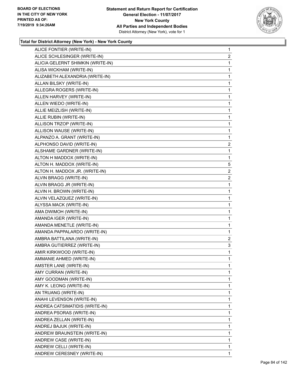

| ALICE FONTIER (WRITE-IN)          | 1              |
|-----------------------------------|----------------|
| ALICE SCHLESINGER (WRITE-IN)      | $\overline{2}$ |
| ALICIA GELERNT SHIMKIN (WRITE-IN) | 1              |
| ALISA WICKHAM (WRITE-IN)          | 1              |
| ALIZABETH ALEXANDRIA (WRITE-IN)   | $\mathbf{1}$   |
| ALLAN BILSKY (WRITE-IN)           | 1              |
| ALLEGRA ROGERS (WRITE-IN)         | 1              |
| ALLEN HARVEY (WRITE-IN)           | 1              |
| ALLEN WIEDO (WRITE-IN)            | 1              |
| ALLIE MEIZLISH (WRITE-IN)         | 1              |
| ALLIE RUBIN (WRITE-IN)            | 1              |
| ALLISON TRZOP (WRITE-IN)          | 1              |
| ALLISON WAUSE (WRITE-IN)          | 1              |
| ALPANZO A. GRANT (WRITE-IN)       | 1              |
| ALPHONSO DAVID (WRITE-IN)         | $\overline{2}$ |
| ALSHAME GARDNER (WRITE-IN)        | 1              |
| ALTON H MADDOX (WRITE-IN)         | 1              |
| ALTON H. MADDOX (WRITE-IN)        | 5              |
| ALTON H. MADDOX JR. (WRITE-IN)    | $\overline{2}$ |
| ALVIN BRAGG (WRITE-IN)            | $\overline{2}$ |
| ALVIN BRAGG JR (WRITE-IN)         | 1              |
| ALVIN H. BROWN (WRITE-IN)         | 1              |
| ALVIN VELAZQUEZ (WRITE-IN)        | 1              |
| ALYSSA MACK (WRITE-IN)            | 1              |
| AMA DWIMOH (WRITE-IN)             | 1              |
| AMANDA IGER (WRITE-IN)            | $\mathbf{1}$   |
| AMANDA MENETLE (WRITE-IN)         | 1              |
| AMANDA PAPPALARDO (WRITE-IN)      | 1              |
| AMBRA BATTILANA (WRITE-IN)        | $\overline{2}$ |
| AMBRA GUTIERREZ (WRITE-IN)        | 3              |
| AMIR KIRKWOOD (WRITE-IN)          | 1              |
| AMMANIE AHMED (WRITE-IN)          | 1              |
| AMSTER LANE (WRITE-IN)            | 1              |
| AMY CURRAN (WRITE-IN)             | 1              |
| AMY GOODMAN (WRITE-IN)            | 1              |
| AMY K. LEONG (WRITE-IN)           | 1              |
| AN TRUANG (WRITE-IN)              | 1              |
| ANAHI LEVENSON (WRITE-IN)         | 1              |
| ANDREA CATSIMATIDIS (WRITE-IN)    | 1              |
| ANDREA PSORAS (WRITE-IN)          | 1              |
| ANDREA ZELLAN (WRITE-IN)          | 1              |
| ANDREJ BAJUK (WRITE-IN)           | 1              |
| ANDREW BRAUNSTEIN (WRITE-IN)      | 1              |
| ANDREW CASE (WRITE-IN)            | 1              |
| ANDREW CELLI (WRITE-IN)           | 1              |
| ANDREW CERESNEY (WRITE-IN)        | 1              |
|                                   |                |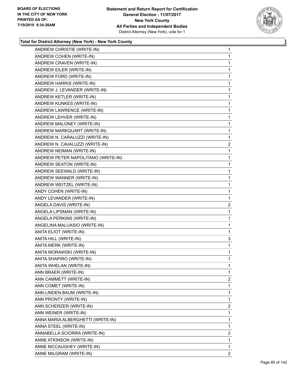

| ANDREW CHRISTIE (WRITE-IN)         | 1              |
|------------------------------------|----------------|
| ANDREW COHEN (WRITE-IN)            | 1              |
| ANDREW CRAVEN (WRITE-IN)           | 1              |
| ANDREW EILER (WRITE-IN)            | 1              |
| ANDREW FORD (WRITE-IN)             | 1              |
| ANDREW HARRIS (WRITE-IN)           | 1              |
| ANDREW J. LEVANDER (WRITE-IN)      | 1              |
| ANDREW KETLER (WRITE-IN)           | 1              |
| ANDREW KUNKES (WRITE-IN)           | 1              |
| ANDREW LAWRENCE (WRITE-IN)         | 1              |
| ANDREW LEHVER (WRITE-IN)           | 1              |
| ANDREW MALONEY (WRITE-IN)          | 1              |
| ANDREW MARKQUART (WRITE-IN)        | 1              |
| ANDREW N. CARALUZZI (WRITE-IN)     | 1              |
| ANDREW N. CAVALUZZI (WRITE-IN)     | $\overline{2}$ |
| ANDREW NEIMAN (WRITE-IN)           | 1              |
| ANDREW PETER NAPOLITANO (WRITE-IN) | 1              |
| ANDREW SEATON (WRITE-IN)           | 1              |
| ANDREW SEEWALD (WRITE-IN)          | 1              |
| ANDREW WANNER (WRITE-IN)           | 1              |
| ANDREW WEITZEL (WRITE-IN)          | 1              |
| ANDY COHEN (WRITE-IN)              | 1              |
| ANDY LEVANDER (WRITE-IN)           | 1              |
| ANGELA DAVIS (WRITE-IN)            | $\overline{c}$ |
| ANGELA LIPSMAN (WRITE-IN)          | 1              |
| ANGELA PERKINS (WRITE-IN)          | 1              |
| ANGELINA MALUASIO (WRITE-IN)       | 1              |
| ANITA ELIOT (WRITE-IN)             | 1              |
| ANITA HILL (WRITE-IN)              | 3              |
| ANITA MERK (WRITE-IN)              | 1              |
| ANITA MORAWSKI (WRITE-IN)          | 1              |
| ANITA SHAPIRO (WRITE-IN)           | 1              |
| ANITA WHELAN (WRITE-IN)            | 1              |
| ANN BRAER (WRITE-IN)               | 1              |
| ANN CAMMETT (WRITE-IN)             | $\overline{2}$ |
| ANN COMET (WRITE-IN)               | 1              |
| ANN LINDEN BAUM (WRITE-IN)         | 1              |
| ANN PRONTY (WRITE-IN)              | 1              |
| ANN SCHERZER (WRITE-IN)            | 2              |
| ANN WEINER (WRITE-IN)              |                |
|                                    | 1              |
| ANNA MARIA ALBERGHETTI (WRITE-IN)  | 1              |
| ANNA STEEL (WRITE-IN)              | 1              |
| ANNABELLA SCIORRA (WRITE-IN)       | $\overline{c}$ |
| ANNE ATKINSON (WRITE-IN)           | 1              |
| ANNE MCCAUGHEY (WRITE-IN)          | 1              |
| ANNE MILGRAM (WRITE-IN)            | 2              |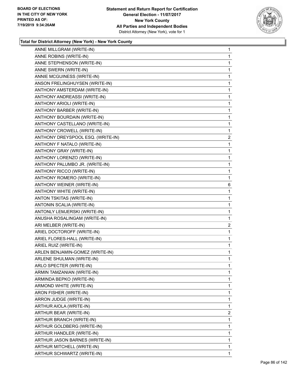

| ANNE MILLGRAM (WRITE-IN)          | $\mathbf{1}$   |
|-----------------------------------|----------------|
| ANNE ROBINS (WRITE-IN)            | $\mathbf{1}$   |
| ANNE STEPHENSON (WRITE-IN)        | $\mathbf{1}$   |
| ANNE SWERN (WRITE-IN)             | $\mathbf{1}$   |
| ANNIE MCGUINESS (WRITE-IN)        | $\mathbf{1}$   |
| ANSON FRELINGHUYSEN (WRITE-IN)    | $\mathbf{1}$   |
| ANTHONY AMSTERDAM (WRITE-IN)      | 1              |
| ANTHONY ANDREASSI (WRITE-IN)      | $\mathbf{1}$   |
| ANTHONY ARIOLI (WRITE-IN)         | $\mathbf{1}$   |
| ANTHONY BARBER (WRITE-IN)         | $\mathbf{1}$   |
| ANTHONY BOURDAIN (WRITE-IN)       | $\mathbf{1}$   |
| ANTHONY CASTELLANO (WRITE-IN)     | $\mathbf{1}$   |
| ANTHONY CROWELL (WRITE-IN)        | 1              |
| ANTHONY DREYSPOOL ESQ. (WRITE-IN) | $\overline{c}$ |
| ANTHONY F NATALO (WRITE-IN)       | $\mathbf{1}$   |
| ANTHONY GRAY (WRITE-IN)           | $\mathbf{1}$   |
| ANTHONY LORENZO (WRITE-IN)        | $\mathbf{1}$   |
| ANTHONY PALUMBO JR. (WRITE-IN)    | $\mathbf{1}$   |
| ANTHONY RICCO (WRITE-IN)          | 1              |
| ANTHONY ROMERO (WRITE-IN)         | $\mathbf{1}$   |
| ANTHONY WEINER (WRITE-IN)         | 6              |
| ANTHONY WHITE (WRITE-IN)          | $\mathbf{1}$   |
| ANTON TSKITAS (WRITE-IN)          | 1              |
| ANTONIN SCALIA (WRITE-IN)         | $\mathbf{1}$   |
| ANTONLY LEMJERSKI (WRITE-IN)      | 1              |
| ANUSHA ROSALINGAM (WRITE-IN)      | $\mathbf{1}$   |
| ARI MELBER (WRITE-IN)             | $\overline{2}$ |
| ARIEL DOCTOROFF (WRITE-IN)        | $\mathbf 1$    |
| ARIEL FLORES-HALL (WRITE-IN)      | $\mathbf{1}$   |
| ARIEL RUIZ (WRITE-IN)             | $\mathbf{1}$   |
| ARLEN BENJAMIN-GOMEZ (WRITE-IN)   | 1              |
| ARLENE SHULMAN (WRITE-IN)         | $\mathbf{1}$   |
| ARLO SPECTER (WRITE-IN)           | 1              |
| ARMIN TAMZANIAN (WRITE-IN)        | 1              |
| ARMINDA BEPKO (WRITE-IN)          | $\mathbf 1$    |
| ARMOND WHITE (WRITE-IN)           | 1              |
| ARON FISHER (WRITE-IN)            | 1              |
| ARRON JUDGE (WRITE-IN)            | $\mathbf 1$    |
| ARTHUR AIOLA (WRITE-IN)           | 1              |
| ARTHUR BEAR (WRITE-IN)            | 2              |
| ARTHUR BRANCH (WRITE-IN)          | 1              |
| ARTHUR GOLDBERG (WRITE-IN)        | 1              |
| ARTHUR HANDLER (WRITE-IN)         | 1              |
| ARTHUR JASON BARNES (WRITE-IN)    | $\mathbf 1$    |
| ARTHUR MITCHELL (WRITE-IN)        | $\mathbf{1}$   |
| ARTHUR SCHWARTZ (WRITE-IN)        | 1              |
|                                   |                |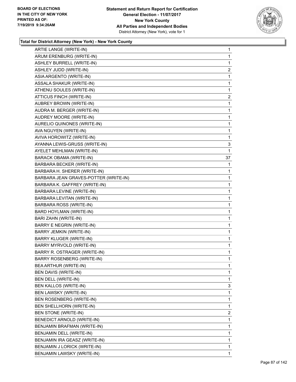

| ARTIE LANGE (WRITE-IN)                | 1            |
|---------------------------------------|--------------|
| ARUM ERENBURG (WRITE-IN)              | $\mathbf 1$  |
| ASHLEY BURRELL (WRITE-IN)             | 1            |
| ASHLEY JUDD (WRITE-IN)                | 2            |
| ASIA ARGENTO (WRITE-IN)               | 1            |
| ASSALA SHAKUR (WRITE-IN)              | $\mathbf 1$  |
| ATHENU SOULES (WRITE-IN)              | $\mathbf 1$  |
| ATTICUS FINCH (WRITE-IN)              | 2            |
| AUBREY BROWN (WRITE-IN)               | $\mathbf 1$  |
| AUDRA M. BERGER (WRITE-IN)            | $\mathbf 1$  |
| AUDREY MOORE (WRITE-IN)               | 1            |
| AURELIO QUINONES (WRITE-IN)           | $\mathbf 1$  |
| AVA NGUYEN (WRITE-IN)                 | $\mathbf 1$  |
| AVIVA HOROWITZ (WRITE-IN)             | 1            |
| AYANNA LEWIS-GRUSS (WRITE-IN)         | 3            |
| AYELET MEHLMAN (WRITE-IN)             | 1            |
| BARACK OBAMA (WRITE-IN)               | 37           |
| BARBARA BECKER (WRITE-IN)             | 1            |
| BARBARA H. SHERER (WRITE-IN)          | 1            |
| BARBARA JEAN GRAVES-POTTER (WRITE-IN) | 1            |
| BARBARA K. GAFFREY (WRITE-IN)         | $\mathbf 1$  |
| BARBARA LEVINE (WRITE-IN)             | $\mathbf 1$  |
| BARBARA LEVITAN (WRITE-IN)            | 1            |
| BARBARA ROSS (WRITE-IN)               | $\mathbf 1$  |
| BARD HOYLMAN (WRITE-IN)               | $\mathbf 1$  |
| BARI ZAHN (WRITE-IN)                  | 1            |
| <b>BARRY E NEGRIN (WRITE-IN)</b>      | $\mathbf{1}$ |
| <b>BARRY JEMKIN (WRITE-IN)</b>        | $\mathbf{1}$ |
| BARRY KLUGER (WRITE-IN)               | 1            |
| BARRY MYRVOLD (WRITE-IN)              | $\mathbf{1}$ |
| BARRY R. OSTRAGER (WRITE-IN)          | $\mathbf{1}$ |
| BARRY ROSENBERG (WRITE-IN)            | 1            |
| BEA ARTHUR (WRITE-IN)                 | 1            |
| BEN DAVIS (WRITE-IN)                  | $\mathbf{1}$ |
| BEN DELL (WRITE-IN)                   | 1            |
| BEN KALLOS (WRITE-IN)                 | 3            |
| BEN LAWSKY (WRITE-IN)                 | 1            |
| BEN ROSENBERG (WRITE-IN)              | 1            |
| BEN SHELLHORN (WRITE-IN)              | 1            |
| <b>BEN STONE (WRITE-IN)</b>           | $\mathbf{2}$ |
| <b>BENEDICT ARNOLD (WRITE-IN)</b>     | 1            |
| BENJAMIN BRAFMAN (WRITE-IN)           | 1            |
| BENJAMIN DELL (WRITE-IN)              | 1            |
| BENJAMIN IRA GEASZ (WRITE-IN)         | 1            |
| BENJAMIN J LORICK (WRITE-IN)          | 1            |
| BENJAMIN LAWSKY (WRITE-IN)            | $\mathbf{1}$ |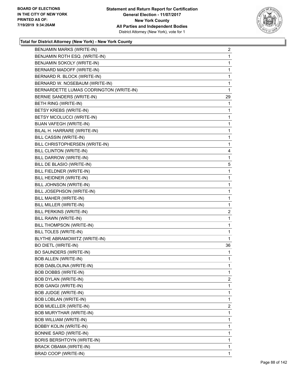

| BENJAMIN MARKS (WRITE-IN)               | $\overline{a}$ |
|-----------------------------------------|----------------|
| BENJAMIN ROTH ESQ. (WRITE-IN)           | 1              |
| BENJAMIN SOKOLY (WRITE-IN)              | 1              |
| BERNARD MADOFF (WRITE-IN)               | 1              |
| BERNARD R. BLOCK (WRITE-IN)             | 1              |
| BERNARD W. NOSEBAUM (WRITE-IN)          | 1              |
| BERNARDETTE LUMAS CODRINGTON (WRITE-IN) | 1              |
| BERNIE SANDERS (WRITE-IN)               | 29             |
| BETH RING (WRITE-IN)                    | 1              |
| BETSY KREBS (WRITE-IN)                  | 1              |
| BETSY MCOLUCCI (WRITE-IN)               | 1              |
| BIJAN VAFEGH (WRITE-IN)                 | 1              |
| BILAL H. HARRARE (WRITE-IN)             | 1              |
| BILL CASSIN (WRITE-IN)                  | 1              |
| BILL CHRISTOPHERSEN (WRITE-IN)          | 1              |
| BILL CLINTON (WRITE-IN)                 | 4              |
| BILL DARROW (WRITE-IN)                  | 1              |
| BILL DE BLASIO (WRITE-IN)               | 5              |
| BILL FIELDNER (WRITE-IN)                | 1              |
| BILL HEIDNER (WRITE-IN)                 | 1              |
| BILL JOHNSON (WRITE-IN)                 | 1              |
| BILL JOSEPHSON (WRITE-IN)               | 1              |
| BILL MAHER (WRITE-IN)                   | 1              |
| BILL MILLER (WRITE-IN)                  | 1              |
| BILL PERKINS (WRITE-IN)                 | $\overline{2}$ |
| BILL RAWN (WRITE-IN)                    | 1              |
| BILL THOMPSON (WRITE-IN)                | 1              |
| BILL TOLES (WRITE-IN)                   | 1              |
| BLYTHE ABRAMOWITZ (WRITE-IN)            | 1              |
| <b>BO DIETL (WRITE-IN)</b>              | 36             |
| BO SAUNDERS (WRITE-IN)                  | 1              |
| <b>BOB ALLEN (WRITE-IN)</b>             | 1              |
| BOB DABLOLINA (WRITE-IN)                | 1              |
| BOB DOBBS (WRITE-IN)                    | 1              |
| BOB DYLAN (WRITE-IN)                    | $\overline{2}$ |
| <b>BOB GANGI (WRITE-IN)</b>             | 1              |
| <b>BOB JUDGE (WRITE-IN)</b>             | 1              |
| <b>BOB LOBLAN (WRITE-IN)</b>            | 1              |
| BOB MUELLER (WRITE-IN)                  | $\overline{2}$ |
| BOB MURYTHAR (WRITE-IN)                 | 1              |
| BOB WILLIAM (WRITE-IN)                  | 1              |
| <b>BOBBY KOLIN (WRITE-IN)</b>           | 1              |
| <b>BONNIE SARD (WRITE-IN)</b>           | 1              |
| BORIS BERSHTOYN (WRITE-IN)              | 1              |
| BRACK OBAMA (WRITE-IN)                  | 1              |
| BRAD COOP (WRITE-IN)                    | 1              |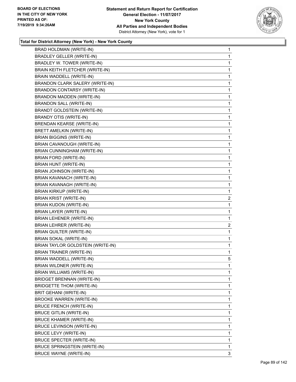

| BRAD HOLDMAN (WRITE-IN)            | $\mathbf{1}$   |
|------------------------------------|----------------|
| <b>BRADLEY GELLER (WRITE-IN)</b>   | 1              |
| BRADLEY W. TOWER (WRITE-IN)        | 1              |
| BRAIN KEITH FLETCHER (WRITE-IN)    | 1              |
| BRAIN WADDELL (WRITE-IN)           | 1              |
| BRANDON CLARK SALERY (WRITE-IN)    | 1              |
| <b>BRANDON CONTARSY (WRITE-IN)</b> | 1              |
| BRANDON MADDEN (WRITE-IN)          | 1              |
| <b>BRANDON SALL (WRITE-IN)</b>     | 1              |
| <b>BRANDT GOLDSTEIN (WRITE-IN)</b> | 1              |
| BRANDY OTIS (WRITE-IN)             | 1              |
| <b>BRENDAN KEARSE (WRITE-IN)</b>   | 1              |
| BRETT AMELKIN (WRITE-IN)           | 1              |
| <b>BRIAN BIGGINS (WRITE-IN)</b>    | 1              |
| BRIAN CAVANOUGH (WRITE-IN)         | 1              |
| BRIAN CUNNINGHAM (WRITE-IN)        | 1              |
| BRIAN FORD (WRITE-IN)              | 1              |
| BRIAN HUNT (WRITE-IN)              | 1              |
| BRIAN JOHNSON (WRITE-IN)           | 1              |
| BRIAN KAVANACH (WRITE-IN)          | $\mathbf{1}$   |
| BRIAN KAVANAGH (WRITE-IN)          | 1              |
| <b>BRIAN KIRKUP (WRITE-IN)</b>     | 1              |
| <b>BRIAN KRIST (WRITE-IN)</b>      | $\overline{a}$ |
| BRIAN KUDON (WRITE-IN)             | 1              |
| BRIAN LAYER (WRITE-IN)             | 1              |
| <b>BRIAN LEHENER (WRITE-IN)</b>    | 1              |
| BRIAN LEHRER (WRITE-IN)            | $\overline{2}$ |
| <b>BRIAN QUILTER (WRITE-IN)</b>    | 1              |
| BRIAN SOKAL (WRITE-IN)             | 1              |
| BRIAN TAYLOR GOLDSTEIN (WRITE-IN)  | 1              |
| <b>BRIAN TRAINER (WRITE-IN)</b>    | 1              |
| BRIAN WADDELL (WRITE-IN)           | 5              |
| BRIAN WILDNER (WRITE-IN)           | 1              |
| <b>BRIAN WILLIAMS (WRITE-IN)</b>   | 1              |
| <b>BRIDGET BRENNAN (WRITE-IN)</b>  | 1              |
| BRIDGETTE THOM (WRITE-IN)          | 1              |
| BRIT GEHANI (WRITE-IN)             | 1              |
| <b>BROOKE WARREN (WRITE-IN)</b>    | 1              |
| <b>BRUCE FRENCH (WRITE-IN)</b>     | 1              |
| <b>BRUCE GITLIN (WRITE-IN)</b>     | 1              |
| <b>BRUCE KHAMER (WRITE-IN)</b>     | 1              |
| BRUCE LEVINSON (WRITE-IN)          | 1              |
| <b>BRUCE LEVY (WRITE-IN)</b>       | 1              |
| <b>BRUCE SPECTER (WRITE-IN)</b>    | 1              |
| BRUCE SPRINGSTEIN (WRITE-IN)       | 1              |
| <b>BRUCE WAYNE (WRITE-IN)</b>      | 3              |
|                                    |                |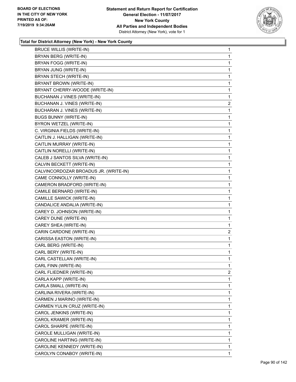

| <b>BRUCE WILLIS (WRITE-IN)</b>        | $\mathbf{1}$   |
|---------------------------------------|----------------|
| BRYAN BERG (WRITE-IN)                 | $\mathbf{1}$   |
| BRYAN FOGG (WRITE-IN)                 | $\mathbf 1$    |
| BRYAN JUNG (WRITE-IN)                 | 1              |
| BRYAN STECH (WRITE-IN)                | 1              |
| BRYANT BROWN (WRITE-IN)               | 1              |
| BRYANT CHERRY-WOODE (WRITE-IN)        | 1              |
| <b>BUCHANAN J VINES (WRITE-IN)</b>    | $\mathbf{1}$   |
| BUCHANAN J. VINES (WRITE-IN)          | $\overline{c}$ |
| BUCHARAN J. VINES (WRITE-IN)          | 1              |
| <b>BUGS BUNNY (WRITE-IN)</b>          | 1              |
| BYRON WETZEL (WRITE-IN)               | 1              |
| C. VIRGINIA FIELDS (WRITE-IN)         | 1              |
| CAITLIN J. HALLIGAN (WRITE-IN)        | 1              |
| CAITLIN MURRAY (WRITE-IN)             | 1              |
| CAITLIN NORELLI (WRITE-IN)            | 1              |
| CALEB J SANTOS SILVA (WRITE-IN)       | 1              |
| CALVIN BECKETT (WRITE-IN)             | 1              |
| CALVINCORDOZAR BROADUS JR. (WRITE-IN) | 1              |
| CAME CONNOLLY (WRITE-IN)              | 1              |
| CAMERON BRADFORD (WRITE-IN)           | 1              |
| CAMILE BERNARD (WRITE-IN)             | 1              |
| CAMILLE SAWICK (WRITE-IN)             | 1              |
| CANDALICE ANDALIA (WRITE-IN)          | 1              |
| CAREY D. JOHNSON (WRITE-IN)           | 1              |
| CAREY DUNE (WRITE-IN)                 | 1              |
| CAREY SHEA (WRITE-IN)                 | 1              |
| CARIN CARDONE (WRITE-IN)              | 2              |
| CARISSA EASTON (WRITE-IN)             | 1              |
| CARL BERG (WRITE-IN)                  | 1              |
| CARL BERY (WRITE-IN)                  | 1              |
| CARL CASTELLAN (WRITE-IN)             | $\mathbf{1}$   |
| CARL FINN (WRITE-IN)                  | 1              |
| CARL FLIEDNER (WRITE-IN)              | $\overline{2}$ |
| CARLA KAPP (WRITE-IN)                 | 1              |
| CARLA SMALL (WRITE-IN)                | 1              |
| CARLINA RIVERA (WRITE-IN)             | 1              |
| CARMEN J MARINO (WRITE-IN)            | 1              |
| CARMEN YULIN CRUZ (WRITE-IN)          | 1              |
| CAROL JENKINS (WRITE-IN)              | 1              |
| CAROL KRAMER (WRITE-IN)               | 1              |
| CAROL SHARPE (WRITE-IN)               | 1              |
| CAROLE MULLIGAN (WRITE-IN)            | 1              |
| CAROLINE HARTING (WRITE-IN)           | 1              |
| CAROLINE KENNEDY (WRITE-IN)           | 1              |
| CAROLYN CONABOY (WRITE-IN)            | $\mathbf{1}$   |
|                                       |                |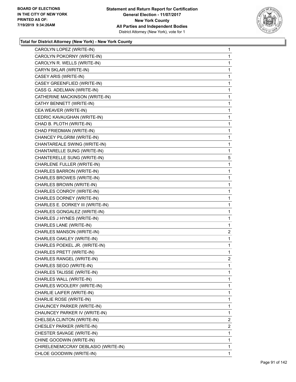

| CAROLYN LOPEZ (WRITE-IN)            | $\mathbf{1}$   |
|-------------------------------------|----------------|
| CAROLYN POKORNY (WRITE-IN)          | 1              |
| CAROLYN R. WELLS (WRITE-IN)         | 1              |
| CARYN SKLAR (WRITE-IN)              | 1              |
| CASEY ARIS (WRITE-IN)               | 1              |
| CASEY GREENFLIED (WRITE-IN)         | 1              |
| CASS G. ADELMAN (WRITE-IN)          | 1              |
| CATHERINE MACKINSON (WRITE-IN)      | 1              |
| CATHY BENNETT (WRITE-IN)            | 1              |
| CEA WEAVER (WRITE-IN)               | 1              |
| CEDRIC KAVAUGHAN (WRITE-IN)         | 1              |
| CHAD B. PLOTH (WRITE-IN)            | 1              |
| CHAD FRIEDMAN (WRITE-IN)            | 1              |
| CHANCEY PILGRIM (WRITE-IN)          | 1              |
| CHANTAREALE SWING (WRITE-IN)        | 1              |
| CHANTARELLE SUNG (WRITE-IN)         | 1              |
| CHANTERELLE SUNG (WRITE-IN)         | 5              |
| CHARLENE FULLER (WRITE-IN)          | 1              |
| CHARLES BARRON (WRITE-IN)           | 1              |
| CHARLES BROWES (WRITE-IN)           | 1              |
| CHARLES BROWN (WRITE-IN)            | 1              |
| CHARLES CONROY (WRITE-IN)           | 1              |
| CHARLES DORNEY (WRITE-IN)           | 1              |
| CHARLES E. DORKEY III (WRITE-IN)    | 1              |
| CHARLES GONGALEZ (WRITE-IN)         | 1              |
| CHARLES J HYNES (WRITE-IN)          | 1              |
| CHARLES LANE (WRITE-IN)             | 1              |
| CHARLES MANSON (WRITE-IN)           | $\overline{2}$ |
| CHARLES OAKLEY (WRITE-IN)           | 1              |
| CHARLES POEKEL JR. (WRITE-IN)       | $\mathbf{1}$   |
| CHARLES PRETT (WRITE-IN)            | 1              |
| CHARLES RANGEL (WRITE-IN)           | $\overline{2}$ |
| CHARLES SEGO (WRITE-IN)             | 1              |
| CHARLES TALISSE (WRITE-IN)          | 1              |
| CHARLES WALL (WRITE-IN)             | 1              |
| CHARLES WOOLERY (WRITE-IN)          | 1              |
| CHARLIE LAIFER (WRITE-IN)           | 1              |
| CHARLIE ROSE (WRITE-IN)             | 1              |
| CHAUNCEY PARKER (WRITE-IN)          | 1              |
| CHAUNCEY PARKER IV (WRITE-IN)       | 1              |
| CHELSEA CLINTON (WRITE-IN)          | $\overline{2}$ |
| CHESLEY PARKER (WRITE-IN)           | 2              |
| CHESTER SAVAGE (WRITE-IN)           | 1              |
| CHINE GOODWIN (WRITE-IN)            | 1              |
| CHIRELENEMCCRAY DEBLASIO (WRITE-IN) | 1              |
| CHLOE GOODWIN (WRITE-IN)            | 1              |
|                                     |                |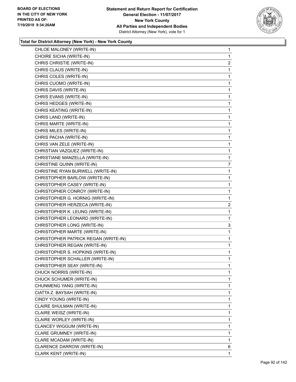

| CHLOE MALONEY (WRITE-IN)             | 1              |
|--------------------------------------|----------------|
| CHOIRE SICHA (WRITE-IN)              | 1              |
| CHRIS CHRISTIE (WRITE-IN)            | $\overline{c}$ |
| CHRIS CLAUS (WRITE-IN)               | 1              |
| CHRIS COLES (WRITE-IN)               | 1              |
| CHRIS CUOMO (WRITE-IN)               | 1              |
| CHRIS DAVIS (WRITE-IN)               | 1              |
| CHRIS EVANS (WRITE-IN)               | 1              |
| CHRIS HEDGES (WRITE-IN)              | 1              |
| CHRIS KEATING (WRITE-IN)             | 1              |
| CHRIS LAND (WRITE-IN)                | 1              |
| CHRIS MARTE (WRITE-IN)               | 1              |
| CHRIS MILES (WRITE-IN)               | 1              |
| CHRIS PACHA (WRITE-IN)               | 1              |
| CHRIS VAN ZELE (WRITE-IN)            | 1              |
| CHRISTIAN VAZQUEZ (WRITE-IN)         | 1              |
| CHRISTIANE MANZELLA (WRITE-IN)       | 1              |
| CHRISTINE QUINN (WRITE-IN)           | $\overline{7}$ |
| CHRISTINE RYAN BURWELL (WRITE-IN)    | $\mathbf{1}$   |
| CHRISTOPHER BARLOW (WRITE-IN)        | 1              |
| CHRISTOPHER CASEY (WRITE-IN)         | 1              |
| CHRISTOPHER CONROY (WRITE-IN)        | 1              |
| CHRISTOPHER G. HORNIG (WRITE-IN)     | 1              |
| CHRISTOPHER HERZECA (WRITE-IN)       | $\overline{2}$ |
| CHRISTOPHER K. LEUNG (WRITE-IN)      | $\mathbf{1}$   |
| CHRISTOPHER LEONARD (WRITE-IN)       | 1              |
| CHRISTOPHER LONG (WRITE-IN)          | 3              |
| CHRISTOPHER MARTE (WRITE-IN)         | 1              |
| CHRISTOPHER PATRICK REGAN (WRITE-IN) | 1              |
| CHRISTOPHER REGAN (WRITE-IN)         | 1              |
| CHRISTOPHER S. HOPKINS (WRITE-IN)    | 1              |
| CHRISTOPHER SCHALLER (WRITE-IN)      | 1              |
| CHRISTOPHER SEAY (WRITE-IN)          | 1              |
| CHUCK NORRIS (WRITE-IN)              | 1              |
| CHUCK SCHUMER (WRITE-IN)             | 1              |
| CHUNMENG YANG (WRITE-IN)             | 1              |
| CIATTA Z. BAYSAH (WRITE-IN)          | 1              |
| CINDY YOUNG (WRITE-IN)               | 1              |
| CLAIRE SHULMAN (WRITE-IN)            | 1              |
| CLAIRE WEISZ (WRITE-IN)              | 1              |
| CLAIRE WORLEY (WRITE-IN)             | 1              |
| CLANCEY WIGGUM (WRITE-IN)            | 1              |
| CLARE GRUMNEY (WRITE-IN)             | 1              |
| CLARE MCADAM (WRITE-IN)              | 1              |
| CLARENCE DARROW (WRITE-IN)           | 6              |
| CLARK KENT (WRITE-IN)                | 1              |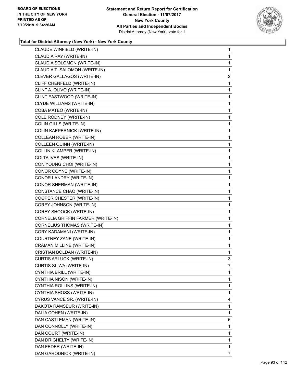

| CLAUDE WINFIELD (WRITE-IN)         | 1            |
|------------------------------------|--------------|
| CLAUDIA RAY (WRITE-IN)             | 1            |
| CLAUDIA SOLOMON (WRITE-IN)         | 1            |
| CLAUDIA T. SALOMON (WRITE-IN)      | 1            |
| CLEVER GALLAGOS (WRITE-IN)         | 2            |
| CLIFF CHENFELD (WRITE-IN)          | 1            |
| CLINT A. OLIVO (WRITE-IN)          | 1            |
| CLINT EASTWOOD (WRITE-IN)          | 1            |
| <b>CLYDE WILLIAMS (WRITE-IN)</b>   | 1            |
| COBA MATEO (WRITE-IN)              | 1            |
| COLE RODNEY (WRITE-IN)             | 1            |
| COLIN GILLS (WRITE-IN)             | 1            |
| COLIN KAEPERNICK (WRITE-IN)        | 1            |
| COLLEAN ROBER (WRITE-IN)           | 1            |
| COLLEEN QUINN (WRITE-IN)           | 1            |
| <b>COLLIN KLAMPER (WRITE-IN)</b>   | 1            |
| COLTA IVES (WRITE-IN)              | 1            |
| CON YOUNG CHOI (WRITE-IN)          | 1            |
| CONOR COYNE (WRITE-IN)             | 1            |
| CONOR LANDRY (WRITE-IN)            | 1            |
| CONOR SHERMAN (WRITE-IN)           | 1            |
| CONSTANCE CHAO (WRITE-IN)          | 1            |
| COOPER CHESTER (WRITE-IN)          | 1            |
| COREY JOHNSON (WRITE-IN)           | 1            |
| COREY SHOOCK (WRITE-IN)            | 1            |
| CORNELIA GRIFFIN FARMER (WRITE-IN) | 1            |
| CORNELIUS THOMAS (WRITE-IN)        | 1            |
| CORY KADAMANI (WRITE-IN)           | 1            |
| COURTNEY ZANE (WRITE-IN)           | 1            |
| CRAMAN MILLINE (WRITE-IN)          | $\mathbf{1}$ |
| CRISTIAN BOLDAN (WRITE-IN)         | $\mathbf{1}$ |
| <b>CURTIS ARLUCK (WRITE-IN)</b>    | 3            |
| CURTIS SLIWA (WRITE-IN)            | 7            |
| CYNTHIA BRILL (WRITE-IN)           | 1            |
| CYNTHIA NISON (WRITE-IN)           | 1            |
| CYNTHIA ROLLINS (WRITE-IN)         | 1            |
| CYNTHIA SHOSS (WRITE-IN)           | 1            |
| CYRUS VANCE SR. (WRITE-IN)         | 4            |
| DAKOTA RAMSEUR (WRITE-IN)          | 1            |
| DALIA COHEN (WRITE-IN)             | 1            |
| DAN CASTLEMAN (WRITE-IN)           | 6            |
| DAN CONNOLLY (WRITE-IN)            | 1            |
| DAN COURT (WRITE-IN)               | 1            |
| DAN DRIGHELTY (WRITE-IN)           | 1            |
| DAN FEDER (WRITE-IN)               | 1            |
| DAN GARODNICK (WRITE-IN)           | 7            |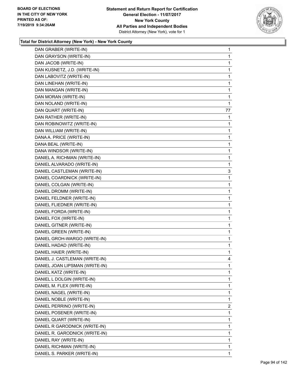

| DAN GRABER (WRITE-IN)          | 1              |
|--------------------------------|----------------|
| DAN GRAYSON (WRITE-IN)         | 1              |
| DAN JACOB (WRITE-IN)           | 1              |
| DAN KUSNETZ, J.D. (WRITE-IN)   | 1              |
| DAN LABOVITZ (WRITE-IN)        | 1              |
| DAN LINEHAN (WRITE-IN)         | 1              |
| DAN MANGAN (WRITE-IN)          | 1              |
| DAN MORAN (WRITE-IN)           | 1              |
| DAN NOLAND (WRITE-IN)          | 1              |
| DAN QUART (WRITE-IN)           | 77             |
| DAN RATHER (WRITE-IN)          | 1              |
| DAN ROBINOWITZ (WRITE-IN)      | 1              |
| DAN WILLIAM (WRITE-IN)         | 1              |
| DANA A. PRICE (WRITE-IN)       | 1              |
| DANA BEAL (WRITE-IN)           | 1              |
| DANA WINDSOR (WRITE-IN)        | 1              |
| DANIEL A. RICHMAN (WRITE-IN)   | 1              |
| DANIEL ALVARADO (WRITE-IN)     | 1              |
| DANIEL CASTLEMAN (WRITE-IN)    | 3              |
| DANIEL COARDNICK (WRITE-IN)    | 1              |
| DANIEL COLGAN (WRITE-IN)       | 1              |
| DANIEL DROMM (WRITE-IN)        | 1              |
| DANIEL FELDNER (WRITE-IN)      | 1              |
| DANIEL FLIEDNER (WRITE-IN)     | 1              |
| DANIEL FORDA (WRITE-IN)        | 1              |
| DANIEL FOX (WRITE-IN)          | 1              |
| DANIEL GITNER (WRITE-IN)       | 1              |
| DANIEL GREEN (WRITE-IN)        | 1              |
| DANIEL GROH-WARGO (WRITE-IN)   | 1              |
| DANIEL HADAD (WRITE-IN)        | 1              |
| DANIEL HAIER (WRITE-IN)        | 1              |
| DANIEL J. CASTLEMAN (WRITE-IN) | 4              |
| DANIEL JOAN LIPSMAN (WRITE-IN) | 1              |
| DANIEL KATZ (WRITE-IN)         | 1              |
| DANIEL L DOLGIN (WRITE-IN)     | 1              |
| DANIEL M. FLEX (WRITE-IN)      | 1              |
| DANIEL NAGEL (WRITE-IN)        | 1              |
| DANIEL NOBLE (WRITE-IN)        | 1              |
| DANIEL PERRINO (WRITE-IN)      | $\overline{2}$ |
| DANIEL POSENER (WRITE-IN)      | 1              |
| DANIEL QUART (WRITE-IN)        | 1              |
| DANIEL R GARODNICK (WRITE-IN)  | 1              |
| DANIEL R. GARODNICK (WRITE-IN) | 1              |
| DANIEL RAY (WRITE-IN)          | 1              |
| DANIEL RICHMAN (WRITE-IN)      | 1              |
| DANIEL S. PARKER (WRITE-IN)    | 1              |
|                                |                |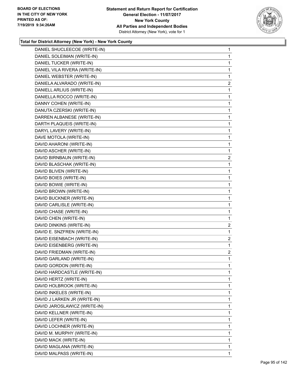

| DANIEL SHUCLEECOE (WRITE-IN)  | $\mathbf{1}$   |
|-------------------------------|----------------|
| DANIEL SOLEIMAN (WRITE-IN)    | 1              |
| DANIEL TUCKER (WRITE-IN)      | 1              |
| DANIEL VILA RIVERA (WRITE-IN) | 1              |
| DANIEL WEBSTER (WRITE-IN)     | 1              |
| DANIELA ALVARADO (WRITE-IN)   | $\overline{a}$ |
| DANIELL ARLIUS (WRITE-IN)     | 1              |
| DANIELLA ROCCO (WRITE-IN)     | 1              |
| DANNY COHEN (WRITE-IN)        | 1              |
| DANUTA CZERSKI (WRITE-IN)     | 1              |
| DARREN ALBANESE (WRITE-IN)    | 1              |
| DARTH PLAQUEIS (WRITE-IN)     | 1              |
| DARYL LAVERY (WRITE-IN)       | 1              |
| DAVE MOTOLA (WRITE-IN)        | 1              |
| DAVID AHARONI (WRITE-IN)      | 1              |
| DAVID ASCHER (WRITE-IN)       | 1              |
| DAVID BIRNBAUN (WRITE-IN)     | $\overline{2}$ |
| DAVID BLASCHAK (WRITE-IN)     | 1              |
| DAVID BLIVEN (WRITE-IN)       | 1              |
| DAVID BOIES (WRITE-IN)        | 1              |
| DAVID BOWIE (WRITE-IN)        | 1              |
| DAVID BROWN (WRITE-IN)        | $\mathbf{1}$   |
| DAVID BUCKNER (WRITE-IN)      | 1              |
| DAVID CARLISLE (WRITE-IN)     | 1              |
| DAVID CHASE (WRITE-IN)        | 1              |
| DAVID CHEN (WRITE-IN)         | 1              |
| DAVID DINKINS (WRITE-IN)      | $\overline{a}$ |
| DAVID E. SNZFREN (WRITE-IN)   | 1              |
| DAVID EISENBACH (WRITE-IN)    | $\overline{2}$ |
| DAVID EISENBERG (WRITE-IN)    | 1              |
| DAVID FRIEDMAN (WRITE-IN)     | $\overline{a}$ |
| DAVID GARLAND (WRITE-IN)      | 1              |
| DAVID GORDON (WRITE-IN)       | 1              |
| DAVID HARDCASTLE (WRITE-IN)   | 1              |
| DAVID HERTZ (WRITE-IN)        | 1              |
| DAVID HOLBROOK (WRITE-IN)     | 1              |
| DAVID INKELES (WRITE-IN)      | 1              |
| DAVID J LARKEN JR (WRITE-IN)  | 1              |
| DAVID JAROSLAWICZ (WRITE-IN)  | 1              |
| DAVID KELLNER (WRITE-IN)      | 1              |
| DAVID LEFER (WRITE-IN)        | 1              |
| DAVID LOCHNER (WRITE-IN)      | 1              |
| DAVID M. MURPHY (WRITE-IN)    | 1              |
| DAVID MACK (WRITE-IN)         | 1              |
| DAVID MAGLANA (WRITE-IN)      | 1              |
| DAVID MALPASS (WRITE-IN)      | 1.             |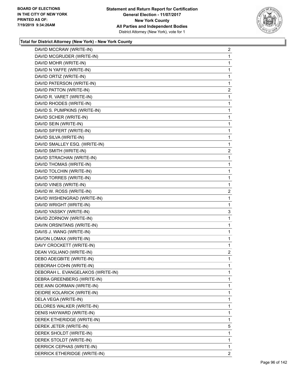

| DAVID MCCRAW (WRITE-IN)           | $\overline{a}$ |
|-----------------------------------|----------------|
| DAVID MCGRUDER (WRITE-IN)         | $\mathbf{1}$   |
| DAVID MOHR (WRITE-IN)             | 1              |
| DAVID N YAFFE (WRITE-IN)          | 1              |
| DAVID ORTIZ (WRITE-IN)            | 1              |
| DAVID PATERSON (WRITE-IN)         | 1              |
| DAVID PATTON (WRITE-IN)           | $\overline{c}$ |
| DAVID R. VARET (WRITE-IN)         | 1              |
| DAVID RHODES (WRITE-IN)           | 1              |
| DAVID S. PUMPKINS (WRITE-IN)      | 1              |
| DAVID SCHER (WRITE-IN)            | 1              |
| DAVID SEIN (WRITE-IN)             | 1              |
| DAVID SIFFERT (WRITE-IN)          | 1              |
| DAVID SILVA (WRITE-IN)            | 1              |
| DAVID SMALLEY ESQ. (WRITE-IN)     | 1              |
| DAVID SMITH (WRITE-IN)            | $\overline{c}$ |
| DAVID STRACHAN (WRITE-IN)         | 1              |
| DAVID THOMAS (WRITE-IN)           | 1              |
| DAVID TOLCHIN (WRITE-IN)          | 1              |
| DAVID TORRES (WRITE-IN)           | 1              |
| DAVID VINES (WRITE-IN)            | 1              |
| DAVID W. ROSS (WRITE-IN)          | $\overline{c}$ |
| DAVID WISHENGRAD (WRITE-IN)       | 1              |
| DAVID WRIGHT (WRITE-IN)           | 1              |
| DAVID YASSKY (WRITE-IN)           | 3              |
| DAVID ZORNOW (WRITE-IN)           | 1              |
| DAVIN ORSNITANS (WRITE-IN)        | 1              |
| DAVIS J. WANG (WRITE-IN)          | 1              |
| DAVON LOMAX (WRITE-IN)            | $\mathbf{1}$   |
| DAVY CROCKETT (WRITE-IN)          | 1              |
| DEAN VIGLIANO (WRITE-IN)          | $\overline{a}$ |
| DEBO ADEGBITE (WRITE-IN)          | 1              |
| DEBORAH COHN (WRITE-IN)           | 1              |
| DEBORAH L. EVANGELAKOS (WRITE-IN) | 1              |
| DEBRA GREENBERG (WRITE-IN)        | 1              |
| DEE ANN GORMAN (WRITE-IN)         | 1              |
| DEIDRE KOLARICK (WRITE-IN)        | 1              |
| DELA VEGA (WRITE-IN)              | 1              |
| DELORES WALKER (WRITE-IN)         | 1              |
| DENIS HAYWARD (WRITE-IN)          | 1              |
| DEREK ETHERIDGE (WRITE-IN)        | 1              |
| DEREK JETER (WRITE-IN)            | 5              |
| DEREK SHOLDT (WRITE-IN)           | 1              |
| DEREK STOLDT (WRITE-IN)           | 1              |
| DERRICK CEPHAS (WRITE-IN)         | 1              |
| DERRICK ETHERIDGE (WRITE-IN)      | $\mathbf{2}$   |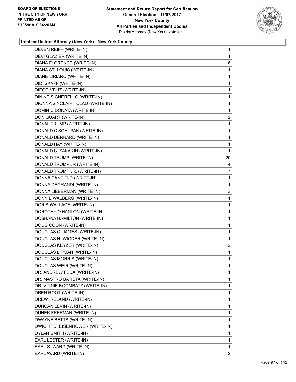

| DEVEN REIFF (WRITE-IN)           | 1                       |
|----------------------------------|-------------------------|
| DEVI GLAZIER (WRITE-IN)          | 1                       |
| DIANA FLORENCE (WRITE-IN)        | 6                       |
| DIANA ST. LOUIS (WRITE-IN)       | 1                       |
| DIANE LIRIANO (WRITE-IN)         | 1                       |
| DIDI SKAFF (WRITE-IN)            | 1                       |
| DIEGO VELIZ (WRITE-IN)           | 1                       |
| DININE SIGNERELLO (WRITE-IN)     | 1                       |
| DIONNA SINCLAIR TOLAD (WRITE-IN) | $\mathbf{1}$            |
| DOMINIC DONATA (WRITE-IN)        | 1                       |
| DON QUART (WRITE-IN)             | $\overline{2}$          |
| DONAL TRUMP (WRITE-IN)           | 1                       |
| DONALD C SCHUPAK (WRITE-IN)      | 1                       |
| DONALD DENNARD (WRITE-IN)        | 1                       |
| DONALD HAY (WRITE-IN)            | 1                       |
| DONALD S. ZAKARIN (WRITE-IN)     | 1                       |
| DONALD TRUMP (WRITE-IN)          | 20                      |
| DONALD TRUMP JR (WRITE-IN)       | 4                       |
| DONALD TRUMP JR. (WRITE-IN)      | 7                       |
| DONNA CANFIELD (WRITE-IN)        | 1                       |
| DONNA DEGRANDI (WRITE-IN)        | 1                       |
| DONNA LIEBERMAN (WRITE-IN)       | 3                       |
| DONNIE WALBERG (WRITE-IN)        | 1                       |
| DORIS WALLACE (WRITE-IN)         | 1                       |
| DOROTHY O'HANLON (WRITE-IN)      | 1                       |
| DOSHANA HAMILTON (WRITE-IN)      | 1                       |
| DOUG COON (WRITE-IN)             | 1                       |
| DOUGLAS C. JAMES (WRITE-IN)      | 1                       |
| DOUGLAS H. WIGDER (WRITE-IN)     | 1                       |
| DOUGLAS KEYZER (WRITE-IN)        | $\overline{\mathbf{c}}$ |
| DOUGLAS LIPMAN (WRITE-IN)        | 1                       |
| DOUGLAS MORRIS (WRITE-IN)        | 1                       |
| DOUGLAS WEIR (WRITE-IN)          | 1                       |
| DR. ANDREW FEDA (WRITE-IN)       | 1                       |
| DR. MASTRO BATISTA (WRITE-IN)    | 1                       |
| DR. VINNIE BOOMBATZ (WRITE-IN)   | 1                       |
| DREN ROOT (WRITE-IN)             | 1                       |
| DREW IRELAND (WRITE-IN)          | 1                       |
| DUNCAN LEVIN (WRITE-IN)          | 1                       |
| DUNEK FREEMAN (WRITE-IN)         | 1                       |
| DWAYNE BETTS (WRITE-IN)          | 1                       |
| DWIGHT D. EISENHOWER (WRITE-IN)  | 1                       |
| DYLAN SMITH (WRITE-IN)           | 1                       |
| EARL LESTER (WRITE-IN)           | 1                       |
| EARL S. WARD (WRITE-IN)          | 1                       |
| EARL WARD (WRITE-IN)             | 2                       |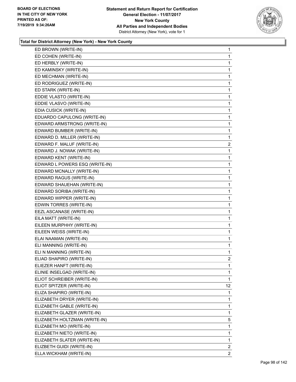

| ED BROWN (WRITE-IN)            | 1                       |
|--------------------------------|-------------------------|
| ED COHEN (WRITE-IN)            | 1                       |
| ED HERBLY (WRITE-IN)           | 1                       |
| ED KAMINSKY (WRITE-IN)         | 1                       |
| ED MECHMAN (WRITE-IN)          | 1                       |
| ED RODRIGUEZ (WRITE-IN)        | 1                       |
| ED STARK (WRITE-IN)            | 1                       |
| EDDIE VLASTO (WRITE-IN)        | 1                       |
| EDDIE VLASVO (WRITE-IN)        | $\mathbf{1}$            |
| EDIA CUSICK (WRITE-IN)         | 1                       |
| EDUARDO CAPULONG (WRITE-IN)    | 1                       |
| EDWARD ARMSTRONG (WRITE-IN)    | $\mathbf{1}$            |
| EDWARD BUMBER (WRITE-IN)       | 1                       |
| EDWARD D. MILLER (WRITE-IN)    | 1                       |
| EDWARD F. MALUF (WRITE-IN)     | $\overline{\mathbf{c}}$ |
| EDWARD J. NOWAK (WRITE-IN)     | 1                       |
| EDWARD KENT (WRITE-IN)         | 1                       |
| EDWARD L POWERS ESQ (WRITE-IN) | $\mathbf{1}$            |
| EDWARD MCNALLY (WRITE-IN)      | 1                       |
| EDWARD RAGUS (WRITE-IN)        | 1                       |
| EDWARD SHAUEHAN (WRITE-IN)     | $\mathbf{1}$            |
| EDWARD SORIBA (WRITE-IN)       | 1                       |
| EDWARD WIPPER (WRITE-IN)       | 1                       |
| EDWIN TORRES (WRITE-IN)        | $\mathbf{1}$            |
| EEZL ASCANASE (WRITE-IN)       | 1                       |
| EILA MATT (WRITE-IN)           | 1                       |
| EILEEN MURPHHY (WRITE-IN)      | $\mathbf{1}$            |
| EILEEN WEISS (WRITE-IN)        | 1                       |
| ELAI NAAMAN (WRITE-IN)         | 1                       |
| ELI MANNING (WRITE-IN)         | 1                       |
| ELI N MANNING (WRITE-IN)       | 1                       |
| ELIAD SHAPIRO (WRITE-IN)       | 2                       |
| ELIEZER HANFT (WRITE-IN)       | 1                       |
| ELINIE INSELGAD (WRITE-IN)     | 1                       |
| ELIOT SCHREIBER (WRITE-IN)     | 1                       |
| ELIOT SPITZER (WRITE-IN)       | 12 <sub>2</sub>         |
| ELIZA SHAPIRO (WRITE-IN)       | 1                       |
| ELIZABETH DRYER (WRITE-IN)     | 1                       |
| ELIZABETH GABLE (WRITE-IN)     | 1                       |
| ELIZABETH GLAZER (WRITE-IN)    | 1                       |
| ELIZABETH HOLTZMAN (WRITE-IN)  | 5                       |
| ELIZABETH MO (WRITE-IN)        | 1                       |
| ELIZABETH NIETO (WRITE-IN)     | 1                       |
| ELIZABETH SLATER (WRITE-IN)    | 1                       |
| ELIZBETH GUIDI (WRITE-IN)      | $\overline{2}$          |
| ELLA WICKHAM (WRITE-IN)        | $\overline{2}$          |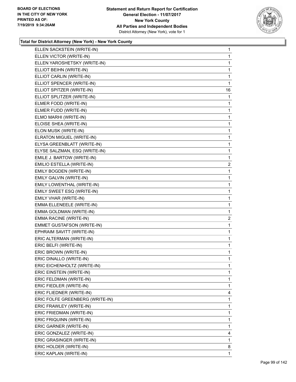

| ELLEN SACKSTEIN (WRITE-IN)      | 1              |
|---------------------------------|----------------|
| ELLEN VICTOR (WRITE-IN)         | 1              |
| ELLEN YAROSHETSKY (WRITE-IN)    | 1              |
| ELLIOT BEIHN (WRITE-IN)         | 1              |
| ELLIOT CARLIN (WRITE-IN)        | 1              |
| ELLIOT SPENCER (WRITE-IN)       | 1              |
| ELLIOT SPITZER (WRITE-IN)       | 16             |
| ELLIOT SPLITZER (WRITE-IN)      | $\mathbf{1}$   |
| ELMER FODD (WRITE-IN)           | 1              |
| ELMER FUDD (WRITE-IN)           | 1              |
| ELMO MARHI (WRITE-IN)           | $\mathbf{1}$   |
| ELOISE SHEA (WRITE-IN)          | 1              |
| ELON MUSK (WRITE-IN)            | 1              |
| ELRATON MIGUEL (WRITE-IN)       | 1              |
| ELYSA GREENBLATT (WRITE-IN)     | 1              |
| ELYSE SALZMAN, ESQ (WRITE-IN)   | 1              |
| EMILE J. BARTOW (WRITE-IN)      | 1              |
| EMILIO ESTELLA (WRITE-IN)       | $\overline{c}$ |
| EMILY BOGDEN (WRITE-IN)         | 1              |
| EMILY GALVIN (WRITE-IN)         | 1              |
| EMILY LOWENTHAL (WRITE-IN)      | 1              |
| EMILY SWEET ESQ (WRITE-IN)      | 1              |
| EMILY VHAR (WRITE-IN)           | $\mathbf{1}$   |
| EMMA ELLENEELE (WRITE-IN)       | 1              |
| EMMA GOLDMAN (WRITE-IN)         | 1              |
| EMMA RACINE (WRITE-IN)          | $\overline{a}$ |
| EMMET GUSTAFSON (WRITE-IN)      | 1              |
| EPHRAIM SAVITT (WRITE-IN)       | 1              |
| ERIC ALTERMAN (WRITE-IN)        | $\mathbf{1}$   |
| ERIC BELFI (WRITE-IN)           | 1              |
| ERIC BROWN (WRITE-IN)           | 1              |
| ERIC DINALLO (WRITE-IN)         | 1              |
| ERIC EICHENHOLTZ (WRITE-IN)     | 1              |
| ERIC EINSTEIN (WRITE-IN)        | 1              |
| ERIC FELDMAN (WRITE-IN)         | 1              |
| ERIC FIEDLER (WRITE-IN)         | 1              |
| ERIC FLIEDNER (WRITE-IN)        | 4              |
| ERIC FOLFE GREENBERG (WRITE-IN) | 1              |
| ERIC FRAWLEY (WRITE-IN)         | 1              |
| ERIC FRIEDMAN (WRITE-IN)        | 1              |
| ERIC FRIQUINN (WRITE-IN)        | 1              |
| ERIC GARNER (WRITE-IN)          | 1              |
| ERIC GONZALEZ (WRITE-IN)        | 4              |
| ERIC GRASINGER (WRITE-IN)       | 1              |
| ERIC HOLDER (WRITE-IN)          | 8              |
| ERIC KAPLAN (WRITE-IN)          | 1              |
|                                 |                |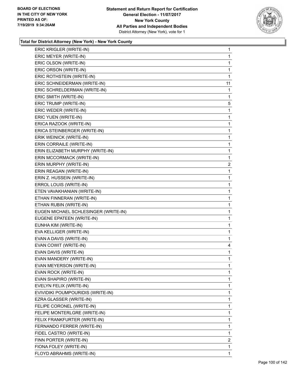

| ERIC KRIGLER (WRITE-IN)              | $\mathbf{1}$   |
|--------------------------------------|----------------|
| ERIC MEYER (WRITE-IN)                | 1              |
| ERIC OLSON (WRITE-IN)                | 1              |
| ERIC ORSON (WRITE-IN)                | 1              |
| ERIC ROTHSTEIN (WRITE-IN)            | 1              |
| ERIC SCHNEIDERMAN (WRITE-IN)         | 11             |
| ERIC SCHRELDERMAN (WRITE-IN)         | 1              |
| ERIC SMITH (WRITE-IN)                | 1              |
| ERIC TRUMP (WRITE-IN)                | 5              |
| ERIC WEDER (WRITE-IN)                | 1              |
| ERIC YUEN (WRITE-IN)                 | 1              |
| ERICA RAZOOK (WRITE-IN)              | 1              |
| ERICA STEINBERGER (WRITE-IN)         | 1              |
| ERIK WEINICK (WRITE-IN)              | 1              |
| ERIN CORRAILE (WRITE-IN)             | 1              |
| ERIN ELIZABETH MURPHY (WRITE-IN)     | 1              |
| ERIN MCCORMACK (WRITE-IN)            | 1              |
| ERIN MURPHY (WRITE-IN)               | 2              |
| ERIN REAGAN (WRITE-IN)               | 1              |
| ERIN Z. HUSSEIN (WRITE-IN)           | 1              |
| ERROL LOUIS (WRITE-IN)               | 1              |
| ETEN VAVAKHANIAN (WRITE-IN)          | 1              |
| ETHAN FINNERAN (WRITE-IN)            | $\mathbf{1}$   |
| ETHAN RUBIN (WRITE-IN)               | 1              |
| EUGEN MICHAEL SCHLESINGER (WRITE-IN) | 1              |
| EUGENE EPATEEN (WRITE-IN)            | $\mathbf{1}$   |
| EUNHA KIM (WRITE-IN)                 | 1              |
| EVA KELLIGER (WRITE-IN)              | 1              |
| EVAN A DAVIS (WRITE-IN)              | 1              |
| EVAN COWIT (WRITE-IN)                | 4              |
| EVAN DAVIS (WRITE-IN)                | 1              |
| EVAN MANDERY (WRITE-IN)              | $\mathbf{1}$   |
| EVAN MEYERSON (WRITE-IN)             | 1              |
| EVAN ROCK (WRITE-IN)                 | 1              |
| EVAN SHAPIRO (WRITE-IN)              | 1              |
| EVELYN FELIX (WRITE-IN)              | 1              |
| EVIVIDIKI POUMPOURIDIS (WRITE-IN)    | 1              |
| EZRA GLASSER (WRITE-IN)              | 1              |
| FELIPE CORONEL (WRITE-IN)            | 1              |
| FELIPE MONTERLGRE (WRITE-IN)         | $\mathbf{1}$   |
| FELIX FRANKFURTER (WRITE-IN)         | 1              |
| FERNANDO FERRER (WRITE-IN)           | 1              |
| FIDEL CASTRO (WRITE-IN)              | 1              |
| FINN PORTER (WRITE-IN)               | $\overline{2}$ |
| FIONA FOLEY (WRITE-IN)               | 1              |
| FLOYD ABRAHMS (WRITE-IN)             | 1              |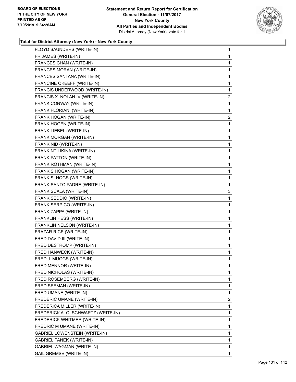

| $\mathbf{1}$ |
|--------------|
| 1            |
| 1            |
| 1            |
| 1            |
| 1            |
| $\mathbf 1$  |
| 2            |
| 1            |
| 1            |
| 2            |
| 1            |
| 1            |
| 1            |
| 1            |
| 1            |
| 1            |
| 1            |
| 1            |
| 1            |
| 1            |
| 3            |
| 1            |
| 1            |
| 1            |
| 1            |
| 1            |
| 1            |
| 1            |
| 1            |
| 1            |
| 1            |
| 1            |
| 1            |
| 1            |
| 1            |
| 1            |
| 2            |
| 1            |
| 1            |
| 1            |
| 1            |
|              |
| 1            |
| 1            |
| 1            |
|              |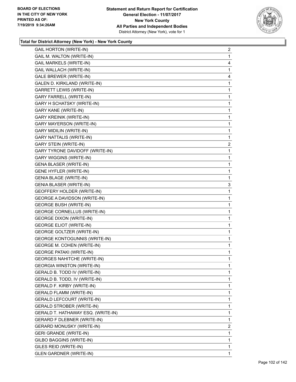

| <b>GAIL HORTON (WRITE-IN)</b>        | $\overline{2}$          |
|--------------------------------------|-------------------------|
| <b>GAIL M. WALTON (WRITE-IN)</b>     | 1                       |
| GAIL MARKELS (WRITE-IN)              | 4                       |
| GAIL WALLACH (WRITE-IN)              | 1                       |
| GALE BREWER (WRITE-IN)               | 4                       |
| GALEN D. KIRKLAND (WRITE-IN)         | 1                       |
| <b>GARRETT LEWIS (WRITE-IN)</b>      | 1                       |
| GARY FARRELL (WRITE-IN)              | 1                       |
| GARY H SCHATSKY (WRITE-IN)           | 1                       |
| <b>GARY KANE (WRITE-IN)</b>          | 1                       |
| <b>GARY KREINIK (WRITE-IN)</b>       | 1                       |
| GARY MAYERSON (WRITE-IN)             | 1                       |
| <b>GARY MIDILIN (WRITE-IN)</b>       | 1                       |
| GARY NATTALIS (WRITE-IN)             | 1                       |
| <b>GARY STEIN (WRITE-IN)</b>         | $\overline{\mathbf{c}}$ |
| GARY TYRONE DAVIDOFF (WRITE-IN)      | 1                       |
| <b>GARY WIGGINS (WRITE-IN)</b>       | 1                       |
| <b>GENA BLASER (WRITE-IN)</b>        | 1                       |
| <b>GENE HYFLER (WRITE-IN)</b>        | 1                       |
| <b>GENIA BLAGE (WRITE-IN)</b>        | 1                       |
| <b>GENIA BLASER (WRITE-IN)</b>       | 3                       |
| GEOFFERY HOLDER (WRITE-IN)           | 1                       |
| <b>GEORGE A DAVIDSON (WRITE-IN)</b>  | 1                       |
| <b>GEORGE BUSH (WRITE-IN)</b>        | 1                       |
| <b>GEORGE CORNELLUS (WRITE-IN)</b>   | 1                       |
| <b>GEORGE DIXON (WRITE-IN)</b>       | 1                       |
| <b>GEORGE ELIOT (WRITE-IN)</b>       | 1                       |
| GEORGE GOLTZER (WRITE-IN)            | 1                       |
| <b>GEORGE KONTOGUNNIS (WRITE-IN)</b> | 1                       |
| <b>GEORGE M. COHEN (WRITE-IN)</b>    | 1                       |
| <b>GEORGE PATAKI (WRITE-IN)</b>      | 1                       |
| <b>GEORGES NAHITCHE (WRITE-IN)</b>   | 1                       |
| <b>GEORGIA WINSTON (WRITE-IN)</b>    | 1                       |
| GERALD B. TODD IV (WRITE-IN)         | 1                       |
| GERALD B. TODD, IV (WRITE-IN)        | 1                       |
| GERALD F. KIRBY (WRITE-IN)           | 1                       |
| <b>GERALD FLAMM (WRITE-IN)</b>       | 1                       |
| <b>GERALD LEFCOURT (WRITE-IN)</b>    | 1                       |
| <b>GERALD STROBER (WRITE-IN)</b>     | 1                       |
| GERALD T. HATHAWAY ESQ. (WRITE-IN)   | 1                       |
| <b>GERARD F DLEBNER (WRITE-IN)</b>   | 1                       |
| <b>GERARD MONUSKY (WRITE-IN)</b>     | $\overline{2}$          |
| <b>GERI GRANDE (WRITE-IN)</b>        | 1                       |
| GILBO BAGGINS (WRITE-IN)             | 1                       |
| GILES REID (WRITE-IN)                | 1                       |
| <b>GLEN GARDNER (WRITE-IN)</b>       | 1                       |
|                                      |                         |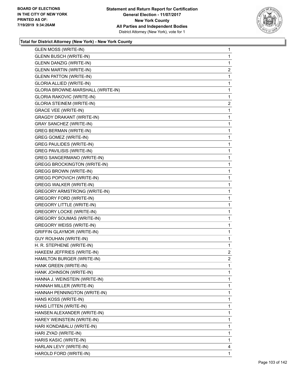

| <b>GLEN MOSS (WRITE-IN)</b>         | 1                       |
|-------------------------------------|-------------------------|
| <b>GLENN BUSCH (WRITE-IN)</b>       | $\mathbf 1$             |
| <b>GLENN DANZIG (WRITE-IN)</b>      | $\mathbf{1}$            |
| <b>GLENN MARTIN (WRITE-IN)</b>      | $\overline{2}$          |
| <b>GLENN PATTON (WRITE-IN)</b>      | 1                       |
| GLORIA ALLIED (WRITE-IN)            | 1                       |
| GLORIA BROWNE-MARSHALL (WRITE-IN)   | 1                       |
| <b>GLORIA RAKOVIC (WRITE-IN)</b>    | 1                       |
| <b>GLORIA STEINEM (WRITE-IN)</b>    | $\overline{\mathbf{c}}$ |
| <b>GRACE VEE (WRITE-IN)</b>         | 1                       |
| <b>GRAGDY DRAKANT (WRITE-IN)</b>    | 1                       |
| <b>GRAY SANCHEZ (WRITE-IN)</b>      | 1                       |
| <b>GREG BERMAN (WRITE-IN)</b>       | 1                       |
| <b>GREG GOMEZ (WRITE-IN)</b>        | 1                       |
| <b>GREG PAULIDES (WRITE-IN)</b>     | $\mathbf{1}$            |
| <b>GREG PAVILISIS (WRITE-IN)</b>    | $\mathbf{1}$            |
| <b>GREG SANGERMANO (WRITE-IN)</b>   | 1                       |
| <b>GREGG BROCKINGTON (WRITE-IN)</b> | 1                       |
| <b>GREGG BROWN (WRITE-IN)</b>       | 1                       |
| <b>GREGG POPOVICH (WRITE-IN)</b>    | 1                       |
| <b>GREGG WALKER (WRITE-IN)</b>      | $\mathbf{1}$            |
| <b>GREGORY ARMSTRONG (WRITE-IN)</b> | $\mathbf{1}$            |
| <b>GREGORY FORD (WRITE-IN)</b>      | 1                       |
| <b>GREGORY LITTLE (WRITE-IN)</b>    | $\mathbf{1}$            |
| <b>GREGORY LOCKE (WRITE-IN)</b>     | 1                       |
| <b>GREGORY SOUMAS (WRITE-IN)</b>    | 1                       |
| <b>GREGORY WEISS (WRITE-IN)</b>     | $\mathbf{1}$            |
| <b>GRIFFIN GLAYMOR (WRITE-IN)</b>   | 1                       |
| <b>GUY ROUHAN (WRITE-IN)</b>        | 1                       |
| H. R. STEPHENE (WRITE-IN)           | $\mathbf{1}$            |
| HAKEEM JEFFRIES (WRITE-IN)          | $\overline{a}$          |
| HAMILTON BURGER (WRITE-IN)          | $\overline{2}$          |
| HANK GREEN (WRITE-IN)               | 1                       |
| HANK JOHNSON (WRITE-IN)             | 1                       |
| HANNA J. WEINSTEIN (WRITE-IN)       | 1                       |
| HANNAH MILLER (WRITE-IN)            | $\mathbf{1}$            |
| HANNAH PENNINGTON (WRITE-IN)        | 1                       |
| HANS KOSS (WRITE-IN)                | 1                       |
| HANS LITTEN (WRITE-IN)              | $\mathbf{1}$            |
| HANSEN ALEXANDER (WRITE-IN)         | 1                       |
| HAREY WEINSTEIN (WRITE-IN)          | 1                       |
| HARI KONDABALU (WRITE-IN)           | $\mathbf{1}$            |
| HARI ZYAD (WRITE-IN)                | 1                       |
| HARIS KASIC (WRITE-IN)              | 1                       |
| HARLAN LEVY (WRITE-IN)              | 4                       |
| HAROLD FORD (WRITE-IN)              | 1                       |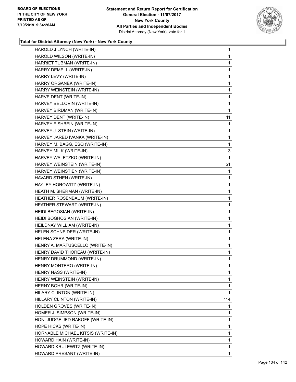

| HAROLD J LYNCH (WRITE-IN)          | 1            |
|------------------------------------|--------------|
| HAROLD WILSON (WRITE-IN)           | $\mathbf{1}$ |
| HARRIET TUBMAN (WRITE-IN)          | $\mathbf{1}$ |
| HARRY DEMELL (WRITE-IN)            | $\mathbf{1}$ |
| HARRY LEVY (WRITE-IN)              | $\mathbf{1}$ |
| HARRY ORGANEK (WRITE-IN)           | 1            |
| HARRY WEINSTEIN (WRITE-IN)         | 1            |
| HARVE DENT (WRITE-IN)              | 1            |
| HARVEY BELLOVIN (WRITE-IN)         | $\mathbf{1}$ |
| HARVEY BIRDMAN (WRITE-IN)          | 1            |
| HARVEY DENT (WRITE-IN)             | 11           |
| HARVEY FISHBEIN (WRITE-IN)         | 1            |
| HARVEY J. STEIN (WRITE-IN)         | 1            |
| HARVEY JARED IVANKA (WRITE-IN)     | 1            |
| HARVEY M. BAGG, ESQ (WRITE-IN)     | $\mathbf{1}$ |
| HARVEY MILK (WRITE-IN)             | 3            |
| HARVEY WALETZKO (WRITE-IN)         | 1            |
| HARVEY WEINSTEIN (WRITE-IN)        | 51           |
| HARVEY WEINSTIEN (WRITE-IN)        | 1            |
| HAVARD STHEN (WRITE-IN)            | 1            |
| HAYLEY HOROWITZ (WRITE-IN)         | $\mathbf{1}$ |
| HEATH M. SHERMAN (WRITE-IN)        | $\mathbf{1}$ |
| HEATHER ROSENBAUM (WRITE-IN)       | $\mathbf{1}$ |
| HEATHER STEWART (WRITE-IN)         | $\mathbf{1}$ |
| HEIDI BEGOSIAN (WRITE-IN)          | 1            |
| HEIDI BOGHOSIAN (WRITE-IN)         | 1            |
| HEILDNAY WILLIAM (WRITE-IN)        | $\mathbf{1}$ |
| HELEN SCHNEIDER (WRITE-IN)         | $\mathbf{1}$ |
| HELENA ZERA (WRITE-IN)             | $\mathbf{1}$ |
| HENRY A. MARTUSCELLO (WRITE-IN)    | $\mathbf{1}$ |
| HENRY DAVID THOREAU (WRITE-IN)     | $\mathbf{1}$ |
| HENRY DRUMMOND (WRITE-IN)          | 1            |
| HENRY MONTERO (WRITE-IN)           | 1            |
| HENRY NASS (WRITE-IN)              | $\mathbf 1$  |
| HENRY WEINSTEIN (WRITE-IN)         | 1            |
| HERNY BOHR (WRITE-IN)              | $\mathbf{1}$ |
| HILARY CLINTON (WRITE-IN)          | 1            |
| HILLARY CLINTON (WRITE-IN)         | 114          |
| HOLDEN GROVES (WRITE-IN)           | 1            |
| HOMER J. SIMPSON (WRITE-IN)        | 1            |
| HON. JUDGE JED RAKOFF (WRITE-IN)   | 1            |
| HOPE HICKS (WRITE-IN)              | $\mathbf{1}$ |
| HORNABLE MICHAEL KITSIS (WRITE-IN) | 1            |
| HOWARD HAIN (WRITE-IN)             | 1            |
| HOWARD KRULEWITZ (WRITE-IN)        | 1            |
| HOWARD PRESANT (WRITE-IN)          | 1            |
|                                    |              |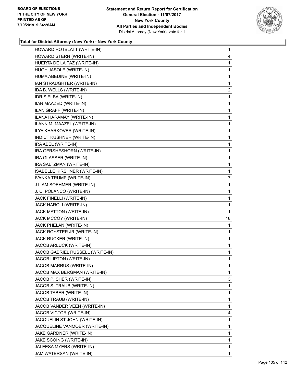

| HOWARD ROTBLATT (WRITE-IN)       | 1              |
|----------------------------------|----------------|
| HOWARD STERN (WRITE-IN)          | 4              |
| HUERTA DE LA PAZ (WRITE-IN)      | 1              |
| HUGH JASOLE (WRITE-IN)           | 1              |
| HUMA ABEDINE (WRITE-IN)          | 1              |
| IAN STRAUGHTER (WRITE-IN)        | 1              |
| IDA B. WELLS (WRITE-IN)          | $\overline{c}$ |
| IDRIS ELBA (WRITE-IN)            | 1              |
| IIAN MAAZED (WRITE-IN)           | 1              |
| ILAN GRAFF (WRITE-IN)            | 1              |
| ILANA HARAMAY (WRITE-IN)         | 1              |
| ILANN M. MAAZEL (WRITE-IN)       | 1              |
| ILYA KHARKOVER (WRITE-IN)        | 1              |
| INDICT KUSHNER (WRITE-IN)        | 1              |
| IRA ABEL (WRITE-IN)              | 1              |
| IRA GERSHESHORN (WRITE-IN)       | 1              |
| IRA GLASSER (WRITE-IN)           | 1              |
| IRA SALTZMAN (WRITE-IN)          | 1              |
| ISABELLE KIRSHNER (WRITE-IN)     | 1              |
| IVANKA TRUMP (WRITE-IN)          | 7              |
| J LIAM SOEHMER (WRITE-IN)        | 1              |
| J. C. POLANCO (WRITE-IN)         | 1              |
| JACK FINELLI (WRITE-IN)          | 1              |
| JACK HAROLI (WRITE-IN)           | 1              |
| JACK MATTON (WRITE-IN)           | 1              |
| JACK MCCOY (WRITE-IN)            | 18             |
| JACK PHELAN (WRITE-IN)           | 1              |
| JACK ROYSTER JR (WRITE-IN)       | 1              |
| JACK RUCKER (WRITE-IN)           | 1              |
| JACOB ARLUCK (WRITE-IN)          | 1              |
| JACOB GABRIEL RUSSELL (WRITE-IN) | 1              |
| <b>JACOB LIPTON (WRITE-IN)</b>   | 1              |
| JACOB MARRUS (WRITE-IN)          | 1              |
| JACOB MAX BERGMAN (WRITE-IN)     | 1              |
| JACOB P. SHER (WRITE-IN)         | 3              |
| JACOB S. TRAUB (WRITE-IN)        | 1              |
| JACOB TABER (WRITE-IN)           | 1              |
| JACOB TRAUB (WRITE-IN)           | 1              |
| JACOB VANDER VEEN (WRITE-IN)     | 1              |
| JACOB VICTOR (WRITE-IN)          | 4              |
| JACQUELIN ST JOHN (WRITE-IN)     | 1              |
| JACQUELINE VANMOER (WRITE-IN)    | 1              |
| JAKE GARDNER (WRITE-IN)          | 1              |
| JAKE SCOING (WRITE-IN)           | 1              |
| JALEESA MYERS (WRITE-IN)         | 1              |
|                                  |                |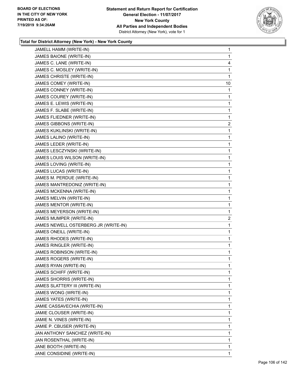

| JAMELL HAMM (WRITE-IN)               | 1              |
|--------------------------------------|----------------|
| JAMES BAIONE (WRITE-IN)              | 1              |
| JAMES C. LANE (WRITE-IN)             | 4              |
| JAMES C. MOSLEY (WRITE-IN)           | 1              |
| JAMES CHRISTE (WRITE-IN)             | 1              |
| JAMES COMEY (WRITE-IN)               | 10             |
| JAMES CONNEY (WRITE-IN)              | 1              |
| JAMES COUREY (WRITE-IN)              | 1              |
| JAMES E. LEWIS (WRITE-IN)            | 1              |
| JAMES F. SLABE (WRITE-IN)            | 1              |
| JAMES FLIEDNER (WRITE-IN)            | 1              |
| JAMES GIBBONS (WRITE-IN)             | $\overline{2}$ |
| JAMES KUKLINSKI (WRITE-IN)           | $\mathbf{1}$   |
| JAMES LALINO (WRITE-IN)              | 1              |
| JAMES LEDER (WRITE-IN)               | 1              |
| JAMES LESCZYNSKI (WRITE-IN)          | 1              |
| JAMES LOUIS WILSON (WRITE-IN)        | 1              |
| JAMES LOVING (WRITE-IN)              | 1              |
| JAMES LUCAS (WRITE-IN)               | 1              |
| JAMES M. PERDUE (WRITE-IN)           | 1              |
| JAMES MANTREDONIZ (WRITE-IN)         | 1              |
| JAMES MCKENNA (WRITE-IN)             | 1              |
| JAMES MELVIN (WRITE-IN)              | 1              |
| JAMES MENTOR (WRITE-IN)              | 1              |
| JAMES MEYERSON (WRITE-IN)            | 1              |
| JAMES MUMPER (WRITE-IN)              | $\overline{c}$ |
| JAMES NEWELL OSTERBERG JR (WRITE-IN) | 1              |
| JAMES ONEILL (WRITE-IN)              | 1              |
| JAMES RHODES (WRITE-IN)              | 1              |
| JAMES RINGLER (WRITE-IN)             | 1              |
| JAMES ROBINSON (WRITE-IN)            | 1              |
| JAMES ROGERS (WRITE-IN)              | 1              |
| JAMES RYAN (WRITE-IN)                | 1              |
| JAMES SCHIFF (WRITE-IN)              | $\mathbf{1}$   |
| JAMES SHORRIS (WRITE-IN)             | 1              |
| JAMES SLATTERY III (WRITE-IN)        | 1              |
| JAMES WONG (WRITE-IN)                | 1              |
| JAMES YATES (WRITE-IN)               | 1              |
| JAMIE CASSAVECHIA (WRITE-IN)         | 1              |
| JAMIE CLOUSER (WRITE-IN)             | 1              |
| JAMIE N. VINES (WRITE-IN)            | 1              |
| JAMIE P. CBUSER (WRITE-IN)           | 1              |
| JAN ANTHONY SANCHEZ (WRITE-IN)       | 1              |
| JAN ROSENTHAL (WRITE-IN)             | 1              |
| JANE BOOTH (WRITE-IN)                | 1              |
| JANE CONSIDINE (WRITE-IN)            | $\mathbf 1$    |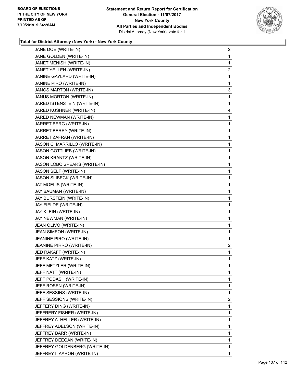

| JANE DOE (WRITE-IN)              | $\overline{c}$ |
|----------------------------------|----------------|
| JANE GOLDEN (WRITE-IN)           | 1              |
| JANET MENISH (WRITE-IN)          | 1              |
| JANET YELLEN (WRITE-IN)          | $\overline{2}$ |
| JANINE GAYLARD (WRITE-IN)        | 1              |
| JANINE PIRO (WRITE-IN)           | 1              |
| JANOS MARTON (WRITE-IN)          | 3              |
| <b>JANUS MORTON (WRITE-IN)</b>   | 1              |
| JARED ISTENSTEIN (WRITE-IN)      | 1              |
| JARED KUSHNER (WRITE-IN)         | 4              |
| JARED NEWMAN (WRITE-IN)          | 1              |
| JARRET BERG (WRITE-IN)           | 1              |
| JARRET BERRY (WRITE-IN)          | 1              |
| JARRET ZAFRAN (WRITE-IN)         | 1              |
| JASON C. MARRILLO (WRITE-IN)     | 1              |
| <b>JASON GOTTLIEB (WRITE-IN)</b> | 1              |
| JASON KRANTZ (WRITE-IN)          | 1              |
| JASON LOBO SPEARS (WRITE-IN)     | 1              |
| JASON SELF (WRITE-IN)            | 1              |
| <b>JASON SLIBECK (WRITE-IN)</b>  | 1              |
| JAT MOELIS (WRITE-IN)            | 1              |
| JAY BAUMAN (WRITE-IN)            | 1              |
| JAY BURSTEIN (WRITE-IN)          | 1              |
| JAY FIELDE (WRITE-IN)            | 1              |
| JAY KLEIN (WRITE-IN)             | 1              |
| JAY NEWMAN (WRITE-IN)            | 1              |
| JEAN OLIVO (WRITE-IN)            | 1              |
| JEAN SIMEON (WRITE-IN)           | 1              |
| JEANINE PIRO (WRITE-IN)          | 1              |
| JEANINE PIRRO (WRITE-IN)         | $\overline{2}$ |
| JED RAKAFF (WRITE-IN)            | 1              |
| JEFF KATZ (WRITE-IN)             | 1              |
| JEFF METZLER (WRITE-IN)          | 1              |
| JEFF NATT (WRITE-IN)             | 1              |
| JEFF PODASH (WRITE-IN)           | 1              |
| JEFF ROSEN (WRITE-IN)            | 1              |
| JEFF SESSINS (WRITE-IN)          | 1              |
| JEFF SESSIONS (WRITE-IN)         | $\overline{c}$ |
| JEFFERY DING (WRITE-IN)          | 1              |
| JEFFRERY FISHER (WRITE-IN)       | 1              |
| JEFFREY A. HELLER (WRITE-IN)     | 1              |
| JEFFREY ADELSON (WRITE-IN)       | 1              |
| JEFFREY BARR (WRITE-IN)          | 1              |
| JEFFREY DEEGAN (WRITE-IN)        | 1              |
| JEFFREY GOLDENBERG (WRITE-IN)    | 1              |
| JEFFREY I. AARON (WRITE-IN)      | 1              |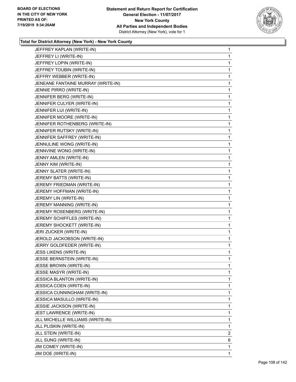

| JEFFREY KAPLAN (WRITE-IN)          | 1              |
|------------------------------------|----------------|
| JEFFREY LI (WRITE-IN)              | 1              |
| JEFFREY LOPIN (WRITE-IN)           | 1              |
| JEFFREY TOUBIN (WRITE-IN)          | 1              |
| JEFFRY WEBBER (WRITE-IN)           | 1              |
| JENEANE FANTAINE MURRAY (WRITE-IN) | 1              |
| JENNIE PIRRO (WRITE-IN)            | 1              |
| JENNIFER BERG (WRITE-IN)           | 1              |
| JENNIFER CULYER (WRITE-IN)         | 1              |
| JENNIFER LUI (WRITE-IN)            | 1              |
| JENNIFER MOORE (WRITE-IN)          | 1              |
| JENNIFER ROTHENBERG (WRITE-IN)     | 1              |
| JENNIFER RUTSKY (WRITE-IN)         | 1              |
| JENNIFER SAFFREY (WRITE-IN)        | 1              |
| JENNULINE WONG (WRITE-IN)          | 1              |
| JENNVINE WONG (WRITE-IN)           | 1              |
| JENNY AMLEN (WRITE-IN)             | 1              |
| JENNY KIM (WRITE-IN)               | 1              |
| JENNY SLATER (WRITE-IN)            | 1              |
| JEREMY BATTS (WRITE-IN)            | 1              |
| JEREMY FRIEDMAN (WRITE-IN)         | 1              |
| JEREMY HOFFMAN (WRITE-IN)          | 1              |
| JEREMY LIN (WRITE-IN)              | 1              |
| JEREMY MANNING (WRITE-IN)          | 1              |
| JEREMY ROSENBERG (WRITE-IN)        | 1              |
| JEREMY SCHIFFLES (WRITE-IN)        | 1              |
| JEREMY SHOCKETT (WRITE-IN)         | 1              |
| JERI ZUCKER (WRITE-IN)             | 1              |
| JEROLD JACKOBSON (WRITE-IN)        | $\mathbf{1}$   |
| JERRY GOLDFEDER (WRITE-IN)         | 1              |
| JESS LIKENS (WRITE-IN)             | 1              |
| JESSE BERNSTEIN (WRITE-IN)         | 1              |
| <b>JESSE BROWN (WRITE-IN)</b>      | 1              |
| JESSE MASYR (WRITE-IN)             | 1              |
| <b>JESSICA BLANTON (WRITE-IN)</b>  | 1              |
| JESSICA COEN (WRITE-IN)            | 1              |
| JESSICA CUNNINGHAM (WRITE-IN)      | 1              |
| <b>JESSICA MASULLO (WRITE-IN)</b>  | 1              |
| JESSIE JACKSON (WRITE-IN)          | 1              |
| JEST LAWRENCE (WRITE-IN)           | 1              |
| JILL MICHELLE WILLIAMS (WRITE-IN)  | 1              |
| JILL PLISKIN (WRITE-IN)            | 1              |
| JILL STEIN (WRITE-IN)              | $\overline{c}$ |
| JILL SUNG (WRITE-IN)               | 6              |
| JIM COMEY (WRITE-IN)               | 1              |
| JIM DOE (WRITE-IN)                 | 1              |
|                                    |                |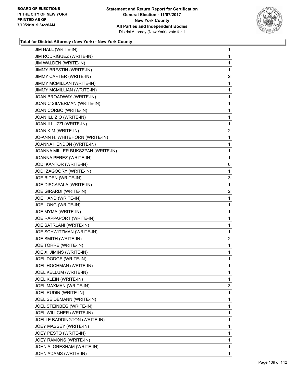

| JIM HALL (WRITE-IN)               | 1            |
|-----------------------------------|--------------|
| JIM RODRIGUEZ (WRITE-IN)          | 1            |
| JIM WALDEN (WRITE-IN)             | $\mathbf{1}$ |
| JIMMY BRESTIN (WRITE-IN)          | 1            |
| JIMMY CARTER (WRITE-IN)           | 2            |
| JIMMY MCMILLAN (WRITE-IN)         | 1            |
| JIMMY MCMILLIAN (WRITE-IN)        | 1            |
| JOAN BROADWAY (WRITE-IN)          | 1            |
| JOAN C SILVERMAN (WRITE-IN)       | 1            |
| JOAN CORBO (WRITE-IN)             | 1            |
| JOAN ILLIZIO (WRITE-IN)           | 1            |
| JOAN ILLUZZI (WRITE-IN)           | 1            |
| JOAN KIM (WRITE-IN)               | 2            |
| JO-ANN H. WHITEHORN (WRITE-IN)    | 1            |
| JOANNA HENDON (WRITE-IN)          | 1            |
| JOANNA MILLER BUKSZPAN (WRITE-IN) | 1            |
| JOANNA PEREZ (WRITE-IN)           | 1            |
| JODI KANTOR (WRITE-IN)            | 6            |
| JODI ZAGOORY (WRITE-IN)           | 1            |
| JOE BIDEN (WRITE-IN)              | 3            |
| JOE DISCAPALA (WRITE-IN)          | $\mathbf{1}$ |
| JOE GIRARDI (WRITE-IN)            | 2            |
| JOE HAND (WRITE-IN)               | 1            |
| JOE LONG (WRITE-IN)               | 1            |
| JOE MYMA (WRITE-IN)               | 1            |
| JOE RAPPAPORT (WRITE-IN)          | 1            |
| JOE SATRLANI (WRITE-IN)           | 1            |
| JOE SCHWITZMAN (WRITE-IN)         | 1            |
| JOE SMITH (WRITE-IN)              | 2            |
| JOE TORRE (WRITE-IN)              | 1            |
| JOE X. JIMINS (WRITE-IN)          | 1            |
| JOEL DODGE (WRITE-IN)             | 1            |
| JOEL HOCHMAN (WRITE-IN)           | 1            |
| JOEL KELLUM (WRITE-IN)            | 1            |
| JOEL KLEIN (WRITE-IN)             | 1            |
| JOEL MAXMAN (WRITE-IN)            | 3            |
| JOEL RUDIN (WRITE-IN)             | 1            |
| JOEL SEIDEMANN (WRITE-IN)         | 1            |
| JOEL STEINBEG (WRITE-IN)          | $\mathbf{1}$ |
| JOEL WILLCHER (WRITE-IN)          | 1            |
| JOELLE BADDINGTON (WRITE-IN)      | 1            |
| JOEY MASSEY (WRITE-IN)            | $\mathbf{1}$ |
| JOEY PESTO (WRITE-IN)             | 1            |
| JOEY RAMONS (WRITE-IN)            | 1            |
| JOHN A. GRESHAM (WRITE-IN)        | $\mathbf{1}$ |
| JOHN ADAMS (WRITE-IN)             | 1            |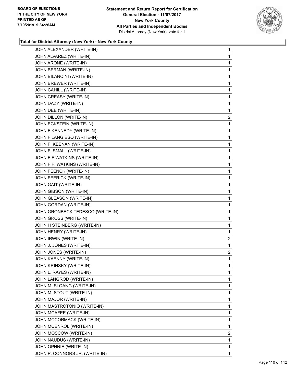

| JOHN ALEXANDER (WRITE-IN)        | 1              |
|----------------------------------|----------------|
| JOHN ALVAREZ (WRITE-IN)          | 1              |
| JOHN ARONE (WRITE-IN)            | 1              |
| JOHN BERMAN (WRITE-IN)           | 1              |
| JOHN BILANCINI (WRITE-IN)        | 1              |
| JOHN BREWER (WRITE-IN)           | 1              |
| JOHN CAHILL (WRITE-IN)           | 1              |
| JOHN CREASY (WRITE-IN)           | 1              |
| JOHN DAZY (WRITE-IN)             | 1              |
| JOHN DEE (WRITE-IN)              | 1              |
| JOHN DILLON (WRITE-IN)           | 2              |
| JOHN ECKSTEIN (WRITE-IN)         | 1              |
| JOHN F KENNEDY (WRITE-IN)        | 1              |
| JOHN F LANG ESQ (WRITE-IN)       | 1              |
| JOHN F. KEENAN (WRITE-IN)        | 1              |
| JOHN F. SMALL (WRITE-IN)         | 1              |
| JOHN F.F WATKINS (WRITE-IN)      | 1              |
| JOHN F.F. WATKINS (WRITE-IN)     | 1              |
| JOHN FEENCK (WRITE-IN)           | 1              |
| JOHN FEERICK (WRITE-IN)          | 1              |
| JOHN GAIT (WRITE-IN)             | 1              |
| JOHN GIBSON (WRITE-IN)           | 1              |
| JOHN GLEASON (WRITE-IN)          | 1              |
| JOHN GORDAN (WRITE-IN)           | 1              |
| JOHN GRONBECK TEDESCO (WRITE-IN) | 1              |
| JOHN GROSS (WRITE-IN)            | 1              |
| JOHN H STEINBERG (WRITE-IN)      | $\mathbf{1}$   |
| JOHN HENRY (WRITE-IN)            | 1              |
| JOHN IRWIN (WRITE-IN)            | 2              |
| JOHN J. JONES (WRITE-IN)         | 1              |
| JOHN JONES (WRITE-IN)            | $\overline{2}$ |
| JOHN KAENNY (WRITE-IN)           | 1              |
| JOHN KRINSKY (WRITE-IN)          | 1              |
| JOHN L. RAYES (WRITE-IN)         | 1              |
| JOHN LANGROD (WRITE-IN)          | 1              |
| JOHN M. SLOANG (WRITE-IN)        | 1              |
| JOHN M. STOUT (WRITE-IN)         | 1              |
| JOHN MAJOR (WRITE-IN)            | 1              |
| JOHN MASTROTONIO (WRITE-IN)      | 1              |
| JOHN MCAFEE (WRITE-IN)           | 1              |
| JOHN MCCORMACK (WRITE-IN)        | 1              |
| JOHN MCENROL (WRITE-IN)          | 1              |
| JOHN MOSCOW (WRITE-IN)           | 2              |
| JOHN NAUDUS (WRITE-IN)           | 1              |
| JOHN OPNNIE (WRITE-IN)           | 1              |
| JOHN P. CONNORS JR. (WRITE-IN)   | 1              |
|                                  |                |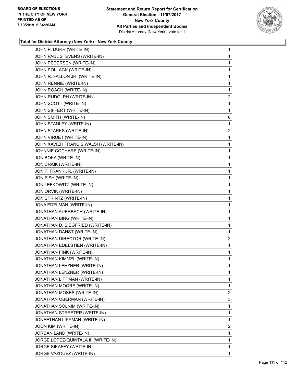

| JOHN P. DURR (WRITE-IN)              | 1 |
|--------------------------------------|---|
| JOHN PAUL STEVENS (WRITE-IN)         | 1 |
| JOHN PEDERSEN (WRITE-IN)             | 1 |
| JOHN POLLACK (WRITE-IN)              | 1 |
| JOHN R. FALLON JR. (WRITE-IN)        | 1 |
| JOHN RENNIE (WRITE-IN)               | 1 |
| JOHN ROACH (WRITE-IN)                | 1 |
| JOHN RUDOLPH (WRITE-IN)              | 2 |
| JOHN SCOTT (WRITE-IN)                | 1 |
| JOHN SIFFERT (WRITE-IN)              | 1 |
| JOHN SMITH (WRITE-IN)                | 6 |
| JOHN STANLEY (WRITE-IN)              | 1 |
| JOHN STARKS (WRITE-IN)               | 2 |
| JOHN VIRUET (WRITE-IN)               | 1 |
| JOHN XAVIER FRANCIS WALSH (WRITE-IN) | 1 |
| JOHNNIE COCHARE (WRITE-IN)           | 1 |
| JON BOKA (WRITE-IN)                  | 1 |
| JON CRAIK (WRITE-IN)                 | 1 |
| JON F. FRANK JR. (WRITE-IN)          | 1 |
| JON FISH (WRITE-IN)                  | 1 |
| JON LEFKOWITZ (WRITE-IN)             | 1 |
| JON ORVIK (WRITE-IN)                 | 1 |
| JON SPRINTZ (WRITE-IN)               | 1 |
| JONA EDELMAN (WRITE-IN)              | 1 |
| JONATHAN AUERBACH (WRITE-IN)         | 1 |
| JONATHAN BING (WRITE-IN)             | 1 |
| JONATHAN D. SIEGFRIED (WRITE-IN)     | 1 |
| JONATHAN DANST (WRITE-IN)            | 1 |
| JONATHAN DIRECTOR (WRITE-IN)         | 2 |
| JONATHAN EDELSTIEN (WRITE-IN)        | 1 |
| JONATHAN FINK (WRITE-IN)             | 1 |
| JONATHAN KIMMEL (WRITE-IN)           | 1 |
| JONATHAN LEHZNER (WRITE-IN)          | 1 |
| JONATHAN LENZNER (WRITE-IN)          | 1 |
| JONATHAN LIPPMAN (WRITE-IN)          | 1 |
| JONATHAN MOORE (WRITE-IN)            | 1 |
| JONATHAN MOSES (WRITE-IN)            | 2 |
| JONATHAN OBERMAN (WRITE-IN)          | 3 |
| JONATHAN SOLNIM (WRITE-IN)           | 1 |
| JONATHAN STREETER (WRITE-IN)         | 1 |
| JONEETHAN LIPPMAN (WRITE-IN)         | 1 |
| JOON KIM (WRITE-IN)                  | 2 |
| JORDAN LAND (WRITE-IN)               | 1 |
| JORGE LOPEZ-QUINTALA III (WRITE-IN)  | 1 |
| JORGE SIKAFFY (WRITE-IN)             | 1 |
| JORGE VAZQUEZ (WRITE-IN)             | 1 |
|                                      |   |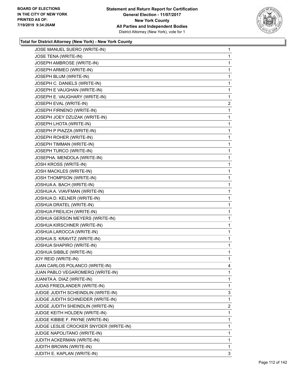

| JOSE MANUEL SUERO (WRITE-IN)           | 1                       |
|----------------------------------------|-------------------------|
| JOSE TENA (WRITE-IN)                   | 1                       |
| JOSEPH AMBROSE (WRITE-IN)              | 1                       |
| JOSEPH ARMEO (WRITE-IN)                | 1                       |
| JOSEPH BLUM (WRITE-IN)                 | 1                       |
| JOSEPH C. DANIELS (WRITE-IN)           | 1                       |
| JOSEPH E VAUGHAN (WRITE-IN)            | 1                       |
| JOSEPH E. VAUGHARY (WRITE-IN)          | 1                       |
| JOSEPH EVAL (WRITE-IN)                 | $\overline{\mathbf{c}}$ |
| JOSEPH FIRNENO (WRITE-IN)              | 1                       |
| JOSEPH JOEY DZUZAK (WRITE-IN)          | 1                       |
| JOSEPH LHOTA (WRITE-IN)                | 1                       |
| JOSEPH P PIAZZA (WRITE-IN)             | 1                       |
| JOSEPH ROHER (WRITE-IN)                | 1                       |
| JOSEPH TIMMAN (WRITE-IN)               | 1                       |
| JOSEPH TURCO (WRITE-IN)                | 1                       |
| JOSEPHA. MENDOLA (WRITE-IN)            | 1                       |
| JOSH KROSS (WRITE-IN)                  | 1                       |
| JOSH MACKLES (WRITE-IN)                | 1                       |
| JOSH THOMPSON (WRITE-IN)               | 1                       |
| JOSHUA A. BACH (WRITE-IN)              | 1                       |
| JOSHUA A. VIAVFMAN (WRITE-IN)          | 1                       |
| JOSHUA D. KELNER (WRITE-IN)            | 1                       |
| JOSHUA DRATEL (WRITE-IN)               | 1                       |
| JOSHUA FREILICH (WRITE-IN)             | 1                       |
| JOSHUA GERSON MEYERS (WRITE-IN)        | 1                       |
| JOSHUA KIRSCHNER (WRITE-IN)            | 1                       |
| JOSHUA LAROCCA (WRITE-IN)              | 1                       |
| JOSHUA S. KRAVITZ (WRITE-IN)           | 1                       |
| JOSHUA SHAPIRO (WRITE-IN)              | 1                       |
| JOSHUA SIBBLE (WRITE-IN)               | 1                       |
| JOY REID (WRITE-IN)                    | 1                       |
| JUAN CARLOS POLANCO (WRITE-IN)         | 4                       |
| JUAN PABLO VEGAROMERQ (WRITE-IN)       | 1                       |
| JUANITA A. DIAZ (WRITE-IN)             | 1                       |
| JUDAS FRIEDLANDER (WRITE-IN)           | 1                       |
| JUDGE JUDITH SCHEINDLIN (WRITE-IN)     | 3                       |
| JUDGE JUDITH SCHNEIDER (WRITE-IN)      | 1                       |
| JUDGE JUDITH SHEINDLIN (WRITE-IN)      | $\overline{2}$          |
| JUDGE KEITH HOLDEN (WRITE-IN)          | 1                       |
| JUDGE KIBBIE F. PAYNE (WRITE-IN)       | 1                       |
| JUDGE LESLIE CROCKER SNYDER (WRITE-IN) | 1                       |
| JUDGE NAPOLITANO (WRITE-IN)            | 1                       |
| JUDITH ACKERMAN (WRITE-IN)             | 1                       |
| JUDITH BROWN (WRITE-IN)                | 1                       |
| JUDITH E. KAPLAN (WRITE-IN)            | 3                       |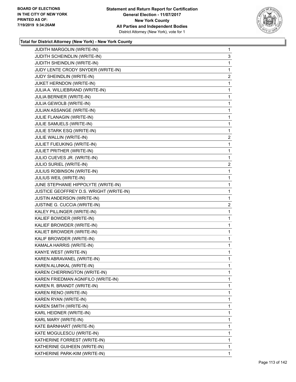

| JUDITH MARGOLIN (WRITE-IN)              | $\mathbf{1}$   |
|-----------------------------------------|----------------|
| JUDITH SCHEINDLIN (WRITE-IN)            | 3              |
| JUDITH SHEINDLIN (WRITE-IN)             | 1              |
| JUDY LENTE CRODY SNYDER (WRITE-IN)      | 1              |
| JUDY SHEINDLIN (WRITE-IN)               | $\overline{2}$ |
| JUKET HERNDON (WRITE-IN)                | 1              |
| JULIA A. WILLIEBRAND (WRITE-IN)         | 1              |
| JULIA BERNIER (WRITE-IN)                | 1              |
| JULIA GEWOLB (WRITE-IN)                 | 1              |
| JULIAN ASSANGE (WRITE-IN)               | 1              |
| JULIE FLANAGIN (WRITE-IN)               | 1              |
| JULIE SAMUELS (WRITE-IN)                | 1              |
| JULIE STARK ESQ (WRITE-IN)              | 1              |
| JULIE WALLIN (WRITE-IN)                 | $\overline{c}$ |
| JULIET FUEUKING (WRITE-IN)              | 1              |
| JULIET PRITHER (WRITE-IN)               | 1              |
| JULIO CUEVES JR. (WRITE-IN)             | 1              |
| JULIO SURIEL (WRITE-IN)                 | $\overline{2}$ |
| JULIUS ROBINSON (WRITE-IN)              | 1              |
| JULIUS WEIL (WRITE-IN)                  | 1              |
| JUNE STEPHANIE HIPPOLYTE (WRITE-IN)     | 1              |
| JUSTICE GEOFFREY D.S. WRIGHT (WRITE-IN) | 1              |
| JUSTIN ANDERSON (WRITE-IN)              | 1              |
| JUSTINE G. CUCCIA (WRITE-IN)            | $\overline{2}$ |
| KALEY PILLINGER (WRITE-IN)              | 1              |
| KALIEF BOWDER (WRITE-IN)                | 1              |
| KALIEF BROWDER (WRITE-IN)               | 1              |
| KALIET BROWDER (WRITE-IN)               | 1              |
| KALIF BROWDER (WRITE-IN)                | 1              |
| KAMALA HARRIS (WRITE-IN)                | $\mathbf{1}$   |
| KANYE WEST (WRITE-IN)                   | 1              |
| KAREN ABRAVANEL (WRITE-IN)              | $\mathbf{1}$   |
| KAREN ALUNKAL (WRITE-IN)                | 1              |
| KAREN CHERRINGTON (WRITE-IN)            | 1              |
| KAREN FRIEDMAN AGNIFILO (WRITE-IN)      | 1              |
| KAREN R. BRANDT (WRITE-IN)              | 1              |
| KAREN RENO (WRITE-IN)                   | 1              |
| KAREN RYAN (WRITE-IN)                   | 1              |
| KAREN SMITH (WRITE-IN)                  | 1              |
| KARL HEIDNER (WRITE-IN)                 | 1              |
| KARL MARY (WRITE-IN)                    | 1              |
| KATE BARNHART (WRITE-IN)                | 1              |
| KATE MOGULESCU (WRITE-IN)               | 1              |
| KATHERINE FORREST (WRITE-IN)            | 1              |
| KATHERINE GUIHEEN (WRITE-IN)            | 1              |
| KATHERINE PARK-KIM (WRITE-IN)           | 1              |
|                                         |                |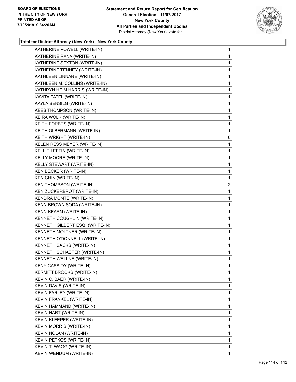

| KATHERINE POWELL (WRITE-IN)      | $\mathbf{1}$   |
|----------------------------------|----------------|
| KATHERINE RANA (WRITE-IN)        | 1              |
| KATHERINE SEXTON (WRITE-IN)      | 1              |
| KATHERINE TENNEY (WRITE-IN)      | 1              |
| KATHLEEN LINNANE (WRITE-IN)      | $\mathbf{1}$   |
| KATHLEEN M. COLLINS (WRITE-IN)   | $\mathbf{1}$   |
| KATHRYN HEIM HARRIS (WRITE-IN)   | 1              |
| KAVITA PATEL (WRITE-IN)          | 1              |
| KAYLA BENSILG (WRITE-IN)         | 1              |
| KEES THOMPSON (WRITE-IN)         | 1              |
| KEIRA WOLK (WRITE-IN)            | $\mathbf{1}$   |
| KEITH FORBES (WRITE-IN)          | 1              |
| KEITH OLBERMANN (WRITE-IN)       | 1              |
| KEITH WRIGHT (WRITE-IN)          | 6              |
| KELEN RESS MEYER (WRITE-IN)      | 1              |
| KELLIE LEFTIN (WRITE-IN)         | 1              |
| KELLY MOORE (WRITE-IN)           | $\mathbf{1}$   |
| KELLY STEWART (WRITE-IN)         | $\mathbf{1}$   |
| KEN BECKER (WRITE-IN)            | 1              |
| KEN CHIN (WRITE-IN)              | 1              |
| <b>KEN THOMPSON (WRITE-IN)</b>   | $\overline{2}$ |
| KEN ZUCKERBROT (WRITE-IN)        | 1              |
| KENDRA MONTE (WRITE-IN)          | 1              |
| KENN BROWN SODA (WRITE-IN)       | $\mathbf{1}$   |
| KENN KEARN (WRITE-IN)            | 1              |
| KENNETH COUGHLIN (WRITE-IN)      | 1              |
| KENNETH GILBERT ESQ. (WRITE-IN)  | 1              |
| KENNETH MOLTNER (WRITE-IN)       | 1              |
| KENNETH O'DONNELL (WRITE-IN)     | 1              |
| KENNETH SACKS (WRITE-IN)         | $\mathbf{1}$   |
| KENNETH SCHAEFER (WRITE-IN)      | 1              |
| KENNETH WELLNE (WRITE-IN)        | 1              |
| KENY CASSIDY (WRITE-IN)          | 1              |
| <b>KERMITT BROOKS (WRITE-IN)</b> | 1              |
| KEVIN C. BAER (WRITE-IN)         | 1              |
| KEVIN DAVIS (WRITE-IN)           | 1              |
| KEVIN FARLEY (WRITE-IN)          | 1              |
| KEVIN FRANKEL (WRITE-IN)         | 1              |
| KEVIN HAMMAND (WRITE-IN)         | 1              |
| KEVIN HART (WRITE-IN)            | 1              |
| KEVIN KLEEPER (WRITE-IN)         | 1              |
| KEVIN MORRIS (WRITE-IN)          | 1              |
| KEVIN NOLAN (WRITE-IN)           | 1              |
| KEVIN PETKOS (WRITE-IN)          | 1              |
| KEVIN T. WAGG (WRITE-IN)         | 1              |
| KEVIN WENDUM (WRITE-IN)          | 1              |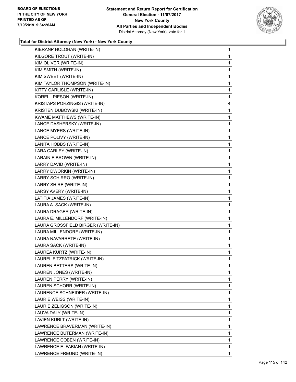

| KIERANP HOLOHAN (WRITE-IN)         | 1            |
|------------------------------------|--------------|
| KILGORE TROUT (WRITE-IN)           | 1            |
| KIM OLIVER (WRITE-IN)              | 1            |
| KIM SMITH (WRITE-IN)               | 1            |
| KIM SWEET (WRITE-IN)               | 1            |
| KIM TAYLOR THOMPSON (WRITE-IN)     | 1            |
| KITTY CARLISLE (WRITE-IN)          | 1            |
| KORELL PIESON (WRITE-IN)           | 1            |
| KRISTAPS PORZINGIS (WRITE-IN)      | 4            |
| KRISTEN DUBOWSKI (WRITE-IN)        | 1            |
| KWAME MATTHEWS (WRITE-IN)          | 1            |
| LANCE DASHERSKY (WRITE-IN)         | 1            |
| LANCE MYERS (WRITE-IN)             | 1            |
| LANCE POLIVY (WRITE-IN)            | 1            |
| LANITA HOBBS (WRITE-IN)            | 1            |
| LARA CARLEY (WRITE-IN)             | 1            |
| LARAINIE BROWN (WRITE-IN)          | 1            |
| LARRY DAVID (WRITE-IN)             | 1            |
| LARRY DWORKIN (WRITE-IN)           | 1            |
| LARRY SCHIRRO (WRITE-IN)           | 1            |
| LARRY SHIRE (WRITE-IN)             | 1            |
| LARSY AVERY (WRITE-IN)             | 1            |
| LATITIA JAMES (WRITE-IN)           | 1            |
| LAURA A. SACK (WRITE-IN)           | 1            |
| LAURA DRAGER (WRITE-IN)            | 1            |
| LAURA E. MILLENDORF (WRITE-IN)     | 1            |
| LAURA GROSSFIELD BIRGER (WRITE-IN) | 1            |
| LAURA MILLENDORF (WRITE-IN)        | 1            |
| LAURA NAVARRETE (WRITE-IN)         | $\mathbf{1}$ |
| LAURA SACK (WRITE-IN)              | 1            |
| LAUREA KURTZ (WRITE-IN)            | 1            |
| LAUREL FITZPATRICK (WRITE-IN)      | 1            |
| LAUREN BETTERS (WRITE-IN)          | 1            |
| LAUREN JONES (WRITE-IN)            | 1            |
| LAUREN PERRY (WRITE-IN)            | 1            |
| LAUREN SCHORR (WRITE-IN)           | 1            |
| LAURENCE SCHNEIDER (WRITE-IN)      | 1            |
| LAURIE WEISS (WRITE-IN)            | 1            |
| LAURIE ZELIGSON (WRITE-IN)         | 1            |
| LAUVA DALY (WRITE-IN)              | 1            |
| LAVIEN KURLT (WRITE-IN)            | 1            |
| LAWRENCE BRAVERMAN (WRITE-IN)      | 1            |
| LAWRENCE BUTERMAN (WRITE-IN)       | 1            |
| LAWRENCE COBEN (WRITE-IN)          | 1            |
| LAWRENCE E. FABIAN (WRITE-IN)      | 1            |
| LAWRENCE FREUND (WRITE-IN)         | 1            |
|                                    |              |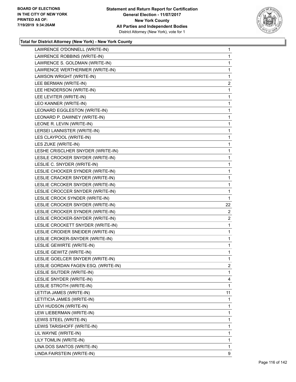

| LAWRENCE O'DONNELL (WRITE-IN)       | $\mathbf{1}$   |
|-------------------------------------|----------------|
| LAWRENCE ROBBINS (WRITE-IN)         | 1              |
| LAWRENCE S. GOLDMAN (WRITE-IN)      | $\mathbf{1}$   |
| LAWRENCE WERTHERMER (WRITE-IN)      | $\mathbf{1}$   |
| LAWSON WRIGHT (WRITE-IN)            | $\mathbf{1}$   |
| LEE BERMAN (WRITE-IN)               | $\overline{2}$ |
| LEE HENDERSON (WRITE-IN)            | $\mathbf{1}$   |
| LEE LEVITER (WRITE-IN)              | $\mathbf{1}$   |
| LEO KANNER (WRITE-IN)               | $\mathbf 1$    |
| LEONARD EGGLESTON (WRITE-IN)        | $\mathbf 1$    |
| LEONARD P. DAWNEY (WRITE-IN)        | $\mathbf{1}$   |
| LEONE R. LEVIN (WRITE-IN)           | $\mathbf{1}$   |
| LERSEI LANNISTER (WRITE-IN)         | $\mathbf{1}$   |
| LES CLAYPOOL (WRITE-IN)             | 1              |
| LES ZUKE (WRITE-IN)                 | $\mathbf 1$    |
| LESHE CRISCLHER SNYDER (WRITE-IN)   | $\mathbf 1$    |
| LESILE CROCKER SNYDER (WRITE-IN)    | $\mathbf{1}$   |
| LESLIE C. SNYDER (WRITE-IN)         | $\mathbf{1}$   |
| LESLIE CHOCKER SYNDER (WRITE-IN)    | $\mathbf{1}$   |
| LESLIE CRACKER SNYDER (WRITE-IN)    | 1              |
| LESLIE CRCOKER SNYDER (WRITE-IN)    | $\mathbf{1}$   |
| LESLIE CROCCER SNYDER (WRITE-IN)    | $\mathbf{1}$   |
| LESLIE CROCK SYNDER (WRITE-IN)      | $\mathbf{1}$   |
| LESLIE CROCKER SNYDER (WRITE-IN)    | 22             |
| LESLIE CROCKER SYNDER (WRITE-IN)    | $\overline{2}$ |
| LESLIE CROCKER-SNYDER (WRITE-IN)    | $\overline{2}$ |
| LESLIE CROCKETT SNYDER (WRITE-IN)   | $\mathbf{1}$   |
| LESLIE CRODIER SNEIDER (WRITE-IN)   | $\mathbf 1$    |
| LESLIE CROKER-SNYDER (WRITE-IN)     | $\mathbf{1}$   |
| LESLIE GEWIRTE (WRITE-IN)           | $\mathbf{1}$   |
| LESLIE GEWITZ (WRITE-IN)            | $\mathbf{1}$   |
| LESLIE GOELCER SNYDER (WRITE-IN)    | 1              |
| LESLIE GORDAN FAGEN ESQ. (WRITE-IN) | 2              |
| LESLIE SIUTDER (WRITE-IN)           | $\mathbf{1}$   |
| LESLIE SNYDER (WRITE-IN)            | 4              |
| LESLIE STROTH (WRITE-IN)            | $\mathbf{1}$   |
| LETITIA JAMES (WRITE-IN)            | 11             |
| LETITICIA JAMES (WRITE-IN)          | 1              |
| LEVI HUDSON (WRITE-IN)              | 1              |
| LEW LIEBERMAN (WRITE-IN)            | $\mathbf{1}$   |
| LEWIS STEEL (WRITE-IN)              | 1              |
| LEWIS TARISHOFF (WRITE-IN)          | $\mathbf 1$    |
| LIL WAYNE (WRITE-IN)                | 1              |
| LILY TOMLIN (WRITE-IN)              | 1              |
| LINA DOS SANTOS (WRITE-IN)          | 1              |
| LINDA FAIRSTEIN (WRITE-IN)          | 9              |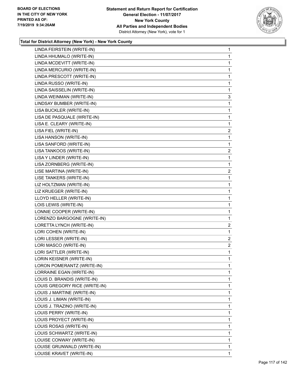

| 1              |
|----------------|
| 1              |
| 1              |
| 1              |
| 1              |
| 1              |
| $\mathbf 1$    |
| 3              |
| 1              |
| $\mathbf{1}$   |
| 1              |
| 1              |
| $\overline{a}$ |
| 1              |
| 1              |
| $\overline{2}$ |
| 1              |
| 1              |
| $\overline{a}$ |
| 1              |
| 1              |
| $\mathbf{1}$   |
| 1              |
| 1              |
| 1              |
| 1              |
| $\overline{c}$ |
| 1              |
|                |
| $\overline{c}$ |
| $\overline{a}$ |
| $\mathbf{1}$   |
| 1              |
| 1              |
| 1              |
| 1              |
| 1              |
| 1              |
| 1              |
| 1              |
| 1              |
| 1              |
| 1              |
| 1              |
| 1              |
| 1              |
|                |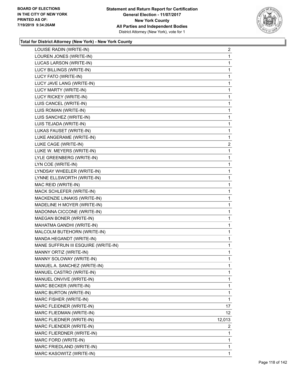

| LOUISE RADIN (WRITE-IN)             | 2               |
|-------------------------------------|-----------------|
| LOUREN JONES (WRITE-IN)             | 1               |
| LUCAS LARSON (WRITE-IN)             | 1               |
| LUCY BILLINGS (WRITE-IN)            | 1               |
| LUCY FATO (WRITE-IN)                | 1               |
| LUCY JAVE LANG (WRITE-IN)           | 1               |
| LUCY MARTY (WRITE-IN)               | 1               |
| LUCY RICKEY (WRITE-IN)              | 1               |
| LUIS CANCEL (WRITE-IN)              | $\mathbf{1}$    |
| LUIS ROMAN (WRITE-IN)               | 1               |
| LUIS SANCHEZ (WRITE-IN)             | 1               |
| LUIS TEJADA (WRITE-IN)              | 1               |
| LUKAS FAUSET (WRITE-IN)             | 1               |
| LUKE ANGERAME (WRITE-IN)            | 1               |
| LUKE CAGE (WRITE-IN)                | 2               |
| LUKE W. MEYERS (WRITE-IN)           | 1               |
| LYLE GREENBERG (WRITE-IN)           | 1               |
| LYN COE (WRITE-IN)                  | 1               |
| LYNDSAY WHEELER (WRITE-IN)          | 1               |
| LYNNE ELLSWORTH (WRITE-IN)          | 1               |
| MAC REID (WRITE-IN)                 | $\mathbf{1}$    |
| MACK SCHLEFER (WRITE-IN)            | 1               |
| MACKENZIE LINAKIS (WRITE-IN)        | 1               |
| MADELINE H MOYER (WRITE-IN)         | 1               |
| MADONNA CICCONE (WRITE-IN)          | 1               |
| MAEGAN BONER (WRITE-IN)             | 1               |
| MAHATMA GANDHI (WRITE-IN)           | 1               |
| MALCOLM BUTEHORN (WRITE-IN)         | 1               |
| MANDA HEGANDT (WRITE-IN)            | 1               |
| MANE SUFFRUN III ESQUIRE (WRITE-IN) | 1               |
| MANNY ORTIZ (WRITE-IN)              | 1               |
| MANNY SOLOWAY (WRITE-IN)            | 1               |
| MANUEL A. SANCHEZ (WRITE-IN)        | 1               |
| MANUEL CASTRO (WRITE-IN)            | 1               |
| MANUEL ONVIVE (WRITE-IN)            | 1               |
| MARC BECKER (WRITE-IN)              | 1               |
| MARC BURTON (WRITE-IN)              | 1               |
| MARC FISHER (WRITE-IN)              | 1               |
| MARC FLEIDNER (WRITE-IN)            | 17              |
| MARC FLIEDMAN (WRITE-IN)            | 12 <sup>°</sup> |
| MARC FLIEDNER (WRITE-IN)            | 12,013          |
| MARC FLIENDER (WRITE-IN)            | 2               |
| MARC FLIERDNER (WRITE-IN)           | 1               |
| MARC FORD (WRITE-IN)                | 1               |
| MARC FRIEDLAND (WRITE-IN)           | 1               |
| MARC KASOWITZ (WRITE-IN)            | $\mathbf{1}$    |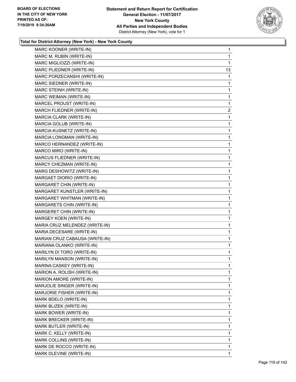

| MARC KOONER (WRITE-IN)           | $\mathbf{1}$   |
|----------------------------------|----------------|
| MARC M. RUBIN (WRITE-IN)         | 1              |
| MARC MIGLIOZZI (WRITE-IN)        | 1              |
| MARC PLIEDNER (WRITE-IN)         | 13             |
| MARC PORZECANSHI (WRITE-IN)      | 1              |
| MARC SIEDNER (WRITE-IN)          | 1              |
| MARC STEINH (WRITE-IN)           | 1              |
| MARC WEIMAN (WRITE-IN)           | 1              |
| MARCEL PROUST (WRITE-IN)         | 1              |
| MARCH FLIEDNER (WRITE-IN)        | $\overline{c}$ |
| MARCIA CLARK (WRITE-IN)          | 1              |
| MARCIA GOLUB (WRITE-IN)          | 1              |
| MARCIA KUSNETZ (WRITE-IN)        | 1              |
| MARCIA LONGMAN (WRITE-IN)        | 1              |
| MARCO HERNANDEZ (WRITE-IN)       | 1              |
| MARCO MIRO (WRITE-IN)            | 1              |
| MARCUS FLIEDNER (WRITE-IN)       | 1              |
| MARCY CHEZMAN (WRITE-IN)         | 1              |
| MARG DESHOWITZ (WRITE-IN)        | 1              |
| MARGAET DIORIO (WRITE-IN)        | 1              |
| MARGARET CHIN (WRITE-IN)         | 1              |
| MARGARET KUNSTLER (WRITE-IN)     | $\mathbf{1}$   |
| MARGARET WHITMAN (WRITE-IN)      | 1              |
| MARGARETS CHIN (WRITE-IN)        | 1              |
| MARGERET CHIN (WRITE-IN)         | 1              |
| MARGEY KOEN (WRITE-IN)           | 1              |
| MARIA CRUZ MELENDEZ (WRITE-IN)   | 1              |
| MARIA DECESARE (WRITE-IN)        | $\mathbf{1}$   |
| MARIAN CRUZ CABAUSA (WRITE-IN)   | 1              |
| MARIANA OLANKO (WRITE-IN)        | 1              |
| MARILYN DI TORO (WRITE-IN)       | 1              |
| <b>MARILYN MANSON (WRITE-IN)</b> | 1              |
| MARINA CASKEY (WRITE-IN)         | 1              |
| MARION A. ROLISH (WRITE-IN)      | 1              |
| MARION AMORE (WRITE-IN)          | 1              |
| MARJOLIE SINGER (WRITE-IN)       | 1              |
| MARJORIE FISHER (WRITE-IN)       | 1              |
| MARK BDELO (WRITE-IN)            | 1              |
| MARK BLIZEK (WRITE-IN)           | 1              |
| MARK BOWER (WRITE-IN)            | 1              |
| MARK BRECKER (WRITE-IN)          | 1              |
| MARK BUTLER (WRITE-IN)           | 1              |
| MARK C. KELLY (WRITE-IN)         | 1              |
| MARK COLLINS (WRITE-IN)          | 1              |
| MARK DE ROCCO (WRITE-IN)         | 1              |
| MARK DLEVINE (WRITE-IN)          | 1              |
|                                  |                |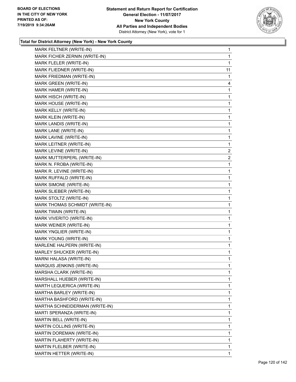

| MARK FELTNER (WRITE-IN)        | 1  |
|--------------------------------|----|
| MARK FICHER ZERNIN (WRITE-IN)  | 1  |
| MARK FLELER (WRITE-IN)         | 1  |
| MARK FLIEDNER (WRITE-IN)       | 11 |
| MARK FRIEDMAN (WRITE-IN)       | 1  |
| MARK GREEN (WRITE-IN)          | 4  |
| MARK HAMER (WRITE-IN)          | 1  |
| MARK HISCH (WRITE-IN)          | 1  |
| MARK HOUSE (WRITE-IN)          | 1  |
| MARK KELLY (WRITE-IN)          | 1  |
| MARK KLEIN (WRITE-IN)          | 1  |
| MARK LANDIS (WRITE-IN)         | 1  |
| MARK LANE (WRITE-IN)           | 1  |
| MARK LAVINE (WRITE-IN)         | 1  |
| MARK LEITNER (WRITE-IN)        | 1  |
| MARK LEVINE (WRITE-IN)         | 2  |
| MARK MUTTERPERL (WRITE-IN)     | 2  |
| MARK N. FROBA (WRITE-IN)       | 1  |
| MARK R. LEVINE (WRITE-IN)      | 1  |
| MARK RUFFALD (WRITE-IN)        | 1  |
| MARK SIMONE (WRITE-IN)         | 1  |
| MARK SLIEBER (WRITE-IN)        | 1  |
| MARK STOLTZ (WRITE-IN)         | 1  |
| MARK THOMAS SCHMIDT (WRITE-IN) | 1  |
| MARK TWAIN (WRITE-IN)          | 1  |
| MARK VIVERITO (WRITE-IN)       | 1  |
| MARK WEINER (WRITE-IN)         | 1  |
| MARK YNGLIER (WRITE-IN)        | 1  |
| MARK YOUNG (WRITE-IN)          | 1  |
| MARLENE HALPERN (WRITE-IN)     | 1  |
| MARLEY SHUCKER (WRITE-IN)      | 1  |
| MARNI HALASA (WRITE-IN)        | 1  |
| MARQUIS JENKINS (WRITE-IN)     | 1  |
| MARSHA CLARK (WRITE-IN)        | 1  |
| MARSHALL HUEBER (WRITE-IN)     | 1  |
| MARTH LEQUERICA (WRITE-IN)     | 1  |
| MARTHA BARLEY (WRITE-IN)       | 1  |
| MARTHA BASHFORD (WRITE-IN)     | 1  |
| MARTHA SCHNEIDERMAN (WRITE-IN) | 1  |
| MARTI SPERANZA (WRITE-IN)      | 1  |
| MARTIN BELL (WRITE-IN)         | 1  |
| MARTIN COLLINS (WRITE-IN)      | 1  |
| MARTIN DOREMAN (WRITE-IN)      | 1  |
| MARTIN FLAHERTY (WRITE-IN)     | 1  |
| MARTIN FLELBER (WRITE-IN)      | 1  |
| MARTIN HETTER (WRITE-IN)       | 1  |
|                                |    |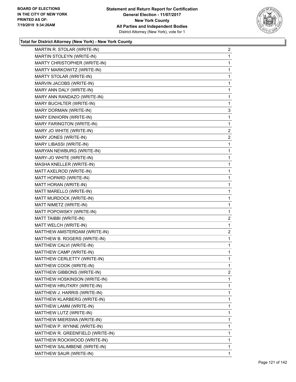

| MARTIN R. STOLAR (WRITE-IN)      | $\overline{2}$ |
|----------------------------------|----------------|
| MARTIN STOLEYN (WRITE-IN)        | 1              |
| MARTY CHRISTOPHER (WRITE-IN)     | 1              |
| MARTY MARKOWITZ (WRITE-IN)       | 1              |
| MARTY STOLAR (WRITE-IN)          | 1              |
| MARVIN JACOBS (WRITE-IN)         | 1              |
| MARY ANN DALY (WRITE-IN)         | 1              |
| MARY ANN RANDAZO (WRITE-IN)      | 1              |
| MARY BUCHLTER (WRITE-IN)         | 1              |
| MARY DORMAN (WRITE-IN)           | 3              |
| MARY EINHORN (WRITE-IN)          | 1              |
| MARY FARINGTON (WRITE-IN)        | 1              |
| MARY JO WHITE (WRITE-IN)         | $\overline{2}$ |
| MARY JONES (WRITE-IN)            | $\overline{2}$ |
| MARY LIBASSI (WRITE-IN)          | 1              |
| MARYAN NEWBURG (WRITE-IN)        | 1              |
| MARY-JO WHITE (WRITE-IN)         | 1              |
| MASHA KNELLER (WRITE-IN)         | 1              |
| MATT AXELROD (WRITE-IN)          | 1              |
| MATT HOPARD (WRITE-IN)           | 1              |
| MATT HORAN (WRITE-IN)            | 1              |
| MATT MARELLO (WRITE-IN)          | 1              |
| MATT MURDOCK (WRITE-IN)          | 1              |
| MATT NIMETZ (WRITE-IN)           | 1              |
| MATT POPOWSKY (WRITE-IN)         | 1              |
| MATT TAIBBI (WRITE-IN)           | $\overline{c}$ |
| MATT WELCH (WRITE-IN)            | 1              |
| MATTHEW AMSTERDAM (WRITE-IN)     | $\overline{c}$ |
| MATTHEW B. ROGERS (WRITE-IN)     | 1              |
| MATTHEW CALVI (WRITE-IN)         | 1              |
| MATTHEW CAMP (WRITE-IN)          | 1              |
| MATTHEW CERLETTY (WRITE-IN)      | 1              |
| MATTHEW COOK (WRITE-IN)          | 1              |
| MATTHEW GIBBONS (WRITE-IN)       | $\overline{2}$ |
| MATTHEW HOSKINSON (WRITE-IN)     | 1              |
| MATTHEW HRUTKRY (WRITE-IN)       | 1              |
| MATTHEW J. HARRIS (WRITE-IN)     | 1              |
| MATTHEW KLARBERG (WRITE-IN)      | 1              |
| MATTHEW LAMM (WRITE-IN)          | 1              |
| MATTHEW LUTZ (WRITE-IN)          | 1              |
| MATTHEW MIERSWA (WRITE-IN)       | 1              |
| MATTHEW P. WYNNE (WRITE-IN)      | 1              |
| MATTHEW R. GREENFIELD (WRITE-IN) | 1              |
| MATTHEW ROCKWOOD (WRITE-IN)      | 1              |
| MATTHEW SALIMBENE (WRITE-IN)     | 1              |
| MATTHEW SAUR (WRITE-IN)          | 1              |
|                                  |                |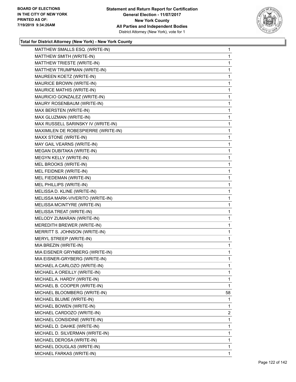

| MATTHEW SMALLS ESQ. (WRITE-IN)      | 1  |
|-------------------------------------|----|
| MATTHEW SMITH (WRITE-IN)            | 1  |
| MATTHEW TRIESTE (WRITE-IN)          | 1  |
| MATTHEW TRUMPMAN (WRITE-IN)         | 1  |
| MAUREEN KOETZ (WRITE-IN)            | 1  |
| MAURICE BROWN (WRITE-IN)            | 1  |
| MAURICE MATHIS (WRITE-IN)           | 1  |
| MAURICIO GONZALEZ (WRITE-IN)        | 1  |
| MAURY ROSENBAUM (WRITE-IN)          | 1  |
| MAX BERSTEN (WRITE-IN)              | 1  |
| MAX GLUZMAN (WRITE-IN)              | 1  |
| MAX RUSSELL SARINSKY IV (WRITE-IN)  | 1  |
| MAXIMILEN DE ROBESPIERRE (WRITE-IN) | 1  |
| MAXX STONE (WRITE-IN)               | 1  |
| MAY GAIL VEARNS (WRITE-IN)          | 1  |
| MEGAN DUBITAKA (WRITE-IN)           | 1  |
| MEGYN KELLY (WRITE-IN)              | 1  |
| MEL BROOKS (WRITE-IN)               | 1  |
| MEL FEIDNER (WRITE-IN)              | 1  |
| MEL FIEDEMAN (WRITE-IN)             | 1  |
| MEL PHILLIPS (WRITE-IN)             | 1  |
| MELISSA D. KLINE (WRITE-IN)         | 1  |
| MELISSA MARK-VIVERITO (WRITE-IN)    | 1  |
| MELISSA MCINTYRE (WRITE-IN)         | 1  |
| MELISSA TREAT (WRITE-IN)            | 1  |
| MELODY ZUMARAN (WRITE-IN)           | 1  |
| MEREDITH BREWER (WRITE-IN)          | 1  |
| MERRITT S. JOHNSON (WRITE-IN)       | 1  |
| MERYL STREEP (WRITE-IN)             | 1  |
| MIA BREZIN (WRITE-IN)               | 1  |
| MIA EISENER GRYNBERG (WRITE-IN)     | 1  |
| MIA EISNER-GRYBERG (WRITE-IN)       | 1  |
| MICHAEL A CARLOZO (WRITE-IN)        | 1  |
| MICHAEL A OREILLY (WRITE-IN)        | 1. |
| MICHAEL A. HARDY (WRITE-IN)         | 1  |
| MICHAEL B. COOPER (WRITE-IN)        | 1  |
| MICHAEL BLOOMBERG (WRITE-IN)        | 58 |
| MICHAEL BLUME (WRITE-IN)            | 1  |
| MICHAEL BOWEN (WRITE-IN)            | 1  |
| MICHAEL CARDOZO (WRITE-IN)          | 2  |
| MICHAEL CONSIDINE (WRITE-IN)        | 1  |
| MICHAEL D. DAHKE (WRITE-IN)         | 1  |
| MICHAEL D. SILVERMAN (WRITE-IN)     | 1  |
| MICHAEL DEROSA (WRITE-IN)           | 1  |
| MICHAEL DOUGLAS (WRITE-IN)          | 1  |
| MICHAEL FARKAS (WRITE-IN)           | 1. |
|                                     |    |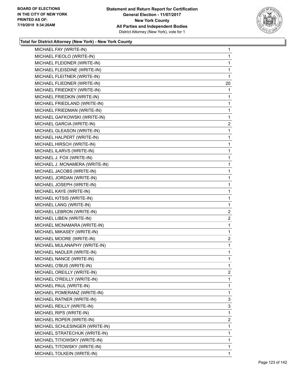

| MICHAEL FAY (WRITE-IN)         | 1              |
|--------------------------------|----------------|
| MICHAEL FIEOLO (WRITE-IN)      | $\mathbf 1$    |
| MICHAEL FLEIDNER (WRITE-IN)    | $\mathbf 1$    |
| MICHAEL FLEISDINE (WRITE-IN)   | 1              |
| MICHAEL FLEITNER (WRITE-IN)    | 1              |
| MICHAEL FLIEDNER (WRITE-IN)    | 20             |
| MICHAEL FRIEDKEY (WRITE-IN)    | 1              |
| MICHAEL FRIEDKIN (WRITE-IN)    | 1              |
| MICHAEL FRIEDLAND (WRITE-IN)   | $\mathbf{1}$   |
| MICHAEL FRIEDMAN (WRITE-IN)    | $\mathbf{1}$   |
| MICHAEL GAFKOWSKI (WRITE-IN)   | 1              |
| MICHAEL GARCIA (WRITE-IN)      | 2              |
| MICHAEL GLEASON (WRITE-IN)     | 1              |
| MICHAEL HALPERT (WRITE-IN)     | 1              |
| MICHAEL HIRSCH (WRITE-IN)      | $\mathbf{1}$   |
| MICHAEL ILARVS (WRITE-IN)      | $\mathbf{1}$   |
| MICHAEL J. FOX (WRITE-IN)      | $\mathbf{1}$   |
| MICHAEL J. MCNAMERA (WRITE-IN) | 1              |
| MICHAEL JACOBS (WRITE-IN)      | 1              |
| MICHAEL JORDAN (WRITE-IN)      | 1              |
| MICHAEL JOSEPH (WRITE-IN)      | $\mathbf{1}$   |
| MICHAEL KAYE (WRITE-IN)        | $\mathbf{1}$   |
| MICHAEL KITSIS (WRITE-IN)      | $\mathbf{1}$   |
| MICHAEL LANG (WRITE-IN)        | $\mathbf{1}$   |
| MICHAEL LEBRON (WRITE-IN)      | $\overline{c}$ |
| MICHAEL LIBEN (WRITE-IN)       | 2              |
| MICHAEL MCNAMARA (WRITE-IN)    | $\mathbf{1}$   |
| MICHAEL MIKASEY (WRITE-IN)     | 1              |
| MICHAEL MOORE (WRITE-IN)       | 2              |
| MICHAEL MULANAPHY (WRITE-IN)   | $\mathbf{1}$   |
| MICHAEL NADLER (WRITE-IN)      | 1              |
| MICHAEL NANCE (WRITE-IN)       | 1              |
| MICHAEL O'BUS (WRITE-IN)       | 1              |
| MICHAEL OREILLY (WRITE-IN)     | $\overline{2}$ |
| MICHAEL O'REILLY (WRITE-IN)    | 1              |
| MICHAEL PAUL (WRITE-IN)        | $\mathbf{1}$   |
| MICHAEL POMERANZ (WRITE-IN)    | 1              |
| MICHAEL RATNER (WRITE-IN)      | 3              |
| MICHAEL REILLY (WRITE-IN)      | 3              |
| MICHAEL RIPS (WRITE-IN)        | 1              |
| MICHAEL ROPER (WRITE-IN)       | $\mathbf{2}$   |
| MICHAEL SCHLESINGER (WRITE-IN) | 1              |
| MICHAEL STRATECHUK (WRITE-IN)  | 1              |
| MICHAEL TITIOWSKY (WRITE-IN)   | 1              |
| MICHAEL TITOWSKY (WRITE-IN)    | 1              |
| MICHAEL TOLKEIN (WRITE-IN)     | 1              |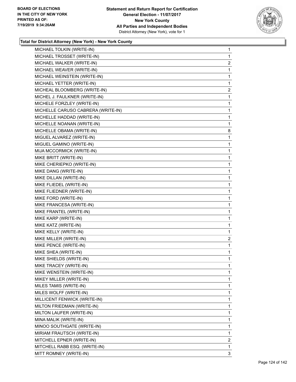

| MICHAEL TOLKIN (WRITE-IN)          | $\mathbf{1}$   |
|------------------------------------|----------------|
| MICHAEL TROSSET (WRITE-IN)         | 1              |
| MICHAEL WALKER (WRITE-IN)          | $\overline{2}$ |
| MICHAEL WEAVER (WRITE-IN)          | 1              |
| MICHAEL WEINSTEIN (WRITE-IN)       | 1              |
| MICHAEL YETTER (WRITE-IN)          | 1              |
| MICHEAL BLOOMBERG (WRITE-IN)       | $\overline{a}$ |
| MICHEL J. FAULKNER (WRITE-IN)      | 1              |
| MICHELE FORZLEY (WRITE-IN)         | 1              |
| MICHELLE CARUSO CABRERA (WRITE-IN) | 1              |
| MICHELLE HADDAD (WRITE-IN)         | 1              |
| MICHELLE NOANAN (WRITE-IN)         | 1              |
| MICHELLE OBAMA (WRITE-IN)          | 8              |
| MIGUEL ALVAREZ (WRITE-IN)          | 1              |
| MIGUEL GAMINO (WRITE-IN)           | 1              |
| MIJA MCCORMICK (WRITE-IN)          | 1              |
| MIKE BRITT (WRITE-IN)              | 1              |
| MIKE CHERIEPKO (WRITE-IN)          | 1              |
| MIKE DANG (WRITE-IN)               | 1              |
| MIKE DILLAN (WRITE-IN)             | 1              |
| MIKE FLIEDEL (WRITE-IN)            | 1              |
| MIKE FLIEDNER (WRITE-IN)           | 1              |
| MIKE FORD (WRITE-IN)               | 1              |
| MIKE FRANCESA (WRITE-IN)           | 1              |
| MIKE FRANTEL (WRITE-IN)            | 1              |
| MIKE KARP (WRITE-IN)               | 1              |
| MIKE KATZ (WRITE-IN)               | 1              |
| MIKE KELLY (WRITE-IN)              | 1              |
| MIKE MILLER (WRITE-IN)             | $\overline{c}$ |
| MIKE PENCE (WRITE-IN)              | 1              |
| MIKE SHEA (WRITE-IN)               | 1              |
| MIKE SHIELDS (WRITE-IN)            | 1              |
| MIKE TRACEY (WRITE-IN)             | 1              |
| MIKE WENSTEIN (WRITE-IN)           | 1              |
| MIKEY MILLER (WRITE-IN)            | 1              |
| MILES TAMIS (WRITE-IN)             | 1              |
| MILES WOLFF (WRITE-IN)             | 1              |
| MILLICENT FENWICK (WRITE-IN)       | 1              |
| MILTON FRIEDMAN (WRITE-IN)         | 1              |
| MILTON LAUFER (WRITE-IN)           | 1              |
| MINA MALIK (WRITE-IN)              | 1              |
| MINOO SOUTHGATE (WRITE-IN)         | 1              |
| MIRIAM FRAUTSCH (WRITE-IN)         | 1              |
| MITCHELL EPNER (WRITE-IN)          | $\overline{2}$ |
| MITCHELL RABB ESQ. (WRITE-IN)      | 1              |
| MITT ROMNEY (WRITE-IN)             | 3              |
|                                    |                |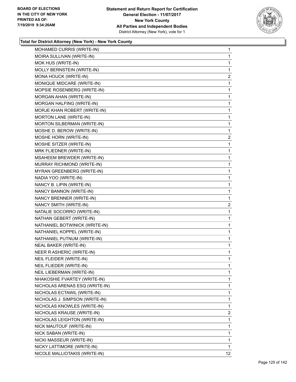

| MOHAMED CURRIS (WRITE-IN)         | 1              |
|-----------------------------------|----------------|
| MOIRA SULLIVAN (WRITE-IN)         | 1              |
| MOK HUS (WRITE-IN)                | 1              |
| MOLLY BERNSTEIN (WRITE-IN)        | 1              |
| MONA HOUCK (WRITE-IN)             | $\overline{c}$ |
| MONIQUE MIDCARE (WRITE-IN)        | 1              |
| MOPSIE ROSENBERG (WRITE-IN)       | 1              |
| MORGAN AHAN (WRITE-IN)            | 1              |
| MORGAN HALFING (WRITE-IN)         | 1              |
| MORJE KHAN ROBERT (WRITE-IN)      | 1              |
| MORTON LANE (WRITE-IN)            | 1              |
| MORTON SILBERMAN (WRITE-IN)       | 1              |
| MOSHE D. BEROW (WRITE-IN)         | 1              |
| MOSHE HORN (WRITE-IN)             | $\overline{a}$ |
| MOSHE SITZER (WRITE-IN)           | 1              |
| MRK FLIEDNER (WRITE-IN)           | 1              |
| MSAHEEM BREWDER (WRITE-IN)        | 1              |
| MURRAY RICHMOND (WRITE-IN)        | 1              |
| <b>MYRAN GREENBERG (WRITE-IN)</b> | 1              |
| NADIA YOO (WRITE-IN)              | 1              |
| NANCY B. LIPIN (WRITE-IN)         | 1              |
| NANCY BANNON (WRITE-IN)           | 1              |
| NANCY BRENNER (WRITE-IN)          | 1              |
| NANCY SMITH (WRITE-IN)            | $\overline{2}$ |
| NATALIE SOCORRO (WRITE-IN)        | 1              |
| NATHAN GEBERT (WRITE-IN)          | 1              |
| NATHANIEL BOTWINICK (WRITE-IN)    | 1              |
| NATHANIEL KOPPEL (WRITE-IN)       | 1              |
| NATHANIEL PUTNUM (WRITE-IN)       | $\mathbf{1}$   |
| <b>NEAL BAKER (WRITE-IN)</b>      | 1              |
| NEER R ASHERIC (WRITE-IN)         | 1              |
| NEIL FLEIDER (WRITE-IN)           | 1              |
| NEIL FLIEDER (WRITE-IN)           | 1              |
| NEIL LIEBERMAN (WRITE-IN)         | 1              |
| NHAKOSHIE FVARTEY (WRITE-IN)      | 1              |
| NICHOLAS ARENAS ESQ (WRITE-IN)    | 1              |
| NICHOLAS ECTAWIL (WRITE-IN)       | 1              |
| NICHOLAS J. SIMPSON (WRITE-IN)    | 1              |
| NICHOLAS KNOWLES (WRITE-IN)       | 1              |
| NICHOLAS KRAUSE (WRITE-IN)        | 2              |
| NICHOLAS LEIGHTON (WRITE-IN)      | 1              |
| NICK MAUTOUF (WRITE-IN)           | 1              |
| NICK SABAN (WRITE-IN)             | 1              |
| NICKI MASSEUR (WRITE-IN)          | 1              |
| NICKY LATTIMORE (WRITE-IN)        | 1              |
| NICOLE MALLIOTAKIS (WRITE-IN)     | 12             |
|                                   |                |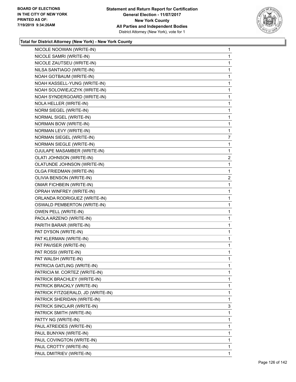

| NICOLE NOOWAN (WRITE-IN)           | 1              |
|------------------------------------|----------------|
| NICOLE SAMRI (WRITE-IN)            | 1              |
| NICOLE ZAUTSEU (WRITE-IN)          | 1              |
| NILSA SANTIAGO (WRITE-IN)          | 1              |
| NOAH GOTBAUM (WRITE-IN)            | 1              |
| NOAH KASSELL-YUNG (WRITE-IN)       | 1              |
| NOAH SOLOWIEJCZYK (WRITE-IN)       | 1              |
| NOAH SYNDERGOARD (WRITE-IN)        | 1              |
| NOLA HELLER (WRITE-IN)             | 1              |
| NORM SIEGEL (WRITE-IN)             | 1              |
| NORMAL SIGEL (WRITE-IN)            | 1              |
| NORMAN BOW (WRITE-IN)              | 1              |
| NORMAN LEVY (WRITE-IN)             | 1              |
| NORMAN SIEGEL (WRITE-IN)           | 7              |
| NORMAN SIEGLE (WRITE-IN)           | 1              |
| OJULAPE MASAMBER (WRITE-IN)        | 1              |
| OLATI JOHNSON (WRITE-IN)           | 2              |
| OLATUNDE JOHNSON (WRITE-IN)        | 1              |
| OLGA FRIEDMAN (WRITE-IN)           | 1              |
| OLIVIA BENSON (WRITE-IN)           | $\overline{2}$ |
| <b>OMAR FICHBEIN (WRITE-IN)</b>    | 1              |
| OPRAH WINFREY (WRITE-IN)           | 1              |
| ORLANDA RODRIGUEZ (WRITE-IN)       | 1              |
| <b>OSWALD PEMBERTON (WRITE-IN)</b> | 1              |
| OWEN PELL (WRITE-IN)               | 1              |
| PAOLA ARZENO (WRITE-IN)            | 1              |
| PARITH BARAR (WRITE-IN)            | 1              |
| PAT DYSON (WRITE-IN)               | 1              |
| PAT KLERMAN (WRITE-IN)             | 1              |
| PAT PAVISER (WRITE-IN)             | 1              |
| PAT ROSSI (WRITE-IN)               | 1              |
| PAT WALSH (WRITE-IN)               | 1              |
| PATRICIA GATLING (WRITE-IN)        | 1              |
| PATRICIA M. CORTEZ (WRITE-IN)      | 1              |
| PATRICK BRACHLEY (WRITE-IN)        | 1              |
| PATRICK BRACKLY (WRITE-IN)         | 1              |
| PATRICK FITZGERALD, JD (WRITE-IN)  | 1              |
| PATRICK SHERIDAN (WRITE-IN)        | 1              |
| PATRICK SINCLAIR (WRITE-IN)        | 3              |
| PATRICK SMITH (WRITE-IN)           | 1              |
| PATTY NG (WRITE-IN)                | 1              |
| PAUL ATREIDES (WRITE-IN)           | 1              |
| PAUL BUNYAN (WRITE-IN)             | 1              |
| PAUL COVINGTON (WRITE-IN)          | 1              |
| PAUL CROTTY (WRITE-IN)             | 1              |
| PAUL DMITRIEV (WRITE-IN)           | 1              |
|                                    |                |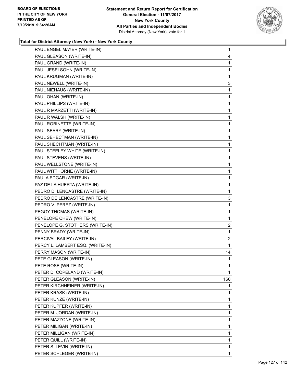

| PAUL ENGEL MAYER (WRITE-IN)      | $\mathbf{1}$   |
|----------------------------------|----------------|
| PAUL GLEASON (WRITE-IN)          | 4              |
| PAUL GRAND (WRITE-IN)            | 1              |
| PAUL JESELSOHN (WRITE-IN)        | 1              |
| PAUL KRUGMAN (WRITE-IN)          | 1              |
| PAUL NEWELL (WRITE-IN)           | 3              |
| PAUL NIEHAUS (WRITE-IN)          | $\mathbf{1}$   |
| PAUL OHAN (WRITE-IN)             | 1              |
| PAUL PHILLIPS (WRITE-IN)         | 1              |
| PAUL R MARZETTI (WRITE-IN)       | $\mathbf 1$    |
| PAUL R WALSH (WRITE-IN)          | 1              |
| PAUL ROBINETTE (WRITE-IN)        | 1              |
| PAUL SEARY (WRITE-IN)            | $\mathbf{1}$   |
| PAUL SEHECTMAN (WRITE-IN)        | $\mathbf{1}$   |
| PAUL SHECHTMAN (WRITE-IN)        | 1              |
| PAUL STEELEY WHITE (WRITE-IN)    | 1              |
| PAUL STEVENS (WRITE-IN)          | 1              |
| PAUL WELLSTONE (WRITE-IN)        | 1              |
| PAUL WITTHORNE (WRITE-IN)        | $\mathbf{1}$   |
| PAULA EDGAR (WRITE-IN)           | 1              |
| PAZ DE LA HUERTA (WRITE-IN)      | 1              |
| PEDRO D. LENCASTRE (WRITE-IN)    | 1              |
| PEDRO DE LENCASTRE (WRITE-IN)    | 3              |
| PEDRO V. PEREZ (WRITE-IN)        | 1              |
| PEGGY THOMAS (WRITE-IN)          | $\mathbf{1}$   |
| PENELOPE CHEW (WRITE-IN)         | 1              |
| PENELOPE G. STOTHERS (WRITE-IN)  | $\overline{2}$ |
| PENNY BRADY (WRITE-IN)           | $\mathbf{1}$   |
| PERCIVAL BAILEY (WRITE-IN)       | 2              |
| PERCY L. LAMBERT ESQ. (WRITE-IN) | 1              |
| PERRY MASON (WRITE-IN)           | 14             |
| PETE GLEASON (WRITE-IN)          | $\mathbf 1$    |
| PETE ROSE (WRITE-IN)             | 1              |
| PETER D. COPELAND (WRITE-IN)     | 1              |
| PETER GLEASON (WRITE-IN)         | 160            |
| PETER KIRCHHEINER (WRITE-IN)     | 1              |
| PETER KRASK (WRITE-IN)           | 1              |
| PETER KUNZE (WRITE-IN)           | 1              |
| PETER KUPFER (WRITE-IN)          | 1              |
| PETER M. JORDAN (WRITE-IN)       | $\mathbf{1}$   |
| PETER MAZZONE (WRITE-IN)         | 1              |
| PETER MILIGAN (WRITE-IN)         | 1              |
| PETER MILLIGAN (WRITE-IN)        | 1              |
| PETER QUILL (WRITE-IN)           | 1              |
| PETER S. LEVIN (WRITE-IN)        | 1              |
| PETER SCHLEGER (WRITE-IN)        | 1              |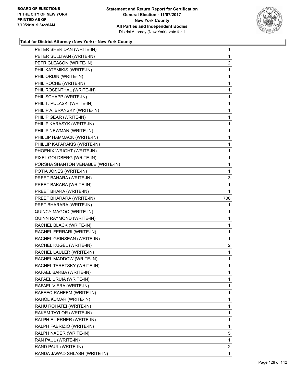

| PETER SHERIDAN (WRITE-IN)         | $\mathbf{1}$   |
|-----------------------------------|----------------|
| PETER SULLIVAN (WRITE-IN)         | 1              |
| PETR GLEASON (WRITE-IN)           | $\overline{2}$ |
| PHIL KATEMIKIS (WRITE-IN)         | 1              |
| PHIL ORDIN (WRITE-IN)             | 1              |
| PHIL ROCHE (WRITE-IN)             | 1              |
| PHIL ROSENTHAL (WRITE-IN)         | $\mathbf{1}$   |
| PHIL SCHAPP (WRITE-IN)            | 1              |
| PHIL T. PULASKI (WRITE-IN)        | 1              |
| PHILIP A. BRANSKY (WRITE-IN)      | 1              |
| PHILIP GEAR (WRITE-IN)            | 1              |
| PHILIP KARASYK (WRITE-IN)         | 1              |
| PHILIP NEWMAN (WRITE-IN)          | 1              |
| PHILLIP HAMMACK (WRITE-IN)        | 1              |
| PHILLIP KAFARAKIS (WRITE-IN)      | 1              |
| PHOENIX WRIGHT (WRITE-IN)         | 1              |
| PIXEL GOLDBERG (WRITE-IN)         | 1              |
| PORSHA SHANTON VENABLE (WRITE-IN) | 1              |
| POTIA JONES (WRITE-IN)            | 1              |
| PREET BAHARA (WRITE-IN)           | 3              |
| PREET BAKARA (WRITE-IN)           | 1              |
| PREET BHARA (WRITE-IN)            | 1              |
| PREET BHARARA (WRITE-IN)          | 706            |
| PRET BHARARA (WRITE-IN)           | 1              |
| QUINCY MAGOO (WRITE-IN)           | 1              |
| QUINN RAYMOND (WRITE-IN)          | 1              |
| RACHEL BLACK (WRITE-IN)           | 1              |
| RACHEL FERRARI (WRITE-IN)         | 1              |
| RACHEL GRINSEAN (WRITE-IN)        | 1              |
| RACHEL KUGEL (WRITE-IN)           | 2              |
| RACHEL LAULER (WRITE-IN)          | 1              |
| RACHEL MADDOW (WRITE-IN)          | 1              |
| RACHEL TARETSKY (WRITE-IN)        | 1              |
| RAFAEL BARBA (WRITE-IN)           | 1              |
| RAFAEL URUIA (WRITE-IN)           | 1              |
| RAFAEL VIERA (WRITE-IN)           | 1              |
| RAFEEQ RAHEEM (WRITE-IN)          | 1              |
| RAHOL KUMAR (WRITE-IN)            | 1              |
| RAHU ROHATEI (WRITE-IN)           | 1              |
| RAKEM TAYLOR (WRITE-IN)           | 1              |
| RALPH E LERNER (WRITE-IN)         | 1              |
| RALPH FABRIZIO (WRITE-IN)         | 1              |
| RALPH NADER (WRITE-IN)            | 5              |
| RAN PAUL (WRITE-IN)               | 1              |
| RAND PAUL (WRITE-IN)              | 2              |
|                                   |                |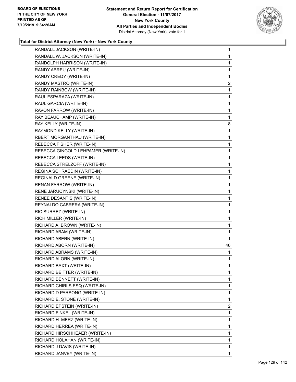

| RANDALL JACKSON (WRITE-IN)          | 1  |
|-------------------------------------|----|
| RANDALL W. JACKSON (WRITE-IN)       | 1  |
| RANDOLPH HARRISON (WRITE-IN)        | 1  |
| RANDY ABREU (WRITE-IN)              | 1  |
| RANDY CREDY (WRITE-IN)              | 1  |
| RANDY MASTRO (WRITE-IN)             | 2  |
| RANDY RAINBOW (WRITE-IN)            | 1  |
| RAUL ESPARAZA (WRITE-IN)            | 1  |
| RAUL GARCIA (WRITE-IN)              | 1  |
| RAVON FARROW (WRITE-IN)             | 1  |
| RAY BEAUCHAMP (WRITE-IN)            | 1  |
| RAY KELLY (WRITE-IN)                | 8  |
| RAYMOND KELLY (WRITE-IN)            | 1  |
| RBERT MORGANTHAU (WRITE-IN)         | 1  |
| REBECCA FISHER (WRITE-IN)           | 1  |
| REBECCA GINGOLD LEHPAMER (WRITE-IN) | 1  |
| REBECCA LEEDS (WRITE-IN)            | 1  |
| REBECCA STRELZOFF (WRITE-IN)        | 1  |
| REGINA SCHRAEDIN (WRITE-IN)         | 1  |
| REGINALD GREENE (WRITE-IN)          | 1  |
| RENAN FARROW (WRITE-IN)             | 1  |
| RENE JARUCYNSKI (WRITE-IN)          | 1  |
| RENEE DESANTIS (WRITE-IN)           | 1  |
| REYNALDO CABRERA (WRITE-IN)         | 1  |
| RIC SURREZ (WRITE-IN)               | 1  |
| RICH MILLER (WRITE-IN)              | 1  |
| RICHARD A. BROWN (WRITE-IN)         | 1  |
| RICHARD ABAM (WRITE-IN)             | 1  |
| RICHARD ABERN (WRITE-IN)            | 1  |
| RICHARD ABORN (WRITE-IN)            | 46 |
| RICHARD ABRAMS (WRITE-IN)           | 1  |
| RICHARD ALORN (WRITE-IN)            | 1  |
| RICHARD BAXT (WRITE-IN)             | 1  |
| RICHARD BEITTER (WRITE-IN)          | 1  |
| RICHARD BENNETT (WRITE-IN)          | 1  |
| RICHARD CHIRLS ESQ (WRITE-IN)       | 1  |
| RICHARD D PARSONG (WRITE-IN)        | 1  |
| RICHARD E. STONE (WRITE-IN)         | 1  |
| RICHARD EPSTEIN (WRITE-IN)          | 2  |
| RICHARD FINKEL (WRITE-IN)           | 1  |
| RICHARD H. MERZ (WRITE-IN)          | 1  |
| RICHARD HERREA (WRITE-IN)           | 1  |
| RICHARD HIRSCHHEAER (WRITE-IN)      | 1  |
| RICHARD HOLAHAN (WRITE-IN)          | 1  |
| RICHARD J DAVIS (WRITE-IN)          | 1  |
| RICHARD JANVEY (WRITE-IN)           | 1  |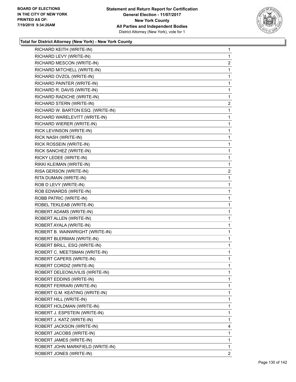

| RICHARD KEITH (WRITE-IN)          | 1              |
|-----------------------------------|----------------|
| RICHARD LEVY (WRITE-IN)           | 1              |
| RICHARD MESCON (WRITE-IN)         | $\overline{2}$ |
| RICHARD MITCHELL (WRITE-IN)       | 1              |
| RICHARD OVZOL (WRITE-IN)          | 1              |
| RICHARD PAINTER (WRITE-IN)        | 1              |
| RICHARD R. DAVIS (WRITE-IN)       | 1              |
| RICHARD RADICHE (WRITE-IN)        | 1              |
| RICHARD STERN (WRITE-IN)          | $\overline{2}$ |
| RICHARD W. BARTON ESQ. (WRITE-IN) | 1              |
| RICHARD WARELEVITT (WRITE-IN)     | 1              |
| RICHARD WIERER (WRITE-IN)         | 1              |
| RICK LEVINSON (WRITE-IN)          | 1              |
| RICK NASH (WRITE-IN)              | 1              |
| RICK ROSSEIN (WRITE-IN)           | 1              |
| RICK SANCHEZ (WRITE-IN)           | 1              |
| RICKY LEDEE (WRITE-IN)            | 1              |
| RIKKI KLEIMAN (WRITE-IN)          | 1              |
| RISA GERSON (WRITE-IN)            | $\overline{a}$ |
| RITA DUMAIN (WRITE-IN)            | 1              |
| ROB D LEVY (WRITE-IN)             | 1              |
| ROB EDWARDS (WRITE-IN)            | 1              |
| ROBB PATRIC (WRITE-IN)            | 1              |
| ROBEL TEKLEAB (WRITE-IN)          | 1              |
| ROBERT ADAMS (WRITE-IN)           | 1              |
| ROBERT ALLEN (WRITE-IN)           | 1              |
| ROBERT AYALA (WRITE-IN)           | 1              |
| ROBERT B. WAINWRIGHT (WRITE-IN)   | 1              |
| ROBERT BLERMAN (WRITE-IN)         | 1              |
| ROBERT BRILL, ESQ (WRITE-IN)      | 1              |
| ROBERT C. MEETSMAN (WRITE-IN)     | 1              |
| ROBERT CAPERS (WRITE-IN)          | 1              |
| ROBERT CORDIZ (WRITE-IN)          | 1              |
| ROBERT DELEONUVILIS (WRITE-IN)    | 1              |
| ROBERT EDDINS (WRITE-IN)          | 1              |
| ROBERT FERRARI (WRITE-IN)         | 1              |
| ROBERT G.M. KEATING (WRITE-IN)    | 1              |
| ROBERT HILL (WRITE-IN)            | 1              |
| ROBERT HOLDMAN (WRITE-IN)         | 1              |
| ROBERT J. ESPSTEIN (WRITE-IN)     | 1              |
| ROBERT J. KATZ (WRITE-IN)         | 1              |
| ROBERT JACKSON (WRITE-IN)         | 4              |
| ROBERT JACOBS (WRITE-IN)          | 1              |
| ROBERT JAMES (WRITE-IN)           | 1              |
| ROBERT JOHN MARKFIELD (WRITE-IN)  | 1              |
| ROBERT JONES (WRITE-IN)           | 2              |
|                                   |                |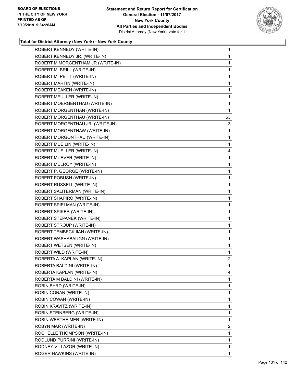

| ROBERT KENNEDY (WRITE-IN)         | $\mathbf{1}$   |
|-----------------------------------|----------------|
| ROBERT KENNEDY JR. (WRITE-IN)     | $\mathbf{1}$   |
| ROBERT M MORGENTHAM JR (WRITE-IN) | 1              |
| ROBERT M. BRILL (WRITE-IN)        | 1              |
| ROBERT M. PETIT (WRITE-IN)        | 1              |
| ROBERT MARTIN (WRITE-IN)          | $\mathbf{1}$   |
| ROBERT MEAKEN (WRITE-IN)          | 1              |
| ROBERT MEULLER (WRITE-IN)         | 1              |
| ROBERT MOERGENTHAU (WRITE-IN)     | 1              |
| ROBERT MORGENTHAN (WRITE-IN)      | 1              |
| ROBERT MORGENTHAU (WRITE-IN)      | 53             |
| ROBERT MORGENTHAU JR. (WRITE-IN)  | 3              |
| ROBERT MORGENTHAW (WRITE-IN)      | $\mathbf{1}$   |
| ROBERT MORGONTHAU (WRITE-IN)      | 1              |
| ROBERT MUEILIN (WRITE-IN)         | 1              |
| ROBERT MUELLER (WRITE-IN)         | 14             |
| ROBERT MUEVER (WRITE-IN)          | 1              |
| ROBERT MULROY (WRITE-IN)          | $\mathbf{1}$   |
| ROBERT P. GEORGE (WRITE-IN)       | 1              |
| ROBERT POBUSH (WRITE-IN)          | $\mathbf{1}$   |
| ROBERT RUSSELL (WRITE-IN)         | 1              |
| ROBERT SALITERMAN (WRITE-IN)      | 1              |
| ROBERT SHAPIRO (WRITE-IN)         | $\mathbf 1$    |
| ROBERT SPIELMAN (WRITE-IN)        | 1              |
| ROBERT SPIKER (WRITE-IN)          | 1              |
| ROBERT STEPANEK (WRITE-IN)        | $\mathbf{1}$   |
| ROBERT STROUP (WRITE-IN)          | 1              |
| ROBERT TEMBECKJIAN (WRITE-IN)     | 1              |
| ROBERT WASHABAUGN (WRITE-IN)      | $\mathbf 1$    |
| ROBERT WETSEN (WRITE-IN)          | $\mathbf{1}$   |
| ROBERT WILD (WRITE-IN)            | $\mathbf{1}$   |
| ROBERTA A. KAPLAN (WRITE-IN)      | $\overline{2}$ |
| ROBERTA BALDINI (WRITE-IN)        | 1              |
| ROBERTA KAPLAN (WRITE-IN)         | 4              |
| ROBERTA M BALDINI (WRITE-IN)      | 1              |
| ROBIN BYRD (WRITE-IN)             | 1              |
| ROBIN CONAN (WRITE-IN)            | 1              |
| ROBIN COWAN (WRITE-IN)            | 1              |
| ROBIN KRAVITZ (WRITE-IN)          | 1              |
| ROBIN STEINBERG (WRITE-IN)        | 1              |
| ROBIN WERTHEIMER (WRITE-IN)       | 1              |
| ROBYN MAR (WRITE-IN)              | 2              |
| ROCHELLE THOMPSON (WRITE-IN)      | 1              |
| RODLUND PURRINI (WRITE-IN)        | 1              |
| RODNEY VILLAZOR (WRITE-IN)        | $\mathbf{1}$   |
| ROGER HAWKINS (WRITE-IN)          | 1              |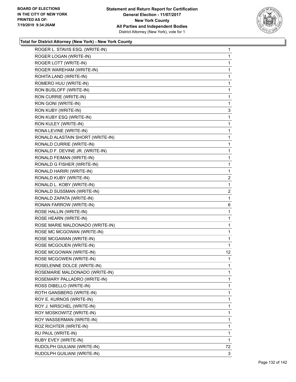

| ROGER L. STAVIS ESQ. (WRITE-IN)  | 1              |
|----------------------------------|----------------|
| ROGER LOGAN (WRITE-IN)           | 1              |
| ROGER LOTT (WRITE-IN)            | 1              |
| ROGER WAREHAM (WRITE-IN)         | 1              |
| ROHITA LAND (WRITE-IN)           | 1              |
| ROMERO HUU (WRITE-IN)            | 1              |
| RON BUSLOFF (WRITE-IN)           | 1              |
| RON CURRIE (WRITE-IN)            | 1              |
| RON GONI (WRITE-IN)              | 1              |
| RON KUBY (WRITE-IN)              | 3              |
| RON KUBY ESQ (WRITE-IN)          | 1              |
| RON KULEY (WRITE-IN)             | 1              |
| RONA LEVINE (WRITE-IN)           | 1              |
| RONALD ALASTAIN SHORT (WRITE-IN) | 1              |
| RONALD CURRIE (WRITE-IN)         | 1              |
| RONALD F. DEVINE JR. (WRITE-IN)  | 1              |
| RONALD FEIMAN (WRITE-IN)         | 1              |
| RONALD G FISHER (WRITE-IN)       | 1              |
| RONALD HARIRI (WRITE-IN)         | 1              |
| RONALD KUBY (WRITE-IN)           | $\overline{c}$ |
| RONALD L. KOBY (WRITE-IN)        | 1              |
| RONALD SUSSMAN (WRITE-IN)        | $\overline{a}$ |
| RONALD ZAPATA (WRITE-IN)         | 1              |
| RONAN FARROW (WRITE-IN)          | 6              |
| ROSE HALLIN (WRITE-IN)           | 1              |
| ROSE HEARN (WRITE-IN)            | 1              |
| ROSE MARIE MALDONADO (WRITE-IN)  | 1              |
| ROSE MC MCGOWAN (WRITE-IN)       | 1              |
| ROSE MCGAWAN (WRITE-IN)          | $\mathbf{1}$   |
| ROSE MCGOUEN (WRITE-IN)          | 1              |
| ROSE MCGOWAN (WRITE-IN)          | 12             |
| ROSE MCGOWEN (WRITE-IN)          | $\mathbf{1}$   |
| ROSELENNE DOLCE (WRITE-IN)       | 1              |
| ROSEMARIE MALDONADO (WRITE-IN)   | 1              |
| ROSEMARY PALLADRO (WRITE-IN)     | 1              |
| ROSS DIBELLO (WRITE-IN)          | 1              |
| ROTH GANSBERG (WRITE-IN)         | 1              |
| ROY E. KURNOS (WRITE-IN)         | 1              |
| ROY J. NIRSCHEL (WRITE-IN)       | 1              |
| ROY MOSKOWITZ (WRITE-IN)         | 1              |
| ROY WASSERMAN (WRITE-IN)         | 1              |
| ROZ RICHTER (WRITE-IN)           | 1              |
| RU PAUL (WRITE-IN)               | 1              |
| RUBY EVEY (WRITE-IN)             | 1              |
| RUDOLPH GIULIANI (WRITE-IN)      | 72             |
| RUDOLPH GUILIANI (WRITE-IN)      | 3              |
|                                  |                |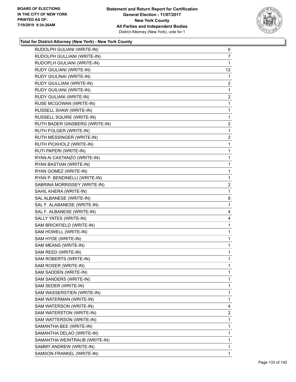

| RUDOLPH GULIANI (WRITE-IN)     | 6              |
|--------------------------------|----------------|
| RUDOLPH GULLIANI (WRITE-IN)    | 7              |
| RUDOPLH GIULIANI (WRITE-IN)    | 1              |
| RUDY GIULIANI (WRITE-IN)       | 12             |
| RUDY GIULINAI (WRITE-IN)       | 1              |
| RUDY GIULLIANI (WRITE-IN)      | 2              |
| RUDY GUILIANI (WRITE-IN)       | 1              |
| RUDY GULIANI (WRITE-IN)        | $\overline{c}$ |
| RUSE MCGOWAN (WRITE-IN)        | 1              |
| RUSSELL SHAW (WRITE-IN)        | 1              |
| RUSSELL SQUIRE (WRITE-IN)      | 1              |
| RUTH BADER GINSBERG (WRITE-IN) | 2              |
| RUTH FOLGER (WRITE-IN)         | 1              |
| RUTH MESSINGER (WRITE-IN)      | $\overline{c}$ |
| RUTH PICKHOLZ (WRITE-IN)       | 1              |
| RUTI PAPERI (WRITE-IN)         | 1              |
| RYAN AI CASTANZO (WRITE-IN)    | 1              |
| RYAN BASTIAN (WRITE-IN)        | 1              |
| RYAN GOMEZ (WRITE-IN)          | $\mathbf{1}$   |
| RYAN P. BENDINELLI (WRITE-IN)  | 1              |
| SABRINA MORRISSEY (WRITE-IN)   | $\overline{2}$ |
| SAHIL KHERA (WRITE-IN)         | 1              |
| SAL ALBANESE (WRITE-IN)        | 8              |
| SAL F. ALABANESE (WRITE-IN)    | 1              |
| SAL F. ALBANESE (WRITE-IN)     | 4              |
| SALLY YATES (WRITE-IN)         | 4              |
| SAM BRICKFIELD (WRITE-IN)      | 1              |
| SAM HOWELL (WRITE-IN)          | 1              |
| SAM HYDE (WRITE-IN)            | 1              |
| SAM MEANS (WRITE-IN)           | 1              |
| SAM REED (WRITE-IN)            | 1              |
| SAM ROBERTS (WRITE-IN)         | 1              |
| SAM ROSER (WRITE-IN)           | 1              |
| SAM SADDEN (WRITE-IN)          | 1              |
| SAM SANDERS (WRITE-IN)         | 1              |
| SAM SEDER (WRITE-IN)           | 1              |
| SAM WASSERSTIEN (WRITE-IN)     | 1              |
| SAM WATERMAN (WRITE-IN)        | 1              |
| SAM WATERSON (WRITE-IN)        | 4              |
| SAM WATERSTON (WRITE-IN)       | 2              |
| SAM WATTERSON (WRITE-IN)       | 1              |
| SAMANTHA BEE (WRITE-IN)        | 1              |
| SAMANTHA DELAO (WRITE-IN)      | 1              |
| SAMANTHA WEINTRAUB (WRITE-IN)  | 1              |
| SAMMY ANDREW (WRITE-IN)        | 1              |
| SAMSON FRANKEL (WRITE-IN)      | 1              |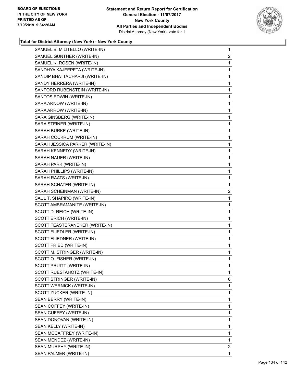

| SAMUEL B. MILITELLO (WRITE-IN)  | $\mathbf{1}$   |
|---------------------------------|----------------|
| SAMUEL GUNTHER (WRITE-IN)       | $\overline{2}$ |
| SAMUEL K. ROSEN (WRITE-IN)      | 1              |
| SANDHYA KAJEEPETA (WRITE-IN)    | 1              |
| SANDIP BHATTACHARJI (WRITE-IN)  | 1              |
| SANDY HERRERA (WRITE-IN)        | 1              |
| SANFORD RUBENSTEIN (WRITE-IN)   | 1              |
| SANTOS EDWIN (WRITE-IN)         | 1              |
| SARA ARNOW (WRITE-IN)           | 1              |
| SARA ARROW (WRITE-IN)           | 1              |
| SARA GINSBERG (WRITE-IN)        | 1              |
| SARA STEINER (WRITE-IN)         | 1              |
| SARAH BURKE (WRITE-IN)          | 1              |
| SARAH COCKRUM (WRITE-IN)        | 1              |
| SARAH JESSICA PARKER (WRITE-IN) | 1              |
| SARAH KENNEDY (WRITE-IN)        | 1              |
| SARAH NAUER (WRITE-IN)          | 1              |
| SARAH PARK (WRITE-IN)           | 1              |
| SARAH PHILLIPS (WRITE-IN)       | 1              |
| SARAH RAATS (WRITE-IN)          | 1              |
| SARAH SCHATER (WRITE-IN)        | 1              |
| SARAH SCHEINMAN (WRITE-IN)      | $\overline{2}$ |
| SAUL T. SHAPIRO (WRITE-IN)      | 1              |
| SCOTT AMBRAMANITE (WRITE-IN)    | 1              |
| SCOTT D. REICH (WRITE-IN)       | 1              |
| SCOTT ERICH (WRITE-IN)          | 1              |
| SCOTT FEASTERANEKER (WRITE-IN)  | 1              |
| SCOTT FLIEDLER (WRITE-IN)       | 1              |
| SCOTT FLIEDNER (WRITE-IN)       | 1              |
| SCOTT FRIED (WRITE-IN)          | 1              |
| SCOTT M. STRINGER (WRITE-IN)    | 1              |
| SCOTT O. FISHER (WRITE-IN)      | 1              |
| SCOTT PRUITT (WRITE-IN)         | 1              |
| SCOTT RUESTAHOTZ (WRITE-IN)     | 1              |
| SCOTT STRINGER (WRITE-IN)       | 6              |
| SCOTT WERNICK (WRITE-IN)        | 1              |
| SCOTT ZUCKER (WRITE-IN)         | 1              |
| SEAN BERRY (WRITE-IN)           | 1              |
| SEAN COFFEY (WRITE-IN)          | 1              |
| SEAN CUFFEY (WRITE-IN)          | 1              |
| SEAN DONOVAN (WRITE-IN)         | 1              |
| SEAN KELLY (WRITE-IN)           | 1              |
| SEAN MCCAFFREY (WRITE-IN)       | 1              |
| SEAN MENDEZ (WRITE-IN)          | 1              |
| SEAN MURPHY (WRITE-IN)          | $\mathbf{2}$   |
| SEAN PALMER (WRITE-IN)          | 1              |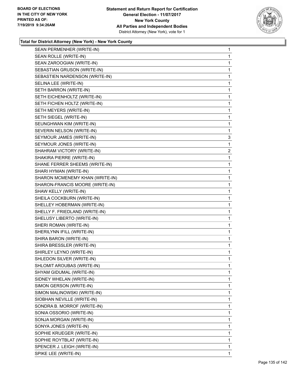

| SEAN PERMENHER (WRITE-IN)       | $\mathbf{1}$   |
|---------------------------------|----------------|
| SEAN ROLLE (WRITE-IN)           | 1              |
| SEAN ZAROOGIAN (WRITE-IN)       | 1              |
| SEBASTIAN GRUSON (WRITE-IN)     | 1              |
| SEBASTIEN NARDENSON (WRITE-IN)  | 1              |
| SELINA LEE (WRITE-IN)           | $\mathbf{1}$   |
| SETH BARRON (WRITE-IN)          | 1              |
| SETH EICHENHOLTZ (WRITE-IN)     | 1              |
| SETH FICHEN HOLTZ (WRITE-IN)    | 1              |
| SETH MEYERS (WRITE-IN)          | 1              |
| SETH SIEGEL (WRITE-IN)          | 1              |
| SEUNGHWAN KIM (WRITE-IN)        | 1              |
| SEVERIN NELSON (WRITE-IN)       | 1              |
| SEYMOUR JAMES (WRITE-IN)        | 3              |
| SEYMOUR JONES (WRITE-IN)        | 1              |
| SHAHRAM VICTORY (WRITE-IN)      | $\overline{2}$ |
| SHAKIRA PIERRE (WRITE-IN)       | 1              |
| SHANE FERRER SHEEMS (WRITE-IN)  | $\mathbf{1}$   |
| SHARI HYMAN (WRITE-IN)          | 1              |
| SHARON MCMENEMY KHAN (WRITE-IN) | 1              |
| SHARON-FRANCIS MOORE (WRITE-IN) | 1              |
| SHAW KELLY (WRITE-IN)           | 1              |
| SHEILA COCKBURN (WRITE-IN)      | 1              |
| SHELLEY HOBERMAN (WRITE-IN)     | $\mathbf{1}$   |
| SHELLY F. FRIEDLAND (WRITE-IN)  | 1              |
| SHELUSY LIBERTO (WRITE-IN)      | 1              |
| SHERI ROMAN (WRITE-IN)          | 1              |
| SHERILYNN IFILL (WRITE-IN)      | 1              |
| SHIRA BARON (WRITE-IN)          | 1              |
| SHIRA BRESSLER (WRITE-IN)       | $\mathbf{1}$   |
| SHIRLEY LEYNO (WRITE-IN)        | 1              |
| SHLEDON SILVER (WRITE-IN)       | 1              |
| SHLOMIT AROUBAS (WRITE-IN)      | 1              |
| SHYAM GIDUMAL (WRITE-IN)        | 1              |
| SIDNEY WHELAN (WRITE-IN)        | 1              |
| SIMON GERSON (WRITE-IN)         | 1              |
| SIMON MALINOWSKI (WRITE-IN)     | 1              |
| SIOBHAN NEVILLE (WRITE-IN)      | 1              |
| SONDRA B. MORROF (WRITE-IN)     | 1              |
| SONIA OSSORIO (WRITE-IN)        | 1              |
| SONJA MORGAN (WRITE-IN)         | 1              |
| SONYA JONES (WRITE-IN)          | 1              |
| SOPHIE KRUEGER (WRITE-IN)       | 1              |
| SOPHIE ROYTBLAT (WRITE-IN)      | 1              |
| SPENCER J. LEIGH (WRITE-IN)     | 1              |
| SPIKE LEE (WRITE-IN)            | 1              |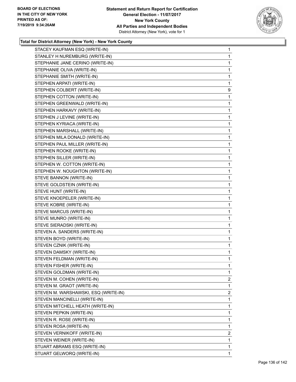

| STACEY KAUFMAN ESQ (WRITE-IN)        | $\mathbf{1}$   |
|--------------------------------------|----------------|
| STANLEY H NUREMBURG (WRITE-IN)       | 1              |
| STEPHANIE JANE CERINO (WRITE-IN)     | 1              |
| STEPHANIE OLIVA (WRITE-IN)           | 1              |
| STEPHANIE SMITH (WRITE-IN)           | 1              |
| STEPHEN ARPATI (WRITE-IN)            | 1              |
| STEPHEN COLBERT (WRITE-IN)           | 9              |
| STEPHEN COTTON (WRITE-IN)            | 1              |
| STEPHEN GREENWALD (WRITE-IN)         | 1              |
| STEPHEN HARKAVY (WRITE-IN)           | 1              |
| STEPHEN J LEVINE (WRITE-IN)          | 1              |
| STEPHEN KYRIACA (WRITE-IN)           | 1              |
| STEPHEN MARSHALL (WRITE-IN)          | 1              |
| STEPHEN MILA DONALD (WRITE-IN)       | 1              |
| STEPHEN PAUL MILLER (WRITE-IN)       | 1              |
| STEPHEN ROOKE (WRITE-IN)             | 1              |
| STEPHEN SILLER (WRITE-IN)            | 1              |
| STEPHEN W. COTTON (WRITE-IN)         | 1              |
| STEPHEN W. NOUGHTON (WRITE-IN)       | 1              |
| STEVE BANNON (WRITE-IN)              | 1              |
| STEVE GOLDSTEIN (WRITE-IN)           | 1              |
| STEVE HUNT (WRITE-IN)                | 1              |
| STEVE KNOEPELER (WRITE-IN)           | 1              |
| STEVE KOBRE (WRITE-IN)               | 1              |
| STEVE MARCUS (WRITE-IN)              | 1              |
| STEVE MUNRO (WRITE-IN)               | 1              |
| STEVE SIERADSKI (WRITE-IN)           | 1              |
| STEVEN A. SANDERS (WRITE-IN)         | 1              |
| STEVEN BOYD (WRITE-IN)               | 1              |
| STEVEN CZNIK (WRITE-IN)              | 1              |
| STEVEN DAMSKY (WRITE-IN)             | 1              |
| STEVEN FELDMAN (WRITE-IN)            | 1              |
| STEVEN FISHER (WRITE-IN)             | 1              |
| STEVEN GOLDMAN (WRITE-IN)            | 1              |
| STEVEN M. COHEN (WRITE-IN)           | $\overline{2}$ |
| STEVEN M. GRAOT (WRITE-IN)           | 1              |
| STEVEN M. WARSHAWSKI, ESQ (WRITE-IN) | 2              |
| STEVEN MANCINELLI (WRITE-IN)         | 1              |
| STEVEN MITCHELL HEATH (WRITE-IN)     | 1              |
| STEVEN PEPKIN (WRITE-IN)             | 1              |
| STEVEN R. ROSE (WRITE-IN)            | 1              |
| STEVEN ROSA (WRITE-IN)               | 1              |
| STEVEN VERNIKOFF (WRITE-IN)          | 2              |
| STEVEN WEINER (WRITE-IN)             | 1              |
| STUART ABRAMS ESQ (WRITE-IN)         | 1              |
| STUART GELWORQ (WRITE-IN)            | 1.             |
|                                      |                |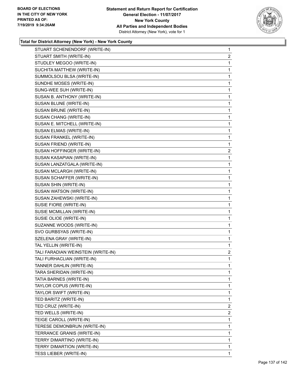

| STUART SCHENENDORF (WRITE-IN)      | $\mathbf{1}$   |
|------------------------------------|----------------|
| STUART SMITH (WRITE-IN)            | $\overline{2}$ |
| STUDLEY MEGOO (WRITE-IN)           | 1              |
| SUCHITA MATTHEW (WRITE-IN)         | 1              |
| SUMMOLSOU BLSA (WRITE-IN)          | 1              |
| SUNDHE MOSES (WRITE-IN)            | 1              |
| SUNG-WEE SUH (WRITE-IN)            | $\mathbf{1}$   |
| SUSAN B. ANTHONY (WRITE-IN)        | 1              |
| SUSAN BLUNE (WRITE-IN)             | 1              |
| SUSAN BRUNE (WRITE-IN)             | 1              |
| SUSAN CHANG (WRITE-IN)             | 1              |
| SUSAN E. MITCHELL (WRITE-IN)       | 1              |
| SUSAN ELMAS (WRITE-IN)             | $\mathbf{1}$   |
| SUSAN FRANKEL (WRITE-IN)           | 1              |
| SUSAN FRIEND (WRITE-IN)            | 1              |
| SUSAN HOFFINGER (WRITE-IN)         | $\overline{c}$ |
| SUSAN KASAPIAN (WRITE-IN)          | 1              |
| SUSAN LANZATGALA (WRITE-IN)        | 1              |
| SUSAN MCLARGH (WRITE-IN)           | $\mathbf{1}$   |
| SUSAN SCHAFFER (WRITE-IN)          | 1              |
| SUSAN SHIN (WRITE-IN)              | 1              |
| SUSAN WATSON (WRITE-IN)            | 1              |
| SUSAN ZAHEWSKI (WRITE-IN)          | 1              |
| SUSIE FIORE (WRITE-IN)             | 1              |
| SUSIE MCMILLAN (WRITE-IN)          | $\mathbf{1}$   |
| SUSIE OLIOE (WRITE-IN)             | 1              |
| SUZANNE WOODS (WRITE-IN)           | 1              |
| SVO GURBSYAS (WRITE-IN)            | 1              |
| SZELENA GRAY (WRITE-IN)            | 1              |
| TAL YELLIN (WRITE-IN)              | 1              |
| TALI FARADIAN WEINSTEIN (WRITE-IN) | $\overline{2}$ |
| TALI FURHACLIAN (WRITE-IN)         | 1              |
| TANNER DAHLIN (WRITE-IN)           | 1              |
| TARA SHERIDAN (WRITE-IN)           | 1              |
| TATIA BARNES (WRITE-IN)            | 1              |
| TAYLOR COPUS (WRITE-IN)            | 1              |
| TAYLOR SWIFT (WRITE-IN)            | 1              |
| TED BARITZ (WRITE-IN)              | 1              |
| TED CRUZ (WRITE-IN)                | 2              |
| TED WELLS (WRITE-IN)               | 2              |
| TEIGE CAROLL (WRITE-IN)            | 1              |
| TERESE DEMONBRUN (WRITE-IN)        | 1              |
| TERRANCE GRANIS (WRITE-IN)         | 1              |
| TERRY DIMARTINO (WRITE-IN)         | 1              |
| TERRY DIMARTION (WRITE-IN)         | 1              |
| TESS LIEBER (WRITE-IN)             | 1              |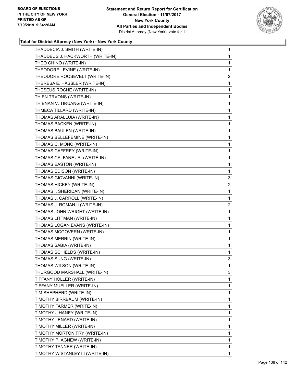

| THADDECIA J. SMITH (WRITE-IN)    | $\mathbf{1}$   |
|----------------------------------|----------------|
| THADDEUS J. HACKWORTH (WRITE-IN) | $\mathbf{1}$   |
| THEO CHINO (WRITE-IN)            | $\mathbf{1}$   |
| THEODORE LEVINE (WRITE-IN)       | 1              |
| THEODORE ROOSEVELT (WRITE-IN)    | $\overline{a}$ |
| THERESA E. HASSLER (WRITE-IN)    | 1              |
| THESEUS ROCHE (WRITE-IN)         | 1              |
| THIEN TRVONS (WRITE-IN)          | 1              |
| THIENAN V. TIRUANG (WRITE-IN)    | 1              |
| THMECA TILLARD (WRITE-IN)        | 1              |
| THOMAS ARALLUIA (WRITE-IN)       | 1              |
| THOMAS BACKEN (WRITE-IN)         | $\mathbf{1}$   |
| THOMAS BAULEN (WRITE-IN)         | 1              |
| THOMAS BELLEFEMINE (WRITE-IN)    | 1              |
| THOMAS C. MONC (WRITE-IN)        | 1              |
| THOMAS CAFFREY (WRITE-IN)        | 1              |
| THOMAS CALFANE JR. (WRITE-IN)    | 1              |
| THOMAS EASTON (WRITE-IN)         | $\mathbf{1}$   |
| THOMAS EDISON (WRITE-IN)         | 1              |
| THOMAS GIOVANNI (WRITE-IN)       | 3              |
| THOMAS HICKEY (WRITE-IN)         | $\overline{2}$ |
| THOMAS I. SHERIDAN (WRITE-IN)    | 1              |
| THOMAS J. CARROLL (WRITE-IN)     | 1              |
| THOMAS J. ROMAN II (WRITE-IN)    | $\overline{2}$ |
| THOMAS JOHN WRIGHT (WRITE-IN)    | 1              |
| THOMAS LITTMAN (WRITE-IN)        | 1              |
| THOMAS LOGAN EVANS (WRITE-IN)    | 1              |
| THOMAS MCGOVERN (WRITE-IN)       | 1              |
| THOMAS MERRIN (WRITE-IN)         | 1              |
| THOMAS SABIA (WRITE-IN)          | $\mathbf{1}$   |
| THOMAS SCHIELDS (WRITE-IN)       | 1              |
| THOMAS SUNG (WRITE-IN)           | 3              |
| THOMAS WILSON (WRITE-IN)         | 1              |
| THURGOOD MARSHALL (WRITE-IN)     | 3              |
| TIFFANY HOLLER (WRITE-IN)        | 1              |
| TIFFANY MUELLER (WRITE-IN)       | 1              |
| TIM SHEPHERD (WRITE-IN)          | 1              |
| TIMOTHY BIRRBAUM (WRITE-IN)      | 1              |
| TIMOTHY FARMER (WRITE-IN)        | 1              |
| TIMOTHY J HANEY (WRITE-IN)       | 1              |
| TIMOTHY LENARD (WRITE-IN)        | 1              |
| TIMOTHY MILLER (WRITE-IN)        | 1              |
| TIMOTHY MORTON FRY (WRITE-IN)    | 1              |
| TIMOTHY P. AGNEW (WRITE-IN)      | 1              |
| TIMOTHY TANNER (WRITE-IN)        | 1              |
| TIMOTHY W STANLEY III (WRITE-IN) | 1              |
|                                  |                |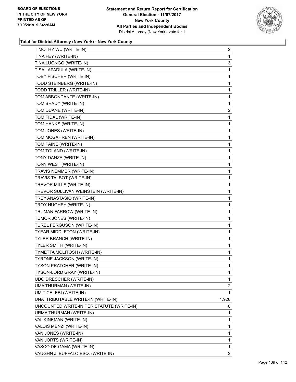

| TIMOTHY WU (WRITE-IN)                     | $\overline{2}$ |
|-------------------------------------------|----------------|
| TINA FEY (WRITE-IN)                       | 1              |
| TINA LUONGO (WRITE-IN)                    | 3              |
| TISA LAPADULA (WRITE-IN)                  | 1              |
| TOBY FISCHER (WRITE-IN)                   | 1              |
| TODD STEINBERG (WRITE-IN)                 | 1              |
| TODD TRILLER (WRITE-IN)                   | 1              |
| TOM ABBONDANTE (WRITE-IN)                 | 1              |
| TOM BRADY (WRITE-IN)                      | 1              |
| TOM DUANE (WRITE-IN)                      | $\overline{2}$ |
| TOM FIDAL (WRITE-IN)                      | 1              |
| TOM HANKS (WRITE-IN)                      | 1              |
| TOM JONES (WRITE-IN)                      | 1              |
| TOM MCGAHREN (WRITE-IN)                   | 1              |
| TOM PAINE (WRITE-IN)                      | 1              |
| TOM TOLAND (WRITE-IN)                     | 1              |
| TONY DANZA (WRITE-IN)                     | 1              |
| TONY WEST (WRITE-IN)                      | 1              |
| TRAVIS NEMMER (WRITE-IN)                  | 1              |
| TRAVIS TALBOT (WRITE-IN)                  | 1              |
| TREVOR MILLS (WRITE-IN)                   | 1              |
| TREVOR SULLIVAN WEINSTEIN (WRITE-IN)      | 1              |
| TREY ANASTASIO (WRITE-IN)                 | 1              |
| TROY HUGHEY (WRITE-IN)                    | 1              |
| TRUMAN FARROW (WRITE-IN)                  | 1              |
| TUMOR JONES (WRITE-IN)                    | 1              |
| TUREL FERGUSON (WRITE-IN)                 | 1              |
| TYEAR MIDDLETON (WRITE-IN)                | 1              |
| TYLER BRANCH (WRITE-IN)                   | 1              |
| TYLER SMITH (WRITE-IN)                    | $\mathbf{1}$   |
| TYMETTA MCLITOSH (WRITE-IN)               | 1              |
| TYRONE JACKSON (WRITE-IN)                 | 1              |
| TYSON PRATCHER (WRITE-IN)                 | 1              |
| TYSON-LORD GRAY (WRITE-IN)                | 1              |
| UDO DRESCHER (WRITE-IN)                   | 1              |
| UMA THURMAN (WRITE-IN)                    | $\overline{2}$ |
| UMIT CELEBI (WRITE-IN)                    | 1              |
| UNATTRIBUTABLE WRITE-IN (WRITE-IN)        | 1,928          |
| UNCOUNTED WRITE-IN PER STATUTE (WRITE-IN) | 8              |
| URMA THURMAN (WRITE-IN)                   | 1              |
| VAL KINEMAN (WRITE-IN)                    | 1              |
| VALDIS MENZI (WRITE-IN)                   | 1              |
| VAN JONES (WRITE-IN)                      | 1              |
| VAN JORTS (WRITE-IN)                      | 1              |
| VASCO DE GAMA (WRITE-IN)                  | 1              |
| VAUGHN J. BUFFALO ESQ. (WRITE-IN)         | $\overline{2}$ |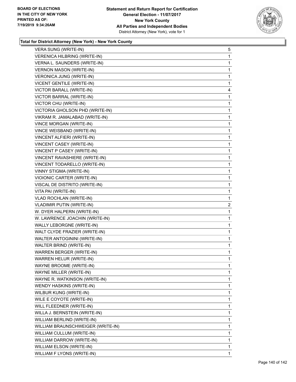

| <b>VERA SUNG (WRITE-IN)</b>       | 5            |
|-----------------------------------|--------------|
| VERENICA HILBRING (WRITE-IN)      | 1            |
| VERNA L. SAUNDERS (WRITE-IN)      | 1            |
| VERNON MASON (WRITE-IN)           | $\mathbf 1$  |
| VERONICA JUNG (WRITE-IN)          | 1            |
| VICENT GENTILE (WRITE-IN)         | 1            |
| VICTOR BARALL (WRITE-IN)          | 4            |
| VICTOR BARRAL (WRITE-IN)          | 1            |
| VICTOR CHU (WRITE-IN)             | 1            |
| VICTORIA GHOLSON PHD (WRITE-IN)   | $\mathbf 1$  |
| VIKRAM R. JAMALABAD (WRITE-IN)    | 1            |
| VINCE MORGAN (WRITE-IN)           | 1            |
| VINCE WEISBAND (WRITE-IN)         | $\mathbf{1}$ |
| VINCENT ALFIERI (WRITE-IN)        | $\mathbf{1}$ |
| VINCENT CASEY (WRITE-IN)          | 1            |
| VINCENT P CASEY (WRITE-IN)        | $\mathbf 1$  |
| VINCENT RAVASHIERE (WRITE-IN)     | 1            |
| VINCENT TODARELLO (WRITE-IN)      | 1            |
| <b>VINNY STIGMA (WRITE-IN)</b>    | $\mathbf{1}$ |
| VIOIONIC CARTER (WRITE-IN)        | $\mathbf{1}$ |
| VISCAL DE DISTRITO (WRITE-IN)     | 1            |
| VITA PAI (WRITE-IN)               | $\mathbf{1}$ |
| <b>VLAD ROCHLAN (WRITE-IN)</b>    | 1            |
| <b>VLADIMIR PUTIN (WRITE-IN)</b>  | 2            |
| W. DYER HALPERN (WRITE-IN)        | $\mathbf{1}$ |
| W. LAWRENCE JOACHIN (WRITE-IN)    | 1            |
| WALLY LEBORGNE (WRITE-IN)         | 1            |
| WALT CLYDE FRAZIER (WRITE-IN)     | $\mathbf 1$  |
| WALTER ANTOGININI (WRITE-IN)      | 1            |
| WALTER BRIND (WRITE-IN)           | 1            |
| WARREN BERGER (WRITE-IN)          | $\mathbf{1}$ |
| WARREN HELUR (WRITE-IN)           | 1            |
| WAYNE BROOME (WRITE-IN)           | 1            |
| WAYNE MILLER (WRITE-IN)           | 1            |
| WAYNE R. WATKINSON (WRITE-IN)     | 1            |
| WENDY HASKINS (WRITE-IN)          | 1            |
| WILBUR KUNG (WRITE-IN)            | 1            |
| WILE E COYOTE (WRITE-IN)          | 1            |
| WILL FLEEDNER (WRITE-IN)          | 1            |
| WILLA J. BERNSTEIN (WRITE-IN)     | 1            |
| WILLIAM BERLIND (WRITE-IN)        | 1            |
| WILLIAM BRAUNSCHWEIGER (WRITE-IN) | 1            |
| WILLIAM CULLUM (WRITE-IN)         | 1            |
| WILLIAM DARROW (WRITE-IN)         | 1            |
| WILLIAM ELSON (WRITE-IN)          | 1            |
| WILLIAM F LYONS (WRITE-IN)        | 1            |
|                                   |              |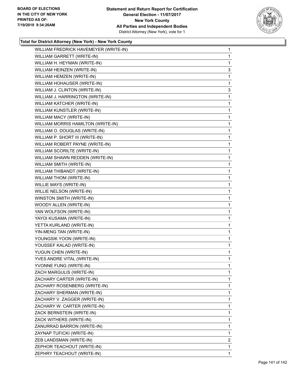

| WILLIAM FREDRICK HAVEMEYER (WRITE-IN) | $\mathbf{1}$   |
|---------------------------------------|----------------|
| WILLIAM GARRETT (WRITE-IN)            | 1              |
| WILLIAM H. HEYMAN (WRITE-IN)          | 1              |
| WILLIAM HEINZEN (WRITE-IN)            | 3              |
| WILLIAM HEMZEN (WRITE-IN)             | 1              |
| WILLIAM HOHAUSER (WRITE-IN)           | 1              |
| WILLIAM J. CLINTON (WRITE-IN)         | 3              |
| WILLIAM J. HARRINGTON (WRITE-IN)      | 1              |
| WILLIAM KATCHER (WRITE-IN)            | 1              |
| WILLIAM KUNSTLER (WRITE-IN)           | 1              |
| WILLIAM MACY (WRITE-IN)               | 1              |
| WILLIAM MORRIS HAMILTON (WRITE-IN)    | 1              |
| WILLIAM O. DOUGLAS (WRITE-IN)         | 1              |
| WILLIAM P. SHORT III (WRITE-IN)       | 1              |
| WILLIAM ROBERT PAYNE (WRITE-IN)       | 1              |
| WILLIAM SCORILTE (WRITE-IN)           | 1              |
| WILLIAM SHAWN REDDEN (WRITE-IN)       | 1              |
| WILLIAM SMITH (WRITE-IN)              | 1              |
| WILLIAM THIBANDT (WRITE-IN)           | 1              |
| WILLIAM THOM (WRITE-IN)               | 1              |
| WILLIE MAYS (WRITE-IN)                | 1              |
| WILLIE NELSON (WRITE-IN)              | 1              |
| WINSTON SMITH (WRITE-IN)              | 1              |
| WOODY ALLEN (WRITE-IN)                | 1              |
| YAN WOLFSON (WRITE-IN)                | 1              |
| YAYOI KUSAMA (WRITE-IN)               | 1              |
| YETTA KURLAND (WRITE-IN)              | 1              |
| YIN-MENG TAN (WRITE-IN)               | 1              |
| YOUNGSIK YOON (WRITE-IN)              | 1              |
| YOUSSEF KALAD (WRITE-IN)              | $\mathbf{1}$   |
| YUGUN CHEN (WRITE-IN)                 | 1              |
| YVES ANDRE VITAL (WRITE-IN)           | 1              |
| YVONNE FUNG (WRITE-IN)                | 1              |
| ZACH MARGULIS (WRITE-IN)              | 1              |
| ZACHARY CARTER (WRITE-IN)             | 1              |
| ZACHARY ROSENBERG (WRITE-IN)          | 1              |
| ZACHARY SHERMAN (WRITE-IN)            | 1              |
| ZACHARY V. ZAGGER (WRITE-IN)          | 1              |
| ZACHARY W. CARTER (WRITE-IN)          | 1              |
| ZACK BERNSTEIN (WRITE-IN)             | 1              |
| ZACK WITHERS (WRITE-IN)               | 1              |
| ZANURRAD BARRON (WRITE-IN)            | 1              |
| ZAYNAP TUFICKI (WRITE-IN)             | 1              |
| ZEB LANDSMAN (WRITE-IN)               | $\overline{2}$ |
| ZEPHOR TEACHOUT (WRITE-IN)            | 1              |
| ZEPHRY TEACHOUT (WRITE-IN)            | 1.             |